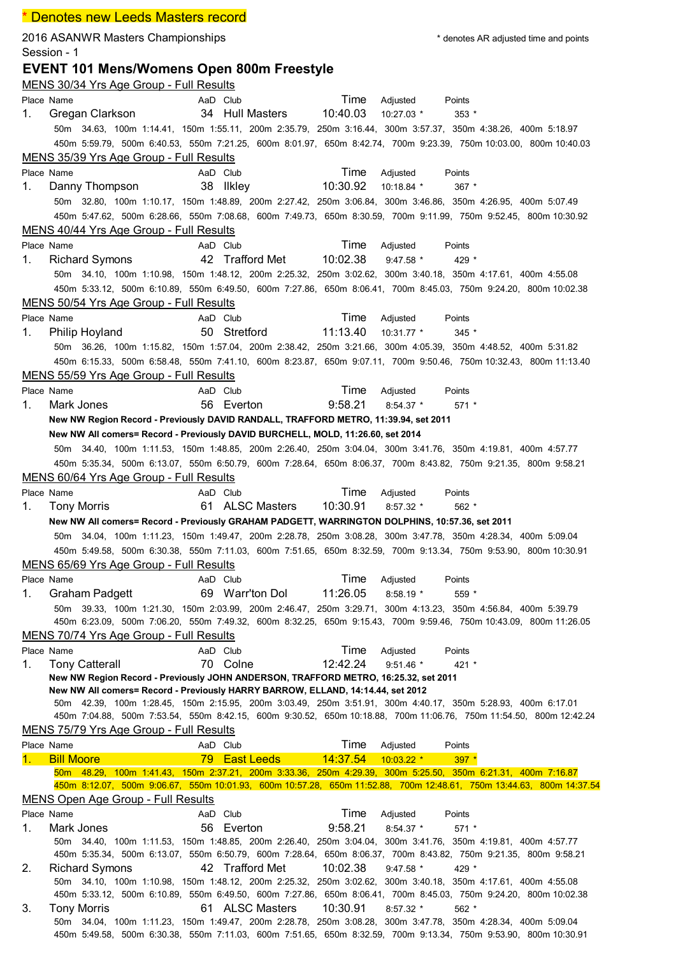|            | * Denotes new Leeds Masters record                                                                                                                         |                 |                 |          |              |                                       |  |
|------------|------------------------------------------------------------------------------------------------------------------------------------------------------------|-----------------|-----------------|----------|--------------|---------------------------------------|--|
|            | 2016 ASANWR Masters Championships<br>Session - 1                                                                                                           |                 |                 |          |              | * denotes AR adjusted time and points |  |
|            | <b>EVENT 101 Mens/Womens Open 800m Freestyle</b><br>MENS 30/34 Yrs Age Group - Full Results                                                                |                 |                 |          |              |                                       |  |
| Place Name |                                                                                                                                                            | AaD Club        |                 | Time     | Adjusted     | Points                                |  |
| 1.         | Gregan Clarkson                                                                                                                                            | 34 Hull Masters |                 | 10:40.03 | 10:27.03 *   | $353*$                                |  |
|            | 50m 34.63, 100m 1:14.41, 150m 1:55.11, 200m 2:35.79, 250m 3:16.44, 300m 3:57.37, 350m 4:38.26, 400m 5:18.97                                                |                 |                 |          |              |                                       |  |
|            | 450m 5:59.79, 500m 6:40.53, 550m 7:21.25, 600m 8:01.97, 650m 8:42.74, 700m 9:23.39, 750m 10:03.00, 800m 10:40.03                                           |                 |                 |          |              |                                       |  |
|            | MENS 35/39 Yrs Age Group - Full Results                                                                                                                    |                 |                 |          |              |                                       |  |
| Place Name |                                                                                                                                                            | AaD Club        |                 | Time     | Adjusted     | Points                                |  |
| 1.         | Danny Thompson                                                                                                                                             | 38 Ilkley       |                 | 10:30.92 | 10:18.84 *   | $367$ *                               |  |
|            | 50m 32.80, 100m 1:10.17, 150m 1:48.89, 200m 2:27.42, 250m 3:06.84, 300m 3:46.86, 350m 4:26.95, 400m 5:07.49                                                |                 |                 |          |              |                                       |  |
|            | 450m 5:47.62, 500m 6:28.66, 550m 7:08.68, 600m 7:49.73, 650m 8:30.59, 700m 9:11.99, 750m 9:52.45, 800m 10:30.92                                            |                 |                 |          |              |                                       |  |
|            | MENS 40/44 Yrs Age Group - Full Results                                                                                                                    |                 |                 |          |              |                                       |  |
| Place Name |                                                                                                                                                            | AaD Club        |                 | Time     | Adjusted     | Points                                |  |
| 1.         | <b>Richard Symons</b>                                                                                                                                      | 42 Trafford Met |                 | 10:02.38 | $9:47.58$ *  | 429 *                                 |  |
|            | 50m 34.10, 100m 1:10.98, 150m 1:48.12, 200m 2:25.32, 250m 3:02.62, 300m 3:40.18, 350m 4:17.61, 400m 4:55.08                                                |                 |                 |          |              |                                       |  |
|            | 450m 5:33.12, 500m 6:10.89, 550m 6:49.50, 600m 7:27.86, 650m 8:06.41, 700m 8:45.03, 750m 9:24.20, 800m 10:02.38                                            |                 |                 |          |              |                                       |  |
|            | MENS 50/54 Yrs Age Group - Full Results                                                                                                                    |                 |                 |          |              |                                       |  |
| Place Name |                                                                                                                                                            | AaD Club        |                 | Time     | Adjusted     | Points                                |  |
| 1.         | Philip Hoyland                                                                                                                                             | 50 Stretford    |                 | 11:13.40 | 10:31.77 *   | $345$ *                               |  |
|            | 50m 36.26, 100m 1:15.82, 150m 1:57.04, 200m 2:38.42, 250m 3:21.66, 300m 4:05.39, 350m 4:48.52, 400m 5:31.82                                                |                 |                 |          |              |                                       |  |
|            | 450m 6:15.33, 500m 6:58.48, 550m 7:41.10, 600m 8:23.87, 650m 9:07.11, 700m 9:50.46, 750m 10:32.43, 800m 11:13.40                                           |                 |                 |          |              |                                       |  |
|            | MENS 55/59 Yrs Age Group - Full Results                                                                                                                    |                 |                 |          |              |                                       |  |
| Place Name |                                                                                                                                                            | AaD Club        |                 | Time     | Adjusted     | Points                                |  |
| 1.         | Mark Jones                                                                                                                                                 | 56 Everton      |                 | 9:58.21  | $8:54.37$ *  | $571*$                                |  |
|            | New NW Region Record - Previously DAVID RANDALL, TRAFFORD METRO, 11:39.94, set 2011                                                                        |                 |                 |          |              |                                       |  |
|            | New NW All comers= Record - Previously DAVID BURCHELL, MOLD, 11:26.60, set 2014                                                                            |                 |                 |          |              |                                       |  |
|            | 50m 34.40, 100m 1:11.53, 150m 1:48.85, 200m 2:26.40, 250m 3:04.04, 300m 3:41.76, 350m 4:19.81, 400m 4:57.77                                                |                 |                 |          |              |                                       |  |
|            | 450m 5:35.34, 500m 6:13.07, 550m 6:50.79, 600m 7:28.64, 650m 8:06.37, 700m 8:43.82, 750m 9:21.35, 800m 9:58.21                                             |                 |                 |          |              |                                       |  |
|            | MENS 60/64 Yrs Age Group - Full Results                                                                                                                    |                 |                 |          |              |                                       |  |
| Place Name |                                                                                                                                                            | AaD Club        |                 | Time     | Adjusted     | Points                                |  |
| 1.         | <b>Tony Morris</b>                                                                                                                                         |                 | 61 ALSC Masters | 10:30.91 | $8:57.32$ *  | $562$ *                               |  |
|            | New NW All comers= Record - Previously GRAHAM PADGETT, WARRINGTON DOLPHINS, 10:57.36, set 2011                                                             |                 |                 |          |              |                                       |  |
|            | 50m 34.04, 100m 1:11.23, 150m 1:49.47, 200m 2:28.78, 250m 3:08.28, 300m 3:47.78, 350m 4:28.34, 400m 5:09.04                                                |                 |                 |          |              |                                       |  |
|            | 450m 5:49.58, 500m 6:30.38, 550m 7:11.03, 600m 7:51.65, 650m 8:32.59, 700m 9:13.34, 750m 9:53.90, 800m 10:30.91                                            |                 |                 |          |              |                                       |  |
|            | MENS 65/69 Yrs Age Group - Full Results                                                                                                                    |                 |                 |          |              |                                       |  |
| Place Name |                                                                                                                                                            | AaD Club        |                 | Time     | Adjusted     | Points                                |  |
| 1.         | <b>Graham Padgett</b>                                                                                                                                      | 69 Warr'ton Dol |                 | 11:26.05 | $8:58.19*$   | $559*$                                |  |
|            | 50m 39.33, 100m 1:21.30, 150m 2:03.99, 200m 2:46.47, 250m 3:29.71, 300m 4:13.23, 350m 4:56.84, 400m 5:39.79                                                |                 |                 |          |              |                                       |  |
|            | 450m 6:23.09, 500m 7:06.20, 550m 7:49.32, 600m 8:32.25, 650m 9:15.43, 700m 9:59.46, 750m 10:43.09, 800m 11:26.05                                           |                 |                 |          |              |                                       |  |
|            | MENS 70/74 Yrs Age Group - Full Results                                                                                                                    |                 |                 |          |              |                                       |  |
| Place Name |                                                                                                                                                            | AaD Club        |                 | Time     | Adjusted     | Points                                |  |
| 1.         | <b>Tony Catterall</b>                                                                                                                                      | 70 Colne        |                 | 12:42.24 | $9:51.46$ *  | $421 *$                               |  |
|            | New NW Region Record - Previously JOHN ANDERSON, TRAFFORD METRO, 16:25.32, set 2011                                                                        |                 |                 |          |              |                                       |  |
|            | New NW All comers= Record - Previously HARRY BARROW, ELLAND, 14:14.44, set 2012                                                                            |                 |                 |          |              |                                       |  |
|            | 50m 42.39, 100m 1:28.45, 150m 2:15.95, 200m 3:03.49, 250m 3:51.91, 300m 4:40.17, 350m 5:28.93, 400m 6:17.01                                                |                 |                 |          |              |                                       |  |
|            | 450m 7:04.88, 500m 7:53.54, 550m 8:42.15, 600m 9:30.52, 650m 10:18.88, 700m 11:06.76, 750m 11:54.50, 800m 12:42.24                                         |                 |                 |          |              |                                       |  |
|            | MENS 75/79 Yrs Age Group - Full Results                                                                                                                    |                 |                 |          |              |                                       |  |
| Place Name |                                                                                                                                                            | AaD Club        |                 | Time     | Adjusted     | Points                                |  |
|            | <b>Bill Moore</b>                                                                                                                                          | 79 East Leeds   |                 | 14:37.54 | $10:03.22$ * | $397*$                                |  |
|            | 50m 48.29, 100m 1:41.43, 150m 2:37.21, 200m 3:33.36, 250m 4:29.39, 300m 5:25.50, 350m 6:21.31, 400m 7:16.87                                                |                 |                 |          |              |                                       |  |
|            | 450m 8:12.07, 500m 9:06.67, 550m 10:01.93, 600m 10:57.28, 650m 11:52.88, 700m 12:48.61, 750m 13:44.63, 800m 14:37.54<br>MENS Open Age Group - Full Results |                 |                 |          |              |                                       |  |
| Place Name |                                                                                                                                                            | AaD Club        |                 | Time     |              |                                       |  |
|            |                                                                                                                                                            |                 |                 | 9:58.21  | Adjusted     | Points                                |  |
| 1.         | Mark Jones<br>50m 34.40, 100m 1:11.53, 150m 1:48.85, 200m 2:26.40, 250m 3:04.04, 300m 3:41.76, 350m 4:19.81, 400m 4:57.77                                  | 56 Everton      |                 |          | $8:54.37$ *  | $571 *$                               |  |
|            | 450m 5:35.34, 500m 6:13.07, 550m 6:50.79, 600m 7:28.64, 650m 8:06.37, 700m 8:43.82, 750m 9:21.35, 800m 9:58.21                                             |                 |                 |          |              |                                       |  |
| 2.         | <b>Richard Symons</b>                                                                                                                                      | 42 Trafford Met |                 | 10:02.38 | $9:47.58$ *  | 429 *                                 |  |
|            | 50m 34.10, 100m 1:10.98, 150m 1:48.12, 200m 2:25.32, 250m 3:02.62, 300m 3:40.18, 350m 4:17.61, 400m 4:55.08                                                |                 |                 |          |              |                                       |  |
|            | 450m 5:33.12, 500m 6:10.89, 550m 6:49.50, 600m 7:27.86, 650m 8:06.41, 700m 8:45.03, 750m 9:24.20, 800m 10:02.38                                            |                 |                 |          |              |                                       |  |
| 3.         | <b>Tony Morris</b>                                                                                                                                         | 61 ALSC Masters |                 | 10:30.91 | $8:57.32$ *  | 562 *                                 |  |
|            | 50m 34.04, 100m 1:11.23, 150m 1:49.47, 200m 2:28.78, 250m 3:08.28, 300m 3:47.78, 350m 4:28.34, 400m 5:09.04                                                |                 |                 |          |              |                                       |  |
|            | 450m 5:49.58, 500m 6:30.38, 550m 7:11.03, 600m 7:51.65, 650m 8:32.59, 700m 9:13.34, 750m 9:53.90, 800m 10:30.91                                            |                 |                 |          |              |                                       |  |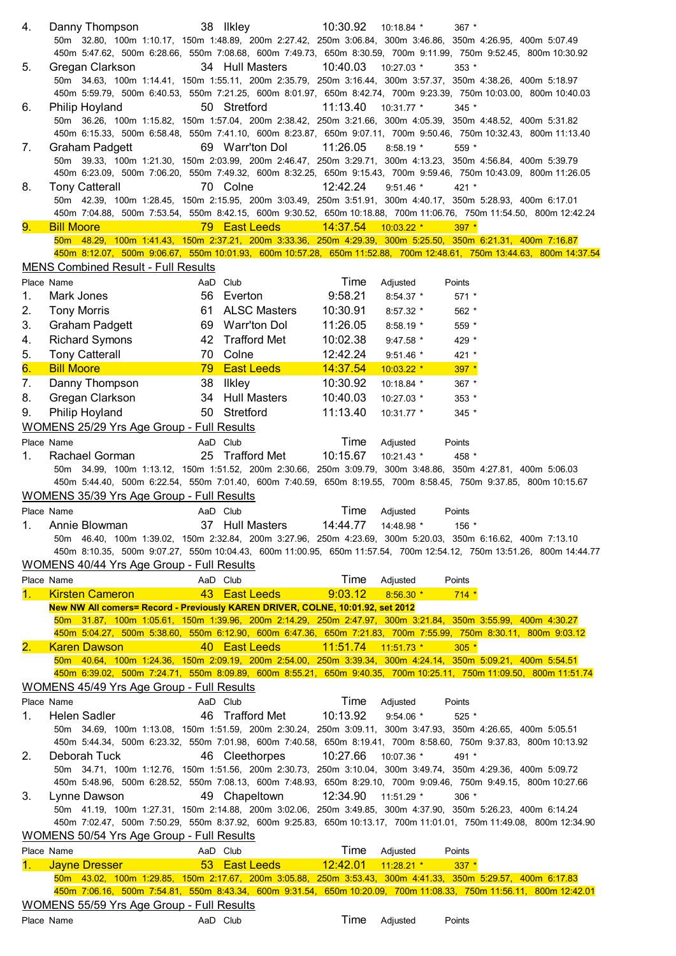| 4.   | Danny Thompson                                                                 |          | 38 Ilkley           | 10:30.92            | 10:18.84 *   | $367$ *                                                                                                               |
|------|--------------------------------------------------------------------------------|----------|---------------------|---------------------|--------------|-----------------------------------------------------------------------------------------------------------------------|
|      |                                                                                |          |                     |                     |              | 50m 32.80, 100m 1:10.17, 150m 1:48.89, 200m 2:27.42, 250m 3:06.84, 300m 3:46.86, 350m 4:26.95, 400m 5:07.49           |
|      |                                                                                |          |                     |                     |              | 450m 5:47.62, 500m 6:28.66, 550m 7:08.68, 600m 7:49.73, 650m 8:30.59, 700m 9:11.99, 750m 9:52.45, 800m 10:30.92       |
| 5.   | Gregan Clarkson                                                                |          | 34 Hull Masters     | 10:40.03            | 10:27.03 *   | $353*$                                                                                                                |
|      |                                                                                |          |                     |                     |              | 50m 34.63, 100m 1:14.41, 150m 1:55.11, 200m 2:35.79, 250m 3:16.44, 300m 3:57.37, 350m 4:38.26, 400m 5:18.97           |
|      |                                                                                |          |                     |                     |              | 450m 5:59.79, 500m 6:40.53, 550m 7:21.25, 600m 8:01.97, 650m 8:42.74, 700m 9:23.39, 750m 10:03.00, 800m 10:40.03      |
| 6.   | Philip Hoyland                                                                 |          | 50 Stretford        | 11:13.40            | 10:31.77 *   | $345$ *                                                                                                               |
|      |                                                                                |          |                     |                     |              | 50m 36.26, 100m 1:15.82, 150m 1:57.04, 200m 2:38.42, 250m 3:21.66, 300m 4:05.39, 350m 4:48.52, 400m 5:31.82           |
|      |                                                                                |          |                     |                     |              | 450m 6:15.33, 500m 6:58.48, 550m 7:41.10, 600m 8:23.87, 650m 9:07.11, 700m 9:50.46, 750m 10:32.43, 800m 11:13.40      |
| 7.   | <b>Graham Padgett</b>                                                          |          | 69 Warr'ton Dol     | 11:26.05            | $8:58.19*$   | $559*$<br>50m 39.33, 100m 1:21.30, 150m 2:03.99, 200m 2:46.47, 250m 3:29.71, 300m 4:13.23, 350m 4:56.84, 400m 5:39.79 |
|      |                                                                                |          |                     |                     |              | 450m 6:23.09, 500m 7:06.20, 550m 7:49.32, 600m 8:32.25, 650m 9:15.43, 700m 9:59.46, 750m 10:43.09, 800m 11:26.05      |
| 8.   | <b>Tony Catterall</b>                                                          |          | 70 Colne            | 12:42.24            | $9:51.46$ *  | $421 *$                                                                                                               |
|      |                                                                                |          |                     |                     |              | 50m 42.39, 100m 1:28.45, 150m 2:15.95, 200m 3:03.49, 250m 3:51.91, 300m 4:40.17, 350m 5:28.93, 400m 6:17.01           |
|      |                                                                                |          |                     |                     |              | 450m 7:04.88, 500m 7:53.54, 550m 8:42.15, 600m 9:30.52, 650m 10:18.88, 700m 11:06.76, 750m 11:54.50, 800m 12:42.24    |
| 9.   | <b>Bill Moore</b>                                                              |          | 79 East Leeds       | 14:37.54 10:03.22 * |              | $397 *$                                                                                                               |
|      |                                                                                |          |                     |                     |              | 50m 48.29, 100m 1:41.43, 150m 2:37.21, 200m 3:33.36, 250m 4:29.39, 300m 5:25.50, 350m 6:21.31, 400m 7:16.87           |
|      |                                                                                |          |                     |                     |              | 450m 8:12.07, 500m 9:06.67, 550m 10:01.93, 600m 10:57.28, 650m 11:52.88, 700m 12:48.61, 750m 13:44.63, 800m 14:37.54  |
|      | <b>MENS Combined Result - Full Results</b>                                     |          |                     |                     |              |                                                                                                                       |
|      | Place Name                                                                     | AaD Club |                     | Time                | Adjusted     | Points                                                                                                                |
| 1.   | Mark Jones                                                                     |          | 56 Everton          | 9:58.21             | $8:54.37$ *  | $571 *$                                                                                                               |
| 2.   | <b>Tony Morris</b>                                                             |          | 61 ALSC Masters     | 10:30.91            | $8:57.32$ *  | 562 *                                                                                                                 |
| 3.   | <b>Graham Padgett</b>                                                          |          | 69 Warr'ton Dol     | 11:26.05            | $8:58.19*$   | 559 *                                                                                                                 |
| 4.   | <b>Richard Symons</b>                                                          | 42       | <b>Trafford Met</b> | 10:02.38            | 9:47.58 *    | 429 *                                                                                                                 |
| 5.   | <b>Tony Catterall</b>                                                          | 70       | Colne               | 12:42.24            | $9:51.46$ *  | 421 *                                                                                                                 |
| 6.   | <b>Bill Moore</b>                                                              | 79       | <b>East Leeds</b>   | 14:37.54            | 10:03.22 *   | $397 *$                                                                                                               |
|      |                                                                                |          |                     |                     |              |                                                                                                                       |
| 7.   | Danny Thompson                                                                 |          | 38 Ilkley           | 10:30.92            | 10:18.84 *   | 367 *                                                                                                                 |
| 8.   | Gregan Clarkson                                                                |          | 34 Hull Masters     | 10:40.03            | 10:27.03 *   | $353*$                                                                                                                |
| 9.   | Philip Hoyland                                                                 |          | 50 Stretford        | 11:13.40            | 10:31.77 *   | 345 *                                                                                                                 |
|      | WOMENS 25/29 Yrs Age Group - Full Results                                      |          |                     |                     |              |                                                                                                                       |
|      | Place Name                                                                     | AaD Club |                     | Time                | Adjusted     | Points                                                                                                                |
| 1.   | Rachael Gorman                                                                 |          | 25 Trafford Met     | 10:15.67            | $10:21.43$ * | 458 *                                                                                                                 |
|      |                                                                                |          |                     |                     |              |                                                                                                                       |
|      |                                                                                |          |                     |                     |              | 50m 34.99, 100m 1:13.12, 150m 1:51.52, 200m 2:30.66, 250m 3:09.79, 300m 3:48.86, 350m 4:27.81, 400m 5:06.03           |
|      |                                                                                |          |                     |                     |              | 450m 5:44.40, 500m 6:22.54, 550m 7:01.40, 600m 7:40.59, 650m 8:19.55, 700m 8:58.45, 750m 9:37.85, 800m 10:15.67       |
|      | <b>WOMENS 35/39 Yrs Age Group - Full Results</b>                               |          |                     |                     |              |                                                                                                                       |
|      | Place Name                                                                     | AaD Club |                     | Time                | Adjusted     | Points                                                                                                                |
|      | 1. Annie Blowman                                                               |          | 37 Hull Masters     | 14:44.77            | 14:48.98 *   | 156 *                                                                                                                 |
|      |                                                                                |          |                     |                     |              | 50m 46.40, 100m 1:39.02, 150m 2:32.84, 200m 3:27.96, 250m 4:23.69, 300m 5:20.03, 350m 6:16.62, 400m 7:13.10           |
|      |                                                                                |          |                     |                     |              | 450m 8:10.35, 500m 9:07.27, 550m 10:04.43, 600m 11:00.95, 650m 11:57.54, 700m 12:54.12, 750m 13:51.26, 800m 14:44.77  |
|      | WOMENS 40/44 Yrs Age Group - Full Results                                      |          |                     |                     |              |                                                                                                                       |
|      | Place Name                                                                     | AaD Club |                     | Time                | Adjusted     | Points                                                                                                                |
| 1.   | <b>Kirsten Cameron</b>                                                         |          | 43 East Leeds       | 9:03.12             | $8:56.30*$   | $714 *$                                                                                                               |
|      | New NW All comers= Record - Previously KAREN DRIVER, COLNE, 10:01.92, set 2012 |          |                     |                     |              |                                                                                                                       |
|      |                                                                                |          |                     |                     |              | 50m 31.87, 100m 1:05.61, 150m 1:39.96, 200m 2:14.29, 250m 2:47.97, 300m 3:21.84, 350m 3:55.99, 400m 4:30.27           |
|      |                                                                                |          |                     |                     |              | 450m 5:04.27, 500m 5:38.60, 550m 6:12.90, 600m 6:47.36, 650m 7:21.83, 700m 7:55.99, 750m 8:30.11, 800m 9:03.12        |
| 2. . | <b>Karen Dawson</b>                                                            |          | 40 East Leeds       | 11:51.74            | $11:51.73$ * | $305*$                                                                                                                |
|      |                                                                                |          |                     |                     |              | 50m 40.64, 100m 1:24.36, 150m 2:09.19, 200m 2:54.00, 250m 3:39.34, 300m 4:24.14, 350m 5:09.21, 400m 5:54.51           |
|      |                                                                                |          |                     |                     |              | 450m 6:39.02, 500m 7:24.71, 550m 8:09.89, 600m 8:55.21, 650m 9:40.35, 700m 10:25.11, 750m 11:09.50, 800m 11:51.74     |
|      | WOMENS 45/49 Yrs Age Group - Full Results                                      |          |                     |                     |              |                                                                                                                       |
|      | Place Name                                                                     | AaD Club |                     | Time                | Adjusted     | Points                                                                                                                |
| 1.   | Helen Sadler                                                                   |          | 46 Trafford Met     | 10:13.92            | $9:54.06*$   | $525$ *                                                                                                               |
|      |                                                                                |          |                     |                     |              | 50m 34.69, 100m 1:13.08, 150m 1:51.59, 200m 2:30.24, 250m 3:09.11, 300m 3:47.93, 350m 4:26.65, 400m 5:05.51           |
|      |                                                                                |          |                     |                     |              | 450m 5:44.34, 500m 6:23.32, 550m 7:01.98, 600m 7:40.58, 650m 8:19.41, 700m 8:58.60, 750m 9:37.83, 800m 10:13.92       |
| 2.   | Deborah Tuck                                                                   |          | 46 Cleethorpes      | 10:27.66            | 10:07.36 *   | 491 *                                                                                                                 |
|      |                                                                                |          |                     |                     |              | 50m 34.71, 100m 1:12.76, 150m 1:51.56, 200m 2:30.73, 250m 3:10.04, 300m 3:49.74, 350m 4:29.36, 400m 5:09.72           |
|      |                                                                                |          |                     |                     |              | 450m 5:48.96, 500m 6:28.52, 550m 7:08.13, 600m 7:48.93, 650m 8:29.10, 700m 9:09.46, 750m 9:49.15, 800m 10:27.66       |
| 3.   | Lynne Dawson                                                                   |          | 49 Chapeltown       | 12:34.90            | 11:51.29 *   | $306*$                                                                                                                |
|      |                                                                                |          |                     |                     |              | 50m 41.19, 100m 1:27.31, 150m 2:14.88, 200m 3:02.06, 250m 3:49.85, 300m 4:37.90, 350m 5:26.23, 400m 6:14.24           |
|      |                                                                                |          |                     |                     |              | 450m 7:02.47, 500m 7:50.29, 550m 8:37.92, 600m 9:25.83, 650m 10:13.17, 700m 11:01.01, 750m 11:49.08, 800m 12:34.90    |
|      | WOMENS 50/54 Yrs Age Group - Full Results                                      |          |                     |                     |              |                                                                                                                       |
|      | Place Name                                                                     | AaD Club |                     | Time                | Adjusted     | Points                                                                                                                |
| 1.   | <b>Jayne Dresser</b>                                                           |          | 53 East Leeds       | 12:42.01            | $11:28.21$ * | $337 *$                                                                                                               |
|      |                                                                                |          |                     |                     |              | 50m 43.02, 100m 1:29.85, 150m 2:17.67, 200m 3:05.88, 250m 3:53.43, 300m 4:41.33, 350m 5:29.57, 400m 6:17.83           |
|      |                                                                                |          |                     |                     |              | 450m 7:06.16, 500m 7:54.81, 550m 8:43.34, 600m 9:31.54, 650m 10:20.09, 700m 11:08.33, 750m 11:56.11, 800m 12:42.01    |
|      | WOMENS 55/59 Yrs Age Group - Full Results                                      |          |                     | Time                |              |                                                                                                                       |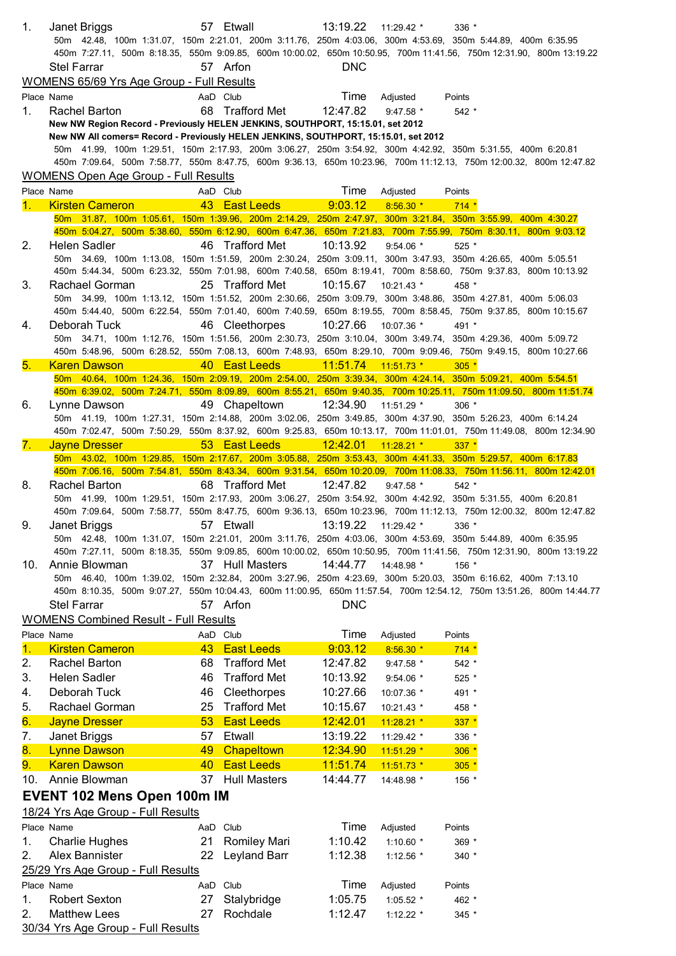| 1.  | Janet Briggs<br>50m 42.48, 100m 1:31.07, 150m 2:21.01, 200m 3:11.76, 250m 4:03.06, 300m 4:53.69, 350m 5:44.89, 400m 6:35.95                                                                                                       |                | 57 Etwall           | 13:19.22              | $11:29.42$ *            | $336 *$         |  |
|-----|-----------------------------------------------------------------------------------------------------------------------------------------------------------------------------------------------------------------------------------|----------------|---------------------|-----------------------|-------------------------|-----------------|--|
|     | 450m 7:27.11, 500m 8:18.35, 550m 9:09.85, 600m 10:00.02, 650m 10:50.95, 700m 11:41.56, 750m 12:31.90, 800m 13:19.22                                                                                                               |                |                     |                       |                         |                 |  |
|     | <b>Stel Farrar</b>                                                                                                                                                                                                                |                | 57 Arfon            | <b>DNC</b>            |                         |                 |  |
|     | <b>WOMENS 65/69 Yrs Age Group - Full Results</b>                                                                                                                                                                                  |                |                     |                       |                         |                 |  |
|     | Place Name                                                                                                                                                                                                                        | AaD Club       |                     | Time                  | Adjusted                | Points          |  |
| 1.  | Rachel Barton<br>New NW Region Record - Previously HELEN JENKINS, SOUTHPORT, 15:15.01, set 2012                                                                                                                                   |                | 68 Trafford Met     | 12:47.82              | $9:47.58$ *             | $542 *$         |  |
|     | New NW All comers= Record - Previously HELEN JENKINS, SOUTHPORT, 15:15.01, set 2012                                                                                                                                               |                |                     |                       |                         |                 |  |
|     | 50m 41.99, 100m 1:29.51, 150m 2:17.93, 200m 3:06.27, 250m 3:54.92, 300m 4:42.92, 350m 5:31.55, 400m 6:20.81                                                                                                                       |                |                     |                       |                         |                 |  |
|     | 450m 7:09.64, 500m 7:58.77, 550m 8:47.75, 600m 9:36.13, 650m 10:23.96, 700m 11:12.13, 750m 12:00.32, 800m 12:47.82                                                                                                                |                |                     |                       |                         |                 |  |
|     | <b>WOMENS Open Age Group - Full Results</b>                                                                                                                                                                                       |                |                     |                       |                         |                 |  |
|     | Place Name                                                                                                                                                                                                                        | AaD Club       |                     | Time                  | Adjusted                | Points          |  |
| 1.  | <b>Kirsten Cameron</b>                                                                                                                                                                                                            |                | 43 East Leeds       | 9:03.12               | $8:56.30*$              | $714*$          |  |
|     | 50m 31.87, 100m 1:05.61, 150m 1:39.96, 200m 2:14.29, 250m 2:47.97, 300m 3:21.84, 350m 3:55.99, 400m 4:30.27<br>450m 5:04.27, 500m 5:38.60, 550m 6:12.90, 600m 6:47.36, 650m 7:21.83, 700m 7:55.99, 750m 8:30.11, 800m 9:03.12     |                |                     |                       |                         |                 |  |
| 2.  | <b>Helen Sadler</b>                                                                                                                                                                                                               |                | 46 Trafford Met     | 10:13.92              | $9:54.06*$              | $525$ *         |  |
|     | 50m 34.69, 100m 1:13.08, 150m 1:51.59, 200m 2:30.24, 250m 3:09.11, 300m 3:47.93, 350m 4:26.65, 400m 5:05.51                                                                                                                       |                |                     |                       |                         |                 |  |
|     | 450m 5:44.34, 500m 6:23.32, 550m 7:01.98, 600m 7:40.58, 650m 8:19.41, 700m 8:58.60, 750m 9:37.83, 800m 10:13.92                                                                                                                   |                |                     |                       |                         |                 |  |
| 3.  | Rachael Gorman                                                                                                                                                                                                                    |                | 25 Trafford Met     | 10:15.67              | $10:21.43$ *            | 458 *           |  |
|     | 50m 34.99, 100m 1:13.12, 150m 1:51.52, 200m 2:30.66, 250m 3:09.79, 300m 3:48.86, 350m 4:27.81, 400m 5:06.03                                                                                                                       |                |                     |                       |                         |                 |  |
| 4.  | 450m 5:44.40, 500m 6:22.54, 550m 7:01.40, 600m 7:40.59, 650m 8:19.55, 700m 8:58.45, 750m 9:37.85, 800m 10:15.67<br>Deborah Tuck                                                                                                   |                | 46 Cleethorpes      | 10:27.66              | 10:07.36 *              | 491 *           |  |
|     | 50m 34.71, 100m 1:12.76, 150m 1:51.56, 200m 2:30.73, 250m 3:10.04, 300m 3:49.74, 350m 4:29.36, 400m 5:09.72                                                                                                                       |                |                     |                       |                         |                 |  |
|     | 450m 5:48.96, 500m 6:28.52, 550m 7:08.13, 600m 7:48.93, 650m 8:29.10, 700m 9:09.46, 750m 9:49.15, 800m 10:27.66                                                                                                                   |                |                     |                       |                         |                 |  |
| 5.  | <b>Karen Dawson</b>                                                                                                                                                                                                               |                | 40 East Leeds       | $11:51.74$ 11:51.73 * |                         | $305*$          |  |
|     | 50m 40.64, 100m 1:24.36, 150m 2:09.19, 200m 2:54.00, 250m 3:39.34, 300m 4:24.14, 350m 5:09.21, 400m 5:54.51                                                                                                                       |                |                     |                       |                         |                 |  |
|     | 450m 6:39.02, 500m 7:24.71, 550m 8:09.89, 600m 8:55.21, 650m 9:40.35, 700m 10:25.11, 750m 11:09.50, 800m 11:51.74                                                                                                                 |                |                     |                       |                         |                 |  |
| 6.  | Lynne Dawson<br>50m 41.19, 100m 1:27.31, 150m 2:14.88, 200m 3:02.06, 250m 3:49.85, 300m 4:37.90, 350m 5:26.23, 400m 6:14.24                                                                                                       |                | 49 Chapeltown       | 12:34.90              | 11:51.29 *              | $306 *$         |  |
|     | 450m 7:02.47, 500m 7:50.29, 550m 8:37.92, 600m 9:25.83, 650m 10:13.17, 700m 11:01.01, 750m 11:49.08, 800m 12:34.90                                                                                                                |                |                     |                       |                         |                 |  |
| 7.  | <b>Jayne Dresser</b>                                                                                                                                                                                                              |                | 53 East Leeds       | 12:42.01 11:28.21 *   |                         | $337 *$         |  |
|     | 50m 43.02, 100m 1:29.85, 150m 2:17.67, 200m 3:05.88, 250m 3:53.43, 300m 4:41.33, 350m 5:29.57, 400m 6:17.83                                                                                                                       |                |                     |                       |                         |                 |  |
|     | 450m 7:06.16, 500m 7:54.81, 550m 8:43.34, 600m 9:31.54, 650m 10:20.09, 700m 11:08.33, 750m 11:56.11, 800m 12:42.01                                                                                                                |                |                     |                       |                         |                 |  |
| 8.  | Rachel Barton                                                                                                                                                                                                                     |                | 68 Trafford Met     | 12:47.82              | $9:47.58$ *             | $542 *$         |  |
|     | 50m 41.99, 100m 1:29.51, 150m 2:17.93, 200m 3:06.27, 250m 3:54.92, 300m 4:42.92, 350m 5:31.55, 400m 6:20.81<br>450m 7:09.64, 500m 7:58.77, 550m 8:47.75, 600m 9:36.13, 650m 10:23.96, 700m 11:12.13, 750m 12:00.32, 800m 12:47.82 |                |                     |                       |                         |                 |  |
| 9.  | Janet Briggs                                                                                                                                                                                                                      |                | 57 Etwall           | 13:19.22 11:29.42 *   |                         | $336 *$         |  |
|     | 50m 42.48, 100m 1:31.07, 150m 2:21.01, 200m 3:11.76, 250m 4:03.06, 300m 4:53.69, 350m 5:44.89, 400m 6:35.95                                                                                                                       |                |                     |                       |                         |                 |  |
|     | 450m 7:27.11, 500m 8:18.35, 550m 9:09.85, 600m 10:00.02, 650m 10:50.95, 700m 11:41.56, 750m 12:31.90, 800m 13:19.22                                                                                                               |                |                     |                       |                         |                 |  |
| 10. | Annie Blowman                                                                                                                                                                                                                     |                | 37 Hull Masters     | 14:44.77              | 14:48.98 *              | $156*$          |  |
|     | 50m 46.40, 100m 1:39.02, 150m 2:32.84, 200m 3:27.96, 250m 4:23.69, 300m 5:20.03, 350m 6:16.62, 400m 7:13.10                                                                                                                       |                |                     |                       |                         |                 |  |
|     | 450m 8:10.35, 500m 9:07.27, 550m 10:04.43, 600m 11:00.95, 650m 11:57.54, 700m 12:54.12, 750m 13:51.26, 800m 14:44.77<br><b>Stel Farrar</b>                                                                                        |                | 57 Arfon            | <b>DNC</b>            |                         |                 |  |
|     | <b>WOMENS Combined Result - Full Results</b>                                                                                                                                                                                      |                |                     |                       |                         |                 |  |
|     | Place Name                                                                                                                                                                                                                        | AaD Club       |                     | Time                  | Adjusted                | Points          |  |
| 1.  | <b>Kirsten Cameron</b>                                                                                                                                                                                                            |                | 43 East Leeds       | 9:03.12               | 8:56.30 *               | $714 *$         |  |
| 2.  | Rachel Barton                                                                                                                                                                                                                     |                | 68 Trafford Met     | 12:47.82              | $9:47.58$ *             | 542 *           |  |
| 3.  | Helen Sadler                                                                                                                                                                                                                      | 46             | <b>Trafford Met</b> | 10:13.92              | 9:54.06 *               | 525 *           |  |
| 4.  | Deborah Tuck                                                                                                                                                                                                                      |                | 46 Cleethorpes      | 10:27.66              | 10:07.36 *              | 491 *           |  |
| 5.  | Rachael Gorman                                                                                                                                                                                                                    | 25             | Trafford Met        | 10:15.67              | 10:21.43 *              | 458 *           |  |
| 6.  | <b>Jayne Dresser</b>                                                                                                                                                                                                              |                | 53 East Leeds       | 12:42.01              | 11:28.21 *              | $337 *$         |  |
| 7.  | Janet Briggs                                                                                                                                                                                                                      | 57             | Etwall              | 13:19.22              | 11:29.42 *              | 336 *           |  |
| 8.  | <b>Lynne Dawson</b>                                                                                                                                                                                                               |                | 49 Chapeltown       | 12:34.90              | 11:51.29 *              | $306 *$         |  |
| 9.  | <b>Karen Dawson</b>                                                                                                                                                                                                               |                | 40 East Leeds       | 11:51.74              | $11:51.73$ *            | $305 *$         |  |
|     | 10. Annie Blowman                                                                                                                                                                                                                 |                | 37 Hull Masters     | 14:44.77              | 14:48.98 *              | 156 *           |  |
|     | <b>EVENT 102 Mens Open 100m IM</b>                                                                                                                                                                                                |                |                     |                       |                         |                 |  |
|     | 18/24 Yrs Age Group - Full Results                                                                                                                                                                                                |                |                     |                       |                         |                 |  |
|     | Place Name                                                                                                                                                                                                                        | AaD Club       |                     | Time                  | Adjusted                | Points          |  |
| 1.  | <b>Charlie Hughes</b>                                                                                                                                                                                                             |                | 21 Romiley Mari     | 1:10.42               | 1:10.60 $*$             | 369 *           |  |
| 2.  | Alex Bannister                                                                                                                                                                                                                    |                | 22 Leyland Barr     | 1:12.38               | 1:12.56 *               | $340*$          |  |
|     | 25/29 Yrs Age Group - Full Results                                                                                                                                                                                                |                |                     | Time                  |                         |                 |  |
| 1.  | Place Name<br><b>Robert Sexton</b>                                                                                                                                                                                                | AaD Club<br>27 | Stalybridge         | 1:05.75               | Adjusted<br>$1:05.52$ * | Points<br>462 * |  |
| 2.  | <b>Matthew Lees</b>                                                                                                                                                                                                               | 27             | Rochdale            | 1:12.47               | $1:12.22$ *             | $345$ *         |  |
|     | 30/34 Yrs Age Group - Full Results                                                                                                                                                                                                |                |                     |                       |                         |                 |  |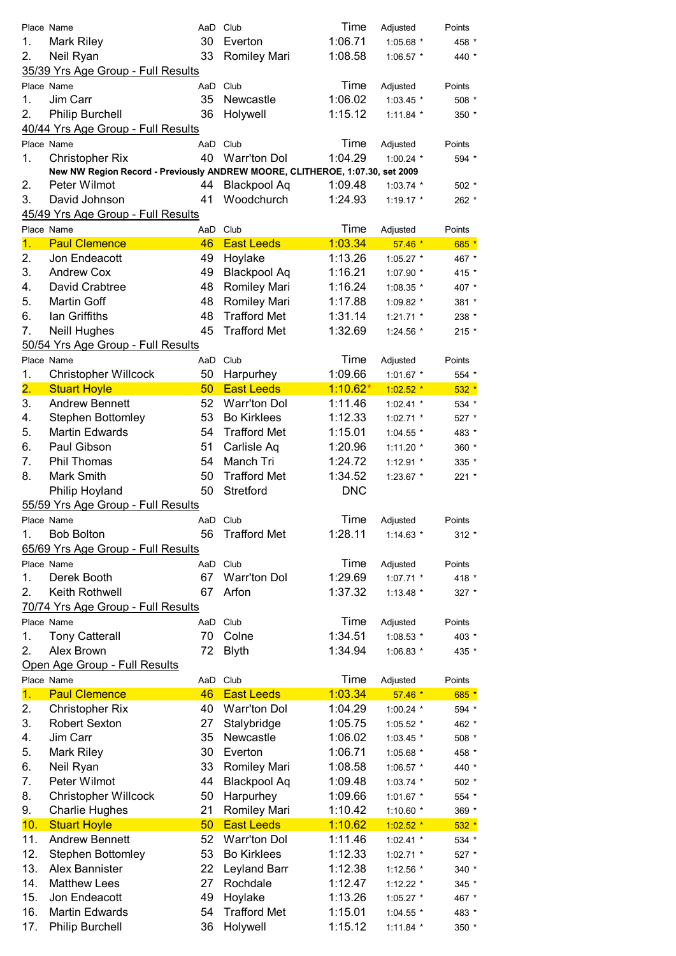|                  |                                                                              |     |                     | Time       |             |         |
|------------------|------------------------------------------------------------------------------|-----|---------------------|------------|-------------|---------|
|                  | Place Name                                                                   |     | AaD Club            |            | Adjusted    | Points  |
| 1.               | <b>Mark Riley</b>                                                            | 30  | Everton             | 1:06.71    | 1:05.68 *   | 458 *   |
| 2.               | Neil Ryan                                                                    | 33  | Romiley Mari        | 1:08.58    | $1:06.57$ * | 440 *   |
|                  | 35/39 Yrs Age Group - Full Results                                           |     |                     |            |             |         |
|                  | Place Name                                                                   | AaD | Club                | Time       | Adjusted    | Points  |
| 1.               | Jim Carr                                                                     | 35  | Newcastle           | 1:06.02    | $1:03.45$ * | 508 *   |
| 2.               | Philip Burchell                                                              | 36  | Holywell            | 1:15.12    | $1:11.84$ * | 350 *   |
|                  | 40/44 Yrs Age Group - Full Results                                           |     |                     |            |             |         |
|                  | Place Name                                                                   | AaD | Club                | Time       | Adjusted    | Points  |
| 1.               | <b>Christopher Rix</b>                                                       | 40  | Warr'ton Dol        | 1:04.29    | 1:00.24 $*$ | 594 *   |
|                  | New NW Region Record - Previously ANDREW MOORE, CLITHEROE, 1:07.30, set 2009 |     |                     |            |             |         |
| 2.               | Peter Wilmot                                                                 | 44  | <b>Blackpool Aq</b> | 1:09.48    | $1:03.74$ * | $502 *$ |
| 3.               | David Johnson                                                                | 41  | Woodchurch          | 1:24.93    | $1:19.17$ * | 262 *   |
|                  | 45/49 Yrs Age Group - Full Results                                           |     |                     |            |             |         |
|                  | Place Name                                                                   |     | AaD Club            | Time       | Adjusted    | Points  |
| 1.               | <b>Paul Clemence</b>                                                         | 46  | <b>East Leeds</b>   | 1:03.34    | $57.46*$    | $685 *$ |
| 2.               | Jon Endeacott                                                                | 49  | Hoylake             | 1:13.26    | $1:05.27$ * | 467 *   |
| 3.               | <b>Andrew Cox</b>                                                            | 49  | <b>Blackpool Aq</b> | 1:16.21    | 1:07.90 *   | 415 *   |
| 4.               | David Crabtree                                                               | 48  | Romiley Mari        | 1:16.24    | 1:08.35 *   | 407 *   |
| 5.               | Martin Goff                                                                  | 48  | Romiley Mari        | 1:17.88    | 1:09.82 *   | 381 *   |
| 6.               | lan Griffiths                                                                | 48  | <b>Trafford Met</b> | 1:31.14    | $1:21.71$ * | 238 *   |
| 7.               | Neill Hughes                                                                 | 45  | <b>Trafford Met</b> | 1:32.69    | 1:24.56 *   | $215 *$ |
|                  | 50/54 Yrs Age Group - Full Results                                           |     |                     |            |             |         |
|                  |                                                                              |     |                     | Time       |             |         |
|                  | Place Name                                                                   |     | AaD Club            |            | Adjusted    | Points  |
| 1.               | <b>Christopher Willcock</b>                                                  | 50  | Harpurhey           | 1:09.66    | 1:01.67 *   | 554 *   |
| $\overline{2}$ . | <b>Stuart Hoyle</b>                                                          | 50  | <b>East Leeds</b>   | $1:10.62*$ | $1:02.52$ * | $532 *$ |
| 3.               | <b>Andrew Bennett</b>                                                        | 52  | Warr'ton Dol        | 1:11.46    | $1:02.41$ * | 534 *   |
| 4.               | <b>Stephen Bottomley</b>                                                     | 53  | <b>Bo Kirklees</b>  | 1:12.33    | $1:02.71$ * | 527 *   |
| 5.               | <b>Martin Edwards</b>                                                        | 54  | <b>Trafford Met</b> | 1:15.01    | 1:04.55 *   | 483 *   |
| 6.               | Paul Gibson                                                                  | 51  | Carlisle Aq         | 1:20.96    | 1:11.20 *   | 360 *   |
| 7.               | Phil Thomas                                                                  | 54  | Manch Tri           | 1:24.72    | $1:12.91$ * | 335 *   |
| 8.               | <b>Mark Smith</b>                                                            | 50  | <b>Trafford Met</b> | 1:34.52    | 1:23.67 *   | 221 *   |
|                  | Philip Hoyland                                                               | 50  | Stretford           | <b>DNC</b> |             |         |
|                  | 55/59 Yrs Age Group - Full Results                                           |     |                     |            |             |         |
|                  | Place Name                                                                   |     | AaD Club            | Time       | Adjusted    | Points  |
| 1.               | <b>Bob Bolton</b>                                                            | 56  | <b>Trafford Met</b> | 1:28.11    | $1:14.63*$  | $312 *$ |
|                  | 65/69 Yrs Age Group - Full Results                                           |     |                     |            |             |         |
|                  | Place Name                                                                   |     | AaD Club            | Time       | Adjusted    | Points  |
| 1.               | Derek Booth                                                                  | 67  | <b>Warr'ton Dol</b> | 1:29.69    | $1:07.71$ * | 418 *   |
| 2.               | Keith Rothwell                                                               | 67  | Arfon               | 1:37.32    | 1:13.48 $*$ | 327 *   |
|                  | 70/74 Yrs Age Group - Full Results                                           |     |                     |            |             |         |
|                  | Place Name                                                                   |     | AaD Club            | Time       | Adjusted    | Points  |
| 1.               | <b>Tony Catterall</b>                                                        | 70  | Colne               | 1:34.51    | 1:08.53 *   | 403 *   |
| 2.               | Alex Brown                                                                   | 72  | <b>Blyth</b>        | 1:34.94    |             | 435 *   |
|                  |                                                                              |     |                     |            | 1:06.83 *   |         |
|                  | Open Age Group - Full Results                                                |     |                     |            |             |         |
|                  | Place Name                                                                   | AaD | Club                | Time       | Adjusted    | Points  |
| 1 <sub>1</sub>   | <b>Paul Clemence</b>                                                         | 46  | <b>East Leeds</b>   | 1:03.34    | $57.46*$    | 685 *   |
| 2.               | <b>Christopher Rix</b>                                                       | 40  | <b>Warr'ton Dol</b> | 1:04.29    | 1:00.24 $*$ | 594 *   |
| 3.               | <b>Robert Sexton</b>                                                         | 27  | Stalybridge         | 1:05.75    | 1:05.52 *   | 462 *   |
| 4.               | Jim Carr                                                                     | 35  | Newcastle           | 1:06.02    | 1:03.45 *   | 508 *   |
| 5.               | Mark Riley                                                                   | 30  | Everton             | 1:06.71    | 1:05.68 *   | 458 *   |
| 6.               | Neil Ryan                                                                    | 33  | <b>Romiley Mari</b> | 1:08.58    | 1:06.57 *   | 440 *   |
| 7.               | Peter Wilmot                                                                 | 44  | Blackpool Aq        | 1:09.48    | 1:03.74 *   | 502 *   |
| 8.               | <b>Christopher Willcock</b>                                                  | 50  | Harpurhey           | 1:09.66    | 1:01.67 *   | 554 *   |
| 9.               | <b>Charlie Hughes</b>                                                        | 21  | Romiley Mari        | 1:10.42    | 1:10.60 *   | 369 *   |
| 10.              | <b>Stuart Hoyle</b>                                                          | 50  | <b>East Leeds</b>   | 1:10.62    | $1:02.52$ * | $532 *$ |
| 11.              | <b>Andrew Bennett</b>                                                        | 52  | <b>Warr'ton Dol</b> | 1:11.46    | 1:02.41 *   | 534 *   |
| 12.              | <b>Stephen Bottomley</b>                                                     | 53  | <b>Bo Kirklees</b>  | 1:12.33    | 1:02.71 *   | 527 *   |
| 13.              | Alex Bannister                                                               | 22  | Leyland Barr        | 1:12.38    | 1:12.56 *   | 340 *   |
| 14.              | <b>Matthew Lees</b>                                                          | 27  | Rochdale            | 1:12.47    | $1:12.22$ * | 345 *   |
| 15.              | Jon Endeacott                                                                | 49  | Hoylake             | 1:13.26    | 1:05.27 *   | 467 *   |
| 16.              | <b>Martin Edwards</b>                                                        | 54  | <b>Trafford Met</b> | 1:15.01    | 1:04.55 *   | 483 *   |
| 17.              | <b>Philip Burchell</b>                                                       | 36  | Holywell            | 1:15.12    | 1:11.84 *   | 350 *   |
|                  |                                                                              |     |                     |            |             |         |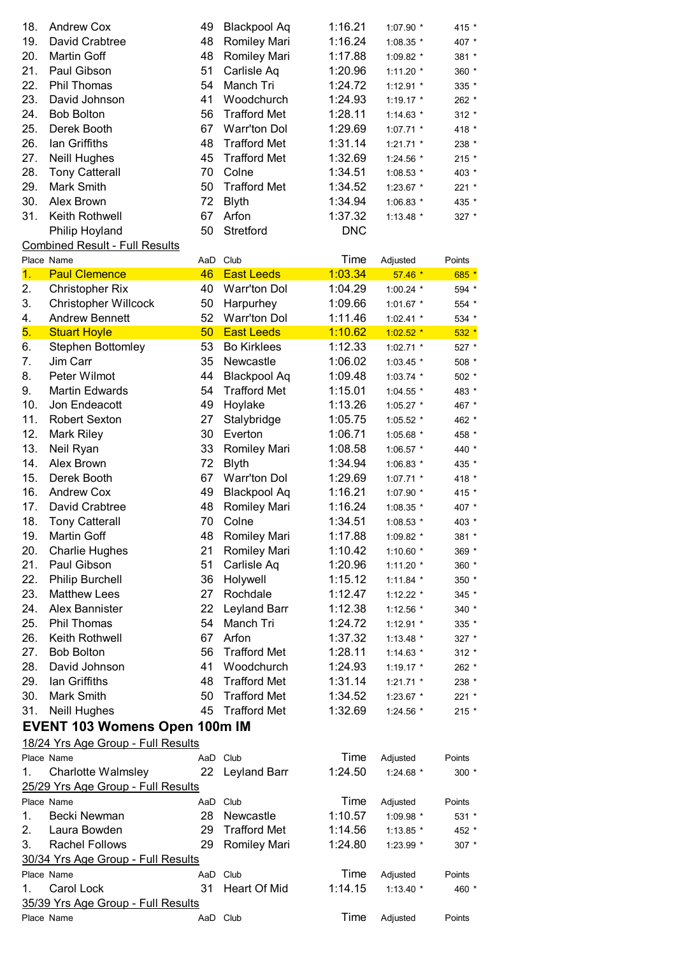| 18. | <b>Andrew Cox</b>     | 49 | <b>Blackpool Aq</b> | 1:16.21    | 1:07.90 *   | 415 *   |
|-----|-----------------------|----|---------------------|------------|-------------|---------|
| 19. | David Crabtree        | 48 | <b>Romiley Mari</b> | 1:16.24    | $1:08.35$ * | 407 *   |
| 20. | Martin Goff           | 48 | Romiley Mari        | 1:17.88    | $1:09.82$ * | 381 *   |
| 21. | Paul Gibson           | 51 | Carlisle Aq         | 1:20.96    | $1:11.20$ * | $360 *$ |
| 22. | <b>Phil Thomas</b>    | 54 | Manch Tri           | 1:24.72    | $1:12.91$ * | 335 *   |
| 23. | David Johnson         | 41 | Woodchurch          | 1:24.93    | $1:19.17$ * | $262 *$ |
| 24. | <b>Bob Bolton</b>     | 56 | Trafford Met        | 1:28.11    | $1:14.63$ * | $312 *$ |
| 25. | Derek Booth           | 67 | Warr'ton Dol        | 1:29.69    | $1:07.71$ * | 418 *   |
| 26. | lan Griffiths         | 48 | Trafford Met        | 1:31.14    | $1:21.71$ * | 238 *   |
| 27. | <b>Neill Hughes</b>   |    | 45 Trafford Met     | 1:32.69    | $1:24.56$ * | $215$ * |
| 28. | <b>Tony Catterall</b> | 70 | Colne               | 1:34.51    | $1:08.53$ * | $403 *$ |
| 29. | Mark Smith            | 50 | Trafford Met        | 1:34.52    | $1:23.67$ * | $221$ * |
| 30. | Alex Brown            | 72 | <b>Blyth</b>        | 1:34.94    | $1:06.83$ * | 435 *   |
| 31. | Keith Rothwell        | 67 | Arfon               | 1:37.32    | $1:13.48$ * | 327 *   |
|     | Philip Hoyland        | 50 | Stretford           | <b>DNC</b> |             |         |
|     |                       |    |                     |            |             |         |

## Combined Result - Full Results

|                | Place Name                           | AaD      | Club                | Time    | Adjusted    | Points  |
|----------------|--------------------------------------|----------|---------------------|---------|-------------|---------|
| $\mathbf{1}$ . | <b>Paul Clemence</b>                 | 46       | <b>East Leeds</b>   | 1:03.34 | $57.46*$    | 685 *   |
| 2.             | <b>Christopher Rix</b>               | 40       | <b>Warr'ton Dol</b> | 1:04.29 | 1:00.24 $*$ | 594 *   |
| 3.             | <b>Christopher Willcock</b>          | 50       | Harpurhey           | 1:09.66 | $1:01.67$ * | 554 *   |
| 4.             | <b>Andrew Bennett</b>                | 52       | Warr'ton Dol        | 1:11.46 | $1:02.41$ * | 534 *   |
| 5.             | <b>Stuart Hoyle</b>                  | 50       | <b>East Leeds</b>   | 1:10.62 | $1:02.52$ * | $532 *$ |
| 6.             | <b>Stephen Bottomley</b>             | 53       | <b>Bo Kirklees</b>  | 1:12.33 | 1:02.71 *   | 527 *   |
| 7.             | Jim Carr                             | 35       | Newcastle           | 1:06.02 | $1:03.45$ * | 508 *   |
| 8.             | Peter Wilmot                         | 44       | Blackpool Aq        | 1:09.48 | $1:03.74$ * | 502 *   |
| 9.             | <b>Martin Edwards</b>                | 54       | <b>Trafford Met</b> | 1:15.01 | $1:04.55$ * | 483 *   |
| 10.            | Jon Endeacott                        | 49       | Hoylake             | 1:13.26 | 1:05.27 *   | 467 *   |
| 11.            | <b>Robert Sexton</b>                 | 27       | Stalybridge         | 1:05.75 | $1:05.52$ * | 462 *   |
| 12.            | <b>Mark Riley</b>                    | 30       | Everton             | 1:06.71 | 1:05.68 *   | 458 *   |
| 13.            | Neil Ryan                            | 33       | Romiley Mari        | 1:08.58 | 1:06.57 *   | 440 *   |
| 14.            | Alex Brown                           | 72       | <b>Blyth</b>        | 1:34.94 | 1:06.83 *   | 435 *   |
| 15.            | Derek Booth                          | 67       | <b>Warr'ton Dol</b> | 1:29.69 | $1:07.71$ * | 418 *   |
| 16.            | <b>Andrew Cox</b>                    | 49       | <b>Blackpool Aq</b> | 1:16.21 | 1:07.90 *   | 415 *   |
| 17.            | David Crabtree                       | 48       | Romiley Mari        | 1:16.24 | 1:08.35 *   | 407 *   |
| 18.            | <b>Tony Catterall</b>                | 70       | Colne               | 1:34.51 | 1:08.53 *   | 403 *   |
| 19.            | Martin Goff                          | 48       | <b>Romiley Mari</b> | 1:17.88 | 1:09.82 *   | 381 *   |
| 20.            | <b>Charlie Hughes</b>                | 21       | Romiley Mari        | 1:10.42 | 1:10.60 *   | 369 *   |
| 21.            | Paul Gibson                          | 51       | Carlisle Aq         | 1:20.96 | 1:11.20 $*$ | 360 *   |
| 22.            | <b>Philip Burchell</b>               | 36       | Holywell            | 1:15.12 | $1:11.84$ * | 350 *   |
| 23.            | <b>Matthew Lees</b>                  | 27       | Rochdale            | 1:12.47 | $1:12.22$ * | 345 *   |
| 24.            | Alex Bannister                       | 22       | Leyland Barr        | 1:12.38 | 1:12.56 *   | 340 *   |
| 25.            | Phil Thomas                          | 54       | Manch Tri           | 1:24.72 | 1:12.91 *   | 335 *   |
| 26.            | Keith Rothwell                       | 67       | Arfon               | 1:37.32 | $1:13.48$ * | 327 *   |
| 27.            | <b>Bob Bolton</b>                    | 56       | <b>Trafford Met</b> | 1:28.11 | $1:14.63$ * | $312 *$ |
| 28.            | David Johnson                        | 41       | Woodchurch          | 1:24.93 | $1:19.17$ * | 262 *   |
| 29.            | lan Griffiths                        | 48       | <b>Trafford Met</b> | 1:31.14 | $1:21.71$ * | 238 *   |
| 30.            | <b>Mark Smith</b>                    | 50       | <b>Trafford Met</b> | 1:34.52 | 1:23.67 *   | 221 *   |
| 31.            | Neill Hughes                         | 45       | <b>Trafford Met</b> | 1:32.69 | 1:24.56 *   | $215 *$ |
|                | <b>EVENT 103 Womens Open 100m IM</b> |          |                     |         |             |         |
|                | 18/24 Yrs Age Group - Full Results   |          |                     |         |             |         |
|                | Place Name                           | AaD Club |                     | Time    | Adjusted    | Points  |
| 1.             | <b>Charlotte Walmsley</b>            |          | 22 Leyland Barr     | 1:24.50 | 1:24.68 $*$ | $300 *$ |
|                | 25/29 Yrs Age Group - Full Results   |          |                     |         |             |         |
|                | Place Name                           |          | AaD Club            | Time    | Adjusted    | Points  |
| 1.             | Becki Newman                         | 28       | Newcastle           | 1:10.57 | 1:09.98 *   | 531 *   |
| 2.             | Laura Bowden                         | 29       | <b>Trafford Met</b> | 1:14.56 | 1:13.85 *   | 452 *   |
| 3.             | <b>Rachel Follows</b>                | 29       | <b>Romiley Mari</b> | 1:24.80 | 1:23.99 *   | $307 *$ |
|                | 30/34 Yrs Age Group - Full Results   |          |                     |         |             |         |
|                | Place Name                           |          | AaD Club            | Time    | Adjusted    | Points  |
|                |                                      | 31       |                     | 1:14.15 |             |         |
| 1.             | Carol Lock                           |          | Heart Of Mid        |         | $1:13.40$ * | 460 *   |
|                | 35/39 Yrs Age Group - Full Results   |          |                     |         |             |         |
|                | Place Name                           | AaD Club |                     | Time    | Adjusted    | Points  |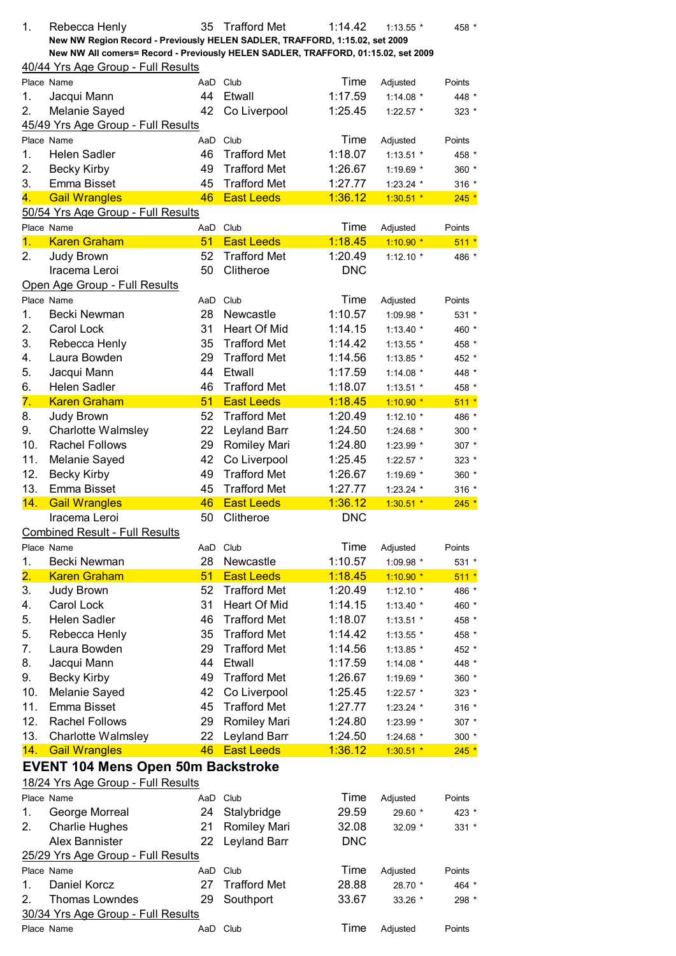| 1.               | Rebecca Henly                                                                                                                                                    | 35  | <b>Trafford Met</b>                        | 1:14.42         | $1:13.55$ *                | 458 *   |
|------------------|------------------------------------------------------------------------------------------------------------------------------------------------------------------|-----|--------------------------------------------|-----------------|----------------------------|---------|
|                  | New NW Region Record - Previously HELEN SADLER, TRAFFORD, 1:15.02, set 2009<br>New NW All comers= Record - Previously HELEN SADLER, TRAFFORD, 01:15.02, set 2009 |     |                                            |                 |                            |         |
|                  | 40/44 Yrs Age Group - Full Results                                                                                                                               |     |                                            |                 |                            |         |
|                  | Place Name                                                                                                                                                       |     | AaD Club                                   | Time            | Adjusted                   | Points  |
| 1.               | Jacqui Mann                                                                                                                                                      | 44  | Etwall                                     | 1:17.59         | $1:14.08$ *                | 448 *   |
| 2.               | Melanie Sayed                                                                                                                                                    | 42  | Co Liverpool                               | 1:25.45         |                            | $323 *$ |
|                  | 45/49 Yrs Age Group - Full Results                                                                                                                               |     |                                            |                 | $1:22.57$ *                |         |
|                  |                                                                                                                                                                  |     | AaD Club                                   |                 |                            |         |
|                  | Place Name                                                                                                                                                       | 46  |                                            | Time<br>1:18.07 | Adjusted                   | Points  |
| 1.               | <b>Helen Sadler</b>                                                                                                                                              |     | <b>Trafford Met</b><br><b>Trafford Met</b> |                 | $1:13.51$ *                | 458 *   |
| 2.               | <b>Becky Kirby</b>                                                                                                                                               | 49  |                                            | 1:26.67         | 1:19.69 *                  | 360 *   |
| 3.               | Emma Bisset                                                                                                                                                      | 45  | <b>Trafford Met</b>                        | 1:27.77         | 1:23.24 *                  | $316 *$ |
| 4.               | <b>Gail Wrangles</b>                                                                                                                                             | 46  | <b>East Leeds</b>                          | 1:36.12         | $1:30.51$ *                | $245 *$ |
|                  | 50/54 Yrs Age Group - Full Results                                                                                                                               |     |                                            |                 |                            |         |
|                  | Place Name                                                                                                                                                       |     | AaD Club                                   | Time            | Adjusted                   | Points  |
| 1.               | <b>Karen Graham</b>                                                                                                                                              | 51  | <b>East Leeds</b>                          | 1:18.45         | $1:10.90*$                 | $511*$  |
| 2.               | Judy Brown                                                                                                                                                       | 52  | <b>Trafford Met</b>                        | 1:20.49         | $1:12.10*$                 | 486 *   |
|                  | Iracema Leroi                                                                                                                                                    | 50  | Clitheroe                                  | <b>DNC</b>      |                            |         |
|                  | Open Age Group - Full Results                                                                                                                                    |     |                                            |                 |                            |         |
|                  | Place Name                                                                                                                                                       |     | AaD Club                                   | Time            | Adjusted                   | Points  |
| 1.               | Becki Newman                                                                                                                                                     | 28  | Newcastle                                  | 1:10.57         | 1:09.98 *                  | 531 *   |
| 2.               | Carol Lock                                                                                                                                                       | 31  | Heart Of Mid                               | 1:14.15         | $1:13.40*$                 | 460 *   |
| 3.               | Rebecca Henly                                                                                                                                                    | 35  | <b>Trafford Met</b>                        | 1:14.42         | 1:13.55 *                  | 458 *   |
| 4.               | Laura Bowden                                                                                                                                                     | 29  | <b>Trafford Met</b>                        | 1:14.56         | 1:13.85 *                  | 452 *   |
| 5.               | Jacqui Mann                                                                                                                                                      | 44  | Etwall                                     | 1:17.59         | 1:14.08 $*$                | 448 *   |
| 6.               | <b>Helen Sadler</b>                                                                                                                                              | 46  | <b>Trafford Met</b>                        | 1:18.07         | $1:13.51$ *                | 458 *   |
| 7.               | <b>Karen Graham</b>                                                                                                                                              | 51  | <b>East Leeds</b>                          | 1:18.45         | $1:10.90*$                 | $511 *$ |
| 8.               | Judy Brown                                                                                                                                                       | 52  | <b>Trafford Met</b>                        | 1:20.49         | $1:12.10*$                 | 486 *   |
| 9.               | <b>Charlotte Walmsley</b>                                                                                                                                        | 22  | Leyland Barr                               | 1:24.50         | 1:24.68 *                  | 300 *   |
| 10.              | <b>Rachel Follows</b>                                                                                                                                            | 29  | <b>Romiley Mari</b>                        | 1:24.80         | 1:23.99 *                  | 307 *   |
| 11.              | Melanie Sayed                                                                                                                                                    | 42  | Co Liverpool                               | 1:25.45         | 1:22.57 *                  | 323 *   |
| 12.              | <b>Becky Kirby</b>                                                                                                                                               | 49  | <b>Trafford Met</b>                        | 1:26.67         | 1:19.69 *                  | 360 *   |
| 13.              | Emma Bisset                                                                                                                                                      | 45  | <b>Trafford Met</b>                        | 1:27.77         | $1:23.24$ *                | $316 *$ |
| 14.              | <b>Gail Wrangles</b>                                                                                                                                             | 46  | <b>East Leeds</b>                          | 1:36.12         | $1:30.51$ *                | $245 *$ |
|                  | Iracema Leroi                                                                                                                                                    | 50  | Clitheroe                                  | <b>DNC</b>      |                            |         |
|                  | <b>Combined Result - Full Results</b>                                                                                                                            |     |                                            |                 |                            |         |
|                  | Place Name                                                                                                                                                       | AaD | Club                                       | Time            | Adjusted                   | Points  |
| 1.               | Becki Newman                                                                                                                                                     | 28  | Newcastle                                  | 1:10.57         | 1:09.98 *                  | $531 *$ |
| $\overline{2}$ . | <b>Karen Graham</b>                                                                                                                                              | 51  | <b>East Leeds</b>                          | 1:18.45         | $1:10.90*$                 | $511*$  |
| 3.               | Judy Brown                                                                                                                                                       | 52  | <b>Trafford Met</b>                        | 1:20.49         | 1:12.10 $*$                | 486 *   |
| 4.               | Carol Lock                                                                                                                                                       | 31  | <b>Heart Of Mid</b>                        | 1:14.15         |                            | 460 *   |
| 5.               | <b>Helen Sadler</b>                                                                                                                                              | 46  | <b>Trafford Met</b>                        | 1:18.07         | 1:13.40 $*$<br>$1:13.51$ * |         |
|                  |                                                                                                                                                                  | 35  | <b>Trafford Met</b>                        | 1:14.42         |                            | 458 *   |
| 5.               | Rebecca Henly                                                                                                                                                    |     |                                            |                 | 1:13.55 *                  | 458 *   |
| 7.               | Laura Bowden                                                                                                                                                     | 29  | <b>Trafford Met</b>                        | 1:14.56         | $1:13.85$ *                | 452 *   |
| 8.               | Jacqui Mann                                                                                                                                                      | 44  | Etwall                                     | 1:17.59         | 1:14.08 $*$                | 448 *   |
| 9.               | <b>Becky Kirby</b>                                                                                                                                               | 49  | <b>Trafford Met</b>                        | 1:26.67         | 1:19.69 *                  | 360 *   |
| 10.              | Melanie Sayed                                                                                                                                                    | 42  | Co Liverpool                               | 1:25.45         | 1:22.57 *                  | 323 *   |
| 11.              | Emma Bisset                                                                                                                                                      | 45  | <b>Trafford Met</b>                        | 1:27.77         | 1:23.24 *                  | $316 *$ |
| 12.              | <b>Rachel Follows</b>                                                                                                                                            | 29  | Romiley Mari                               | 1:24.80         | 1:23.99 *                  | 307 *   |
| 13.              | <b>Charlotte Walmsley</b>                                                                                                                                        | 22  | Leyland Barr                               | 1:24.50         | 1:24.68 *                  | 300 *   |
| 14.              | <b>Gail Wrangles</b>                                                                                                                                             | 46  | <b>East Leeds</b>                          | 1:36.12         | $1:30.51$ *                | $245 *$ |
|                  | <b>EVENT 104 Mens Open 50m Backstroke</b>                                                                                                                        |     |                                            |                 |                            |         |
|                  | 18/24 Yrs Age Group - Full Results                                                                                                                               |     |                                            |                 |                            |         |
|                  | Place Name                                                                                                                                                       |     | AaD Club                                   | Time            | Adjusted                   | Points  |
| 1.               | George Morreal                                                                                                                                                   | 24  | Stalybridge                                | 29.59           | 29.60 *                    | 423 *   |
| 2.               | <b>Charlie Hughes</b>                                                                                                                                            | 21  | <b>Romiley Mari</b>                        | 32.08           | 32.09 *                    | $331 *$ |
|                  | <b>Alex Bannister</b>                                                                                                                                            | 22  | Leyland Barr                               | <b>DNC</b>      |                            |         |
|                  | 25/29 Yrs Age Group - Full Results                                                                                                                               |     |                                            |                 |                            |         |
|                  | Place Name                                                                                                                                                       | AaD | Club                                       | Time            | Adjusted                   | Points  |
| 1.               | Daniel Korcz                                                                                                                                                     | 27  | <b>Trafford Met</b>                        | 28.88           | 28.70 *                    | 464 *   |
| 2.               | <b>Thomas Lowndes</b>                                                                                                                                            | 29  | Southport                                  | 33.67           | 33.26 *                    | 298 *   |
|                  | 30/34 Yrs Age Group - Full Results                                                                                                                               |     |                                            |                 |                            |         |
|                  | Place Name                                                                                                                                                       |     | AaD Club                                   | Time            | Adjusted                   | Points  |
|                  |                                                                                                                                                                  |     |                                            |                 |                            |         |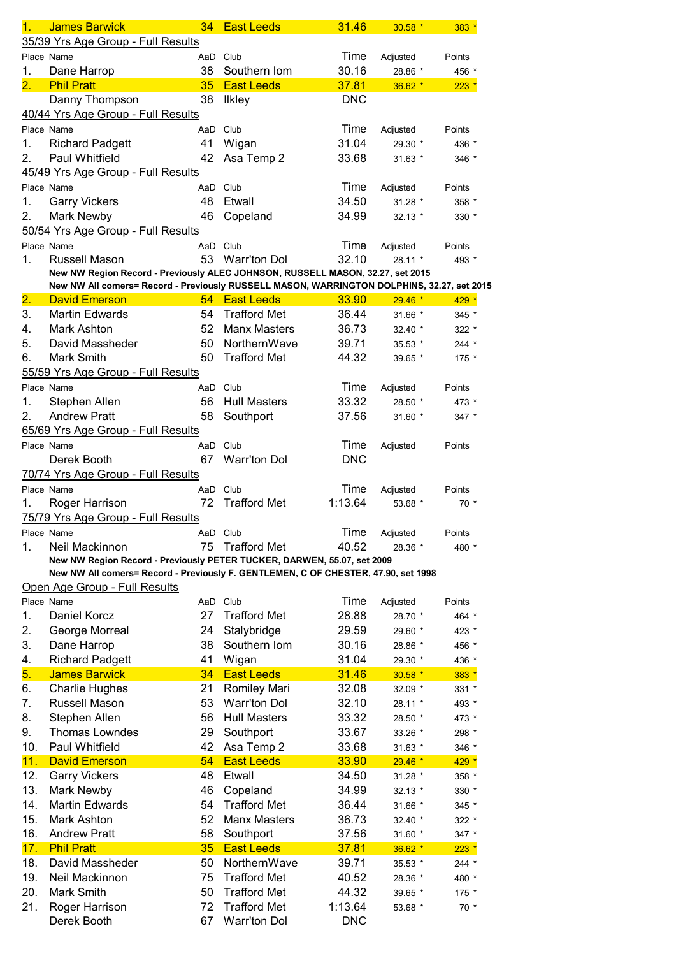| 1.                        | <b>James Barwick</b>                                                                       | 34              | <b>East Leeds</b>   | 31.46      | $30.58*$  | 383 *   |
|---------------------------|--------------------------------------------------------------------------------------------|-----------------|---------------------|------------|-----------|---------|
|                           | 35/39 Yrs Age Group - Full Results                                                         |                 |                     |            |           |         |
|                           | Place Name                                                                                 |                 | AaD Club            | Time       | Adjusted  | Points  |
| 1.                        | Dane Harrop                                                                                | 38              | Southern Iom        | 30.16      | 28.86 *   | 456 *   |
| $\overline{\mathbf{2}}$ . | <b>Phil Pratt</b>                                                                          | 35              | <b>East Leeds</b>   | 37.81      | $36.62*$  | $223$ * |
|                           | Danny Thompson                                                                             | 38              | <b>Ilkley</b>       | <b>DNC</b> |           |         |
|                           | 40/44 Yrs Age Group - Full Results                                                         |                 |                     |            |           |         |
|                           | Place Name                                                                                 | AaD             | Club                | Time       |           | Points  |
|                           |                                                                                            | 41              |                     | 31.04      | Adjusted  |         |
| 1.                        | <b>Richard Padgett</b>                                                                     |                 | Wigan               |            | 29.30 *   | 436 *   |
| 2.                        | Paul Whitfield                                                                             | 42              | Asa Temp 2          | 33.68      | $31.63*$  | 346 *   |
|                           | 45/49 Yrs Age Group - Full Results                                                         |                 |                     |            |           |         |
|                           | Place Name                                                                                 |                 | AaD Club            | Time       | Adjusted  | Points  |
| 1.                        | <b>Garry Vickers</b>                                                                       | 48              | Etwall              | 34.50      | 31.28 *   | 358 *   |
| 2.                        | Mark Newby                                                                                 | 46              | Copeland            | 34.99      | $32.13*$  | $330 *$ |
|                           | 50/54 Yrs Age Group - Full Results                                                         |                 |                     |            |           |         |
|                           | Place Name                                                                                 |                 | AaD Club            | Time       | Adjusted  | Points  |
| 1.                        | Russell Mason                                                                              | 53              | <b>Warr'ton Dol</b> | 32.10      | 28.11 *   | 493 *   |
|                           | New NW Region Record - Previously ALEC JOHNSON, RUSSELL MASON, 32.27, set 2015             |                 |                     |            |           |         |
|                           | New NW All comers= Record - Previously RUSSELL MASON, WARRINGTON DOLPHINS, 32.27, set 2015 |                 |                     |            |           |         |
| 2.                        | <b>David Emerson</b>                                                                       |                 | 54 East Leeds       | 33.90      | $29.46$ * | 429 *   |
| 3.                        | Martin Edwards                                                                             | 54              | <b>Trafford Met</b> | 36.44      | 31.66 *   | 345 *   |
| 4.                        | Mark Ashton                                                                                | 52              | <b>Manx Masters</b> | 36.73      | 32.40 *   | 322 *   |
| 5.                        | David Massheder                                                                            | 50              | NorthernWave        | 39.71      | 35.53 *   | $244 *$ |
| 6.                        | Mark Smith                                                                                 | 50              | <b>Trafford Met</b> | 44.32      |           |         |
|                           |                                                                                            |                 |                     |            | 39.65 *   | $175 *$ |
|                           | 55/59 Yrs Age Group - Full Results                                                         |                 |                     |            |           |         |
|                           | Place Name                                                                                 | AaD             | Club                | Time       | Adjusted  | Points  |
| 1.                        | Stephen Allen                                                                              | 56              | <b>Hull Masters</b> | 33.32      | 28.50 *   | 473 *   |
| 2.                        | <b>Andrew Pratt</b>                                                                        | 58              | Southport           | 37.56      | 31.60 *   | $347$ * |
|                           | 65/69 Yrs Age Group - Full Results                                                         |                 |                     |            |           |         |
|                           | Place Name                                                                                 |                 | AaD Club            | Time       | Adjusted  | Points  |
|                           | Derek Booth                                                                                | 67              | <b>Warr'ton Dol</b> | <b>DNC</b> |           |         |
|                           | 70/74 Yrs Age Group - Full Results                                                         |                 |                     |            |           |         |
|                           | Place Name                                                                                 | AaD             | Club                | Time       | Adjusted  | Points  |
| 1.                        | Roger Harrison                                                                             | 72              | <b>Trafford Met</b> | 1:13.64    | 53.68 *   | $70*$   |
|                           | 75/79 Yrs Age Group - Full Results                                                         |                 |                     |            |           |         |
|                           |                                                                                            |                 |                     |            |           |         |
|                           | Place Name                                                                                 |                 | AaD Club            | Time       | Adjusted  | Points  |
| 1.                        | Neil Mackinnon                                                                             | 75              | <b>Trafford Met</b> | 40.52      | 28.36 *   | 480 *   |
|                           | New NW Region Record - Previously PETER TUCKER, DARWEN, 55.07, set 2009                    |                 |                     |            |           |         |
|                           | New NW All comers= Record - Previously F. GENTLEMEN, C OF CHESTER, 47.90, set 1998         |                 |                     |            |           |         |
|                           | Open Age Group - Full Results                                                              |                 |                     |            |           |         |
|                           | Place Name                                                                                 |                 | AaD Club            | Time       | Adjusted  | Points  |
| 1.                        | Daniel Korcz                                                                               | 27              | <b>Trafford Met</b> | 28.88      | 28.70 *   | 464 *   |
| 2.                        | George Morreal                                                                             | 24              | Stalybridge         | 29.59      | 29.60 *   | 423 *   |
| 3.                        | Dane Harrop                                                                                | 38              | Southern Iom        | 30.16      | 28.86 *   | 456 *   |
| 4.                        | <b>Richard Padgett</b>                                                                     | 41              | Wigan               | 31.04      | 29.30 *   | 436 *   |
| 5.                        | <b>James Barwick</b>                                                                       | 34              | <b>East Leeds</b>   | 31.46      | $30.58*$  | $383 *$ |
| 6.                        | <b>Charlie Hughes</b>                                                                      | 21              | Romiley Mari        | 32.08      | 32.09 *   | 331 *   |
| 7.                        | Russell Mason                                                                              | 53              | <b>Warr'ton Dol</b> | 32.10      | 28.11 *   | 493 *   |
| 8.                        | Stephen Allen                                                                              | 56              | <b>Hull Masters</b> | 33.32      | 28.50 *   | 473 *   |
| 9.                        | <b>Thomas Lowndes</b>                                                                      | 29              | Southport           | 33.67      | 33.26 *   | 298 *   |
|                           |                                                                                            |                 |                     |            |           |         |
| 10.                       | Paul Whitfield                                                                             | 42              | Asa Temp 2          | 33.68      | $31.63*$  | 346 *   |
| 11.                       | <b>David Emerson</b>                                                                       | 54              | <b>East Leeds</b>   | 33.90      | $29.46*$  | 429 *   |
| 12.                       | <b>Garry Vickers</b>                                                                       | 48              | Etwall              | 34.50      | 31.28 *   | 358 *   |
| 13.                       | Mark Newby                                                                                 | 46              | Copeland            | 34.99      | 32.13 *   | 330 *   |
| 14.                       | <b>Martin Edwards</b>                                                                      | 54              | <b>Trafford Met</b> | 36.44      | 31.66 *   | 345 *   |
| 15.                       | Mark Ashton                                                                                | 52              | <b>Manx Masters</b> | 36.73      | 32.40 *   | 322 *   |
| 16.                       | <b>Andrew Pratt</b>                                                                        | 58              | Southport           | 37.56      | 31.60 *   | 347 *   |
| 17.                       | <b>Phil Pratt</b>                                                                          | 35 <sub>5</sub> | <b>East Leeds</b>   | 37.81      | $36.62*$  | $223 *$ |
| 18.                       | David Massheder                                                                            | 50              | NorthernWave        | 39.71      | 35.53 *   | 244 *   |
| 19.                       | Neil Mackinnon                                                                             | 75              | <b>Trafford Met</b> | 40.52      |           |         |
|                           |                                                                                            |                 | <b>Trafford Met</b> |            | 28.36 *   | 480 *   |
| 20.                       | Mark Smith                                                                                 | 50              |                     | 44.32      | 39.65 *   | 175 *   |
| 21.                       | Roger Harrison                                                                             | 72              | <b>Trafford Met</b> | 1:13.64    | 53.68 *   | $70*$   |
|                           | Derek Booth                                                                                | 67              | Warr'ton Dol        | <b>DNC</b> |           |         |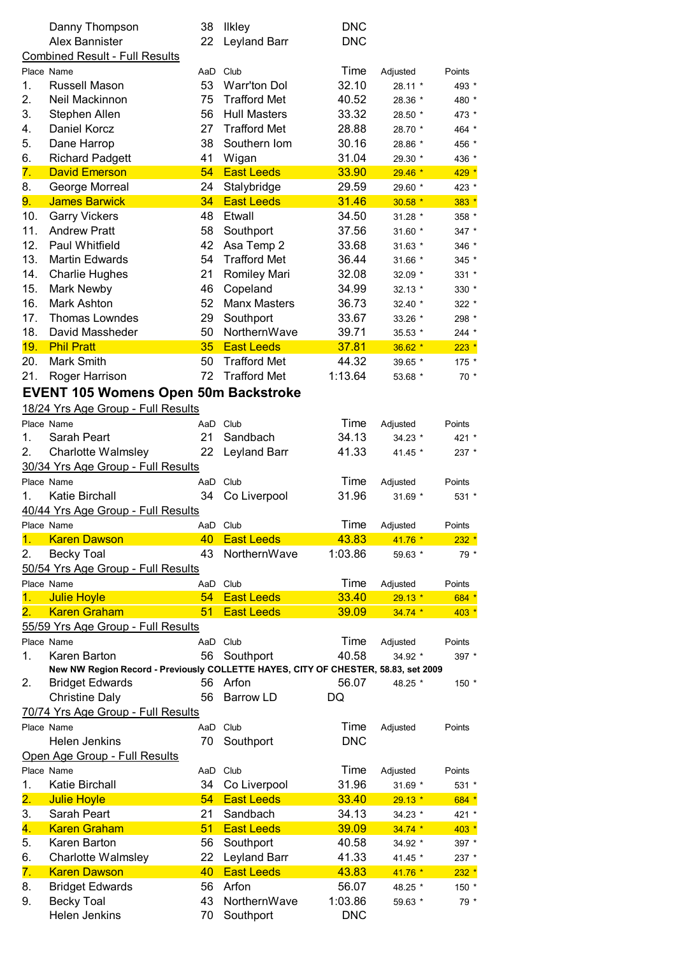|          | Danny Thompson                                                                     | 38        | <b>Ilkley</b>                    | <b>DNC</b>     |                      |                  |
|----------|------------------------------------------------------------------------------------|-----------|----------------------------------|----------------|----------------------|------------------|
|          | <b>Alex Bannister</b>                                                              | 22        | Leyland Barr                     | <b>DNC</b>     |                      |                  |
|          | <b>Combined Result - Full Results</b>                                              |           |                                  |                |                      |                  |
|          | Place Name                                                                         | AaD       | Club                             | Time           | Adjusted             | Points           |
| 1.       | Russell Mason                                                                      | 53        | <b>Warr'ton Dol</b>              | 32.10          | 28.11 *              | 493 *            |
| 2.       | Neil Mackinnon                                                                     | 75        | <b>Trafford Met</b>              | 40.52          | 28.36 *              | 480 *            |
| 3.       | Stephen Allen                                                                      | 56        | <b>Hull Masters</b>              | 33.32          | 28.50 *              | 473 *            |
| 4.       | Daniel Korcz                                                                       | 27        | <b>Trafford Met</b>              | 28.88          | 28.70 *              | 464 *            |
| 5.       | Dane Harrop                                                                        | 38        | Southern Iom                     | 30.16          | 28.86 *              | 456 *            |
| 6.       | <b>Richard Padgett</b><br><b>David Emerson</b>                                     | 41        | Wigan                            | 31.04          | 29.30 *              | 436 *            |
| 7.<br>8. |                                                                                    | 54<br>24  | <b>East Leeds</b>                | 33.90<br>29.59 | $29.46*$             | $429 *$          |
| 9.       | George Morreal<br><b>James Barwick</b>                                             | 34        | Stalybridge<br><b>East Leeds</b> | 31.46          | 29.60 *<br>$30.58$ * | 423 *<br>$383 *$ |
| 10.      | <b>Garry Vickers</b>                                                               | 48        | Etwall                           | 34.50          | 31.28 *              | 358 *            |
| 11.      | <b>Andrew Pratt</b>                                                                | 58        | Southport                        | 37.56          | 31.60 *              | 347 *            |
| 12.      | Paul Whitfield                                                                     | 42        | Asa Temp 2                       | 33.68          | 31.63 *              | 346 *            |
| 13.      | <b>Martin Edwards</b>                                                              | 54        | <b>Trafford Met</b>              | 36.44          | 31.66 *              | 345 *            |
| 14.      | <b>Charlie Hughes</b>                                                              | 21        | Romiley Mari                     | 32.08          | 32.09 *              | 331 *            |
| 15.      | Mark Newby                                                                         | 46        | Copeland                         | 34.99          | 32.13 *              | 330 *            |
| 16.      | Mark Ashton                                                                        | 52        | <b>Manx Masters</b>              | 36.73          | 32.40 *              | 322 *            |
| 17.      | <b>Thomas Lowndes</b>                                                              | 29        | Southport                        | 33.67          | 33.26 *              | 298 *            |
| 18.      | David Massheder                                                                    | 50        | NorthernWave                     | 39.71          | 35.53 *              | $244$ *          |
| 19.      | <b>Phil Pratt</b>                                                                  | 35        | <b>East Leeds</b>                | 37.81          | $36.62*$             | $223 *$          |
| 20.      | <b>Mark Smith</b>                                                                  | 50        | <b>Trafford Met</b>              | 44.32          | 39.65 *              | 175 *            |
| 21.      | Roger Harrison                                                                     | 72        | <b>Trafford Met</b>              | 1:13.64        | 53.68 *              | $70*$            |
|          | <b>EVENT 105 Womens Open 50m Backstroke</b>                                        |           |                                  |                |                      |                  |
|          |                                                                                    |           |                                  |                |                      |                  |
|          | 18/24 Yrs Age Group - Full Results                                                 |           |                                  |                |                      |                  |
|          | Place Name                                                                         | AaD       | Club                             | Time           | Adjusted             | Points           |
| 1.       | Sarah Peart                                                                        | 21        | Sandbach                         | 34.13          | 34.23 *              | 421 *            |
| 2.       | <b>Charlotte Walmsley</b>                                                          | 22        | Leyland Barr                     | 41.33          | 41.45 *              | 237 *            |
|          | 30/34 Yrs Age Group - Full Results                                                 |           |                                  |                |                      |                  |
|          | Place Name<br>Katie Birchall                                                       | 34        | AaD Club                         | Time<br>31.96  | Adjusted             | Points           |
| 1.       |                                                                                    |           | Co Liverpool                     |                | 31.69 *              | 531 *            |
|          | 40/44 Yrs Age Group - Full Results                                                 |           |                                  | Time           |                      |                  |
| 1.       | Place Name<br><b>Karen Dawson</b>                                                  | AaD<br>40 | Club<br><b>East Leeds</b>        | 43.83          | Adjusted<br>41.76 *  | Points           |
| 2.       | <b>Becky Toal</b>                                                                  | 43        | NorthernWave                     | 1:03.86        | 59.63 *              | $232 *$<br>79 *  |
|          | 50/54 Yrs Age Group - Full Results                                                 |           |                                  |                |                      |                  |
|          | Place Name                                                                         | AaD       | Club                             | Time           | Adjusted             | Points           |
| 1.       | <b>Julie Hoyle</b>                                                                 | 54        | <b>East Leeds</b>                | 33.40          | $29.13*$             | 684 *            |
| 2.       | <b>Karen Graham</b>                                                                | 51        | <b>East Leeds</b>                | 39.09          | $34.74*$             | $403 *$          |
|          | 55/59 Yrs Age Group - Full Results                                                 |           |                                  |                |                      |                  |
|          | Place Name                                                                         | AaD Club  |                                  | Time           | Adjusted             | Points           |
| 1.       | Karen Barton                                                                       | 56        | Southport                        | 40.58          | 34.92 *              | 397 *            |
|          | New NW Region Record - Previously COLLETTE HAYES, CITY OF CHESTER, 58.83, set 2009 |           |                                  |                |                      |                  |
| 2.       | <b>Bridget Edwards</b>                                                             | 56        | Arfon                            | 56.07          | 48.25 *              | 150 *            |
|          | <b>Christine Daly</b>                                                              | 56        | <b>Barrow LD</b>                 | DQ             |                      |                  |
|          | 70/74 Yrs Age Group - Full Results                                                 |           |                                  |                |                      |                  |
|          | Place Name                                                                         | AaD Club  |                                  | Time           | Adjusted             | Points           |
|          | Helen Jenkins                                                                      | 70        | Southport                        | <b>DNC</b>     |                      |                  |
|          | Open Age Group - Full Results                                                      |           |                                  |                |                      |                  |
|          | Place Name                                                                         | AaD       | Club                             | Time           | Adjusted             | Points           |
| 1.       | Katie Birchall                                                                     | 34        | Co Liverpool                     | 31.96          | 31.69 *              | 531 *            |
| 2.       | <b>Julie Hoyle</b>                                                                 | 54        | <b>East Leeds</b>                | 33.40          | $29.13*$             | 684 *            |
| 3.       | Sarah Peart                                                                        | 21        | Sandbach                         | 34.13          | 34.23 *              | 421 *            |
| 4.       | <b>Karen Graham</b>                                                                | 51        | <b>East Leeds</b>                | 39.09          | $34.74*$             | $403 *$          |
| 5.       | Karen Barton                                                                       | 56        | Southport                        | 40.58          | 34.92 *              | 397 *            |
| 6.       | <b>Charlotte Walmsley</b>                                                          | 22        | Leyland Barr                     | 41.33          | 41.45 *              | 237 *            |
| 7.       | <b>Karen Dawson</b>                                                                | 40        | <b>East Leeds</b>                | 43.83          | 41.76 *              | $232 *$          |
| 8.       | <b>Bridget Edwards</b>                                                             | 56        | Arfon                            | 56.07          | 48.25 *              | 150 *            |
| 9.       | <b>Becky Toal</b>                                                                  | 43        | NorthernWave                     | 1:03.86        | 59.63 *              | 79 *             |
|          | Helen Jenkins                                                                      | 70        | Southport                        | <b>DNC</b>     |                      |                  |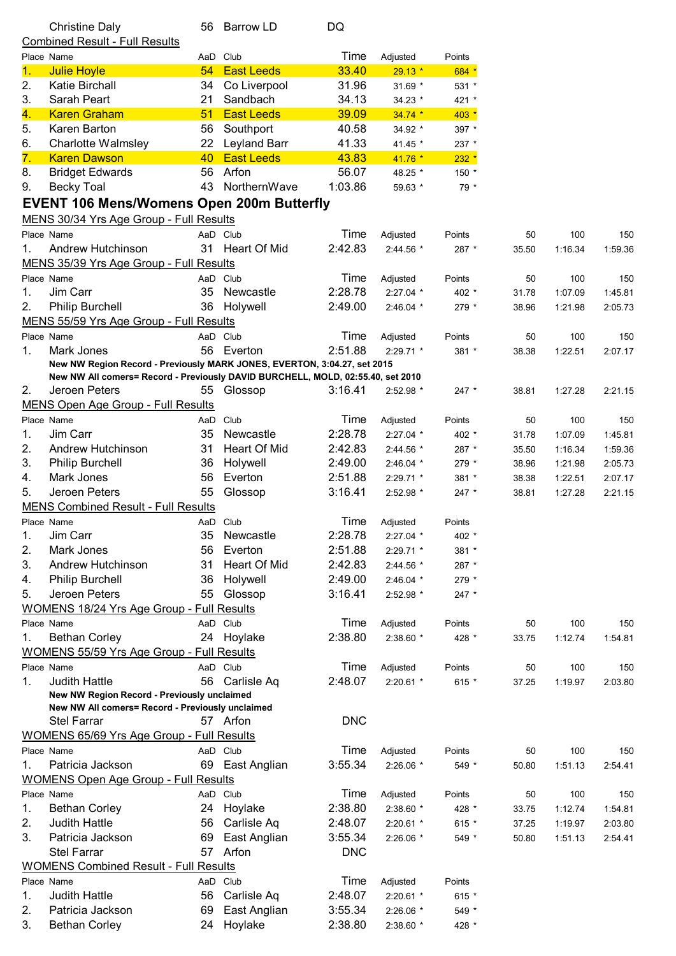|          | <b>Christine Daly</b>                                                           | 56 | Barrow LD                  | DQ              |             |           |       |         |         |
|----------|---------------------------------------------------------------------------------|----|----------------------------|-----------------|-------------|-----------|-------|---------|---------|
|          | <b>Combined Result - Full Results</b>                                           |    |                            |                 |             |           |       |         |         |
|          | Place Name                                                                      |    | AaD Club                   | Time            | Adjusted    | Points    |       |         |         |
| 1.       | <b>Julie Hoyle</b>                                                              | 54 | <b>East Leeds</b>          | 33.40           | $29.13*$    | 684 *     |       |         |         |
| 2.       | Katie Birchall                                                                  | 34 | Co Liverpool               | 31.96           | 31.69 *     | $531 *$   |       |         |         |
| 3.       | Sarah Peart                                                                     | 21 | Sandbach                   | 34.13           | 34.23 *     | 421 *     |       |         |         |
| 4.       | <b>Karen Graham</b>                                                             | 51 | <b>East Leeds</b>          | 39.09           | $34.74*$    | $403 *$   |       |         |         |
| 5.       | Karen Barton                                                                    | 56 | Southport                  | 40.58           | 34.92 *     | 397 *     |       |         |         |
| 6.       | <b>Charlotte Walmsley</b>                                                       | 22 | <b>Leyland Barr</b>        | 41.33           | 41.45 *     | 237 *     |       |         |         |
| 7.       | <b>Karen Dawson</b>                                                             | 40 | <b>East Leeds</b>          | 43.83           | 41.76 *     | $232 *$   |       |         |         |
| 8.       | <b>Bridget Edwards</b>                                                          | 56 | Arfon                      | 56.07           | 48.25 *     | 150 *     |       |         |         |
| 9.       | <b>Becky Toal</b>                                                               | 43 | NorthernWave               | 1:03.86         | 59.63 *     | 79 *      |       |         |         |
|          | <b>EVENT 106 Mens/Womens Open 200m Butterfly</b>                                |    |                            |                 |             |           |       |         |         |
|          | MENS 30/34 Yrs Age Group - Full Results                                         |    |                            |                 |             |           |       |         |         |
|          | Place Name                                                                      |    | AaD Club                   | Time            | Adjusted    | Points    | 50    | 100     | 150     |
| 1.       | Andrew Hutchinson                                                               | 31 | <b>Heart Of Mid</b>        | 2:42.83         | 2:44.56 *   | 287 *     | 35.50 | 1:16.34 | 1:59.36 |
|          | MENS 35/39 Yrs Age Group - Full Results                                         |    |                            |                 |             |           |       |         |         |
|          | Place Name                                                                      |    | AaD Club                   | Time            | Adjusted    | Points    | 50    | 100     | 150     |
| 1.       | Jim Carr                                                                        |    | 35 Newcastle               | 2:28.78         | $2:27.04$ * | 402 *     | 31.78 | 1:07.09 | 1:45.81 |
| 2.       | <b>Philip Burchell</b>                                                          | 36 | Holywell                   | 2:49.00         | $2:46.04$ * | 279 *     | 38.96 | 1:21.98 | 2:05.73 |
|          | MENS 55/59 Yrs Age Group - Full Results                                         |    |                            |                 |             |           |       |         |         |
|          | Place Name                                                                      |    | AaD Club                   | Time            | Adjusted    | Points    | 50    | 100     | 150     |
| 1.       | Mark Jones                                                                      | 56 | Everton                    | 2:51.88         | $2:29.71$ * | 381 *     | 38.38 | 1:22.51 | 2:07.17 |
|          | New NW Region Record - Previously MARK JONES, EVERTON, 3:04.27, set 2015        |    |                            |                 |             |           |       |         |         |
|          | New NW All comers= Record - Previously DAVID BURCHELL, MOLD, 02:55.40, set 2010 |    |                            |                 |             |           |       |         |         |
| 2.       | Jeroen Peters                                                                   | 55 | Glossop                    | 3:16.41         | 2:52.98 *   | $247$ *   | 38.81 | 1:27.28 | 2:21.15 |
|          | <b>MENS Open Age Group - Full Results</b>                                       |    |                            |                 |             |           |       |         |         |
|          | Place Name                                                                      |    | AaD Club                   | Time            | Adjusted    | Points    | 50    | 100     | 150     |
| 1.       | Jim Carr                                                                        | 35 | Newcastle                  | 2:28.78         | $2:27.04$ * | 402 *     | 31.78 | 1:07.09 | 1:45.81 |
| 2.       | Andrew Hutchinson                                                               | 31 | Heart Of Mid               | 2:42.83         | 2:44.56 *   | $287$ $*$ | 35.50 | 1:16.34 | 1:59.36 |
| 3.       | <b>Philip Burchell</b>                                                          | 36 | Holywell                   | 2:49.00         | 2:46.04 *   | 279 *     | 38.96 | 1:21.98 | 2:05.73 |
| 4.       | Mark Jones                                                                      | 56 | Everton                    | 2:51.88         | 2:29.71 *   | 381 *     | 38.38 | 1:22.51 | 2:07.17 |
| 5.       | Jeroen Peters                                                                   | 55 | Glossop                    | 3:16.41         | 2:52.98 *   | $247$ *   | 38.81 | 1:27.28 | 2:21.15 |
|          | <b>MENS Combined Result - Full Results</b>                                      |    |                            |                 |             |           |       |         |         |
|          | Place Name                                                                      |    | AaD Club<br>Newcastle      | Time            | Adjusted    | Points    |       |         |         |
| 1.       | Jim Carr                                                                        | 35 |                            | 2:28.78         | 2:27.04 *   | 402 *     |       |         |         |
| 2.       | Mark Jones<br>Andrew Hutchinson                                                 | 56 | Everton                    | 2:51.88         | 2:29.71 *   | 381 *     |       |         |         |
| 3.       |                                                                                 | 31 | Heart Of Mid               | 2:42.83         | 2:44.56 *   | 287 *     |       |         |         |
| 4.<br>5. | <b>Philip Burchell</b>                                                          | 36 | Holywell                   | 2:49.00         | $2:46.04$ * | 279 *     |       |         |         |
|          | Jeroen Peters                                                                   | 55 | Glossop                    | 3:16.41         | 2:52.98 *   | $247$ *   |       |         |         |
|          | <b>WOMENS 18/24 Yrs Age Group - Full Results</b><br>Place Name                  |    | AaD Club                   | Time            |             |           |       | 100     |         |
|          |                                                                                 |    |                            | 2:38.80         | Adjusted    | Points    | 50    |         | 150     |
| 1.       | <b>Bethan Corley</b>                                                            |    | 24 Hoylake                 |                 | 2:38.60 *   | 428 *     | 33.75 | 1:12.74 | 1:54.81 |
|          | <b>WOMENS 55/59 Yrs Age Group - Full Results</b>                                |    |                            |                 |             |           |       |         |         |
|          | Place Name                                                                      |    | AaD Club<br>56 Carlisle Aq | Time<br>2:48.07 | Adjusted    | Points    | 50    | 100     | 150     |
| 1.       | <b>Judith Hattle</b><br>New NW Region Record - Previously unclaimed             |    |                            |                 | 2:20.61 *   | 615 *     | 37.25 | 1:19.97 | 2:03.80 |
|          | New NW All comers= Record - Previously unclaimed                                |    |                            |                 |             |           |       |         |         |
|          | Stel Farrar                                                                     |    | 57 Arfon                   | <b>DNC</b>      |             |           |       |         |         |
|          | WOMENS 65/69 Yrs Age Group - Full Results                                       |    |                            |                 |             |           |       |         |         |
|          | Place Name                                                                      |    | AaD Club                   | Time            | Adjusted    | Points    | 50    | 100     | 150     |
| 1.       | Patricia Jackson                                                                |    | 69 East Anglian            | 3:55.34         | 2:26.06 *   | 549 *     | 50.80 | 1:51.13 | 2:54.41 |
|          | <b>WOMENS Open Age Group - Full Results</b>                                     |    |                            |                 |             |           |       |         |         |
|          | Place Name                                                                      |    | AaD Club                   | Time            | Adjusted    | Points    | 50    | 100     | 150     |
| 1.       | <b>Bethan Corley</b>                                                            | 24 | Hoylake                    | 2:38.80         | 2:38.60 *   | 428 *     | 33.75 | 1:12.74 | 1:54.81 |
| 2.       | <b>Judith Hattle</b>                                                            | 56 | Carlisle Aq                | 2:48.07         | $2:20.61$ * | 615 $*$   | 37.25 | 1:19.97 | 2:03.80 |
| 3.       | Patricia Jackson                                                                | 69 | East Anglian               | 3:55.34         | 2:26.06 *   | 549 *     | 50.80 | 1:51.13 | 2:54.41 |
|          | Stel Farrar                                                                     | 57 | Arfon                      | <b>DNC</b>      |             |           |       |         |         |
|          | <b>WOMENS Combined Result - Full Results</b>                                    |    |                            |                 |             |           |       |         |         |
|          | Place Name                                                                      |    | AaD Club                   | Time            | Adjusted    | Points    |       |         |         |
| 1.       | <b>Judith Hattle</b>                                                            | 56 | Carlisle Aq                | 2:48.07         | 2:20.61 *   | 615 *     |       |         |         |
| 2.       | Patricia Jackson                                                                | 69 | East Anglian               | 3:55.34         | 2:26.06 *   | 549 *     |       |         |         |
| 3.       | <b>Bethan Corley</b>                                                            | 24 | Hoylake                    | 2:38.80         | 2:38.60 *   | 428 *     |       |         |         |
|          |                                                                                 |    |                            |                 |             |           |       |         |         |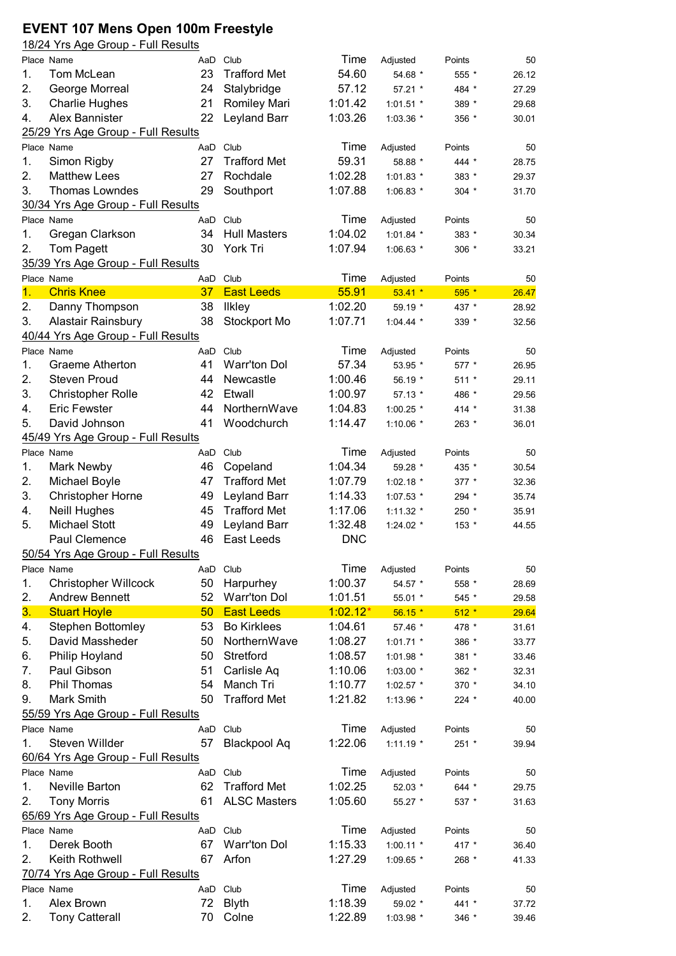## **EVENT 107 Mens Open 100m Freestyle** 18/24 Yrs Age Group - Full Results

|    | Place Name                         | AaD | Club                | Time       | Adjusted    | Points  | 50    |
|----|------------------------------------|-----|---------------------|------------|-------------|---------|-------|
| 1. | Tom McLean                         | 23  | <b>Trafford Met</b> | 54.60      | 54.68 *     | 555 *   | 26.12 |
| 2. | George Morreal                     | 24  | Stalybridge         | 57.12      | 57.21 *     | 484 *   | 27.29 |
| 3. | <b>Charlie Hughes</b>              | 21  | <b>Romiley Mari</b> | 1:01.42    | $1:01.51$ * | 389 *   | 29.68 |
| 4. | Alex Bannister                     | 22  | Leyland Barr        | 1:03.26    | 1:03.36 *   | 356 *   | 30.01 |
|    | 25/29 Yrs Age Group - Full Results |     |                     |            |             |         |       |
|    | Place Name                         | AaD | Club                | Time       | Adjusted    | Points  | 50    |
| 1. | Simon Rigby                        | 27  | <b>Trafford Met</b> | 59.31      | 58.88 *     | 444 *   | 28.75 |
| 2. | <b>Matthew Lees</b>                | 27  | Rochdale            | 1:02.28    | 1:01.83 *   | 383 *   | 29.37 |
| 3. | Thomas Lowndes                     | 29  | Southport           | 1:07.88    | 1:06.83 *   | $304$ * | 31.70 |
|    | 30/34 Yrs Age Group - Full Results |     |                     |            |             |         |       |
|    | Place Name                         | AaD | Club                | Time       | Adjusted    | Points  | 50    |
| 1. | Gregan Clarkson                    | 34  | <b>Hull Masters</b> | 1:04.02    | 1:01.84 *   | 383 *   | 30.34 |
| 2. | Tom Pagett                         | 30  | York Tri            | 1:07.94    | 1:06.63 *   | $306 *$ | 33.21 |
|    | 35/39 Yrs Age Group - Full Results |     |                     |            |             |         |       |
|    | Place Name                         |     | AaD Club            | Time       | Adjusted    | Points  | 50    |
| 1. | <b>Chris Knee</b>                  | 37  | <b>East Leeds</b>   | 55.91      | $53.41*$    | $595*$  | 26.47 |
| 2. | Danny Thompson                     | 38  | <b>Ilkley</b>       | 1:02.20    | 59.19 *     | 437 *   | 28.92 |
| 3. | Alastair Rainsbury                 | 38  | Stockport Mo        | 1:07.71    | $1:04.44$ * | 339 *   | 32.56 |
|    | 40/44 Yrs Age Group - Full Results |     |                     |            |             |         |       |
|    | Place Name                         | AaD | Club                | Time       | Adjusted    | Points  | 50    |
| 1. | <b>Graeme Atherton</b>             | 41  | Warr'ton Dol        | 57.34      | 53.95 *     | 577 *   | 26.95 |
| 2. | <b>Steven Proud</b>                | 44  | Newcastle           | 1:00.46    | 56.19 *     | $511 *$ | 29.11 |
| 3. |                                    | 42  | Etwall              | 1:00.97    |             |         |       |
|    | <b>Christopher Rolle</b>           | 44  |                     |            | 57.13 *     | 486 *   | 29.56 |
| 4. | <b>Eric Fewster</b>                |     | NorthernWave        | 1:04.83    | $1:00.25$ * | $414 *$ | 31.38 |
| 5. | David Johnson                      | 41  | Woodchurch          | 1:14.47    | 1:10.06 $*$ | 263 *   | 36.01 |
|    | 45/49 Yrs Age Group - Full Results |     |                     |            |             |         |       |
|    | Place Name                         | AaD | Club                | Time       | Adjusted    | Points  | 50    |
| 1. | Mark Newby                         | 46  | Copeland            | 1:04.34    | 59.28 *     | 435 *   | 30.54 |
| 2. | Michael Boyle                      | 47  | <b>Trafford Met</b> | 1:07.79    | 1:02.18 *   | $377 *$ | 32.36 |
| 3. | Christopher Horne                  | 49  | Leyland Barr        | 1:14.33    | 1:07.53 *   | 294 *   | 35.74 |
| 4. | <b>Neill Hughes</b>                | 45  | <b>Trafford Met</b> | 1:17.06    | $1:11.32$ * | 250 *   | 35.91 |
| 5. | <b>Michael Stott</b>               | 49  | Leyland Barr        | 1:32.48    | 1:24.02 *   | 153 *   | 44.55 |
|    | Paul Clemence                      | 46  | East Leeds          | <b>DNC</b> |             |         |       |
|    | 50/54 Yrs Age Group - Full Results |     |                     |            |             |         |       |
|    | Place Name                         |     | AaD Club            | Time       | Adjusted    | Points  | 50    |
| 1. | <b>Christopher Willcock</b>        | 50  | Harpurhey           | 1:00.37    | 54.57 *     | 558 *   | 28.69 |
| 2. | <b>Andrew Bennett</b>              | 52  | <b>Warr'ton Dol</b> | 1:01.51    | 55.01 *     | 545 *   | 29.58 |
| 3. | <b>Stuart Hoyle</b>                | 50  | <b>East Leeds</b>   | $1:02.12*$ | $56.15*$    | $512 *$ | 29.64 |
| 4. | <b>Stephen Bottomley</b>           | 53  | <b>Bo Kirklees</b>  | 1:04.61    | 57.46 *     | 478 *   | 31.61 |
| 5. | David Massheder                    | 50  | NorthernWave        | 1:08.27    | $1:01.71$ * | 386 *   | 33.77 |
| 6. | Philip Hoyland                     | 50  | Stretford           | 1:08.57    | 1:01.98 *   | 381 *   | 33.46 |
| 7. | Paul Gibson                        | 51  | Carlisle Aq         | 1:10.06    | 1:03.00 *   | 362 *   | 32.31 |
| 8. | Phil Thomas                        | 54  | Manch Tri           | 1:10.77    | 1:02.57 *   | 370 *   | 34.10 |
| 9. | Mark Smith                         | 50  | <b>Trafford Met</b> | 1:21.82    | 1:13.96 *   | $224$ * | 40.00 |
|    | 55/59 Yrs Age Group - Full Results |     |                     |            |             |         |       |
|    | Place Name                         | AaD | Club                | Time       | Adjusted    | Points  | 50    |
| 1. | Steven Willder                     | 57  | <b>Blackpool Aq</b> | 1:22.06    | $1:11.19$ * | $251 *$ | 39.94 |
|    | 60/64 Yrs Age Group - Full Results |     |                     |            |             |         |       |
|    | Place Name                         | AaD | Club                | Time       | Adjusted    | Points  | 50    |
| 1. | Neville Barton                     | 62  | <b>Trafford Met</b> | 1:02.25    | 52.03 *     | 644 *   | 29.75 |
| 2. | <b>Tony Morris</b>                 | 61  | <b>ALSC Masters</b> | 1:05.60    | 55.27 *     | 537 *   | 31.63 |
|    | 65/69 Yrs Age Group - Full Results |     |                     |            |             |         |       |
|    | Place Name                         |     | AaD Club            | Time       | Adjusted    | Points  | 50    |
|    | Derek Booth                        | 67  | <b>Warr'ton Dol</b> | 1:15.33    |             |         |       |
| 1. |                                    |     |                     |            | $1:00.11$ * | 417 *   | 36.40 |
| 2. | Keith Rothwell                     | 67  | Arfon               | 1:27.29    | 1:09.65 *   | 268 *   | 41.33 |
|    | 70/74 Yrs Age Group - Full Results |     |                     |            |             |         |       |
|    | Place Name                         | AaD | Club                | Time       | Adjusted    | Points  | 50    |
| 1. | Alex Brown                         | 72  | <b>Blyth</b>        | 1:18.39    | 59.02 *     | 441 *   | 37.72 |
| 2. | <b>Tony Catterall</b>              | 70  | Colne               | 1:22.89    | 1:03.98 *   | 346 *   | 39.46 |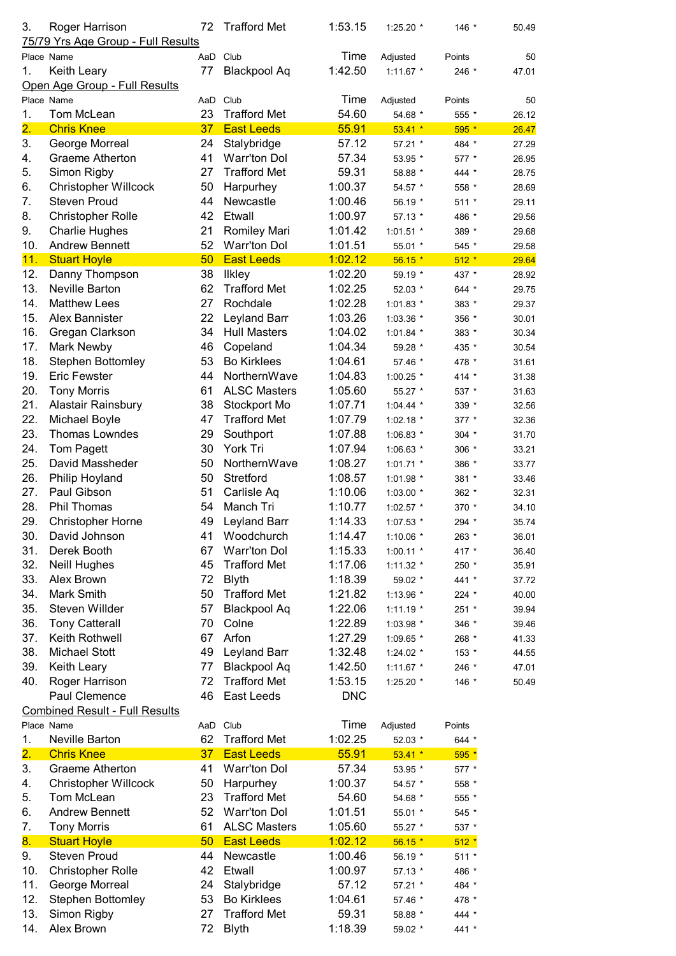| 3.              | Roger Harrison<br>75/79 Yrs Age Group - Full Results | 72  | <b>Trafford Met</b>                  | 1:53.15            | 1:25.20 *           | 146 *           | 50.49          |
|-----------------|------------------------------------------------------|-----|--------------------------------------|--------------------|---------------------|-----------------|----------------|
|                 |                                                      | AaD | Club                                 | Time               |                     |                 |                |
|                 | Place Name                                           |     |                                      | 1:42.50            | Adjusted            | Points<br>246 * | 50             |
| 1.              | Keith Leary                                          | 77  | <b>Blackpool Aq</b>                  |                    | $1:11.67$ *         |                 | 47.01          |
|                 | Open Age Group - Full Results<br>Place Name          |     | AaD Club                             | Time               |                     |                 | 50             |
|                 | Tom McLean                                           | 23  | <b>Trafford Met</b>                  | 54.60              | Adjusted            | Points          |                |
| 1.<br>2.        | <b>Chris Knee</b>                                    | 37  | <b>East Leeds</b>                    | 55.91              | 54.68 *             | 555 *           | 26.12          |
| 3.              |                                                      | 24  | Stalybridge                          | 57.12              | $53.41*$<br>57.21 * | $595*$<br>484 * | 26.47          |
|                 | George Morreal<br>Graeme Atherton                    | 41  | Warr'ton Dol                         | 57.34              |                     |                 | 27.29          |
| 4.<br>5.        | Simon Rigby                                          | 27  | <b>Trafford Met</b>                  | 59.31              | 53.95 *             | 577 *           | 26.95<br>28.75 |
| 6.              |                                                      | 50  |                                      | 1:00.37            | 58.88 *             | 444 *           |                |
| 7.              | <b>Christopher Willcock</b><br><b>Steven Proud</b>   | 44  | Harpurhey<br>Newcastle               | 1:00.46            | 54.57 *             | 558 *           | 28.69          |
|                 |                                                      | 42  | Etwall                               |                    | 56.19 *             | $511 *$         | 29.11          |
| 8.              | <b>Christopher Rolle</b>                             |     |                                      | 1:00.97            | 57.13 *             | 486 *           | 29.56          |
| 9.              | <b>Charlie Hughes</b>                                | 21  | Romiley Mari                         | 1:01.42            | $1:01.51$ *         | 389 *           | 29.68          |
| 10.             | <b>Andrew Bennett</b>                                | 52  | Warr'ton Dol                         | 1:01.51            | 55.01 *             | 545 *           | 29.58          |
| 11.             | <b>Stuart Hoyle</b>                                  | 50  | <b>East Leeds</b>                    | 1:02.12<br>1:02.20 | $56.15*$            | $512 *$         | 29.64          |
| 12.             | Danny Thompson                                       | 38  | <b>Ilkley</b><br><b>Trafford Met</b> | 1:02.25            | 59.19 *             | 437 *           | 28.92          |
| 13.             | Neville Barton                                       | 62  | Rochdale                             | 1:02.28            | 52.03 *             | 644 *           | 29.75          |
| 14.             | <b>Matthew Lees</b>                                  | 27  |                                      |                    | 1:01.83 *           | 383 *           | 29.37          |
| 15.             | Alex Bannister                                       | 22  | Leyland Barr                         | 1:03.26            | 1:03.36 *           | 356 *           | 30.01          |
| 16.             | Gregan Clarkson                                      | 34  | <b>Hull Masters</b>                  | 1:04.02            | $1:01.84$ *         | 383 *           | 30.34          |
| 17.             | Mark Newby                                           | 46  | Copeland                             | 1:04.34            | 59.28 *             | 435 *           | 30.54          |
| 18.             | <b>Stephen Bottomley</b>                             | 53  | <b>Bo Kirklees</b>                   | 1:04.61            | 57.46 *             | 478 *           | 31.61          |
| 19.             | <b>Eric Fewster</b>                                  | 44  | NorthernWave                         | 1:04.83            | 1:00.25 *           | $414 *$         | 31.38          |
| 20.             | <b>Tony Morris</b>                                   | 61  | <b>ALSC Masters</b>                  | 1:05.60            | 55.27 *             | 537 *           | 31.63          |
| 21.             | Alastair Rainsbury                                   | 38  | Stockport Mo                         | 1:07.71            | 1:04.44 $*$         | 339 *           | 32.56          |
| 22.             | Michael Boyle                                        | 47  | <b>Trafford Met</b>                  | 1:07.79            | $1:02.18$ *         | $377 *$         | 32.36          |
| 23.             | Thomas Lowndes                                       | 29  | Southport                            | 1:07.88            | 1:06.83 *           | 304 $*$         | 31.70          |
| 24.             | Tom Pagett                                           | 30  | York Tri                             | 1:07.94            | 1:06.63 *           | 306 *           | 33.21          |
| 25.             | David Massheder                                      | 50  | NorthernWave                         | 1:08.27            | $1:01.71$ *         | 386 *           | 33.77          |
| 26.             | Philip Hoyland                                       | 50  | Stretford                            | 1:08.57            | 1:01.98 *           | 381 *           | 33.46          |
| 27.             | Paul Gibson                                          | 51  | Carlisle Aq                          | 1:10.06            | $1:03.00*$          | 362 *           | 32.31          |
| 28.             | Phil Thomas                                          | 54  | Manch Tri                            | 1:10.77            | 1:02.57 *           | 370 *           | 34.10          |
| 29.             | <b>Christopher Horne</b>                             | 49  | Leyland Barr                         | 1:14.33            | $1:07.53$ *         | 294 *           | 35.74          |
| 30.             | David Johnson                                        | 41  | Woodchurch                           | 1:14.47            | 1:10.06 *           | 263 *           | 36.01          |
| 31.             | Derek Booth                                          | 67  | <b>Warr'ton Dol</b>                  | 1:15.33            | $1:00.11$ *         | 417 *           | 36.40          |
| 32.             | <b>Neill Hughes</b>                                  | 45  | <b>Trafford Met</b>                  | 1:17.06            | 1:11.32 *           | 250 *           | 35.91          |
| 33.             | Alex Brown                                           | 72  | <b>Blyth</b>                         | 1:18.39            | 59.02 *             | 441 *           | 37.72          |
| 34.             | Mark Smith                                           | 50  | <b>Trafford Met</b>                  | 1:21.82            | 1:13.96 *           | 224 *           | 40.00          |
| 35.             | Steven Willder                                       | 57  | <b>Blackpool Aq</b>                  | 1:22.06            | $1:11.19$ *         | 251 *           | 39.94          |
| 36.             | <b>Tony Catterall</b>                                | 70  | Colne                                | 1:22.89            | 1:03.98 *           | 346 *           | 39.46          |
| 37.             | Keith Rothwell                                       | 67  | Arfon                                | 1:27.29            | 1:09.65 *           | 268 *           | 41.33          |
| 38.             | <b>Michael Stott</b>                                 | 49  | Leyland Barr                         | 1:32.48            | 1:24.02 *           | 153 *           | 44.55          |
| 39.             | Keith Leary                                          | 77  | Blackpool Aq                         | 1:42.50            | $1:11.67$ *         | 246 *           | 47.01          |
| 40.             | Roger Harrison                                       | 72  | <b>Trafford Met</b>                  | 1:53.15            | 1:25.20 *           | 146 *           | 50.49          |
|                 | Paul Clemence                                        | 46  | East Leeds                           | <b>DNC</b>         |                     |                 |                |
|                 | <b>Combined Result - Full Results</b>                |     |                                      |                    |                     |                 |                |
|                 | Place Name                                           |     | AaD Club                             | Time               | Adjusted            | Points          |                |
| 1.              | Neville Barton                                       | 62  | <b>Trafford Met</b>                  | 1:02.25            | 52.03 *             | 644 *           |                |
| <mark>2.</mark> | <b>Chris Knee</b>                                    | 37  | <b>East Leeds</b>                    | 55.91              | $53.41 *$           | $595*$          |                |
| 3.              | Graeme Atherton                                      | 41  | <b>Warr'ton Dol</b>                  | 57.34              | 53.95 *             | 577 *           |                |
| 4.              | <b>Christopher Willcock</b>                          | 50  | Harpurhey                            | 1:00.37            | 54.57 *             | 558 *           |                |
| 5.              | Tom McLean                                           | 23  | <b>Trafford Met</b>                  | 54.60              | 54.68 *             | 555 *           |                |
| 6.              | <b>Andrew Bennett</b>                                | 52  | <b>Warr'ton Dol</b>                  | 1:01.51            | 55.01 *             | 545 *           |                |
| 7.              | <b>Tony Morris</b>                                   | 61  | <b>ALSC Masters</b>                  | 1:05.60            | 55.27 *             | 537 *           |                |
| 8.              | <b>Stuart Hoyle</b>                                  | 50  | <b>East Leeds</b>                    | 1:02.12            | $56.15*$            | $512 *$         |                |
| 9.              | <b>Steven Proud</b>                                  | 44  | Newcastle                            | 1:00.46            | 56.19 *             | 511 *           |                |
| 10.             | <b>Christopher Rolle</b>                             | 42  | Etwall                               | 1:00.97            | 57.13 *             | 486 *           |                |
| 11.             | George Morreal                                       | 24  | Stalybridge                          | 57.12              | 57.21 *             | 484 *           |                |
| 12.             | <b>Stephen Bottomley</b>                             | 53  | <b>Bo Kirklees</b>                   | 1:04.61            | 57.46 *             | 478 *           |                |
| 13.             | Simon Rigby                                          | 27  | <b>Trafford Met</b>                  | 59.31              | 58.88 *             | 444 *           |                |
| 14.             | Alex Brown                                           | 72  | <b>Blyth</b>                         | 1:18.39            | 59.02 *             | 441 *           |                |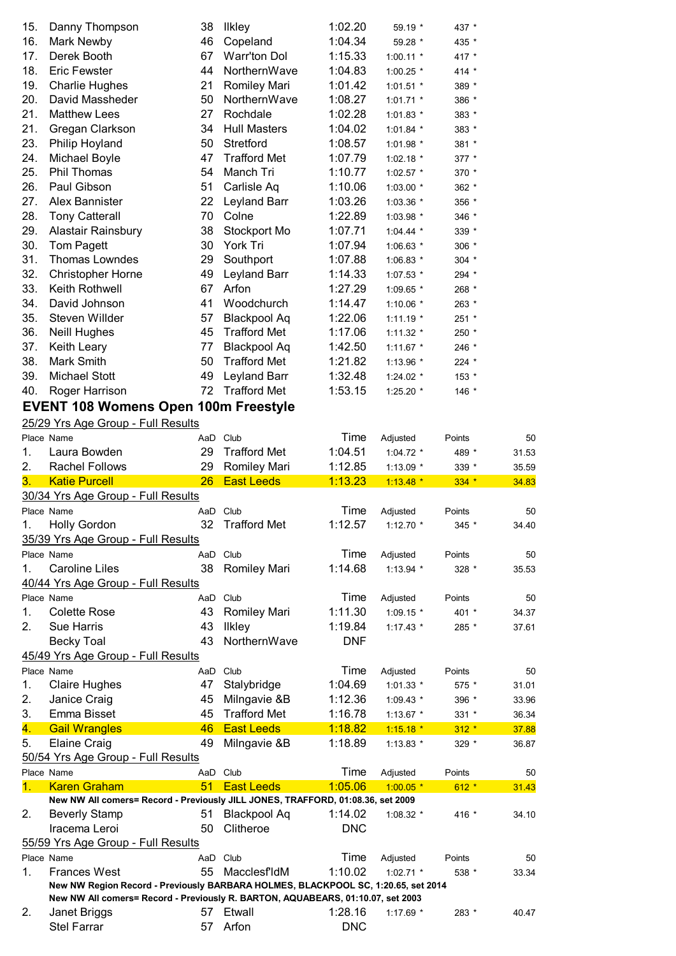| 15. | Danny Thompson           | 38 | <b>Ilkley</b>       | 1:02.20 | 59.19 *     | 437 *   |
|-----|--------------------------|----|---------------------|---------|-------------|---------|
| 16. | Mark Newby               | 46 | Copeland            | 1:04.34 | 59.28 *     | 435 *   |
| 17. | Derek Booth              | 67 | <b>Warr'ton Dol</b> | 1:15.33 | $1:00.11$ * | 417 *   |
| 18. | <b>Eric Fewster</b>      | 44 | NorthernWave        | 1:04.83 | 1:00.25 *   | 414 *   |
| 19. | <b>Charlie Hughes</b>    | 21 | Romiley Mari        | 1:01.42 | $1:01.51$ * | 389 *   |
| 20. | David Massheder          | 50 | NorthernWave        | 1:08.27 | $1:01.71$ * | 386 *   |
| 21. | <b>Matthew Lees</b>      | 27 | Rochdale            | 1:02.28 | $1:01.83$ * | 383 *   |
| 21. | Gregan Clarkson          | 34 | <b>Hull Masters</b> | 1:04.02 | $1:01.84$ * | 383 *   |
| 23. | Philip Hoyland           | 50 | Stretford           | 1:08.57 | 1:01.98 *   | 381 *   |
| 24. | Michael Boyle            | 47 | <b>Trafford Met</b> | 1:07.79 | $1:02.18$ * | 377 *   |
| 25. | Phil Thomas              | 54 | Manch Tri           | 1:10.77 | $1:02.57$ * | 370 *   |
| 26. | Paul Gibson              | 51 | Carlisle Aq         | 1:10.06 | $1:03.00*$  | 362 *   |
| 27. | Alex Bannister           | 22 | Leyland Barr        | 1:03.26 | 1:03.36 *   | 356 *   |
| 28. | <b>Tony Catterall</b>    | 70 | Colne               | 1:22.89 | 1:03.98 *   | 346 *   |
| 29. | Alastair Rainsbury       | 38 | Stockport Mo        | 1:07.71 | $1:04.44$ * | 339 *   |
| 30. | Tom Pagett               | 30 | York Tri            | 1:07.94 | 1:06.63 *   | 306 *   |
| 31. | <b>Thomas Lowndes</b>    | 29 | Southport           | 1:07.88 | $1:06.83$ * | $304$ * |
| 32. | <b>Christopher Horne</b> | 49 | Leyland Barr        | 1:14.33 | $1:07.53$ * | 294 *   |
| 33. | Keith Rothwell           | 67 | Arfon               | 1:27.29 | $1:09.65$ * | 268 *   |
| 34. | David Johnson            | 41 | Woodchurch          | 1:14.47 | 1:10.06 $*$ | 263 *   |
| 35. | Steven Willder           | 57 | Blackpool Aq        | 1:22.06 | $1:11.19$ * | 251 *   |
| 36. | <b>Neill Hughes</b>      | 45 | <b>Trafford Met</b> | 1:17.06 | $1:11.32$ * | 250 *   |
| 37. | Keith Leary              | 77 | <b>Blackpool Aq</b> | 1:42.50 | $1:11.67$ * | 246 *   |
| 38. | Mark Smith               | 50 | <b>Trafford Met</b> | 1:21.82 | 1:13.96 *   | 224 *   |
| 39. | <b>Michael Stott</b>     | 49 | Leyland Barr        | 1:32.48 | $1:24.02$ * | 153 *   |
| 40. | Roger Harrison           | 72 | <b>Trafford Met</b> | 1:53.15 | 1:25.20 *   | 146 *   |
|     |                          |    |                     |         |             |         |

### **EVENT 108 Womens Open 100m Freestyle**

25/29 Yrs Age Group - Full Results

|                | Place Name                                                                        | AaD      | Club                | Time       | Adjusted    | Points  | 50    |
|----------------|-----------------------------------------------------------------------------------|----------|---------------------|------------|-------------|---------|-------|
| 1.             | Laura Bowden                                                                      | 29       | <b>Trafford Met</b> | 1:04.51    | 1:04.72 *   | 489 *   | 31.53 |
| 2.             | <b>Rachel Follows</b>                                                             | 29       | Romiley Mari        | 1:12.85    | $1:13.09$ * | 339 *   | 35.59 |
| 3.             | <b>Katie Purcell</b>                                                              | 26       | <b>East Leeds</b>   | 1:13.23    | $1:13.48$ * | $334 *$ | 34.83 |
|                | 30/34 Yrs Age Group - Full Results                                                |          |                     |            |             |         |       |
|                | Place Name                                                                        | AaD      | Club                | Time       | Adjusted    | Points  | 50    |
| 1.             | <b>Holly Gordon</b>                                                               | 32       | <b>Trafford Met</b> | 1:12.57    | $1:12.70$ * | 345 *   | 34.40 |
|                | 35/39 Yrs Age Group - Full Results                                                |          |                     |            |             |         |       |
|                | Place Name                                                                        | AaD      | Club                | Time       | Adjusted    | Points  | 50    |
| 1.             | <b>Caroline Liles</b>                                                             | 38       | <b>Romiley Mari</b> | 1:14.68    | $1:13.94$ * | 328 *   | 35.53 |
|                | 40/44 Yrs Age Group - Full Results                                                |          |                     |            |             |         |       |
|                | Place Name                                                                        | AaD      | Club                | Time       | Adjusted    | Points  | 50    |
| 1.             | <b>Colette Rose</b>                                                               | 43       | <b>Romiley Mari</b> | 1:11.30    | $1:09.15$ * | 401 *   | 34.37 |
| 2.             | Sue Harris                                                                        | 43       | <b>Ilkley</b>       | 1:19.84    | $1:17.43$ * | 285 *   | 37.61 |
|                | <b>Becky Toal</b>                                                                 | 43       | NorthernWave        | <b>DNF</b> |             |         |       |
|                | 45/49 Yrs Age Group - Full Results                                                |          |                     |            |             |         |       |
|                | Place Name                                                                        | AaD      | Club                | Time       | Adjusted    | Points  | 50    |
| 1.             | <b>Claire Hughes</b>                                                              | 47       | Stalybridge         | 1:04.69    | $1:01.33$ * | 575 *   | 31.01 |
| 2.             | Janice Craig                                                                      | 45       | Milngavie &B        | 1:12.36    | $1:09.43$ * | 396 *   | 33.96 |
| 3.             | Emma Bisset                                                                       | 45       | <b>Trafford Met</b> | 1:16.78    | 1:13.67 *   | 331 *   | 36.34 |
| 4.             | <b>Gail Wrangles</b>                                                              | 46       | <b>East Leeds</b>   | 1:18.82    | $1:15.18$ * | $312 *$ | 37.88 |
| 5.             | <b>Elaine Craig</b>                                                               | 49       | Milngavie &B        | 1:18.89    | 1:13.83 *   | 329 *   | 36.87 |
|                | 50/54 Yrs Age Group - Full Results                                                |          |                     |            |             |         |       |
|                | Place Name                                                                        | AaD      | Club                | Time       | Adjusted    | Points  | 50    |
| 1 <sub>1</sub> | <b>Karen Graham</b>                                                               | 51       | <b>East Leeds</b>   | 1:05.06    | $1:00.05*$  | $612 *$ | 31.43 |
|                | New NW All comers= Record - Previously JILL JONES, TRAFFORD, 01:08.36, set 2009   |          |                     |            |             |         |       |
| 2.             | <b>Beverly Stamp</b>                                                              | 51       | <b>Blackpool Aq</b> | 1:14.02    | $1:08.32$ * | 416 *   | 34.10 |
|                | Iracema Leroi                                                                     | 50       | Clitheroe           | <b>DNC</b> |             |         |       |
|                | 55/59 Yrs Age Group - Full Results                                                |          |                     |            |             |         |       |
|                | Place Name                                                                        | AaD Club |                     | Time       | Adjusted    | Points  | 50    |
| 1 <sub>1</sub> | <b>Frances West</b>                                                               | 55       | <b>MacclesfldM</b>  | 1:10.02    | $1:02.71$ * | 538 *   | 33.34 |
|                | New NW Region Record - Previously BARBARA HOLMES, BLACKPOOL SC, 1:20.65, set 2014 |          |                     |            |             |         |       |
|                | New NW All comers= Record - Previously R. BARTON, AQUABEARS, 01:10.07, set 2003   |          |                     |            |             |         |       |
| 2.             | Janet Briggs                                                                      | 57       | Etwall              | 1:28.16    | 1:17.69 *   | 283 *   | 40.47 |
|                | <b>Stel Farrar</b>                                                                | 57       | Arfon               | <b>DNC</b> |             |         |       |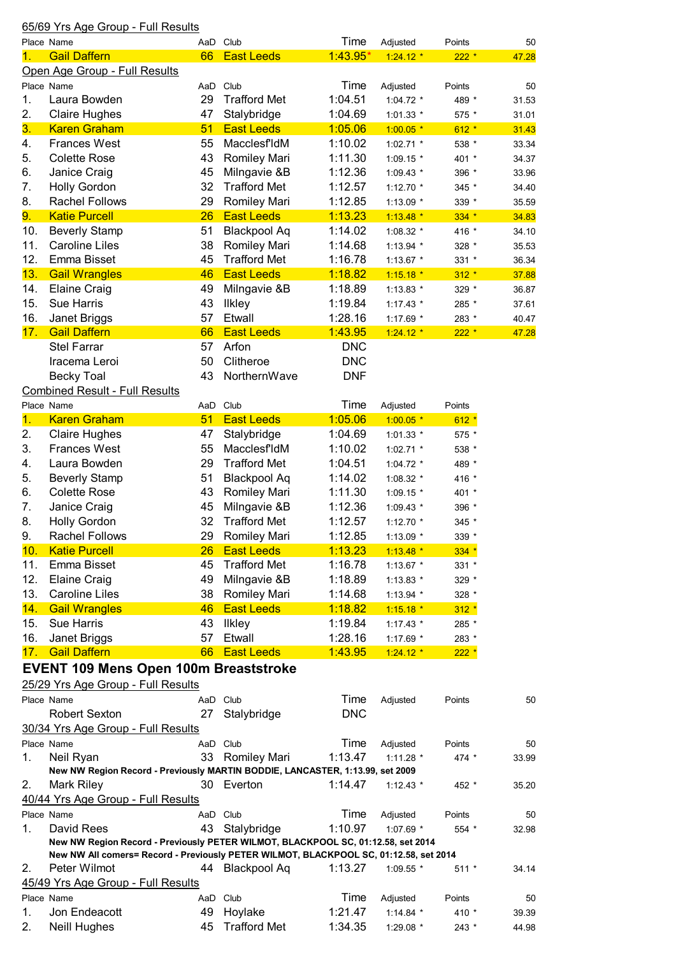## 65/69 Yrs Age Group - Full Results

| Place Name |                                                                                       | AaD      | Club                | Time       | Adjusted    | Points  | 50    |
|------------|---------------------------------------------------------------------------------------|----------|---------------------|------------|-------------|---------|-------|
| 1.         | <b>Gail Daffern</b>                                                                   | 66       | <b>East Leeds</b>   | $1:43.95*$ | $1:24.12*$  | $222 *$ | 47.28 |
|            | Open Age Group - Full Results                                                         |          |                     |            |             |         |       |
| Place Name |                                                                                       | AaD Club |                     | Time       | Adjusted    | Points  | 50    |
| 1.         | Laura Bowden                                                                          | 29       | <b>Trafford Met</b> | 1:04.51    | $1:04.72$ * | 489 *   | 31.53 |
| 2.         | <b>Claire Hughes</b>                                                                  | 47       | Stalybridge         | 1:04.69    | 1:01.33 *   | 575 *   | 31.01 |
| 3.         | <b>Karen Graham</b>                                                                   | 51       | <b>East Leeds</b>   | 1:05.06    | $1:00.05$ * | $612 *$ | 31.43 |
| 4.         | <b>Frances West</b>                                                                   | 55       | MacclesfIdM         | 1:10.02    | $1:02.71$ * | 538 *   | 33.34 |
| 5.         | <b>Colette Rose</b>                                                                   | 43       | <b>Romiley Mari</b> | 1:11.30    | 1:09.15 *   | 401 *   | 34.37 |
| 6.         | Janice Craig                                                                          | 45       | Milngavie &B        | 1:12.36    | 1:09.43 *   | 396 *   | 33.96 |
| 7.         | <b>Holly Gordon</b>                                                                   | 32       | <b>Trafford Met</b> | 1:12.57    | 1:12.70 *   | 345 *   | 34.40 |
| 8.         | <b>Rachel Follows</b>                                                                 | 29       | <b>Romiley Mari</b> | 1:12.85    | 1:13.09 *   | 339 *   | 35.59 |
| 9.         | <b>Katie Purcell</b>                                                                  | 26       | <b>East Leeds</b>   | 1:13.23    | $1:13.48$ * | $334 *$ | 34.83 |
| 10.        | <b>Beverly Stamp</b>                                                                  | 51       | <b>Blackpool Aq</b> | 1:14.02    | 1:08.32 *   | 416 *   | 34.10 |
| 11.        | <b>Caroline Liles</b>                                                                 | 38       | Romiley Mari        | 1:14.68    | 1:13.94 *   | 328 *   | 35.53 |
| 12.        | Emma Bisset                                                                           | 45       | <b>Trafford Met</b> | 1:16.78    | $1:13.67$ * | 331 *   | 36.34 |
| 13.        | <b>Gail Wrangles</b>                                                                  | 46       | <b>East Leeds</b>   | 1:18.82    | $1:15.18*$  | $312 *$ | 37.88 |
| 14.        | <b>Elaine Craig</b>                                                                   | 49       | Milngavie &B        | 1:18.89    | 1:13.83 *   | 329 *   | 36.87 |
| 15.        | Sue Harris                                                                            | 43       | <b>Ilkley</b>       | 1:19.84    | $1:17.43$ * |         |       |
|            |                                                                                       |          |                     |            |             | 285 *   | 37.61 |
| 16.        | Janet Briggs                                                                          | 57       | Etwall              | 1:28.16    | 1:17.69 *   | 283 *   | 40.47 |
| 17.        | <b>Gail Daffern</b>                                                                   | 66       | <b>East Leeds</b>   | 1:43.95    | $1:24.12*$  | $222 *$ | 47.28 |
|            | <b>Stel Farrar</b>                                                                    | 57       | Arfon               | <b>DNC</b> |             |         |       |
|            | Iracema Leroi                                                                         | 50       | Clitheroe           | <b>DNC</b> |             |         |       |
|            | <b>Becky Toal</b>                                                                     | 43       | NorthernWave        | <b>DNF</b> |             |         |       |
|            | <b>Combined Result - Full Results</b>                                                 |          |                     |            |             |         |       |
| Place Name |                                                                                       | AaD      | Club                | Time       | Adjusted    | Points  |       |
| 1.         | <b>Karen Graham</b>                                                                   | 51       | <b>East Leeds</b>   | 1:05.06    | $1:00.05$ * | $612 *$ |       |
| 2.         | <b>Claire Hughes</b>                                                                  | 47       | Stalybridge         | 1:04.69    | $1:01.33$ * | 575 *   |       |
| 3.         | <b>Frances West</b>                                                                   | 55       | MacclesfIdM         | 1:10.02    | 1:02.71 *   | 538 *   |       |
| 4.         | Laura Bowden                                                                          | 29       | <b>Trafford Met</b> | 1:04.51    | $1:04.72$ * | 489 *   |       |
| 5.         | <b>Beverly Stamp</b>                                                                  | 51       | <b>Blackpool Aq</b> | 1:14.02    | 1:08.32 *   | 416 *   |       |
| 6.         | <b>Colette Rose</b>                                                                   | 43       | <b>Romiley Mari</b> | 1:11.30    | $1:09.15$ * | 401 *   |       |
| 7.         | Janice Craig                                                                          | 45       | Milngavie &B        | 1:12.36    | $1:09.43$ * | 396 *   |       |
| 8.         | <b>Holly Gordon</b>                                                                   | 32       | <b>Trafford Met</b> | 1:12.57    | 1:12.70 *   | 345 *   |       |
| 9.         | <b>Rachel Follows</b>                                                                 | 29       | Romiley Mari        | 1:12.85    | 1:13.09 *   | 339 *   |       |
| 10.        | <b>Katie Purcell</b>                                                                  | 26       | <b>East Leeds</b>   | 1:13.23    | $1:13.48$ * | $334 *$ |       |
| 11.        | Emma Bisset                                                                           | 45       | <b>Trafford Met</b> | 1:16.78    | 1:13.67 *   | 331 *   |       |
| 12.        | <b>Elaine Craig</b>                                                                   | 49       | Milngavie &B        | 1:18.89    | 1:13.83 *   | 329 *   |       |
| 13.        | <b>Caroline Liles</b>                                                                 | 38       | Romiley Mari        | 1:14.68    | 1:13.94 *   | 328 *   |       |
| 14.        | <b>Gail Wrangles</b>                                                                  | 46       | <b>East Leeds</b>   | 1:18.82    | $1:15.18$ * | $312 *$ |       |
| 15.        | <b>Sue Harris</b>                                                                     | 43       | <b>Ilkley</b>       | 1:19.84    | $1:17.43$ * | 285 *   |       |
| 16.        | Janet Briggs                                                                          | 57       | Etwall              | 1:28.16    | 1:17.69 *   | 283 *   |       |
| 17.        | <b>Gail Daffern</b>                                                                   | 66       | <b>East Leeds</b>   | 1:43.95    | $1:24.12*$  | $222 *$ |       |
|            |                                                                                       |          |                     |            |             |         |       |
|            | <b>EVENT 109 Mens Open 100m Breaststroke</b>                                          |          |                     |            |             |         |       |
|            | 25/29 Yrs Age Group - Full Results                                                    |          |                     |            |             |         |       |
|            | Place Name                                                                            | AaD Club |                     | Time       | Adjusted    | Points  | 50    |
|            | <b>Robert Sexton</b>                                                                  | 27       | Stalybridge         | <b>DNC</b> |             |         |       |
|            | 30/34 Yrs Age Group - Full Results                                                    |          |                     |            |             |         |       |
| Place Name |                                                                                       | AaD Club |                     | Time       | Adjusted    | Points  | 50    |
| 1.         | Neil Ryan                                                                             |          | 33 Romiley Mari     | 1:13.47    | 1:11.28 *   | $474 *$ | 33.99 |
|            | New NW Region Record - Previously MARTIN BODDIE, LANCASTER, 1:13.99, set 2009         |          |                     |            |             |         |       |
| 2.         | Mark Riley                                                                            |          | 30 Everton          | 1:14.47    | $1:12.43$ * | 452 *   | 35.20 |
|            | 40/44 Yrs Age Group - Full Results                                                    |          |                     |            |             |         |       |
|            | Place Name                                                                            | AaD Club |                     | Time       | Adjusted    | Points  | 50    |
| 1.         | David Rees                                                                            | 43       | Stalybridge         | 1:10.97    | 1:07.69 *   | 554 *   | 32.98 |
|            | New NW Region Record - Previously PETER WILMOT, BLACKPOOL SC, 01:12.58, set 2014      |          |                     |            |             |         |       |
|            | New NW All comers= Record - Previously PETER WILMOT, BLACKPOOL SC, 01:12.58, set 2014 |          |                     |            |             |         |       |
| 2.         | Peter Wilmot                                                                          |          | 44 Blackpool Aq     | 1:13.27    | 1:09.55 *   | $511 *$ | 34.14 |
|            | 45/49 Yrs Age Group - Full Results                                                    |          |                     |            |             |         |       |
|            | Place Name                                                                            | AaD Club |                     | Time       | Adjusted    | Points  | 50    |
| 1.         | Jon Endeacott                                                                         | 49       | Hoylake             | 1:21.47    | $1:14.84$ * | 410 *   | 39.39 |
| 2.         | <b>Neill Hughes</b>                                                                   | 45       | <b>Trafford Met</b> | 1:34.35    | 1:29.08 *   | $243$ * | 44.98 |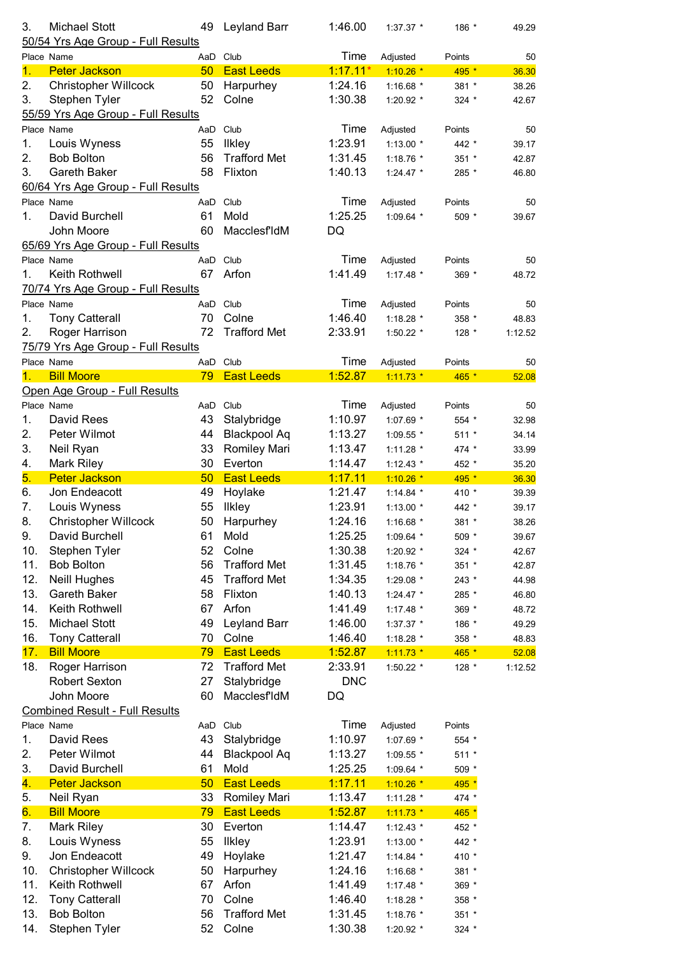| 3.         | <b>Michael Stott</b>                  | 49  | Leyland Barr        | 1:46.00    | 1:37.37 *   | 186 *   | 49.29   |
|------------|---------------------------------------|-----|---------------------|------------|-------------|---------|---------|
|            | 50/54 Yrs Age Group - Full Results    |     |                     |            |             |         |         |
| Place Name |                                       |     | AaD Club            | Time       | Adjusted    | Points  | 50      |
| 1.         | <b>Peter Jackson</b>                  | 50  | <b>East Leeds</b>   | $1:17.11*$ | $1:10.26$ * | 495 *   | 36.30   |
| 2.         | <b>Christopher Willcock</b>           | 50  | Harpurhey           | 1:24.16    | 1:16.68 $*$ | 381 *   | 38.26   |
| 3.         | Stephen Tyler                         | 52  | Colne               | 1:30.38    | 1:20.92 *   | $324$ * | 42.67   |
|            | 55/59 Yrs Age Group - Full Results    |     |                     |            |             |         |         |
| Place Name |                                       |     | AaD Club            | Time       | Adjusted    | Points  | 50      |
| 1.         | Louis Wyness                          | 55  | <b>Ilkley</b>       | 1:23.91    | 1:13.00 *   | 442 *   | 39.17   |
| 2.         | <b>Bob Bolton</b>                     | 56  | <b>Trafford Met</b> | 1:31.45    | 1:18.76 *   | 351 *   | 42.87   |
| 3.         | <b>Gareth Baker</b>                   | 58  | Flixton             | 1:40.13    | $1:24.47$ * | 285 *   | 46.80   |
|            | 60/64 Yrs Age Group - Full Results    |     |                     |            |             |         |         |
| Place Name |                                       |     | AaD Club            | Time       | Adjusted    | Points  | 50      |
| 1.         | David Burchell                        | 61  | Mold                | 1:25.25    | 1:09.64 $*$ | 509 *   | 39.67   |
|            | John Moore                            | 60  | MacclesfIdM         | DQ         |             |         |         |
|            | 65/69 Yrs Age Group - Full Results    |     |                     |            |             |         |         |
| Place Name |                                       |     | AaD Club            | Time       | Adjusted    | Points  | 50      |
| 1.         | Keith Rothwell                        | 67  | Arfon               | 1:41.49    | 1:17.48 *   | 369 *   | 48.72   |
|            | 70/74 Yrs Age Group - Full Results    |     |                     |            |             |         |         |
| Place Name |                                       |     | AaD Club            | Time       | Adjusted    | Points  | 50      |
| 1.         | <b>Tony Catterall</b>                 | 70  | Colne               | 1:46.40    | 1:18.28 *   | 358 *   | 48.83   |
| 2.         | Roger Harrison                        | 72  | <b>Trafford Met</b> | 2:33.91    | 1:50.22 *   | $128 *$ | 1:12.52 |
|            | 75/79 Yrs Age Group - Full Results    |     |                     |            |             |         |         |
| Place Name |                                       |     | AaD Club            | Time       | Adjusted    | Points  | 50      |
| 1.         | <b>Bill Moore</b>                     | 79  | <b>East Leeds</b>   | 1:52.87    | $1:11.73$ * | 465 *   | 52.08   |
|            | Open Age Group - Full Results         |     |                     |            |             |         |         |
| Place Name |                                       |     |                     |            |             |         |         |
|            |                                       | AaD | Club                | Time       | Adjusted    | Points  | 50      |
| 1.         | David Rees                            | 43  | Stalybridge         | 1:10.97    | 1:07.69 *   | 554 *   | 32.98   |
| 2.         | Peter Wilmot                          | 44  | <b>Blackpool Aq</b> | 1:13.27    | 1:09.55 *   | $511 *$ | 34.14   |
| 3.         | Neil Ryan                             | 33  | Romiley Mari        | 1:13.47    | 1:11.28 *   | 474 *   | 33.99   |
| 4.         | Mark Riley                            | 30  | Everton             | 1:14.47    | $1:12.43$ * | 452 *   | 35.20   |
| 5.         | <b>Peter Jackson</b>                  | 50  | <b>East Leeds</b>   | 1:17.11    | $1:10.26$ * | 495 *   | 36.30   |
| 6.         | Jon Endeacott                         | 49  | Hoylake             | 1:21.47    | 1:14.84 *   | 410 *   | 39.39   |
| 7.         | Louis Wyness                          | 55  | <b>Ilkley</b>       | 1:23.91    | 1:13.00 *   | 442 *   | 39.17   |
| 8.         | <b>Christopher Willcock</b>           | 50  | Harpurhey           | 1:24.16    | 1:16.68 *   | 381 *   | 38.26   |
| 9.         | David Burchell                        | 61  | Mold                | 1:25.25    | 1:09.64 *   | 509 *   | 39.67   |
| 10.        | Stephen Tyler                         | 52  | Colne               | 1:30.38    | 1:20.92 *   | 324 *   | 42.67   |
| 11.        |                                       |     |                     |            |             |         |         |
|            | <b>Bob Bolton</b>                     | 56  | <b>Trafford Met</b> | 1:31.45    | 1:18.76 *   | $351 *$ | 42.87   |
| 12.        | Neill Hughes                          | 45  | <b>Trafford Met</b> | 1:34.35    | 1:29.08 *   | 243 *   | 44.98   |
| 13.        | Gareth Baker                          | 58  | Flixton             | 1:40.13    | 1:24.47 *   | 285 *   |         |
|            |                                       |     |                     | 1:41.49    |             |         | 46.80   |
| 14.        | Keith Rothwell                        | 67  | Arfon               |            | 1:17.48 *   | 369 *   | 48.72   |
| 15.        | <b>Michael Stott</b>                  | 49  | Leyland Barr        | 1:46.00    | 1:37.37 *   | 186 *   | 49.29   |
| 16.        | <b>Tony Catterall</b>                 | 70  | Colne               | 1:46.40    | 1:18.28 *   | 358 *   | 48.83   |
| 17.        | <b>Bill Moore</b>                     | 79  | <b>East Leeds</b>   | 1:52.87    | $1:11.73$ * | 465 *   | 52.08   |
| 18.        | Roger Harrison                        | 72  | <b>Trafford Met</b> | 2:33.91    | 1:50.22 *   | 128 *   | 1:12.52 |
|            | <b>Robert Sexton</b>                  | 27  | Stalybridge         | <b>DNC</b> |             |         |         |
|            | John Moore                            | 60  | MacclesfIdM         | DQ         |             |         |         |
|            | <b>Combined Result - Full Results</b> |     |                     |            |             |         |         |
| Place Name |                                       | AaD | Club                | Time       | Adjusted    | Points  |         |
| 1.         | David Rees                            | 43  | Stalybridge         | 1:10.97    | 1:07.69 *   | 554 *   |         |
| 2.         | Peter Wilmot                          | 44  | <b>Blackpool Aq</b> | 1:13.27    | 1:09.55 *   | $511 *$ |         |
| 3.         | David Burchell                        | 61  | Mold                | 1:25.25    | 1:09.64 *   | 509 *   |         |
| 4.         | <b>Peter Jackson</b>                  | 50  | <b>East Leeds</b>   | 1:17.11    | $1:10.26$ * | 495 *   |         |
| 5.         | Neil Ryan                             | 33  | Romiley Mari        | 1:13.47    | 1:11.28 $*$ | 474 *   |         |
| 6.         | <b>Bill Moore</b>                     | 79  | <b>East Leeds</b>   | 1:52.87    | $1:11.73$ * | 465 *   |         |
| 7.         | <b>Mark Riley</b>                     | 30  | Everton             | 1:14.47    | $1:12.43$ * | 452 *   |         |
| 8.         | Louis Wyness                          | 55  | <b>Ilkley</b>       | 1:23.91    | 1:13.00 *   | 442 *   |         |
| 9.         | Jon Endeacott                         | 49  | Hoylake             | 1:21.47    | 1:14.84 *   | 410 *   |         |
| 10.        | <b>Christopher Willcock</b>           | 50  | Harpurhey           | 1:24.16    | 1:16.68 *   | 381 *   |         |
| 11.        | Keith Rothwell                        | 67  | Arfon               | 1:41.49    | 1:17.48 *   | 369 *   |         |
| 12.        | <b>Tony Catterall</b>                 | 70  | Colne               | 1:46.40    | 1:18.28 *   | 358 *   |         |
| 13.        | <b>Bob Bolton</b>                     | 56  | <b>Trafford Met</b> | 1:31.45    | 1:18.76 *   | 351 *   |         |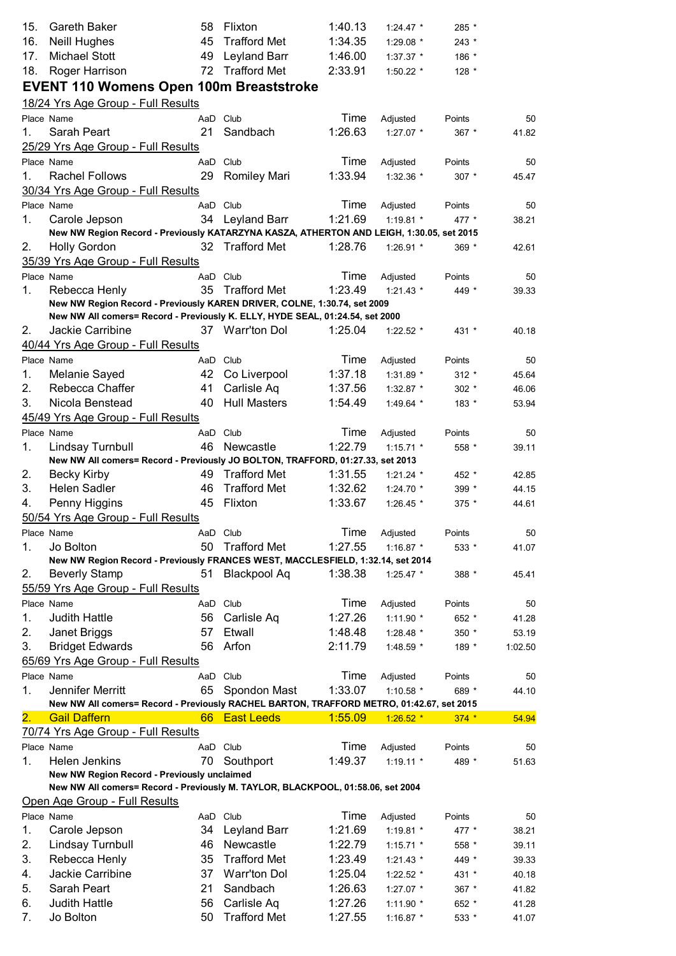| 15.        | Gareth Baker                                                                                       | 58       | Flixton             | 1:40.13 | $1:24.47$ *           | 285 *   |         |
|------------|----------------------------------------------------------------------------------------------------|----------|---------------------|---------|-----------------------|---------|---------|
| 16.        | Neill Hughes                                                                                       | 45       | <b>Trafford Met</b> | 1:34.35 | 1:29.08 *             | 243 *   |         |
| 17.        | <b>Michael Stott</b>                                                                               | 49       | Leyland Barr        | 1:46.00 | 1:37.37 *             | 186 *   |         |
| 18.        | Roger Harrison                                                                                     | 72       | <b>Trafford Met</b> | 2:33.91 | 1:50.22 *             | 128 *   |         |
|            | <b>EVENT 110 Womens Open 100m Breaststroke</b>                                                     |          |                     |         |                       |         |         |
|            | 18/24 Yrs Age Group - Full Results                                                                 |          |                     |         |                       |         |         |
|            | Place Name                                                                                         | AaD Club |                     | Time    | Adjusted              | Points  | 50      |
| 1.         | Sarah Peart                                                                                        | 21       | Sandbach            | 1:26.63 | 1:27.07 *             | 367 *   | 41.82   |
|            | 25/29 Yrs Age Group - Full Results                                                                 |          |                     |         |                       |         |         |
| Place Name |                                                                                                    | AaD Club |                     | Time    | Adjusted              | Points  | 50      |
| 1.         | <b>Rachel Follows</b>                                                                              | 29       | <b>Romiley Mari</b> | 1:33.94 | 1:32.36 *             | $307$ * | 45.47   |
|            | 30/34 Yrs Age Group - Full Results                                                                 |          |                     |         |                       |         |         |
|            | Place Name                                                                                         | AaD Club |                     | Time    |                       | Points  | 50      |
| 1.         | Carole Jepson                                                                                      |          | 34 Leyland Barr     | 1:21.69 | Adjusted<br>1:19.81 * | 477 *   |         |
|            | New NW Region Record - Previously KATARZYNA KASZA, ATHERTON AND LEIGH, 1:30.05, set 2015           |          |                     |         |                       |         | 38.21   |
| 2.         | <b>Holly Gordon</b>                                                                                |          | 32 Trafford Met     | 1:28.76 | 1:26.91 *             | 369 *   | 42.61   |
|            | 35/39 Yrs Age Group - Full Results                                                                 |          |                     |         |                       |         |         |
|            | Place Name                                                                                         | AaD Club |                     | Time    |                       |         |         |
| 1.         |                                                                                                    |          | 35 Trafford Met     | 1:23.49 | Adjusted              | Points  | 50      |
|            | Rebecca Henly<br>New NW Region Record - Previously KAREN DRIVER, COLNE, 1:30.74, set 2009          |          |                     |         | $1:21.43$ *           | 449 *   | 39.33   |
|            | New NW All comers= Record - Previously K. ELLY, HYDE SEAL, 01:24.54, set 2000                      |          |                     |         |                       |         |         |
| 2.         | Jackie Carribine                                                                                   |          | 37 Warr'ton Dol     | 1:25.04 | $1:22.52$ *           | 431 *   | 40.18   |
|            | 40/44 Yrs Age Group - Full Results                                                                 |          |                     |         |                       |         |         |
|            | Place Name                                                                                         | AaD Club |                     | Time    | Adjusted              | Points  | 50      |
| 1.         | Melanie Sayed                                                                                      | 42       | Co Liverpool        | 1:37.18 | 1:31.89 *             | $312 *$ | 45.64   |
| 2.         | Rebecca Chaffer                                                                                    | 41       | Carlisle Aq         | 1:37.56 | $1:32.87$ *           | $302 *$ | 46.06   |
| 3.         | Nicola Benstead                                                                                    | 40       | <b>Hull Masters</b> | 1:54.49 | 1:49.64 *             | 183 *   | 53.94   |
|            |                                                                                                    |          |                     |         |                       |         |         |
|            | 45/49 Yrs Age Group - Full Results                                                                 |          |                     |         |                       |         |         |
| Place Name |                                                                                                    | AaD Club |                     | Time    | Adjusted              | Points  | 50      |
| 1.         | Lindsay Turnbull<br>New NW All comers= Record - Previously JO BOLTON, TRAFFORD, 01:27.33, set 2013 | 46       | Newcastle           | 1:22.79 | $1:15.71$ *           | 558 *   | 39.11   |
| 2.         |                                                                                                    |          | 49 Trafford Met     | 1:31.55 |                       | 452 *   | 42.85   |
| 3.         | <b>Becky Kirby</b><br><b>Helen Sadler</b>                                                          | 46       | <b>Trafford Met</b> | 1:32.62 | 1:21.24 *             |         |         |
|            |                                                                                                    |          |                     | 1:33.67 | $1:24.70*$            | 399 *   | 44.15   |
| 4.         | Penny Higgins                                                                                      | 45       | Flixton             |         | $1:26.45$ *           | 375 *   | 44.61   |
|            | 50/54 Yrs Age Group - Full Results                                                                 |          |                     |         |                       |         |         |
|            | Place Name                                                                                         | AaD Club |                     | Time    | Adjusted              | Points  | 50      |
| 1.         | Jo Bolton                                                                                          | 50       | <b>Trafford Met</b> | 1:27.55 | 1:16.87 *             | 533 *   | 41.07   |
|            | New NW Region Record - Previously FRANCES WEST, MACCLESFIELD, 1:32.14, set 2014                    |          |                     | 1:38.38 |                       |         |         |
| 2.         | <b>Beverly Stamp</b>                                                                               | 51       | <b>Blackpool Aq</b> |         | $1:25.47$ *           | 388 *   | 45.41   |
|            | 55/59 Yrs Age Group - Full Results                                                                 |          |                     |         |                       |         |         |
|            | Place Name                                                                                         | AaD Club |                     | Time    | Adjusted              | Points  | 50      |
| 1.         | <b>Judith Hattle</b>                                                                               | 56       | Carlisle Aq         | 1:27.26 | 1:11.90 *             | 652 *   | 41.28   |
| 2.         | Janet Briggs                                                                                       | 57       | Etwall              | 1:48.48 | 1:28.48 *             | $350*$  | 53.19   |
| 3.         | <b>Bridget Edwards</b>                                                                             | 56       | Arfon               | 2:11.79 | 1:48.59 *             | 189 *   | 1:02.50 |
|            | 65/69 Yrs Age Group - Full Results                                                                 |          |                     |         |                       |         |         |
|            | Place Name                                                                                         | AaD Club |                     | Time    | Adjusted              | Points  | 50      |
| 1.         | Jennifer Merritt                                                                                   | 65       | Spondon Mast        | 1:33.07 | 1:10.58 *             | 689 *   | 44.10   |
|            | New NW All comers= Record - Previously RACHEL BARTON, TRAFFORD METRO, 01:42.67, set 2015           |          |                     |         |                       |         |         |
| 2.         | <b>Gail Daffern</b>                                                                                |          | 66 East Leeds       | 1:55.09 | $1:26.52*$            | $374 *$ | 54.94   |
|            | 70/74 Yrs Age Group - Full Results                                                                 |          |                     |         |                       |         |         |
|            | Place Name                                                                                         | AaD Club |                     | Time    | Adjusted              | Points  | 50      |
| 1.         | Helen Jenkins                                                                                      | 70       | Southport           | 1:49.37 | $1:19.11$ *           | 489 *   | 51.63   |
|            | New NW Region Record - Previously unclaimed                                                        |          |                     |         |                       |         |         |
|            | New NW All comers= Record - Previously M. TAYLOR, BLACKPOOL, 01:58.06, set 2004                    |          |                     |         |                       |         |         |
|            | Open Age Group - Full Results                                                                      |          |                     |         |                       |         |         |
|            | Place Name                                                                                         | AaD Club |                     | Time    | Adjusted              | Points  | 50      |
| 1.         | Carole Jepson                                                                                      | 34       | Leyland Barr        | 1:21.69 | 1:19.81 *             | 477 *   | 38.21   |
| 2.         | Lindsay Turnbull                                                                                   | 46       | Newcastle           | 1:22.79 | $1:15.71$ *           | 558 *   | 39.11   |
| 3.         | Rebecca Henly                                                                                      | 35       | <b>Trafford Met</b> | 1:23.49 | 1:21.43 *             | 449 *   | 39.33   |
| 4.         | Jackie Carribine                                                                                   | 37       | <b>Warr'ton Dol</b> | 1:25.04 | 1:22.52 *             | 431 *   | 40.18   |
| 5.         | Sarah Peart                                                                                        | 21       | Sandbach            | 1:26.63 | 1:27.07 *             | 367 *   | 41.82   |
| 6.         | <b>Judith Hattle</b>                                                                               | 56       | Carlisle Aq         | 1:27.26 | 1:11.90 *             | 652 *   | 41.28   |
| 7.         | Jo Bolton                                                                                          | 50       | <b>Trafford Met</b> | 1:27.55 | 1:16.87 *             | 533 *   | 41.07   |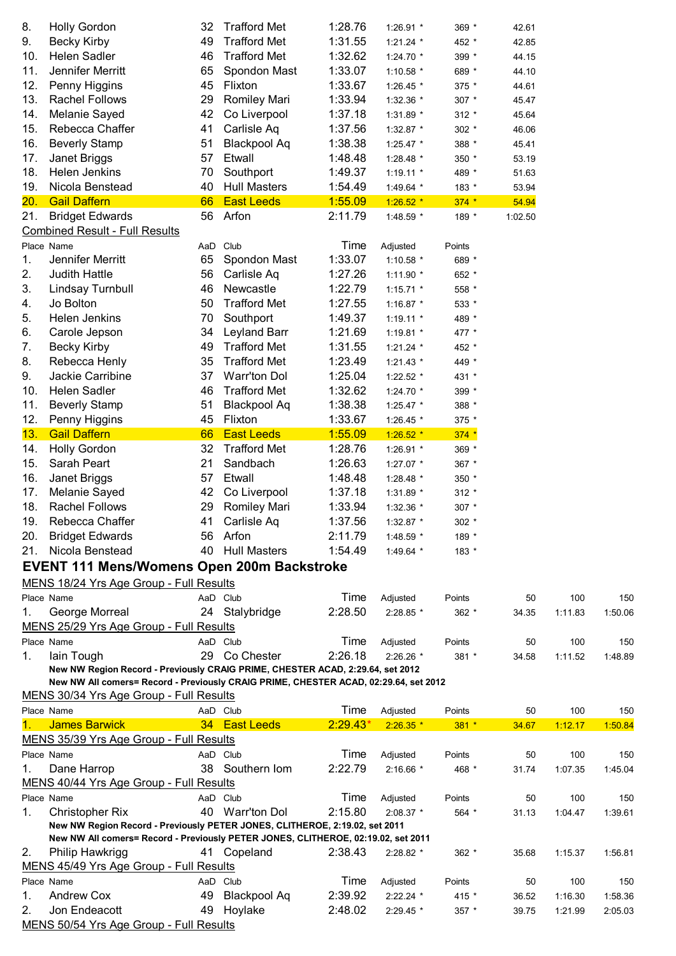| 8.             | <b>Holly Gordon</b>                                                                  | 32       | <b>Trafford Met</b> | 1:28.76    | 1:26.91 *   | 369 *   | 42.61   |         |         |
|----------------|--------------------------------------------------------------------------------------|----------|---------------------|------------|-------------|---------|---------|---------|---------|
| 9.             | <b>Becky Kirby</b>                                                                   | 49       | <b>Trafford Met</b> | 1:31.55    | $1:21.24$ * | 452 *   | 42.85   |         |         |
| 10.            | <b>Helen Sadler</b>                                                                  | 46       | <b>Trafford Met</b> | 1:32.62    | 1:24.70 *   | 399 *   | 44.15   |         |         |
| 11.            | Jennifer Merritt                                                                     | 65       | Spondon Mast        | 1:33.07    | 1:10.58 *   | 689 *   | 44.10   |         |         |
| 12.            | Penny Higgins                                                                        | 45       | Flixton             | 1:33.67    | 1:26.45 *   | 375 *   | 44.61   |         |         |
| 13.            | <b>Rachel Follows</b>                                                                | 29       | <b>Romiley Mari</b> | 1:33.94    | 1:32.36 *   | $307 *$ | 45.47   |         |         |
| 14.            | Melanie Sayed                                                                        | 42       | Co Liverpool        | 1:37.18    | 1:31.89 *   | $312 *$ | 45.64   |         |         |
| 15.            | Rebecca Chaffer                                                                      | 41       | Carlisle Aq         | 1:37.56    | 1:32.87 $*$ | 302 $*$ | 46.06   |         |         |
| 16.            | <b>Beverly Stamp</b>                                                                 | 51       | <b>Blackpool Aq</b> | 1:38.38    | 1:25.47 *   | 388 *   | 45.41   |         |         |
| 17.            | Janet Briggs                                                                         | 57       | Etwall              | 1:48.48    | 1:28.48 *   | 350 *   | 53.19   |         |         |
| 18.            | Helen Jenkins                                                                        | 70       | Southport           | 1:49.37    | $1:19.11$ * | 489 *   | 51.63   |         |         |
| 19.            | Nicola Benstead                                                                      | 40       | <b>Hull Masters</b> | 1:54.49    | 1:49.64 *   | 183 *   | 53.94   |         |         |
| 20.            | <b>Gail Daffern</b>                                                                  | 66       | <b>East Leeds</b>   | 1:55.09    | $1:26.52*$  | $374 *$ | 54.94   |         |         |
| 21.            | <b>Bridget Edwards</b>                                                               | 56       | Arfon               | 2:11.79    | 1:48.59 *   | 189 *   | 1:02.50 |         |         |
|                | <b>Combined Result - Full Results</b>                                                |          |                     |            |             |         |         |         |         |
|                | Place Name                                                                           | AaD Club |                     | Time       | Adjusted    | Points  |         |         |         |
| 1.             | Jennifer Merritt                                                                     | 65       | Spondon Mast        | 1:33.07    | 1:10.58 *   | 689 *   |         |         |         |
| 2.             | Judith Hattle                                                                        | 56       | Carlisle Aq         | 1:27.26    | 1:11.90 *   | 652 *   |         |         |         |
| 3.             | Lindsay Turnbull                                                                     | 46       | Newcastle           | 1:22.79    | $1:15.71$ * | 558 *   |         |         |         |
| 4.             | Jo Bolton                                                                            | 50       | <b>Trafford Met</b> | 1:27.55    | 1:16.87 *   | 533 *   |         |         |         |
| 5.             | Helen Jenkins                                                                        | 70       | Southport           | 1:49.37    | $1:19.11$ * | 489 *   |         |         |         |
| 6.             | Carole Jepson                                                                        | 34       | Leyland Barr        | 1:21.69    | 1:19.81 *   | 477 *   |         |         |         |
| 7.             | <b>Becky Kirby</b>                                                                   | 49       | <b>Trafford Met</b> | 1:31.55    | $1:21.24$ * | 452 *   |         |         |         |
| 8.             | Rebecca Henly                                                                        | 35       | <b>Trafford Met</b> | 1:23.49    |             |         |         |         |         |
|                |                                                                                      |          | Warr'ton Dol        |            | $1:21.43$ * | 449 *   |         |         |         |
| 9.             | Jackie Carribine                                                                     | 37       |                     | 1:25.04    | 1:22.52 *   | 431 *   |         |         |         |
| 10.            | <b>Helen Sadler</b>                                                                  | 46       | <b>Trafford Met</b> | 1:32.62    | 1:24.70 *   | 399 *   |         |         |         |
| 11.            | <b>Beverly Stamp</b>                                                                 | 51       | <b>Blackpool Aq</b> | 1:38.38    | 1:25.47 *   | 388 *   |         |         |         |
| 12.            | Penny Higgins                                                                        | 45       | Flixton             | 1:33.67    | 1:26.45 *   | 375 *   |         |         |         |
| 13.            | <b>Gail Daffern</b>                                                                  | 66       | <b>East Leeds</b>   | 1:55.09    | $1:26.52$ * | $374 *$ |         |         |         |
| 14.            | <b>Holly Gordon</b>                                                                  | 32       | <b>Trafford Met</b> | 1:28.76    | 1:26.91 *   | 369 *   |         |         |         |
| 15.            | Sarah Peart                                                                          | 21       | Sandbach            | 1:26.63    | 1:27.07 *   | 367 *   |         |         |         |
| 16.            | Janet Briggs                                                                         | 57       | Etwall              | 1:48.48    | 1:28.48 *   | 350 *   |         |         |         |
| 17.            | Melanie Sayed                                                                        | 42       | Co Liverpool        | 1:37.18    | 1:31.89 *   | $312 *$ |         |         |         |
| 18.            | <b>Rachel Follows</b>                                                                | 29       | <b>Romiley Mari</b> | 1:33.94    | 1:32.36 *   | 307 *   |         |         |         |
| 19.            | Rebecca Chaffer                                                                      | 41       | Carlisle Aq         | 1:37.56    | 1:32.87 *   | 302 *   |         |         |         |
| 20.            | <b>Bridget Edwards</b>                                                               | 56       | Arfon               | 2:11.79    | 1:48.59 *   | 189 *   |         |         |         |
| 21.            | Nicola Benstead                                                                      | 40       | <b>Hull Masters</b> | 1:54.49    | 1:49.64 $*$ | 183 *   |         |         |         |
|                | <b>EVENT 111 Mens/Womens Open 200m Backstroke</b>                                    |          |                     |            |             |         |         |         |         |
|                | MENS 18/24 Yrs Age Group - Full Results                                              |          |                     |            |             |         |         |         |         |
|                | Place Name                                                                           |          | AaD Club            | Time       | Adjusted    | Points  | 50      | 100     | 150     |
| 1.             | George Morreal                                                                       |          | 24 Stalybridge      | 2:28.50    | 2:28.85 *   | 362 *   | 34.35   | 1:11.83 | 1:50.06 |
|                | MENS 25/29 Yrs Age Group - Full Results                                              |          |                     |            |             |         |         |         |         |
|                | Place Name                                                                           |          | AaD Club            | Time       | Adjusted    | Points  | 50      | 100     | 150     |
| 1.             | lain Tough                                                                           | 29       | Co Chester          | 2:26.18    | 2:26.26 *   | 381 *   | 34.58   | 1:11.52 | 1:48.89 |
|                | New NW Region Record - Previously CRAIG PRIME, CHESTER ACAD, 2:29.64, set 2012       |          |                     |            |             |         |         |         |         |
|                | New NW All comers= Record - Previously CRAIG PRIME, CHESTER ACAD, 02:29.64, set 2012 |          |                     |            |             |         |         |         |         |
|                | MENS 30/34 Yrs Age Group - Full Results                                              |          |                     |            |             |         |         |         |         |
|                | Place Name                                                                           | AaD Club |                     | Time       | Adjusted    | Points  | 50      | 100     | 150     |
| 1 <sub>1</sub> | <b>James Barwick</b>                                                                 |          | 34 East Leeds       | $2:29.43*$ | $2:26.35*$  | $381 *$ | 34.67   | 1:12.17 | 1:50.84 |
|                | MENS 35/39 Yrs Age Group - Full Results                                              |          |                     |            |             |         |         |         |         |
|                | Place Name                                                                           | AaD Club |                     | Time       | Adjusted    | Points  | 50      | 100     | 150     |
| 1.             | Dane Harrop                                                                          |          | 38 Southern lom     | 2:22.79    | $2:16.66*$  | 468 *   | 31.74   | 1:07.35 | 1:45.04 |
|                | MENS 40/44 Yrs Age Group - Full Results                                              |          |                     |            |             |         |         |         |         |
|                | Place Name                                                                           |          | AaD Club            | Time       | Adjusted    | Points  | 50      | 100     | 150     |
| 1.             | <b>Christopher Rix</b>                                                               |          | 40 Warr'ton Dol     | 2:15.80    | 2:08.37 *   | 564 *   | 31.13   | 1:04.47 | 1:39.61 |
|                | New NW Region Record - Previously PETER JONES, CLITHEROE, 2:19.02, set 2011          |          |                     |            |             |         |         |         |         |
|                | New NW All comers= Record - Previously PETER JONES, CLITHEROE, 02:19.02, set 2011    |          |                     |            |             |         |         |         |         |
| 2.             | Philip Hawkrigg                                                                      |          | 41 Copeland         | 2:38.43    | $2:28.82$ * | $362 *$ | 35.68   | 1:15.37 | 1:56.81 |
|                | MENS 45/49 Yrs Age Group - Full Results                                              |          |                     |            |             |         |         |         |         |
|                | Place Name                                                                           |          | AaD Club            | Time       | Adjusted    | Points  | 50      | 100     | 150     |
| 1.             | <b>Andrew Cox</b>                                                                    | 49       | Blackpool Aq        | 2:39.92    | 2:22.24 *   | 415 *   | 36.52   | 1:16.30 | 1:58.36 |
| 2.             | Jon Endeacott                                                                        | 49       | Hoylake             | 2:48.02    | 2:29.45 *   | $357 *$ | 39.75   | 1:21.99 | 2:05.03 |
|                | MENS 50/54 Yrs Age Group - Full Results                                              |          |                     |            |             |         |         |         |         |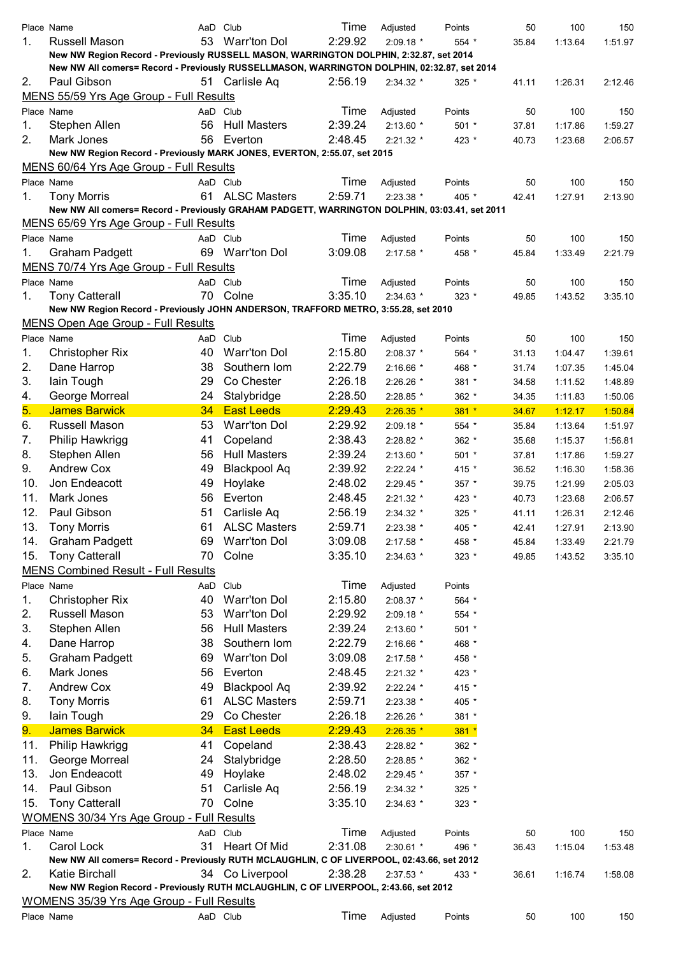|     | Place Name                                                                                    | AaD Club |                     | Time    | Adjusted    | Points  | 50    | 100     | 150     |
|-----|-----------------------------------------------------------------------------------------------|----------|---------------------|---------|-------------|---------|-------|---------|---------|
| 1.  | Russell Mason                                                                                 | 53       | <b>Warr'ton Dol</b> | 2:29.92 | $2:09.18*$  | $554*$  | 35.84 | 1:13.64 | 1:51.97 |
|     | New NW Region Record - Previously RUSSELL MASON, WARRINGTON DOLPHIN, 2:32.87, set 2014        |          |                     |         |             |         |       |         |         |
|     | New NW All comers= Record - Previously RUSSELLMASON, WARRINGTON DOLPHIN, 02:32.87, set 2014   |          |                     |         |             |         |       |         |         |
| 2.  | Paul Gibson                                                                                   |          | 51 Carlisle Aq      | 2:56.19 | 2:34.32 *   | $325$ * | 41.11 | 1:26.31 | 2:12.46 |
|     | MENS 55/59 Yrs Age Group - Full Results                                                       |          |                     |         |             |         |       |         |         |
|     | Place Name                                                                                    |          | AaD Club            | Time    | Adjusted    | Points  | 50    | 100     | 150     |
| 1.  | Stephen Allen                                                                                 | 56       | <b>Hull Masters</b> | 2:39.24 | $2:13.60*$  | 501 *   | 37.81 | 1:17.86 | 1:59.27 |
| 2.  | Mark Jones                                                                                    | 56       | Everton             | 2:48.45 | $2:21.32$ * | 423 *   | 40.73 | 1:23.68 | 2:06.57 |
|     | New NW Region Record - Previously MARK JONES, EVERTON, 2:55.07, set 2015                      |          |                     |         |             |         |       |         |         |
|     | MENS 60/64 Yrs Age Group - Full Results                                                       |          |                     |         |             |         |       |         |         |
|     | Place Name                                                                                    |          |                     | Time    |             |         |       |         |         |
|     |                                                                                               |          | AaD Club            |         | Adjusted    | Points  | 50    | 100     | 150     |
| 1.  | <b>Tony Morris</b>                                                                            |          | 61 ALSC Masters     | 2:59.71 | 2:23.38 *   | 405 *   | 42.41 | 1:27.91 | 2:13.90 |
|     | New NW All comers= Record - Previously GRAHAM PADGETT, WARRINGTON DOLPHIN, 03:03.41, set 2011 |          |                     |         |             |         |       |         |         |
|     | MENS 65/69 Yrs Age Group - Full Results                                                       |          |                     |         |             |         |       |         |         |
|     | Place Name                                                                                    | AaD Club |                     | Time    | Adjusted    | Points  | 50    | 100     | 150     |
| 1.  | Graham Padgett                                                                                |          | 69 Warr'ton Dol     | 3:09.08 | $2:17.58$ * | 458 *   | 45.84 | 1:33.49 | 2:21.79 |
|     | MENS 70/74 Yrs Age Group - Full Results                                                       |          |                     |         |             |         |       |         |         |
|     | Place Name                                                                                    |          | AaD Club            | Time    | Adjusted    | Points  | 50    | 100     | 150     |
| 1.  | <b>Tony Catterall</b>                                                                         | 70       | Colne               | 3:35.10 | $2:34.63*$  | $323 *$ | 49.85 | 1:43.52 | 3:35.10 |
|     | New NW Region Record - Previously JOHN ANDERSON, TRAFFORD METRO, 3:55.28, set 2010            |          |                     |         |             |         |       |         |         |
|     | <b>MENS Open Age Group - Full Results</b>                                                     |          |                     |         |             |         |       |         |         |
|     | Place Name                                                                                    |          | AaD Club            | Time    | Adjusted    | Points  | 50    | 100     | 150     |
| 1.  | <b>Christopher Rix</b>                                                                        | 40       | <b>Warr'ton Dol</b> | 2:15.80 | 2:08.37 *   | 564 *   | 31.13 | 1:04.47 | 1:39.61 |
| 2.  | Dane Harrop                                                                                   | 38       | Southern Iom        | 2:22.79 | 2:16.66 *   | 468 *   | 31.74 | 1:07.35 | 1:45.04 |
| 3.  |                                                                                               | 29       | Co Chester          | 2:26.18 |             |         |       |         |         |
|     | lain Tough                                                                                    |          |                     |         | 2:26.26 *   | 381 *   | 34.58 | 1:11.52 | 1:48.89 |
| 4.  | George Morreal                                                                                | 24       | Stalybridge         | 2:28.50 | 2:28.85 *   | 362 *   | 34.35 | 1:11.83 | 1:50.06 |
| 5.  | <b>James Barwick</b>                                                                          | 34       | <b>East Leeds</b>   | 2:29.43 | $2:26.35*$  | $381 *$ | 34.67 | 1:12.17 | 1:50.84 |
| 6.  | Russell Mason                                                                                 | 53       | <b>Warr'ton Dol</b> | 2:29.92 | 2:09.18 *   | $554*$  | 35.84 | 1:13.64 | 1:51.97 |
| 7.  | Philip Hawkrigg                                                                               | 41       | Copeland            | 2:38.43 | 2:28.82 *   | 362 *   | 35.68 | 1:15.37 | 1:56.81 |
| 8.  | Stephen Allen                                                                                 | 56       | <b>Hull Masters</b> | 2:39.24 | $2:13.60*$  | $501 *$ | 37.81 | 1:17.86 | 1:59.27 |
| 9.  | <b>Andrew Cox</b>                                                                             | 49       | <b>Blackpool Aq</b> | 2:39.92 | $2:22.24$ * | 415 *   | 36.52 | 1:16.30 | 1:58.36 |
| 10. | Jon Endeacott                                                                                 | 49       | Hoylake             | 2:48.02 | 2:29.45 *   | 357 *   | 39.75 | 1:21.99 | 2:05.03 |
| 11. | Mark Jones                                                                                    | 56       | Everton             | 2:48.45 | 2:21.32 *   | 423 *   | 40.73 | 1:23.68 | 2:06.57 |
| 12. | Paul Gibson                                                                                   | 51       | Carlisle Aq         | 2:56.19 | 2:34.32 *   | $325$ * | 41.11 | 1:26.31 | 2:12.46 |
| 13. | <b>Tony Morris</b>                                                                            | 61       | <b>ALSC Masters</b> | 2:59.71 | 2:23.38 *   | 405 *   | 42.41 | 1:27.91 | 2:13.90 |
| 14. | <b>Graham Padgett</b>                                                                         | 69       | <b>Warr'ton Dol</b> | 3:09.08 | 2:17.58 *   | 458 *   | 45.84 | 1:33.49 | 2:21.79 |
|     | <b>Tony Catterall</b>                                                                         | 70       | Colne               |         |             |         |       |         |         |
| 15. |                                                                                               |          |                     | 3:35.10 | 2:34.63 *   | 323 *   | 49.85 | 1:43.52 | 3:35.10 |
|     | <b>MENS Combined Result - Full Results</b>                                                    |          |                     |         |             |         |       |         |         |
|     | Place Name                                                                                    | AaD Club |                     | Time    | Adjusted    | Points  |       |         |         |
| 1.  | <b>Christopher Rix</b>                                                                        | 40       | <b>Warr'ton Dol</b> | 2:15.80 | 2:08.37 *   | 564 *   |       |         |         |
| 2.  | Russell Mason                                                                                 | 53       | Warr'ton Dol        | 2:29.92 | 2:09.18 *   | $554*$  |       |         |         |
| 3.  | Stephen Allen                                                                                 | 56       | <b>Hull Masters</b> | 2:39.24 | 2:13.60 *   | $501 *$ |       |         |         |
| 4.  | Dane Harrop                                                                                   | 38       | Southern Iom        | 2:22.79 | 2:16.66 *   | 468 *   |       |         |         |
| 5.  | <b>Graham Padgett</b>                                                                         | 69       | <b>Warr'ton Dol</b> | 3:09.08 | 2:17.58 *   | 458 *   |       |         |         |
| 6.  | Mark Jones                                                                                    | 56       | Everton             | 2:48.45 | 2:21.32 *   | 423 *   |       |         |         |
| 7.  | <b>Andrew Cox</b>                                                                             | 49       | <b>Blackpool Aq</b> | 2:39.92 | 2:22.24 *   | 415 *   |       |         |         |
| 8.  | <b>Tony Morris</b>                                                                            | 61       | <b>ALSC Masters</b> | 2:59.71 | 2:23.38 *   | 405 *   |       |         |         |
| 9.  | lain Tough                                                                                    | 29       | Co Chester          | 2:26.18 |             |         |       |         |         |
|     |                                                                                               |          |                     |         | 2:26.26 *   | 381 *   |       |         |         |
| 9.  | <b>James Barwick</b>                                                                          | 34       | <b>East Leeds</b>   | 2:29.43 | $2:26.35*$  | $381 *$ |       |         |         |
| 11. | Philip Hawkrigg                                                                               | 41       | Copeland            | 2:38.43 | 2:28.82 *   | 362 *   |       |         |         |
| 11. | George Morreal                                                                                | 24       | Stalybridge         | 2:28.50 | 2:28.85 *   | 362 *   |       |         |         |
| 13. | Jon Endeacott                                                                                 | 49       | Hoylake             | 2:48.02 | 2:29.45 *   | 357 *   |       |         |         |
| 14. | Paul Gibson                                                                                   | 51       | Carlisle Aq         | 2:56.19 | 2:34.32 *   | 325 *   |       |         |         |
| 15. | <b>Tony Catterall</b>                                                                         | 70       | Colne               | 3:35.10 | 2:34.63 *   | 323 *   |       |         |         |
|     | WOMENS 30/34 Yrs Age Group - Full Results                                                     |          |                     |         |             |         |       |         |         |
|     | Place Name                                                                                    | AaD Club |                     | Time    | Adjusted    | Points  | 50    | 100     | 150     |
| 1.  | Carol Lock                                                                                    | 31       | Heart Of Mid        | 2:31.08 | 2:30.61 *   | 496 *   | 36.43 | 1:15.04 | 1:53.48 |
|     | New NW All comers= Record - Previously RUTH MCLAUGHLIN, C OF LIVERPOOL, 02:43.66, set 2012    |          |                     |         |             |         |       |         |         |
| 2.  | <b>Katie Birchall</b>                                                                         |          | 34 Co Liverpool     | 2:38.28 | 2:37.53 *   | 433 *   | 36.61 | 1:16.74 | 1:58.08 |
|     | New NW Region Record - Previously RUTH MCLAUGHLIN, C OF LIVERPOOL, 2:43.66, set 2012          |          |                     |         |             |         |       |         |         |
|     | <b>WOMENS 35/39 Yrs Age Group - Full Results</b>                                              |          |                     |         |             |         |       |         |         |
|     | Place Name                                                                                    | AaD Club |                     | Time    | Adjusted    | Points  | 50    | 100     | 150     |
|     |                                                                                               |          |                     |         |             |         |       |         |         |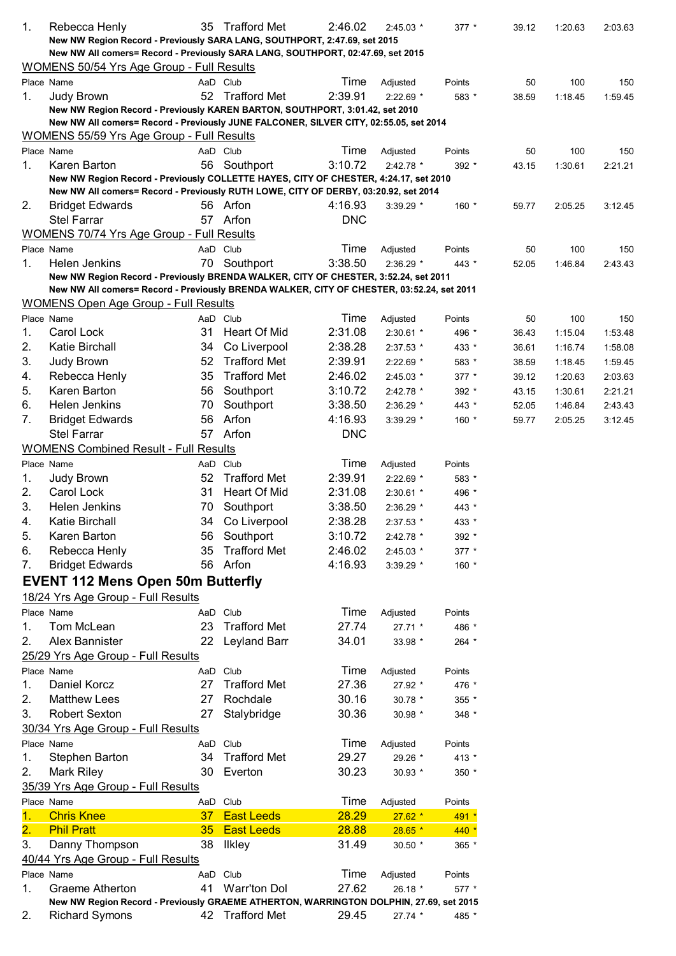| 1.                        | Rebecca Henly                                                                                                                                                               | 35              | <b>Trafford Met</b> | 2:46.02    | $2:45.03*$             | 377 *          | 39.12          | 1:20.63            | 2:03.63            |
|---------------------------|-----------------------------------------------------------------------------------------------------------------------------------------------------------------------------|-----------------|---------------------|------------|------------------------|----------------|----------------|--------------------|--------------------|
|                           | New NW Region Record - Previously SARA LANG, SOUTHPORT, 2:47.69, set 2015                                                                                                   |                 |                     |            |                        |                |                |                    |                    |
|                           | New NW All comers= Record - Previously SARA LANG, SOUTHPORT, 02:47.69, set 2015                                                                                             |                 |                     |            |                        |                |                |                    |                    |
|                           | WOMENS 50/54 Yrs Age Group - Full Results                                                                                                                                   |                 |                     |            |                        |                |                |                    |                    |
|                           | Place Name                                                                                                                                                                  |                 | AaD Club            | Time       | Adjusted               | Points         | 50             | 100                | 150                |
| 1.                        | Judy Brown                                                                                                                                                                  |                 | 52 Trafford Met     | 2:39.91    | $2:22.69$ *            | 583 *          | 38.59          | 1:18.45            | 1:59.45            |
|                           | New NW Region Record - Previously KAREN BARTON, SOUTHPORT, 3:01.42, set 2010                                                                                                |                 |                     |            |                        |                |                |                    |                    |
|                           | New NW All comers= Record - Previously JUNE FALCONER, SILVER CITY, 02:55.05, set 2014                                                                                       |                 |                     |            |                        |                |                |                    |                    |
|                           | WOMENS 55/59 Yrs Age Group - Full Results                                                                                                                                   |                 |                     |            |                        |                |                |                    |                    |
|                           | Place Name                                                                                                                                                                  |                 | AaD Club            | Time       | Adjusted               | Points         | 50             | 100                | 150                |
| 1.                        | Karen Barton                                                                                                                                                                | 56              | Southport           | 3:10.72    | $2:42.78$ *            | 392 *          | 43.15          | 1:30.61            | 2:21.21            |
|                           | New NW Region Record - Previously COLLETTE HAYES, CITY OF CHESTER, 4:24.17, set 2010<br>New NW All comers= Record - Previously RUTH LOWE, CITY OF DERBY, 03:20.92, set 2014 |                 |                     |            |                        |                |                |                    |                    |
| 2.                        | <b>Bridget Edwards</b>                                                                                                                                                      |                 | 56 Arfon            | 4:16.93    | 3:39.29 *              | $160 *$        | 59.77          | 2:05.25            | 3:12.45            |
|                           | Stel Farrar                                                                                                                                                                 |                 | 57 Arfon            | <b>DNC</b> |                        |                |                |                    |                    |
|                           | <b>WOMENS 70/74 Yrs Age Group - Full Results</b>                                                                                                                            |                 |                     |            |                        |                |                |                    |                    |
|                           | Place Name                                                                                                                                                                  |                 | AaD Club            | Time       | Adjusted               | Points         | 50             | 100                | 150                |
| 1.                        | Helen Jenkins                                                                                                                                                               | 70              | Southport           | 3:38.50    | 2:36.29 *              | 443 *          |                |                    | 2:43.43            |
|                           | New NW Region Record - Previously BRENDA WALKER, CITY OF CHESTER, 3:52.24, set 2011                                                                                         |                 |                     |            |                        |                | 52.05          | 1:46.84            |                    |
|                           | New NW All comers= Record - Previously BRENDA WALKER, CITY OF CHESTER, 03:52.24, set 2011                                                                                   |                 |                     |            |                        |                |                |                    |                    |
|                           | <b>WOMENS Open Age Group - Full Results</b>                                                                                                                                 |                 |                     |            |                        |                |                |                    |                    |
|                           | Place Name                                                                                                                                                                  |                 | AaD Club            | Time       | Adjusted               | Points         | 50             | 100                | 150                |
| 1.                        | Carol Lock                                                                                                                                                                  | 31              | Heart Of Mid        | 2:31.08    | 2:30.61 *              | 496 *          | 36.43          | 1:15.04            | 1:53.48            |
| 2.                        | Katie Birchall                                                                                                                                                              | 34              | Co Liverpool        | 2:38.28    | 2:37.53 *              | 433 *          | 36.61          | 1:16.74            | 1:58.08            |
| 3.                        | Judy Brown                                                                                                                                                                  | 52              | <b>Trafford Met</b> | 2:39.91    | 2:22.69 *              | 583 *          | 38.59          | 1:18.45            | 1:59.45            |
| 4.                        | Rebecca Henly                                                                                                                                                               | 35              | <b>Trafford Met</b> | 2:46.02    |                        |                |                |                    |                    |
| 5.                        | Karen Barton                                                                                                                                                                | 56              | Southport           | 3:10.72    | 2:45.03 *              | 377 *          | 39.12          | 1:20.63            | 2:03.63            |
| 6.                        | Helen Jenkins                                                                                                                                                               | 70              | Southport           | 3:38.50    | 2:42.78 *<br>2:36.29 * | 392 *<br>443 * | 43.15<br>52.05 | 1:30.61<br>1:46.84 | 2:21.21<br>2:43.43 |
| 7.                        |                                                                                                                                                                             | 56              | Arfon               | 4:16.93    |                        |                |                |                    |                    |
|                           | <b>Bridget Edwards</b><br>Stel Farrar                                                                                                                                       |                 |                     |            | 3:39.29 *              | 160 *          | 59.77          | 2:05.25            | 3:12.45            |
|                           |                                                                                                                                                                             | 57              | Arfon               | <b>DNC</b> |                        |                |                |                    |                    |
|                           | <b>WOMENS Combined Result - Full Results</b>                                                                                                                                |                 |                     |            |                        |                |                |                    |                    |
|                           | Place Name                                                                                                                                                                  |                 | AaD Club            | Time       | Adjusted               | Points         |                |                    |                    |
| 1.                        | Judy Brown                                                                                                                                                                  | 52              | <b>Trafford Met</b> | 2:39.91    | 2:22.69 *              | 583 *          |                |                    |                    |
| 2.                        | Carol Lock                                                                                                                                                                  | 31              | <b>Heart Of Mid</b> | 2:31.08    | 2:30.61 *              | 496 *          |                |                    |                    |
| 3.                        | Helen Jenkins                                                                                                                                                               | 70              | Southport           | 3:38.50    | 2:36.29 *              | 443 *          |                |                    |                    |
| 4.                        | Katie Birchall                                                                                                                                                              | 34              | Co Liverpool        | 2:38.28    | 2:37.53 *              | 433 *          |                |                    |                    |
| 5.                        | Karen Barton                                                                                                                                                                |                 | 56 Southport        | 3:10.72    | 2:42.78 *              | 392 *          |                |                    |                    |
| 6.                        | Rebecca Henly                                                                                                                                                               | 35              | <b>Trafford Met</b> | 2:46.02    | 2:45.03 *              | $377 *$        |                |                    |                    |
| 7.                        | <b>Bridget Edwards</b>                                                                                                                                                      |                 | 56 Arfon            | 4:16.93    | 3:39.29 *              | $160 *$        |                |                    |                    |
|                           | <b>EVENT 112 Mens Open 50m Butterfly</b>                                                                                                                                    |                 |                     |            |                        |                |                |                    |                    |
|                           | 18/24 Yrs Age Group - Full Results                                                                                                                                          |                 |                     |            |                        |                |                |                    |                    |
|                           | Place Name                                                                                                                                                                  |                 | AaD Club            | Time       | Adjusted               | Points         |                |                    |                    |
| 1.                        | Tom McLean                                                                                                                                                                  | 23              | <b>Trafford Met</b> | 27.74      | 27.71 *                | 486 *          |                |                    |                    |
| 2.                        | Alex Bannister                                                                                                                                                              | 22              | Leyland Barr        | 34.01      | 33.98 *                | 264 *          |                |                    |                    |
|                           | 25/29 Yrs Age Group - Full Results                                                                                                                                          |                 |                     |            |                        |                |                |                    |                    |
|                           | Place Name                                                                                                                                                                  |                 | AaD Club            | Time       | Adjusted               | Points         |                |                    |                    |
| 1.                        | Daniel Korcz                                                                                                                                                                | 27              | <b>Trafford Met</b> | 27.36      | 27.92 *                | 476 *          |                |                    |                    |
| 2.                        | <b>Matthew Lees</b>                                                                                                                                                         | 27              | Rochdale            | 30.16      | 30.78 *                | 355 *          |                |                    |                    |
| 3.                        | <b>Robert Sexton</b>                                                                                                                                                        | 27              | Stalybridge         | 30.36      | 30.98 *                | 348 *          |                |                    |                    |
|                           | 30/34 Yrs Age Group - Full Results                                                                                                                                          |                 |                     |            |                        |                |                |                    |                    |
|                           | Place Name                                                                                                                                                                  |                 | AaD Club            | Time       | Adjusted               | Points         |                |                    |                    |
| 1.                        | Stephen Barton                                                                                                                                                              | 34              | <b>Trafford Met</b> | 29.27      | 29.26 *                | 413 *          |                |                    |                    |
| 2.                        | <b>Mark Riley</b>                                                                                                                                                           | 30              | Everton             | 30.23      | 30.93 *                | 350 *          |                |                    |                    |
|                           | 35/39 Yrs Age Group - Full Results                                                                                                                                          |                 |                     |            |                        |                |                |                    |                    |
|                           | Place Name                                                                                                                                                                  |                 | AaD Club            | Time       | Adjusted               | Points         |                |                    |                    |
| 1.                        | <b>Chris Knee</b>                                                                                                                                                           | 37 <sub>z</sub> | <b>East Leeds</b>   | 28.29      | $27.62*$               | 491 *          |                |                    |                    |
| $\overline{\mathbf{2}}$ . | <b>Phil Pratt</b>                                                                                                                                                           | 35 <sub>2</sub> | <b>East Leeds</b>   | 28.88      | $28.65*$               | 440 *          |                |                    |                    |
| 3.                        |                                                                                                                                                                             | 38              |                     | 31.49      |                        |                |                |                    |                    |
|                           | Danny Thompson                                                                                                                                                              |                 | <b>Ilkley</b>       |            | 30.50 *                | 365 *          |                |                    |                    |
|                           | 40/44 Yrs Age Group - Full Results                                                                                                                                          |                 |                     |            |                        |                |                |                    |                    |
|                           | Place Name                                                                                                                                                                  |                 | AaD Club            | Time       | Adjusted               | Points         |                |                    |                    |
| 1.                        | Graeme Atherton                                                                                                                                                             | 41              | <b>Warr'ton Dol</b> | 27.62      | 26.18 *                | 577 *          |                |                    |                    |
|                           | New NW Region Record - Previously GRAEME ATHERTON, WARRINGTON DOLPHIN, 27.69, set 2015                                                                                      |                 | 42 Trafford Met     | 29.45      |                        |                |                |                    |                    |
| 2.                        | <b>Richard Symons</b>                                                                                                                                                       |                 |                     |            | 27.74 *                | 485 *          |                |                    |                    |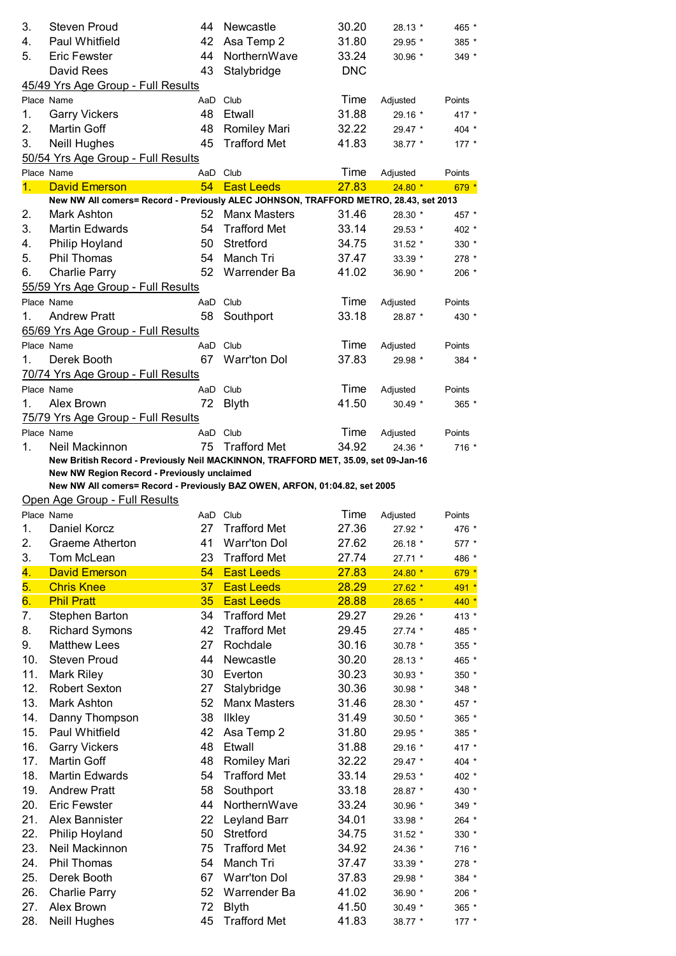| 3.  | <b>Steven Proud</b>                                                                  | 44  | Newcastle           | 30.20      | 28.13 *  | 465 *     |
|-----|--------------------------------------------------------------------------------------|-----|---------------------|------------|----------|-----------|
| 4.  | Paul Whitfield                                                                       | 42  | Asa Temp 2          | 31.80      | 29.95 *  | 385 *     |
| 5.  | <b>Eric Fewster</b>                                                                  | 44  | NorthernWave        | 33.24      | 30.96 *  | 349 *     |
|     | David Rees                                                                           | 43  | Stalybridge         | <b>DNC</b> |          |           |
|     | 45/49 Yrs Age Group - Full Results                                                   |     |                     |            |          |           |
|     | Place Name                                                                           | AaD | Club                | Time       | Adjusted | Points    |
| 1.  | <b>Garry Vickers</b>                                                                 | 48  | Etwall              | 31.88      | 29.16 *  | 417 *     |
| 2.  | <b>Martin Goff</b>                                                                   | 48  | <b>Romiley Mari</b> | 32.22      | 29.47 *  | 404 *     |
| 3.  | <b>Neill Hughes</b>                                                                  | 45  | <b>Trafford Met</b> | 41.83      | 38.77 *  | $177 *$   |
|     | 50/54 Yrs Age Group - Full Results                                                   |     |                     |            |          |           |
|     | Place Name                                                                           | AaD | Club                | Time       | Adjusted | Points    |
| 1.  | <b>David Emerson</b>                                                                 | 54  | <b>East Leeds</b>   | 27.83      | $24.80*$ | $679*$    |
|     | New NW All comers= Record - Previously ALEC JOHNSON, TRAFFORD METRO, 28.43, set 2013 |     |                     |            |          |           |
| 2.  | Mark Ashton                                                                          | 52  | <b>Manx Masters</b> | 31.46      | 28.30 *  | 457 *     |
| 3.  | <b>Martin Edwards</b>                                                                | 54  | <b>Trafford Met</b> | 33.14      | 29.53 *  | 402 *     |
| 4.  | Philip Hoyland                                                                       | 50  | Stretford           | 34.75      | $31.52*$ | 330 *     |
| 5.  | <b>Phil Thomas</b>                                                                   | 54  | Manch Tri           | 37.47      | 33.39 *  | $278$ $*$ |
| 6.  | <b>Charlie Parry</b>                                                                 | 52  | Warrender Ba        | 41.02      | 36.90 *  | 206 *     |
|     | 55/59 Yrs Age Group - Full Results                                                   |     |                     |            |          |           |
|     | Place Name                                                                           | AaD | Club                | Time       | Adjusted | Points    |
| 1.  | <b>Andrew Pratt</b>                                                                  | 58  | Southport           | 33.18      | 28.87 *  | 430 *     |
|     | 65/69 Yrs Age Group - Full Results                                                   |     |                     |            |          |           |
|     | Place Name                                                                           |     | AaD Club            | Time       | Adjusted | Points    |
| 1.  | Derek Booth                                                                          | 67  | <b>Warr'ton Dol</b> | 37.83      | 29.98 *  | 384 *     |
|     | 70/74 Yrs Age Group - Full Results                                                   |     |                     |            |          |           |
|     | Place Name                                                                           | AaD | Club                | Time       | Adjusted | Points    |
| 1.  | Alex Brown                                                                           | 72  | <b>Blyth</b>        | 41.50      | 30.49 *  | $365 *$   |
|     | 75/79 Yrs Age Group - Full Results                                                   |     |                     |            |          |           |
|     | Place Name                                                                           |     | AaD Club            | Time       | Adjusted | Points    |
| 1.  | Neil Mackinnon                                                                       | 75  | <b>Trafford Met</b> | 34.92      | 24.36 *  | 716 *     |
|     | New British Record - Previously Neil MACKINNON, TRAFFORD MET, 35.09, set 09-Jan-16   |     |                     |            |          |           |
|     | New NW Region Record - Previously unclaimed                                          |     |                     |            |          |           |
|     | New NW All comers= Record - Previously BAZ OWEN, ARFON, 01:04.82, set 2005           |     |                     |            |          |           |
|     | Open Age Group - Full Results                                                        |     |                     |            |          |           |
|     | Place Name                                                                           |     | AaD Club            | Time       | Adjusted | Points    |
| 1.  | Daniel Korcz                                                                         | 27  | <b>Trafford Met</b> | 27.36      | 27.92 *  | 476 *     |
| 2.  | Graeme Atherton                                                                      | 41  | Warr'ton Dol        | 27.62      | 26.18 *  | 577 *     |
| 3.  | Tom McLean                                                                           | 23  | <b>Trafford Met</b> | 27.74      | 27.71 *  | 486 *     |
| 4.  | <b>David Emerson</b>                                                                 | 54  | <b>East Leeds</b>   | 27.83      | $24.80*$ | $679*$    |
| 5.  | <b>Chris Knee</b>                                                                    | 37  | <b>East Leeds</b>   | 28.29      | $27.62*$ | $491 *$   |
| 6.  | <b>Phil Pratt</b>                                                                    | 35  | <b>East Leeds</b>   | 28.88      | $28.65*$ | $440 *$   |
| 7.  | Stephen Barton                                                                       | 34  | <b>Trafford Met</b> | 29.27      | 29.26 *  | 413 *     |
| 8.  | <b>Richard Symons</b>                                                                | 42  | <b>Trafford Met</b> | 29.45      | 27.74 *  | 485 *     |
| 9.  | <b>Matthew Lees</b>                                                                  | 27  | Rochdale            | 30.16      | 30.78 *  | 355 *     |
| 10. | <b>Steven Proud</b>                                                                  | 44  | Newcastle           | 30.20      | 28.13 *  | 465 *     |
| 11. | Mark Riley                                                                           | 30  | Everton             | 30.23      | 30.93 *  | 350 *     |
| 12. | <b>Robert Sexton</b>                                                                 | 27  | Stalybridge         | 30.36      | 30.98 *  | 348 *     |
| 13. | Mark Ashton                                                                          | 52  | <b>Manx Masters</b> | 31.46      | 28.30 *  | 457 *     |
| 14. | Danny Thompson                                                                       | 38  | <b>Ilkley</b>       | 31.49      | 30.50 *  | 365 *     |
| 15. | Paul Whitfield                                                                       | 42  | Asa Temp 2          | 31.80      | 29.95 *  | 385 *     |
| 16. | <b>Garry Vickers</b>                                                                 | 48  | Etwall              | 31.88      | 29.16 *  | 417 *     |
| 17. | <b>Martin Goff</b>                                                                   | 48  | Romiley Mari        | 32.22      | 29.47 *  | 404 *     |
| 18. | <b>Martin Edwards</b>                                                                | 54  | <b>Trafford Met</b> | 33.14      | 29.53 *  | 402 *     |
| 19. | <b>Andrew Pratt</b>                                                                  | 58  | Southport           | 33.18      | 28.87 *  | 430 *     |
| 20. | <b>Eric Fewster</b>                                                                  | 44  | NorthernWave        | 33.24      | 30.96 *  | 349 *     |
| 21. | Alex Bannister                                                                       | 22  | Leyland Barr        | 34.01      | 33.98 *  | 264 *     |
| 22. | Philip Hoyland                                                                       | 50  | Stretford           | 34.75      | 31.52 *  | 330 *     |
| 23. | Neil Mackinnon                                                                       | 75  | <b>Trafford Met</b> | 34.92      | 24.36 *  | 716 *     |
| 24. | Phil Thomas                                                                          | 54  | Manch Tri           | 37.47      | 33.39 *  | 278 *     |
| 25. | Derek Booth                                                                          | 67  | <b>Warr'ton Dol</b> | 37.83      | 29.98 *  | 384 *     |
| 26. | <b>Charlie Parry</b>                                                                 | 52  | Warrender Ba        | 41.02      | 36.90 *  | 206 *     |
| 27. | Alex Brown                                                                           | 72  | <b>Blyth</b>        | 41.50      | 30.49 *  | 365 *     |
| 28. | <b>Neill Hughes</b>                                                                  | 45  | <b>Trafford Met</b> | 41.83      | 38.77 *  | 177 *     |
|     |                                                                                      |     |                     |            |          |           |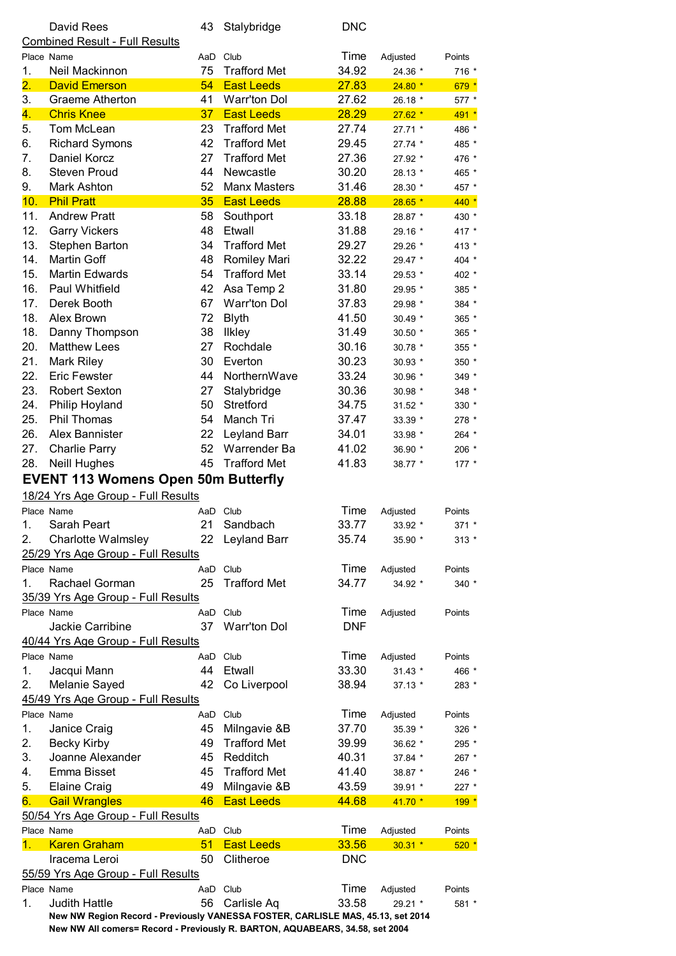|                           | David Rees<br><b>Combined Result - Full Results</b>                                                     | 43       | Stalybridge         | <b>DNC</b> |             |         |
|---------------------------|---------------------------------------------------------------------------------------------------------|----------|---------------------|------------|-------------|---------|
|                           | Place Name                                                                                              | AaD      | Club                | Time       | Adjusted    | Points  |
| 1.                        | Neil Mackinnon                                                                                          | 75       | <b>Trafford Met</b> | 34.92      | 24.36 *     | 716 *   |
| $\overline{\mathbf{2}}$ . | <b>David Emerson</b>                                                                                    | 54       | <b>East Leeds</b>   | 27.83      | $24.80*$    | $679*$  |
| 3.                        | Graeme Atherton                                                                                         | 41       | <b>Warr'ton Dol</b> | 27.62      | 26.18 *     | 577 *   |
| 4.                        | <b>Chris Knee</b>                                                                                       | 37       | <b>East Leeds</b>   | 28.29      | $27.62*$    | $491 *$ |
| 5.                        | Tom McLean                                                                                              | 23       | <b>Trafford Met</b> | 27.74      | 27.71 *     | 486 *   |
| 6.                        | <b>Richard Symons</b>                                                                                   | 42       | <b>Trafford Met</b> | 29.45      | 27.74 *     | 485 *   |
| 7.                        | Daniel Korcz                                                                                            | 27       | <b>Trafford Met</b> | 27.36      | 27.92 *     | 476 *   |
| 8.                        | <b>Steven Proud</b>                                                                                     | 44       | Newcastle           | 30.20      | 28.13 *     | 465 *   |
| 9.                        | Mark Ashton                                                                                             | 52       | <b>Manx Masters</b> | 31.46      | 28.30 *     | 457 *   |
| 10.                       | <b>Phil Pratt</b>                                                                                       | 35       | <b>East Leeds</b>   | 28.88      | $28.65*$    | $440*$  |
| 11.                       | <b>Andrew Pratt</b>                                                                                     | 58       | Southport           | 33.18      | 28.87 *     | 430 *   |
| 12.                       | <b>Garry Vickers</b>                                                                                    | 48       | Etwall              | 31.88      | 29.16 *     | 417 *   |
| 13.                       | Stephen Barton                                                                                          | 34       | <b>Trafford Met</b> | 29.27      | 29.26 *     | 413 *   |
| 14.                       | <b>Martin Goff</b>                                                                                      | 48       | Romiley Mari        | 32.22      | 29.47 *     | 404 *   |
| 15.                       | <b>Martin Edwards</b>                                                                                   | 54       | <b>Trafford Met</b> | 33.14      | 29.53 *     | 402 *   |
| 16.                       | Paul Whitfield                                                                                          | 42       | Asa Temp 2          | 31.80      | 29.95 *     | 385 *   |
| 17.                       | Derek Booth                                                                                             | 67       | <b>Warr'ton Dol</b> | 37.83      | 29.98 *     | 384 *   |
| 18.                       | Alex Brown                                                                                              | 72       | <b>Blyth</b>        | 41.50      | $30.49*$    | 365 *   |
| 18.                       | Danny Thompson                                                                                          | 38       | <b>Ilkley</b>       | 31.49      | $30.50*$    | 365 *   |
| 20.                       | <b>Matthew Lees</b>                                                                                     | 27       | Rochdale            | 30.16      | 30.78 *     | $355*$  |
| 21.                       | Mark Riley                                                                                              | 30       | Everton             | 30.23      | 30.93 *     | 350 *   |
| 22.                       | <b>Eric Fewster</b>                                                                                     | 44       | NorthernWave        | 33.24      | 30.96 *     | 349 *   |
| 23.                       | <b>Robert Sexton</b>                                                                                    | 27       | Stalybridge         | 30.36      | 30.98 *     | 348 *   |
| 24.                       | Philip Hoyland                                                                                          | 50       | Stretford           | 34.75      | 31.52 *     | 330 *   |
| 25.                       | <b>Phil Thomas</b>                                                                                      | 54       | Manch Tri           | 37.47      | 33.39 *     | 278 *   |
| 26.                       | Alex Bannister                                                                                          | 22       | Leyland Barr        | 34.01      | 33.98 *     | 264 *   |
| 27.                       | <b>Charlie Parry</b>                                                                                    | 52       | Warrender Ba        | 41.02      | 36.90 *     | 206 *   |
| 28.                       | <b>Neill Hughes</b>                                                                                     | 45       | <b>Trafford Met</b> | 41.83      | 38.77 *     | $177 *$ |
|                           | <b>EVENT 113 Womens Open 50m Butterfly</b>                                                              |          |                     |            |             |         |
|                           | 18/24 Yrs Age Group - Full Results                                                                      |          |                     |            |             |         |
|                           | Place Name                                                                                              | AaD Club |                     | Time       | Adjusted    | Points  |
| 1.                        | Sarah Peart                                                                                             | 21       | Sandbach            | 33.77      | $33.92$ $*$ | 371 *   |
| 2.                        | <b>Charlotte Walmsley</b>                                                                               | 22       | Leyland Barr        | 35.74      | 35.90 *     | $313 *$ |
|                           | 25/29 Yrs Age Group - Full Results                                                                      |          |                     |            |             |         |
|                           | Place Name                                                                                              |          | AaD Club            | Time       | Adjusted    | Points  |
| 1.                        | Rachael Gorman                                                                                          | 25       | <b>Trafford Met</b> | 34.77      | 34.92 *     | 340 *   |
|                           | 35/39 Yrs Age Group - Full Results                                                                      |          |                     |            |             |         |
|                           | Place Name                                                                                              | AaD      | Club                | Time       | Adjusted    | Points  |
|                           | Jackie Carribine                                                                                        | 37       | <b>Warr'ton Dol</b> | <b>DNF</b> |             |         |
|                           | 40/44 Yrs Age Group - Full Results                                                                      |          |                     |            |             |         |
|                           | Place Name                                                                                              | AaD      | Club                | Time       | Adjusted    | Points  |
| 1.                        | Jacqui Mann                                                                                             | 44       | Etwall              | 33.30      | $31.43*$    | 466 *   |
| 2.                        | Melanie Sayed                                                                                           | 42       | Co Liverpool        | 38.94      | $37.13*$    | 283 *   |
|                           | 45/49 Yrs Age Group - Full Results                                                                      |          |                     |            |             |         |
|                           | Place Name                                                                                              | AaD      | Club                | Time       | Adjusted    | Points  |
| 1.                        | Janice Craig                                                                                            | 45       | Milngavie &B        | 37.70      | 35.39 *     | 326 *   |
| 2.                        | <b>Becky Kirby</b>                                                                                      | 49       | <b>Trafford Met</b> | 39.99      | 36.62 *     | 295 *   |
| 3.                        | Joanne Alexander                                                                                        | 45       | Redditch            | 40.31      | 37.84 *     | 267 *   |
| 4.                        | Emma Bisset                                                                                             | 45       | <b>Trafford Met</b> | 41.40      | 38.87 *     | 246 *   |
| 5.                        | <b>Elaine Craig</b>                                                                                     | 49       | Milngavie &B        | 43.59      | 39.91 *     | 227 *   |
| 6.                        | <b>Gail Wrangles</b>                                                                                    | 46       | <b>East Leeds</b>   | 44.68      | $41.70*$    | $199 *$ |
|                           | 50/54 Yrs Age Group - Full Results                                                                      |          |                     |            |             |         |
|                           | Place Name                                                                                              | AaD Club |                     | Time       | Adjusted    | Points  |
| 1.                        | <b>Karen Graham</b>                                                                                     | 51       | <b>East Leeds</b>   | 33.56      | $30.31$ *   | $520*$  |
|                           | Iracema Leroi                                                                                           | 50       | Clitheroe           | <b>DNC</b> |             |         |
|                           | 55/59 Yrs Age Group - Full Results                                                                      |          |                     |            |             |         |
|                           | Place Name                                                                                              | AaD Club |                     | Time       | Adjusted    | Points  |
| 1.                        | <b>Judith Hattle</b><br>New NW Region Record - Previously VANESSA FOSTER, CARLISLE MAS, 45.13, set 2014 | 56       | Carlisle Aq         | 33.58      | 29.21 *     | 581 *   |
|                           |                                                                                                         |          |                     |            |             |         |

**New NW All comers= Record - Previously R. BARTON, AQUABEARS, 34.58, set 2004**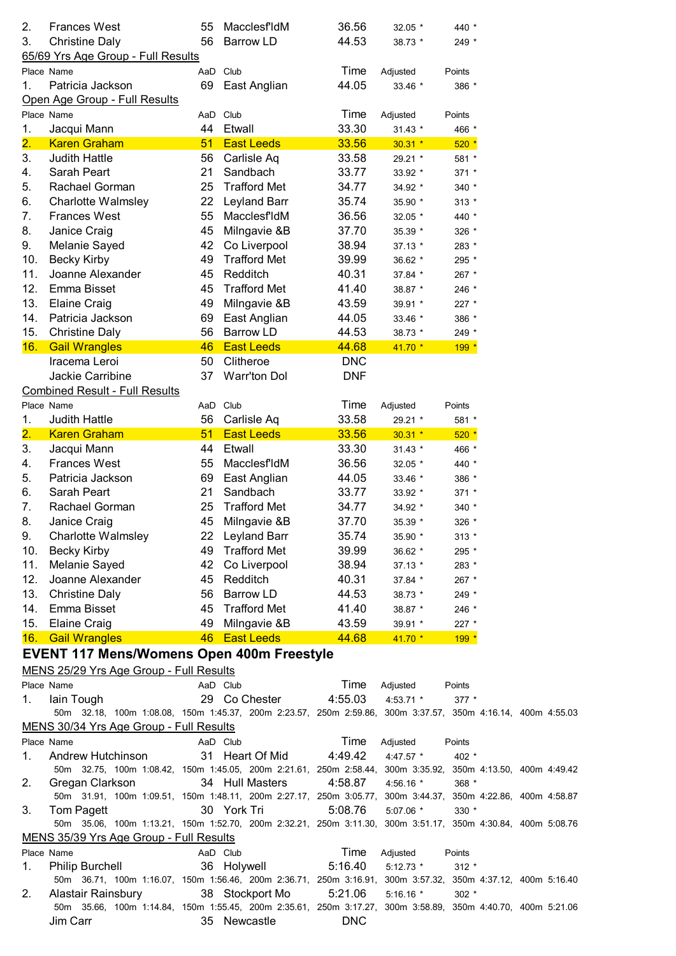| 2.<br>3.                  | <b>Frances West</b><br><b>Christine Daly</b>                                                                | 55<br>56 | <b>MacclesfldM</b><br><b>Barrow LD</b> | 36.56<br>44.53 | 32.05 *<br>38.73 * | 440 *<br>249 * |  |  |
|---------------------------|-------------------------------------------------------------------------------------------------------------|----------|----------------------------------------|----------------|--------------------|----------------|--|--|
|                           | 65/69 Yrs Age Group - Full Results                                                                          |          |                                        |                |                    |                |  |  |
|                           | Place Name                                                                                                  |          | AaD Club                               | Time           | Adjusted           | Points         |  |  |
| 1.                        | Patricia Jackson                                                                                            |          | 69 East Anglian                        | 44.05          | 33.46 *            | 386 *          |  |  |
|                           | Open Age Group - Full Results                                                                               |          |                                        |                |                    |                |  |  |
|                           | Place Name                                                                                                  |          | AaD Club                               | Time           | Adjusted           | Points         |  |  |
| 1.                        | Jacqui Mann                                                                                                 | 44       | Etwall                                 | 33.30          | $31.43*$           | 466 *          |  |  |
| $\overline{\mathbf{2}}$ . | <b>Karen Graham</b>                                                                                         | 51       | <b>East Leeds</b>                      | 33.56          | $30.31$ *          | $520*$         |  |  |
| 3.                        | <b>Judith Hattle</b>                                                                                        | 56       | Carlisle Aq                            | 33.58          | 29.21 *            | 581 *          |  |  |
| 4.                        | Sarah Peart                                                                                                 | 21       | Sandbach                               | 33.77          | 33.92 *            | 371 *          |  |  |
| 5.                        | Rachael Gorman                                                                                              | 25       | <b>Trafford Met</b>                    | 34.77          | 34.92 *            | $340 *$        |  |  |
| 6.                        | <b>Charlotte Walmsley</b>                                                                                   |          | 22 Leyland Barr                        | 35.74          | 35.90 *            | $313 *$        |  |  |
| 7.                        | <b>Frances West</b>                                                                                         | 55       | MacclesfIdM                            | 36.56          | 32.05 *            | 440 *          |  |  |
| 8.                        | Janice Craig                                                                                                | 45       | Milngavie &B                           | 37.70          | 35.39 *            | 326 *          |  |  |
| 9.                        | Melanie Sayed                                                                                               | 42       | Co Liverpool                           | 38.94          | $37.13*$           | 283 *          |  |  |
| 10.                       | <b>Becky Kirby</b>                                                                                          | 49       | <b>Trafford Met</b>                    | 39.99          | 36.62 *            | 295 *          |  |  |
| 11.                       | Joanne Alexander                                                                                            | 45       | Redditch                               | 40.31          | 37.84 *            | 267 *          |  |  |
| 12.                       | Emma Bisset                                                                                                 | 45       | <b>Trafford Met</b>                    | 41.40          | 38.87 *            | 246 *          |  |  |
| 13.                       | <b>Elaine Craig</b>                                                                                         | 49       | Milngavie &B                           | 43.59          | 39.91 *            | 227 *          |  |  |
| 14.                       | Patricia Jackson                                                                                            | 69       | East Anglian                           | 44.05          | 33.46 *            | 386 *          |  |  |
| 15.                       | <b>Christine Daly</b>                                                                                       | 56       | <b>Barrow LD</b>                       | 44.53          | 38.73 *            | 249 *          |  |  |
| 16.                       | <b>Gail Wrangles</b>                                                                                        | 46       | <b>East Leeds</b>                      | 44.68          | $41.70*$           | $199 *$        |  |  |
|                           | Iracema Leroi                                                                                               | 50       | Clitheroe                              | <b>DNC</b>     |                    |                |  |  |
|                           | Jackie Carribine                                                                                            | 37       | <b>Warr'ton Dol</b>                    | <b>DNF</b>     |                    |                |  |  |
|                           |                                                                                                             |          |                                        |                |                    |                |  |  |
|                           | <b>Combined Result - Full Results</b>                                                                       |          |                                        |                |                    |                |  |  |
|                           | Place Name                                                                                                  |          | AaD Club                               | Time           | Adjusted           | Points         |  |  |
| 1.                        | <b>Judith Hattle</b>                                                                                        | 56       | Carlisle Aq                            | 33.58          | 29.21 *            | 581 *          |  |  |
| $\overline{\mathbf{2}}$ . | <b>Karen Graham</b>                                                                                         | 51       | <b>East Leeds</b>                      | 33.56          | $30.31$ *          | $520*$         |  |  |
| 3.                        | Jacqui Mann                                                                                                 | 44       | Etwall                                 | 33.30          | $31.43*$           | 466 *          |  |  |
| 4.                        | <b>Frances West</b>                                                                                         | 55       | MacclesfIdM                            | 36.56          | 32.05 *            | 440 *          |  |  |
| 5.                        | Patricia Jackson                                                                                            |          | 69 East Anglian                        | 44.05          | 33.46 *            | 386 *          |  |  |
| 6.                        | Sarah Peart                                                                                                 | 21       | Sandbach                               | 33.77          | 33.92 *            | 371 *          |  |  |
| 7.                        | Rachael Gorman                                                                                              | 25       | <b>Trafford Met</b>                    | 34.77          | 34.92 *            | 340 *          |  |  |
| 8.                        | Janice Craig                                                                                                | 45       | Milngavie &B                           | 37.70          | 35.39 *            | 326 *          |  |  |
| 9.                        | <b>Charlotte Walmsley</b>                                                                                   |          | 22 Leyland Barr                        | 35.74          | 35.90 *            | $313 *$        |  |  |
| 10.                       | <b>Becky Kirby</b>                                                                                          | 49       | <b>Trafford Met</b>                    | 39.99          | 36.62 *            | 295 *          |  |  |
| 11.                       | Melanie Sayed                                                                                               | 42       | Co Liverpool                           | 38.94          | $37.13*$           | 283 *          |  |  |
| 12.                       | Joanne Alexander                                                                                            | 45       | Redditch                               | 40.31          | $37.84*$           | $267$ *        |  |  |
| 13.                       | <b>Christine Daly</b>                                                                                       | 56       | Barrow LD                              | 44.53          | 38.73 *            | 249 *          |  |  |
| 14.                       | Emma Bisset                                                                                                 | 45       | <b>Trafford Met</b>                    | 41.40          | 38.87 *            | 246 *          |  |  |
| 15.                       | <b>Elaine Craig</b>                                                                                         | 49       | Milngavie &B                           | 43.59          | 39.91 *            | 227 *          |  |  |
|                           | 16. Gail Wrangles                                                                                           |          | 46 East Leeds                          | 44.68          | $41.70*$           | $199 *$        |  |  |
|                           | <b>EVENT 117 Mens/Womens Open 400m Freestyle</b>                                                            |          |                                        |                |                    |                |  |  |
|                           | MENS 25/29 Yrs Age Group - Full Results                                                                     |          |                                        |                |                    |                |  |  |
|                           |                                                                                                             |          |                                        |                |                    |                |  |  |
|                           | Place Name                                                                                                  |          | AaD Club                               | Time           | Adjusted           | Points         |  |  |
| 1.                        | lain Tough                                                                                                  |          | 29 Co Chester                          | 4:55.03        | $4:53.71$ *        | $377 *$        |  |  |
|                           | 50m 32.18, 100m 1:08.08, 150m 1:45.37, 200m 2:23.57, 250m 2:59.86, 300m 3:37.57, 350m 4:16.14, 400m 4:55.03 |          |                                        |                |                    |                |  |  |
|                           | MENS 30/34 Yrs Age Group - Full Results                                                                     |          |                                        |                |                    |                |  |  |
|                           | Place Name                                                                                                  | AaD Club |                                        | Time           | Adjusted           | Points         |  |  |
| 1.                        | Andrew Hutchinson                                                                                           |          | 31 Heart Of Mid                        | 4:49.42        | 4:47.57 *          | 402 *          |  |  |
|                           | 50m 32.75, 100m 1:08.42, 150m 1:45.05, 200m 2:21.61, 250m 2:58.44, 300m 3:35.92, 350m 4:13.50, 400m 4:49.42 |          |                                        |                |                    |                |  |  |
| 2.                        | Gregan Clarkson                                                                                             |          | 34 Hull Masters                        | 4:58.87        | $4:56.16$ *        | 368 *          |  |  |
|                           | 50m 31.91, 100m 1:09.51, 150m 1:48.11, 200m 2:27.17, 250m 3:05.77, 300m 3:44.37, 350m 4:22.86, 400m 4:58.87 |          |                                        |                |                    |                |  |  |
| 3.                        | Tom Pagett                                                                                                  |          | 30 York Tri                            | 5:08.76        | $5:07.06$ *        | $330 *$        |  |  |
|                           | 50m 35.06, 100m 1:13.21, 150m 1:52.70, 200m 2:32.21, 250m 3:11.30, 300m 3:51.17, 350m 4:30.84, 400m 5:08.76 |          |                                        |                |                    |                |  |  |
|                           | MENS 35/39 Yrs Age Group - Full Results                                                                     |          |                                        |                |                    |                |  |  |
|                           | Place Name                                                                                                  | AaD Club |                                        | Time           | Adjusted           | Points         |  |  |
| 1.                        | <b>Philip Burchell</b>                                                                                      |          | 36 Holywell                            | 5:16.40        | $5:12.73$ *        | $312 *$        |  |  |
|                           | 50m 36.71, 100m 1:16.07, 150m 1:56.46, 200m 2:36.71, 250m 3:16.91, 300m 3:57.32, 350m 4:37.12, 400m 5:16.40 |          |                                        |                |                    |                |  |  |
| 2.                        | Alastair Rainsbury                                                                                          |          | 38 Stockport Mo                        | 5:21.06        | $5:16.16*$         | $302$ $*$      |  |  |
|                           | 50m 35.66, 100m 1:14.84, 150m 1:55.45, 200m 2:35.61, 250m 3:17.27, 300m 3:58.89, 350m 4:40.70, 400m 5:21.06 |          |                                        | <b>DNC</b>     |                    |                |  |  |
|                           | Jim Carr                                                                                                    |          | 35 Newcastle                           |                |                    |                |  |  |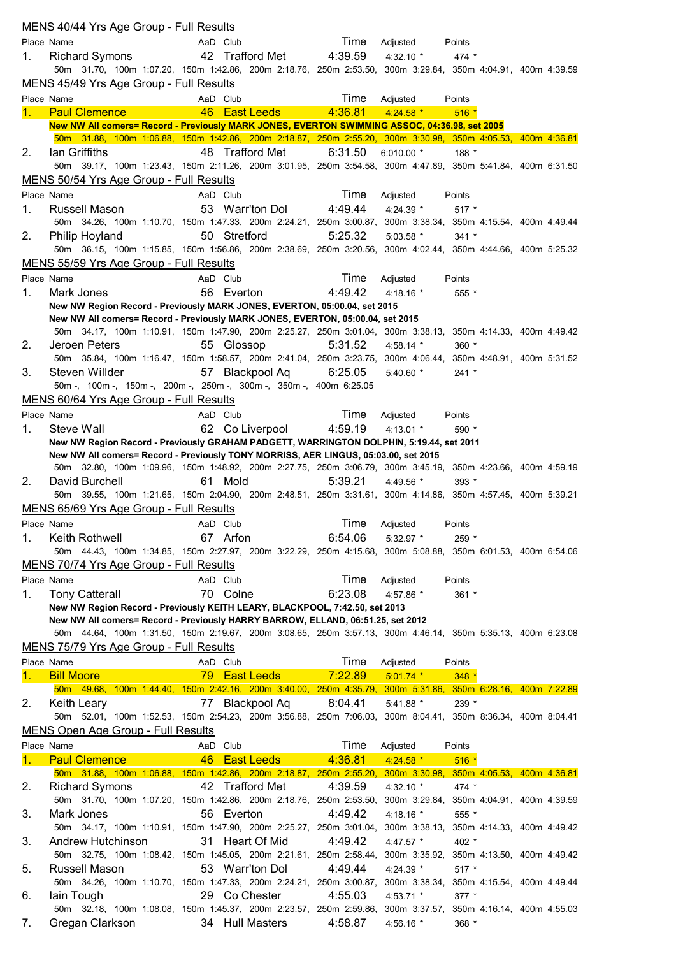|    | MENS 40/44 Yrs Age Group - Full Results                                                                                                                                                            |              |                   |         |                                          |                                       |  |  |
|----|----------------------------------------------------------------------------------------------------------------------------------------------------------------------------------------------------|--------------|-------------------|---------|------------------------------------------|---------------------------------------|--|--|
|    | Place Name                                                                                                                                                                                         | AaD Club     |                   | Time    | Adjusted                                 | Points                                |  |  |
| 1. | <b>Richard Symons</b>                                                                                                                                                                              |              | 42 Trafford Met   | 4:39.59 | 4:32.10 $*$                              | $474 *$                               |  |  |
|    | 50m 31.70, 100m 1:07.20, 150m 1:42.86, 200m 2:18.76, 250m 2:53.50, 300m 3:29.84, 350m 4:04.91, 400m 4:39.59                                                                                        |              |                   |         |                                          |                                       |  |  |
|    | MENS 45/49 Yrs Age Group - Full Results                                                                                                                                                            |              |                   |         |                                          |                                       |  |  |
|    | Place Name                                                                                                                                                                                         | AaD Club     |                   | Time    | Adjusted                                 | Points                                |  |  |
| 1. | <b>Paul Clemence</b>                                                                                                                                                                               | 46           | <b>East Leeds</b> | 4:36.81 | $4:24.58$ *                              | $516*$                                |  |  |
|    | New NW All comers= Record - Previously MARK JONES, EVERTON SWIMMING ASSOC, 04:36.98, set 2005                                                                                                      |              |                   |         |                                          |                                       |  |  |
|    | 50m 31.88, 100m 1:06.88, 150m 1:42.86, 200m 2:18.87, 250m 2:55.20, 300m 3:30.98, 350m 4:05.53, 400m 4:36.81                                                                                        |              |                   |         |                                          |                                       |  |  |
| 2. | lan Griffiths<br>50m 39.17, 100m 1:23.43, 150m 2:11.26, 200m 3:01.95, 250m 3:54.58, 300m 4:47.89, 350m 5:41.84, 400m 6:31.50                                                                       |              | 48 Trafford Met   | 6:31.50 | 6:010.00 $*$                             | 188 *                                 |  |  |
|    | MENS 50/54 Yrs Age Group - Full Results                                                                                                                                                            |              |                   |         |                                          |                                       |  |  |
|    | Place Name                                                                                                                                                                                         | AaD Club     |                   | Time    | Adjusted                                 | Points                                |  |  |
| 1. | Russell Mason                                                                                                                                                                                      |              | 53 Warr'ton Dol   | 4:49.44 | 4:24.39 *                                | $517 *$                               |  |  |
|    | 50m 34.26, 100m 1:10.70, 150m 1:47.33, 200m 2:24.21, 250m 3:00.87,                                                                                                                                 |              |                   |         | 300m 3:38.34, 350m 4:15.54, 400m 4:49.44 |                                       |  |  |
| 2. | Philip Hoyland                                                                                                                                                                                     | 50 Stretford |                   | 5:25.32 | $5:03.58$ *                              | $341 *$                               |  |  |
|    | 50m 36.15, 100m 1:15.85, 150m 1:56.86, 200m 2:38.69, 250m 3:20.56, 300m 4:02.44, 350m 4:44.66, 400m 5:25.32                                                                                        |              |                   |         |                                          |                                       |  |  |
|    | MENS 55/59 Yrs Age Group - Full Results                                                                                                                                                            |              |                   |         |                                          |                                       |  |  |
|    | Place Name                                                                                                                                                                                         | AaD Club     |                   | Time    | Adjusted                                 | Points                                |  |  |
| 1. | Mark Jones                                                                                                                                                                                         | 56 Everton   |                   | 4:49.42 | 4:18.16 $*$                              | 555 *                                 |  |  |
|    | New NW Region Record - Previously MARK JONES, EVERTON, 05:00.04, set 2015                                                                                                                          |              |                   |         |                                          |                                       |  |  |
|    | New NW All comers= Record - Previously MARK JONES, EVERTON, 05:00.04, set 2015                                                                                                                     |              |                   |         |                                          |                                       |  |  |
|    | 50m 34.17, 100m 1:10.91, 150m 1:47.90, 200m 2:25.27, 250m 3:01.04, 300m 3:38.13, 350m 4:14.33, 400m 4:49.42                                                                                        |              |                   |         |                                          |                                       |  |  |
| 2. | Jeroen Peters                                                                                                                                                                                      | 55 Glossop   |                   | 5:31.52 | 4:58.14 *                                | $360*$                                |  |  |
|    | 50m 35.84, 100m 1:16.47, 150m 1:58.57, 200m 2:41.04, 250m 3:23.75,                                                                                                                                 |              |                   |         | 300m 4:06.44, 350m 4:48.91, 400m 5:31.52 |                                       |  |  |
| 3. | Steven Willder                                                                                                                                                                                     |              | 57 Blackpool Aq   | 6:25.05 | $5:40.60*$                               | $241 *$                               |  |  |
|    | 50m -, 100m -, 150m -, 200m -, 250m -, 300m -, 350m -, 400m 6:25.05                                                                                                                                |              |                   |         |                                          |                                       |  |  |
|    | MENS 60/64 Yrs Age Group - Full Results                                                                                                                                                            |              |                   |         |                                          |                                       |  |  |
|    | Place Name                                                                                                                                                                                         | AaD Club     |                   | Time    | Adjusted                                 | Points                                |  |  |
| 1. | Steve Wall                                                                                                                                                                                         |              | 62 Co Liverpool   | 4:59.19 | 4:13.01 *                                | 590 *                                 |  |  |
|    | New NW Region Record - Previously GRAHAM PADGETT, WARRINGTON DOLPHIN, 5:19.44, set 2011                                                                                                            |              |                   |         |                                          |                                       |  |  |
|    | New NW All comers= Record - Previously TONY MORRISS, AER LINGUS, 05:03.00, set 2015<br>50m 32.80, 100m 1:09.96, 150m 1:48.92, 200m 2:27.75, 250m 3:06.79, 300m 3:45.19, 350m 4:23.66, 400m 4:59.19 |              |                   |         |                                          |                                       |  |  |
| 2. | David Burchell                                                                                                                                                                                     | 61 Mold      |                   | 5:39.21 | 4:49.56 *                                | 393 *                                 |  |  |
|    | 50m 39.55, 100m 1:21.65, 150m 2:04.90, 200m 2:48.51, 250m 3:31.61, 300m 4:14.86, 350m 4:57.45, 400m 5:39.21                                                                                        |              |                   |         |                                          |                                       |  |  |
|    | MENS 65/69 Yrs Age Group - Full Results                                                                                                                                                            |              |                   |         |                                          |                                       |  |  |
|    | Place Name                                                                                                                                                                                         | AaD Club     |                   | Time    | Adjusted                                 | Points                                |  |  |
| 1. | Keith Rothwell                                                                                                                                                                                     | 67 Arfon     |                   | 6:54.06 | 5:32.97 *                                | 259 *                                 |  |  |
|    | 50m 44.43, 100m 1:34.85, 150m 2:27.97, 200m 3:22.29, 250m 4:15.68, 300m 5:08.88, 350m 6:01.53, 400m 6:54.06                                                                                        |              |                   |         |                                          |                                       |  |  |
|    | MENS 70/74 Yrs Age Group - Full Results                                                                                                                                                            |              |                   |         |                                          |                                       |  |  |
|    | Place Name                                                                                                                                                                                         | AaD Club     |                   | Time    | Adjusted                                 | Points                                |  |  |
| 1. | <b>Tony Catterall</b>                                                                                                                                                                              | 70 Colne     |                   | 6:23.08 | 4:57.86 *                                | 361 *                                 |  |  |
|    | New NW Region Record - Previously KEITH LEARY, BLACKPOOL, 7:42.50, set 2013                                                                                                                        |              |                   |         |                                          |                                       |  |  |
|    | New NW All comers= Record - Previously HARRY BARROW, ELLAND, 06:51.25, set 2012                                                                                                                    |              |                   |         |                                          |                                       |  |  |
|    | 50m 44.64, 100m 1:31.50, 150m 2:19.67, 200m 3:08.65, 250m 3:57.13, 300m 4:46.14, 350m 5:35.13, 400m 6:23.08                                                                                        |              |                   |         |                                          |                                       |  |  |
|    | MENS 75/79 Yrs Age Group - Full Results                                                                                                                                                            |              |                   |         |                                          |                                       |  |  |
|    | Place Name                                                                                                                                                                                         | AaD Club     |                   | Time    | Adjusted                                 | Points                                |  |  |
| 1. | <b>Bill Moore</b>                                                                                                                                                                                  | 79           | <b>East Leeds</b> | 7:22.89 | $5:01.74$ *                              | $348*$                                |  |  |
|    | 50m 49.68, 100m 1:44.40, 150m 2:42.16, 200m 3:40.00, 250m 4:35.79, 300m 5:31.86,                                                                                                                   |              |                   |         |                                          | 350m 6:28.16, 400m 7:22.89            |  |  |
| 2. | <b>Keith Leary</b>                                                                                                                                                                                 |              | 77 Blackpool Aq   | 8:04.41 | $5:41.88$ *                              | 239 *                                 |  |  |
|    | 50m 52.01, 100m 1:52.53, 150m 2:54.23, 200m 3:56.88, 250m 7:06.03,                                                                                                                                 |              |                   |         | 300m 8:04.41, 350m 8:36.34, 400m 8:04.41 |                                       |  |  |
|    | <b>MENS Open Age Group - Full Results</b>                                                                                                                                                          |              |                   |         |                                          |                                       |  |  |
|    | Place Name                                                                                                                                                                                         | AaD Club     |                   | Time    | Adjusted                                 | Points                                |  |  |
| 1. | <b>Paul Clemence</b>                                                                                                                                                                               |              | 46 East Leeds     | 4:36.81 | $4:24.58$ *                              | $516*$                                |  |  |
|    | 50m 31.88, 100m 1:06.88, 150m 1:42.86, 200m 2:18.87, 250m 2:55.20,                                                                                                                                 |              | 42 Trafford Met   |         | 300m 3:30.98,                            | 350m 4:05.53, 400m 4:36.81            |  |  |
| 2. | <b>Richard Symons</b><br>50m 31.70, 100m 1:07.20, 150m 1:42.86, 200m 2:18.76, 250m 2:53.50,                                                                                                        |              |                   | 4:39.59 | 4:32.10 *<br>300m 3:29.84,               | $474 *$<br>350m 4:04.91, 400m 4:39.59 |  |  |
| 3. | Mark Jones                                                                                                                                                                                         | 56 Everton   |                   | 4:49.42 | 4:18.16 *                                | 555 *                                 |  |  |
|    | 50m 34.17, 100m 1:10.91, 150m 1:47.90, 200m 2:25.27, 250m 3:01.04,                                                                                                                                 |              |                   |         | 300m 3:38.13,                            | 350m 4:14.33, 400m 4:49.42            |  |  |
| 3. | Andrew Hutchinson                                                                                                                                                                                  |              | 31 Heart Of Mid   | 4:49.42 | 4:47.57 *                                | 402 *                                 |  |  |
|    | 50m 32.75, 100m 1:08.42, 150m 1:45.05, 200m 2:21.61, 250m 2:58.44,                                                                                                                                 |              |                   |         | 300m 3:35.92,                            | 350m 4:13.50, 400m 4:49.42            |  |  |
| 5. | Russell Mason                                                                                                                                                                                      |              | 53 Warr'ton Dol   | 4:49.44 | 4:24.39 *                                | 517 *                                 |  |  |
|    | 50m 34.26, 100m 1:10.70, 150m 1:47.33, 200m 2:24.21, 250m 3:00.87,                                                                                                                                 |              |                   |         | 300m 3:38.34,                            | 350m 4:15.54, 400m 4:49.44            |  |  |
| 6. | lain Tough                                                                                                                                                                                         |              | 29 Co Chester     | 4:55.03 | 4:53.71 *                                | 377 *                                 |  |  |
|    | 50m 32.18, 100m 1:08.08, 150m 1:45.37, 200m 2:23.57, 250m 2:59.86,                                                                                                                                 |              |                   |         | 300m 3:37.57,                            | 350m 4:16.14, 400m 4:55.03            |  |  |
| 7. | Gregan Clarkson                                                                                                                                                                                    |              | 34 Hull Masters   | 4:58.87 | 4:56.16 *                                | 368 *                                 |  |  |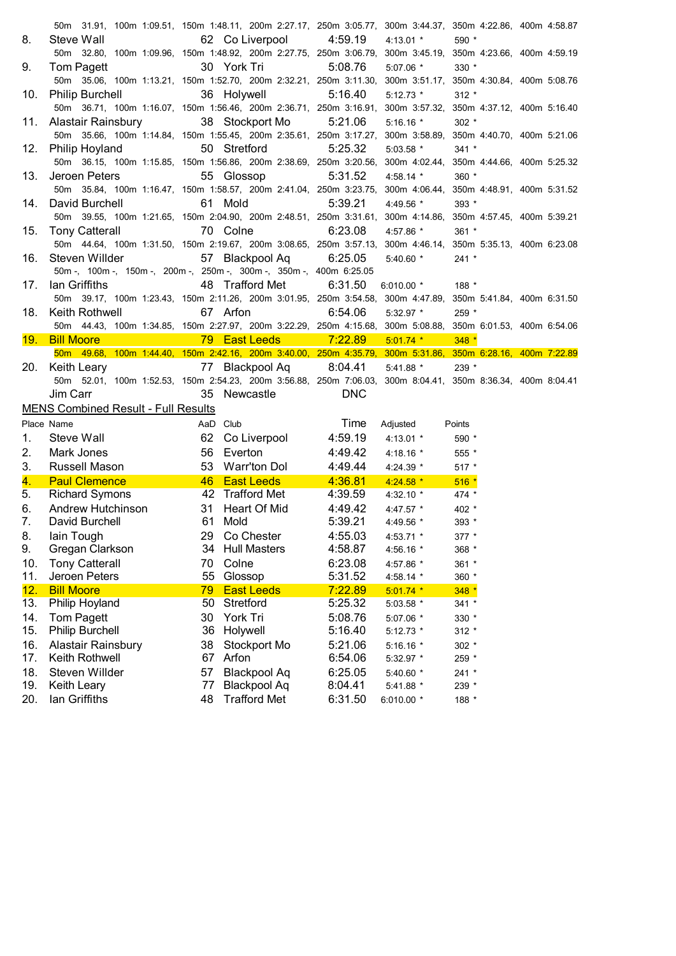|            |                                                       | 50m 31.91, 100m 1:09.51, 150m 1:48.11, 200m 2:27.17, 250m 3:05.77, 300m 3:44.37, 350m 4:22.86, 400m 4:58.87 |                                 |                                          |  |
|------------|-------------------------------------------------------|-------------------------------------------------------------------------------------------------------------|---------------------------------|------------------------------------------|--|
| 8.         | Steve Wall                                            | 62 Co Liverpool                                                                                             | 4:59.19<br>$4:13.01$ *          | 590 *                                    |  |
|            |                                                       | 50m 32.80, 100m 1:09.96, 150m 1:48.92, 200m 2:27.75, 250m 3:06.79,                                          |                                 | 300m 3:45.19, 350m 4:23.66, 400m 4:59.19 |  |
| 9.         | Tom Pagett                                            | 30 York Tri                                                                                                 | 5:08.76<br>5:07.06 *            | $330 *$                                  |  |
|            |                                                       | 50m 35.06, 100m 1:13.21, 150m 1:52.70, 200m 2:32.21, 250m 3:11.30,                                          |                                 | 300m 3:51.17, 350m 4:30.84, 400m 5:08.76 |  |
| 10.        | <b>Philip Burchell</b>                                | 36 Holywell                                                                                                 | 5:16.40<br>$5:12.73$ *          | $312 *$                                  |  |
|            |                                                       | 50m 36.71, 100m 1:16.07, 150m 1:56.46, 200m 2:36.71, 250m 3:16.91,                                          |                                 | 300m 3:57.32, 350m 4:37.12, 400m 5:16.40 |  |
| 11.        | Alastair Rainsbury                                    | 38 Stockport Mo                                                                                             | 5:21.06<br>$5:16.16$ *          | $302 *$                                  |  |
|            |                                                       | 50m 35.66, 100m 1:14.84, 150m 1:55.45, 200m 2:35.61, 250m 3:17.27,                                          |                                 | 300m 3:58.89, 350m 4:40.70, 400m 5:21.06 |  |
| 12.        | Philip Hoyland                                        | 50 Stretford                                                                                                | 5:25.32<br>$5:03.58$ *          | $341 *$                                  |  |
|            |                                                       | 50m 36.15, 100m 1:15.85, 150m 1:56.86, 200m 2:38.69, 250m 3:20.56,                                          |                                 | 300m 4:02.44, 350m 4:44.66, 400m 5:25.32 |  |
| 13.        | Jeroen Peters                                         | 55 Glossop                                                                                                  | 5:31.52<br>$4:58.14$ *          | $360 *$                                  |  |
|            |                                                       | 50m 35.84, 100m 1:16.47, 150m 1:58.57, 200m 2:41.04, 250m 3:23.75,                                          |                                 | 300m 4:06.44, 350m 4:48.91, 400m 5:31.52 |  |
| 14.        | David Burchell                                        | 61 Mold                                                                                                     | 5:39.21<br>4:49.56 *            | 393 *                                    |  |
|            |                                                       | 50m 39.55, 100m 1:21.65, 150m 2:04.90, 200m 2:48.51, 250m 3:31.61,                                          |                                 | 300m 4:14.86, 350m 4:57.45, 400m 5:39.21 |  |
| 15.        | <b>Tony Catterall</b>                                 | 70 Colne                                                                                                    | 6:23.08<br>4:57.86 *            | $361 *$                                  |  |
|            |                                                       | 50m 44.64, 100m 1:31.50, 150m 2:19.67, 200m 3:08.65, 250m 3:57.13, 300m 4:46.14, 350m 5:35.13, 400m 6:23.08 |                                 |                                          |  |
| 16.        | Steven Willder                                        | 57 Blackpool Aq                                                                                             | 6:25.05<br>$5:40.60$ *          | $241 *$                                  |  |
|            |                                                       | 50m -, 100m -, 150m -, 200m -, 250m -, 300m -, 350m -, 400m 6:25.05                                         |                                 |                                          |  |
| 17.        | lan Griffiths                                         | 48 Trafford Met                                                                                             | 6:31.50<br>$6:010.00$ *         | 188 *                                    |  |
|            |                                                       | 50m 39.17, 100m 1:23.43, 150m 2:11.26, 200m 3:01.95, 250m 3:54.58, 300m 4:47.89, 350m 5:41.84, 400m 6:31.50 |                                 |                                          |  |
| 18.        | Keith Rothwell                                        | 67 Arfon                                                                                                    | 6:54.06<br>$5:32.97$ *          | 259 *                                    |  |
|            |                                                       | 50m 44.43, 100m 1:34.85, 150m 2:27.97, 200m 3:22.29, 250m 4:15.68, 300m 5:08.88, 350m 6:01.53, 400m 6:54.06 |                                 |                                          |  |
| 19. I      | <b>Bill Moore</b>                                     | 79 East Leeds                                                                                               | $-7:22.89$<br>$5:01.74$ *       | $348 *$                                  |  |
|            |                                                       | 50m 49.68, 100m 1:44.40, 150m 2:42.16, 200m 3:40.00, 250m 4:35.79, 300m 5:31.86, 350m 6:28.16, 400m 7:22.89 |                                 |                                          |  |
|            |                                                       |                                                                                                             |                                 |                                          |  |
| 20.        | Keith Leary                                           | 77 Blackpool Aq                                                                                             | 8:04.41<br>$5:41.88$ *          | $239 *$                                  |  |
|            |                                                       | 50m 52.01, 100m 1:52.53, 150m 2:54.23, 200m 3:56.88, 250m 7:06.03, 300m 8:04.41, 350m 8:36.34, 400m 8:04.41 |                                 |                                          |  |
|            | Jim Carr                                              | 35 Newcastle                                                                                                | <b>DNC</b>                      |                                          |  |
|            | <b>MENS Combined Result - Full Results</b>            |                                                                                                             |                                 |                                          |  |
|            | Place Name                                            | AaD Club                                                                                                    | Time<br>Adjusted                | Points                                   |  |
| 1.         | Steve Wall                                            | 62 Co Liverpool                                                                                             | 4:59.19<br>$4:13.01$ *          | 590 *                                    |  |
| 2.         | Mark Jones                                            | 56 Everton                                                                                                  | 4:49.42<br>4:18.16 $*$          | 555 *                                    |  |
| 3.         | <b>Russell Mason</b>                                  | 53 Warr'ton Dol 4:49.44                                                                                     | 4:24.39 *                       | 517 *                                    |  |
| 4.         | <b>Paul Clemence</b>                                  | 46 East Leeds 4:36.81                                                                                       | $4:24.58$ *                     | $516*$                                   |  |
| 5.         | <u> Tanzania</u><br><b>Richard Symons</b>             | 42 Trafford Met                                                                                             | 4:39.59<br>4:32.10 $*$          | 474 *                                    |  |
| 6.         |                                                       | 31 Heart Of Mid                                                                                             | 4:49.42<br>4:47.57 $*$          | 402 *                                    |  |
| 7.         | Andrew Hutchinson<br>David Burchell<br>David Burchell | 61 Mold                                                                                                     | 5:39.21<br>$4:49.56$ *          | 393 *                                    |  |
| 8.         | lain Tough                                            | Co Chester<br>29                                                                                            | 4:55.03<br>4:53.71 *            | $377 *$                                  |  |
| 9.         | Gregan Clarkson                                       | <b>Hull Masters</b><br>34                                                                                   | 4:58.87<br>4:56.16 *            | 368 *                                    |  |
| 10.        | <b>Tony Catterall</b>                                 | Colne<br>70                                                                                                 | 6:23.08<br>4:57.86 *            | 361 *                                    |  |
| 11.        | Jeroen Peters                                         | 55<br>Glossop                                                                                               | 5:31.52<br>4:58.14 *            | 360 *                                    |  |
| 12.        | <b>Bill Moore</b>                                     | <b>East Leeds</b><br>79                                                                                     | 7:22.89<br>$5:01.74$ *          | $348 *$                                  |  |
| 13.        | Philip Hoyland                                        | Stretford<br>50                                                                                             | 5:25.32<br>5:03.58 *            | $341 *$                                  |  |
| 14.        | <b>Tom Pagett</b>                                     | York Tri<br>30                                                                                              | 5:08.76<br>5:07.06 *            | 330 *                                    |  |
| 15.        | <b>Philip Burchell</b>                                | 36<br>Holywell                                                                                              | 5:16.40<br>$5:12.73$ *          | $312 *$                                  |  |
| 16.        | <b>Alastair Rainsbury</b>                             | 38<br>Stockport Mo                                                                                          | 5:21.06<br>5:16.16 *            | 302 *                                    |  |
| 17.        | Keith Rothwell                                        | 67<br>Arfon                                                                                                 | 6:54.06<br>5:32.97 *            | 259 *                                    |  |
| 18.        | Steven Willder                                        | Blackpool Aq<br>57                                                                                          | 6:25.05<br>5:40.60 *            | 241 *                                    |  |
| 19.<br>20. | Keith Leary<br>lan Griffiths                          | <b>Blackpool Aq</b><br>77<br><b>Trafford Met</b><br>48                                                      | 8:04.41<br>5:41.88 *<br>6:31.50 | 239 *                                    |  |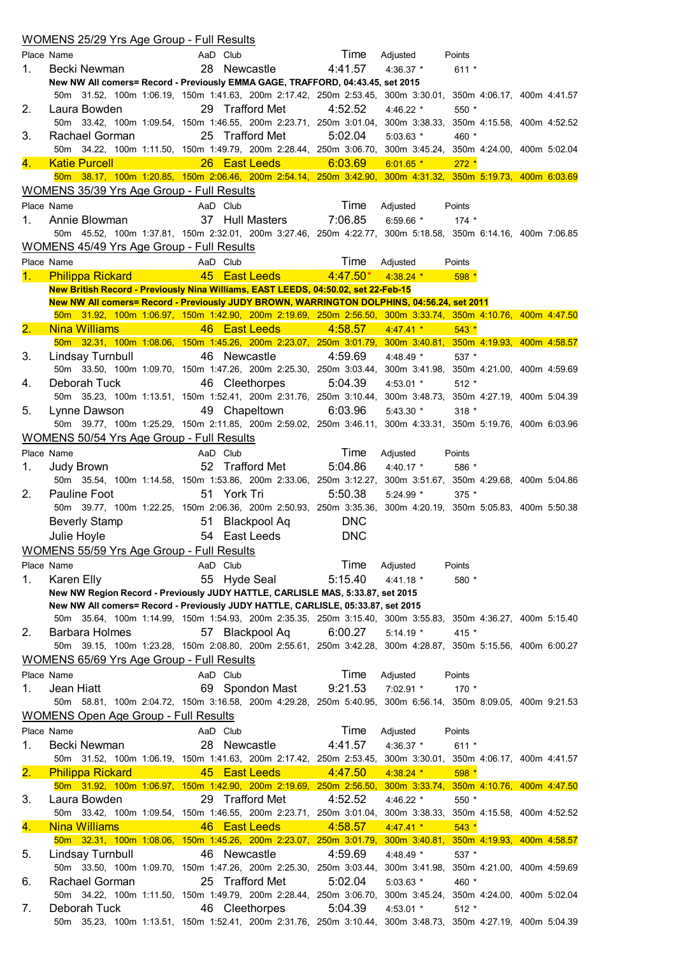|                           | <u>WOMENS 25/29 Yrs Age Group - Full Results</u> |                                                                                                                                                                                                 |            |                       |                                          |  |
|---------------------------|--------------------------------------------------|-------------------------------------------------------------------------------------------------------------------------------------------------------------------------------------------------|------------|-----------------------|------------------------------------------|--|
|                           | Place Name                                       | AaD Club                                                                                                                                                                                        | Time       | Adjusted              | Points                                   |  |
| 1.                        | Becki Newman                                     | 28 Newcastle                                                                                                                                                                                    | 4:41.57    | 4:36.37 *             | $611 *$                                  |  |
|                           |                                                  | New NW All comers= Record - Previously EMMA GAGE, TRAFFORD, 04:43.45, set 2015                                                                                                                  |            |                       |                                          |  |
|                           |                                                  | 50m 31.52, 100m 1:06.19, 150m 1:41.63, 200m 2:17.42, 250m 2:53.45, 300m 3:30.01, 350m 4:06.17, 400m 4:41.57                                                                                     |            |                       |                                          |  |
| 2.                        | Laura Bowden                                     | 29 Trafford Met                                                                                                                                                                                 | 4:52.52    | 4:46.22 $*$           | 550 *                                    |  |
|                           |                                                  | 50m 33.42, 100m 1:09.54, 150m 1:46.55, 200m 2:23.71, 250m 3:01.04, 300m 3:38.33, 350m 4:15.58, 400m 4:52.52                                                                                     |            |                       |                                          |  |
| 3.                        | Rachael Gorman                                   | 25 Trafford Met                                                                                                                                                                                 | 5:02.04    | $5:03.63$ *           | 460 *                                    |  |
|                           |                                                  | 50m 34.22, 100m 1:11.50, 150m 1:49.79, 200m 2:28.44, 250m 3:06.70, 300m 3:45.24, 350m 4:24.00, 400m 5:02.04                                                                                     |            |                       |                                          |  |
| 4.                        | <b>Katie Purcell</b>                             | 26 East Leeds                                                                                                                                                                                   | 6:03.69    | $6:01.65$ *           | $272 *$                                  |  |
|                           |                                                  | 50m 38.17, 100m 1:20.85, 150m 2:06.46, 200m 2:54.14, 250m 3:42.90, 300m 4:31.32, 350m 5:19.73, 400m 6:03.69                                                                                     |            |                       |                                          |  |
|                           | WOMENS 35/39 Yrs Age Group - Full Results        |                                                                                                                                                                                                 |            |                       |                                          |  |
|                           | Place Name                                       | AaD Club                                                                                                                                                                                        | Time       | Adjusted              | Points                                   |  |
| 1.                        | Annie Blowman                                    | 37 Hull Masters                                                                                                                                                                                 | 7:06.85    | 6:59.66 $*$           | $174$ *                                  |  |
|                           |                                                  | 50m 45.52, 100m 1:37.81, 150m 2:32.01, 200m 3:27.46, 250m 4:22.77, 300m 5:18.58, 350m 6:14.16, 400m 7:06.85                                                                                     |            |                       |                                          |  |
|                           | <b>WOMENS 45/49 Yrs Age Group - Full Results</b> |                                                                                                                                                                                                 |            |                       |                                          |  |
|                           | Place Name                                       | AaD Club                                                                                                                                                                                        | Time       | Adjusted              | Points                                   |  |
| 1.                        | <b>Philippa Rickard</b>                          | 45 East Leeds                                                                                                                                                                                   | $4:47.50*$ | $4:38.24$ *           | 598 *                                    |  |
|                           |                                                  | New British Record - Previously Nina Williams, EAST LEEDS, 04:50.02, set 22-Feb-15                                                                                                              |            |                       |                                          |  |
|                           |                                                  | New NW All comers= Record - Previously JUDY BROWN, WARRINGTON DOLPHINS, 04:56.24, set 2011                                                                                                      |            |                       |                                          |  |
|                           |                                                  | 50m 31.92, 100m 1:06.97, 150m 1:42.90, 200m 2:19.69, 250m 2:56.50, 300m 3:33.74, 350m 4:10.76, 400m 4:47.50                                                                                     |            |                       |                                          |  |
| $\overline{\mathbf{2}}$ . | <b>Nina Williams</b>                             | 46 East Leeds                                                                                                                                                                                   | 4:58.57    | $4:47.41*$            | $543*$                                   |  |
|                           |                                                  | 50m 32.31, 100m 1:08.06, 150m 1:45.26, 200m 2:23.07, 250m 3:01.79, 300m 3:40.81, 350m 4:19.93, 400m 4:58.57                                                                                     |            |                       |                                          |  |
| 3.                        | Lindsay Turnbull                                 | 46 Newcastle                                                                                                                                                                                    | 4:59.69    | 4:48.49 *             | 537 *                                    |  |
|                           |                                                  | 50m 33.50, 100m 1:09.70, 150m 1:47.26, 200m 2:25.30, 250m 3:03.44, 300m 3:41.98, 350m 4:21.00, 400m 4:59.69                                                                                     |            |                       |                                          |  |
| 4.                        | Deborah Tuck                                     | 46 Cleethorpes                                                                                                                                                                                  | 5:04.39    | $4:53.01$ *           | $512 *$                                  |  |
|                           |                                                  | 50m 35.23, 100m 1:13.51, 150m 1:52.41, 200m 2:31.76, 250m 3:10.44, 300m 3:48.73, 350m 4:27.19, 400m 5:04.39                                                                                     |            |                       |                                          |  |
| 5.                        | Lynne Dawson                                     | 49 Chapeltown                                                                                                                                                                                   | 6:03.96    | $5:43.30*$            | $318 *$                                  |  |
|                           |                                                  | 50m 39.77, 100m 1:25.29, 150m 2:11.85, 200m 2:59.02, 250m 3:46.11, 300m 4:33.31, 350m 5:19.76, 400m 6:03.96                                                                                     |            |                       |                                          |  |
|                           | WOMENS 50/54 Yrs Age Group - Full Results        |                                                                                                                                                                                                 |            |                       |                                          |  |
|                           | Place Name                                       | AaD Club                                                                                                                                                                                        | Time       | Adjusted              | Points                                   |  |
| 1.                        | Judy Brown                                       | 52 Trafford Met                                                                                                                                                                                 | 5:04.86    | 4:40.17 *             | 586 *                                    |  |
|                           |                                                  | 50m 35.54, 100m 1:14.58, 150m 1:53.86, 200m 2:33.06, 250m 3:12.27, 300m 3:51.67, 350m 4:29.68, 400m 5:04.86                                                                                     |            |                       |                                          |  |
| 2.                        | Pauline Foot                                     | 51 York Tri                                                                                                                                                                                     | 5:50.38    | $5:24.99$ *           | $375$ *                                  |  |
|                           |                                                  | 50m 39.77, 100m 1:22.25, 150m 2:06.36, 200m 2:50.93, 250m 3:35.36, 300m 4:20.19, 350m 5:05.83, 400m 5:50.38                                                                                     |            |                       |                                          |  |
|                           | Beverly Stamp                                    | <b>Blackpool Aq</b><br>51                                                                                                                                                                       | <b>DNC</b> |                       |                                          |  |
|                           | Julie Hoyle                                      | 54 East Leeds                                                                                                                                                                                   | <b>DNC</b> |                       |                                          |  |
|                           | <b>WOMENS 55/59 Yrs Age Group - Full Results</b> |                                                                                                                                                                                                 |            |                       |                                          |  |
|                           |                                                  |                                                                                                                                                                                                 |            |                       |                                          |  |
|                           | Place Name                                       | AaD Club                                                                                                                                                                                        | Time       | Adjusted              | Points                                   |  |
| 1.                        | Karen Elly                                       | 55 Hyde Seal                                                                                                                                                                                    | 5:15.40    | $4:41.18$ *           | 580 *                                    |  |
|                           |                                                  | New NW Region Record - Previously JUDY HATTLE, CARLISLE MAS, 5:33.87, set 2015                                                                                                                  |            |                       |                                          |  |
|                           |                                                  | New NW All comers= Record - Previously JUDY HATTLE, CARLISLE, 05:33.87, set 2015<br>50m 35.64, 100m 1:14.99, 150m 1:54.93, 200m 2:35.35, 250m 3:15.40, 300m 3:55.83, 350m 4:36.27, 400m 5:15.40 |            |                       |                                          |  |
| 2.                        | Barbara Holmes                                   | 57 Blackpool Aq                                                                                                                                                                                 | 6:00.27    | $5:14.19*$            | 415 *                                    |  |
|                           |                                                  | 50m 39.15, 100m 1:23.28, 150m 2:08.80, 200m 2:55.61, 250m 3:42.28, 300m 4:28.87, 350m 5:15.56, 400m 6:00.27                                                                                     |            |                       |                                          |  |
|                           | WOMENS 65/69 Yrs Age Group - Full Results        |                                                                                                                                                                                                 |            |                       |                                          |  |
|                           | Place Name                                       | AaD Club                                                                                                                                                                                        | Time       |                       | Points                                   |  |
| 1.                        | Jean Hiatt                                       | 69 Spondon Mast                                                                                                                                                                                 | 9:21.53    | Adjusted<br>7:02.91 * | $170 *$                                  |  |
|                           |                                                  | 50m 58.81, 100m 2:04.72, 150m 3:16.58, 200m 4:29.28, 250m 5:40.95, 300m 6:56.14, 350m 8:09.05, 400m 9:21.53                                                                                     |            |                       |                                          |  |
|                           |                                                  |                                                                                                                                                                                                 |            |                       |                                          |  |
|                           | <b>WOMENS Open Age Group - Full Results</b>      |                                                                                                                                                                                                 |            |                       |                                          |  |
|                           | Place Name                                       | AaD Club                                                                                                                                                                                        | Time       | Adjusted              | Points                                   |  |
| 1.                        | Becki Newman                                     | 28 Newcastle                                                                                                                                                                                    | 4:41.57    | 4:36.37 *             | $611 *$                                  |  |
|                           |                                                  | 50m 31.52, 100m 1:06.19, 150m 1:41.63, 200m 2:17.42, 250m 2:53.45, 300m 3:30.01, 350m 4:06.17, 400m 4:41.57                                                                                     |            |                       |                                          |  |
| 2.                        | <b>Philippa Rickard</b>                          | 45 East Leeds                                                                                                                                                                                   | 4:47.50    | $4:38.24$ *           | 598 *                                    |  |
|                           |                                                  | 50m 31.92, 100m 1:06.97, 150m 1:42.90, 200m 2:19.69, 250m 2:56.50, 300m 3:33.74, 350m 4:10.76, 400m 4:47.50                                                                                     |            |                       |                                          |  |
| 3.                        | Laura Bowden                                     | 29 Trafford Met                                                                                                                                                                                 | 4:52.52    | 4:46.22 *             | 550 *                                    |  |
|                           |                                                  | 50m 33.42, 100m 1:09.54, 150m 1:46.55, 200m 2:23.71, 250m 3:01.04,                                                                                                                              |            |                       | 300m 3:38.33, 350m 4:15.58, 400m 4:52.52 |  |
| 4.                        | <b>Nina Williams</b>                             | 46 East Leeds                                                                                                                                                                                   | 4:58.57    | $4:47.41*$            | $543 *$                                  |  |
|                           |                                                  | 50m 32.31, 100m 1:08.06, 150m 1:45.26, 200m 2:23.07, 250m 3:01.79, 300m 3:40.81, 350m 4:19.93, 400m 4:58.57                                                                                     |            |                       |                                          |  |
| 5.                        | Lindsay Turnbull                                 | 46 Newcastle                                                                                                                                                                                    | 4:59.69    | 4:48.49 *             | 537 *                                    |  |
|                           |                                                  | 50m 33.50, 100m 1:09.70, 150m 1:47.26, 200m 2:25.30, 250m 3:03.44,                                                                                                                              |            |                       | 300m 3:41.98, 350m 4:21.00, 400m 4:59.69 |  |
| 6.                        | Rachael Gorman                                   | 25 Trafford Met                                                                                                                                                                                 | 5:02.04    | $5:03.63$ *           | 460 *                                    |  |
|                           |                                                  | 50m 34.22, 100m 1:11.50, 150m 1:49.79, 200m 2:28.44, 250m 3:06.70,                                                                                                                              |            |                       | 300m 3:45.24, 350m 4:24.00, 400m 5:02.04 |  |
| 7.                        | Deborah Tuck                                     | 46 Cleethorpes                                                                                                                                                                                  | 5:04.39    | 4:53.01 $*$           | $512 *$                                  |  |
|                           |                                                  | 50m 35.23, 100m 1:13.51, 150m 1:52.41, 200m 2:31.76, 250m 3:10.44, 300m 3:48.73, 350m 4:27.19, 400m 5:04.39                                                                                     |            |                       |                                          |  |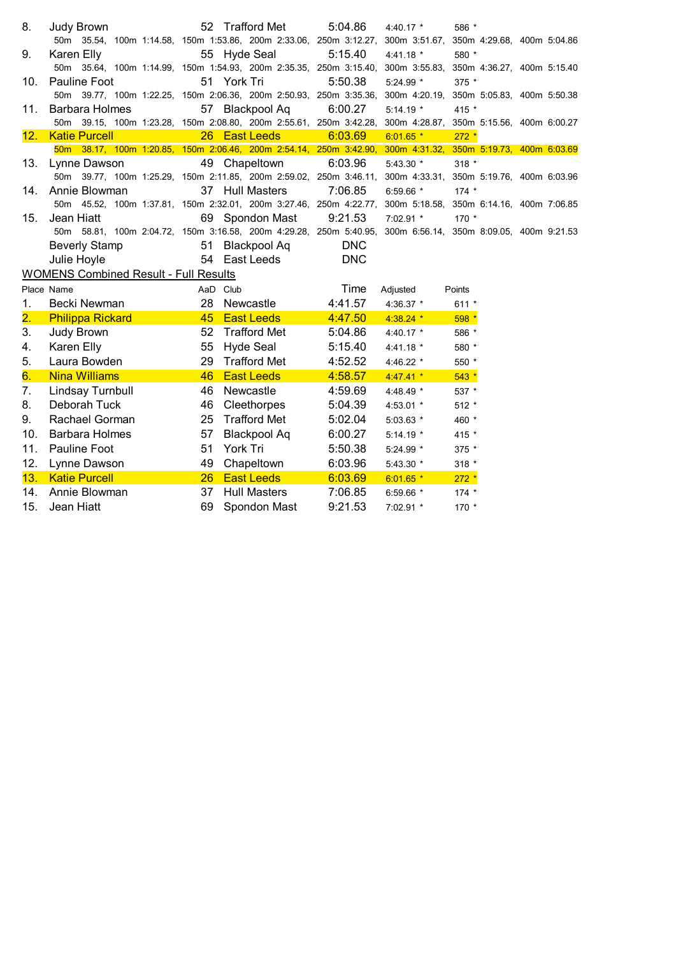| 8.               | Judy Brown                                   | 52 Trafford Met                                                    | 5:04.86<br>4:40.17 *                                                                                        | 586 *                                    |
|------------------|----------------------------------------------|--------------------------------------------------------------------|-------------------------------------------------------------------------------------------------------------|------------------------------------------|
|                  |                                              |                                                                    | 50m 35.54, 100m 1:14.58, 150m 1:53.86, 200m 2:33.06, 250m 3:12.27, 300m 3:51.67, 350m 4:29.68, 400m 5:04.86 |                                          |
| 9.               | Karen Elly                                   | 55 Hyde Seal                                                       | 5:15.40<br>$4:41.18$ *                                                                                      | 580 *                                    |
|                  |                                              | 50m 35.64, 100m 1:14.99, 150m 1:54.93, 200m 2:35.35, 250m 3:15.40, |                                                                                                             | 300m 3:55.83, 350m 4:36.27, 400m 5:15.40 |
| 10.              | Pauline Foot                                 | 51 York Tri                                                        | 5:50.38<br>5:24.99 *                                                                                        | $375$ *                                  |
|                  |                                              | 50m 39.77, 100m 1:22.25, 150m 2:06.36, 200m 2:50.93, 250m 3:35.36, |                                                                                                             | 300m 4:20.19, 350m 5:05.83, 400m 5:50.38 |
| 11.              | Barbara Holmes                               | 57 Blackpool Aq                                                    | 6:00.27<br>$5:14.19*$                                                                                       | 415 *                                    |
|                  |                                              | 50m 39.15, 100m 1:23.28, 150m 2:08.80, 200m 2:55.61, 250m 3:42.28, |                                                                                                             | 300m 4:28.87, 350m 5:15.56, 400m 6:00.27 |
| 12.              | <b>Katie Purcell</b>                         | 26 East Leeds                                                      | 6:03.69<br>$6:01.65$ *                                                                                      | $272 *$                                  |
|                  |                                              |                                                                    | 50m 38.17, 100m 1:20.85, 150m 2:06.46, 200m 2:54.14, 250m 3:42.90, 300m 4:31.32, 350m 5:19.73, 400m 6:03.69 |                                          |
| 13.              | Lynne Dawson                                 | 49 Chapeltown                                                      | 6:03.96<br>$5:43.30*$                                                                                       | $318 *$                                  |
|                  |                                              |                                                                    | 50m 39.77, 100m 1:25.29, 150m 2:11.85, 200m 2:59.02, 250m 3:46.11, 300m 4:33.31, 350m 5:19.76, 400m 6:03.96 |                                          |
| 14.              | Annie Blowman                                | 37 Hull Masters                                                    | 7:06.85<br>$6:59.66$ *                                                                                      | $174$ *                                  |
|                  |                                              |                                                                    | 50m 45.52, 100m 1:37.81, 150m 2:32.01, 200m 3:27.46, 250m 4:22.77, 300m 5:18.58, 350m 6:14.16, 400m 7:06.85 |                                          |
| 15.              | Jean Hiatt                                   | 69 Spondon Mast                                                    | 9:21.53<br>7:02.91 *                                                                                        | $170 *$                                  |
|                  |                                              |                                                                    | 50m 58.81, 100m 2:04.72, 150m 3:16.58, 200m 4:29.28, 250m 5:40.95, 300m 6:56.14, 350m 8:09.05, 400m 9:21.53 |                                          |
|                  | Beverly Stamp                                | 51 Blackpool Aq                                                    | <b>DNC</b>                                                                                                  |                                          |
|                  | Julie Hoyle                                  | 54 East Leeds                                                      | <b>DNC</b>                                                                                                  |                                          |
|                  | <b>WOMENS Combined Result - Full Results</b> |                                                                    |                                                                                                             |                                          |
|                  | Place Name                                   | AaD Club                                                           | Time<br>Adjusted                                                                                            | Points                                   |
| 1.               | Becki Newman                                 | 28 Newcastle                                                       | 4:41.57<br>4:36.37 *                                                                                        | $611 *$                                  |
| $\overline{2}$ . | <b>Philippa Rickard</b>                      | 45 East Leeds                                                      | 4:47.50<br>$4:38.24$ *                                                                                      | $598*$                                   |
| 3.               | Judy Brown                                   | 52<br>Trafford Met                                                 | 5:04.86<br>4:40.17 *                                                                                        | 586 *                                    |
| 4.               | Karen Elly                                   | <b>Hyde Seal</b><br>55                                             | 5:15.40<br>$4:41.18$ *                                                                                      | 580 *                                    |
| 5.               | Laura Bowden                                 | 29<br><b>Trafford Met</b>                                          | 4:52.52<br>4:46.22 $*$                                                                                      | 550 *                                    |
| 6.               | <b>Nina Williams</b>                         | 46<br><b>East Leeds</b>                                            | 4:58.57<br>$4:47.41$ *                                                                                      | $543*$                                   |
| 7.               | Lindsay Turnbull                             | 46<br>Newcastle                                                    | 4:59.69<br>4:48.49 *                                                                                        | 537 *                                    |
| 8.               | Deborah Tuck                                 | 46<br>Cleethorpes                                                  | 5:04.39<br>4:53.01 $*$                                                                                      | $512 *$                                  |
| 9.               | Rachael Gorman                               | <b>Trafford Met</b><br>25                                          | 5:02.04<br>$5:03.63$ *                                                                                      | 460 *                                    |
| 10.              | <b>Barbara Holmes</b>                        | 57<br><b>Blackpool Aq</b>                                          | 6:00.27<br>$5:14.19*$                                                                                       | 415 *                                    |
| 11.              | Pauline Foot                                 | York Tri<br>51                                                     | 5:50.38<br>$5:24.99$ *                                                                                      | 375 *                                    |
|                  |                                              |                                                                    |                                                                                                             |                                          |
|                  |                                              | 49                                                                 |                                                                                                             |                                          |
| 12.              | Lynne Dawson                                 | Chapeltown                                                         | 6:03.96<br>$5:43.30$ *                                                                                      | $318 *$                                  |
| 13.<br>14.       | <b>Katie Purcell</b><br>Annie Blowman        | <b>East Leeds</b><br>26<br>37<br><b>Hull Masters</b>               | 6:03.69<br>$6:01.65$ *<br>7:06.85<br>6:59.66 $*$                                                            | $272 *$<br>$174 *$                       |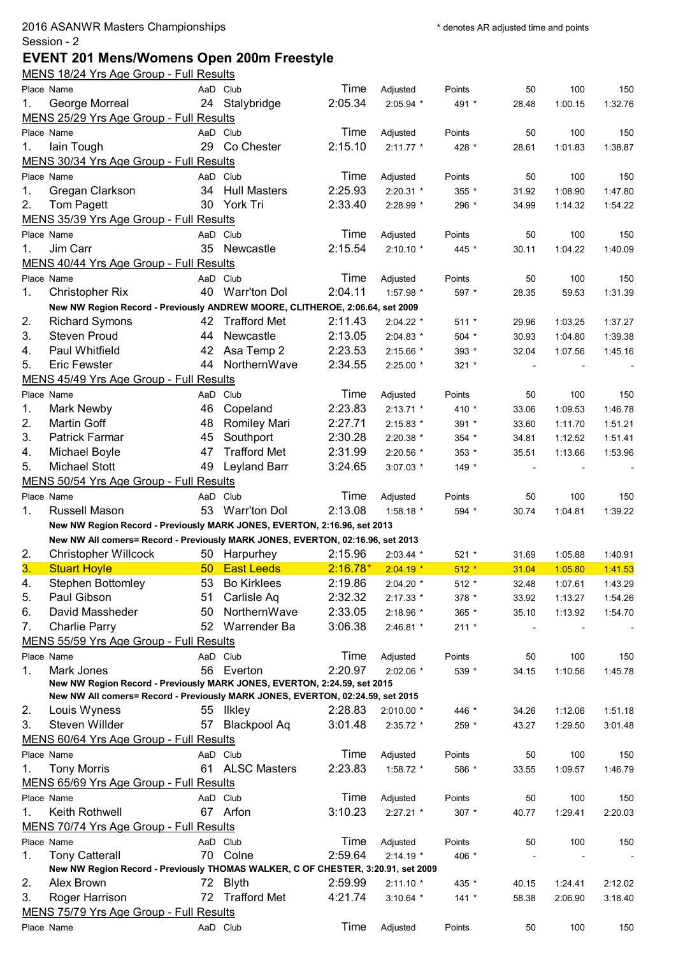## **EVENT 201 Mens/Womens Open 200m Freestyle**

|    | MENS 18/24 Yrs Age Group - Full Results                                          |    |                     |            |             |         |       |         |         |
|----|----------------------------------------------------------------------------------|----|---------------------|------------|-------------|---------|-------|---------|---------|
|    | Place Name                                                                       |    | AaD Club            | Time       | Adjusted    | Points  | 50    | 100     | 150     |
| 1. | George Morreal                                                                   |    | 24 Stalybridge      | 2:05.34    | 2:05.94 *   | 491 *   | 28.48 | 1:00.15 | 1:32.76 |
|    | MENS 25/29 Yrs Age Group - Full Results                                          |    |                     |            |             |         |       |         |         |
|    | Place Name                                                                       |    | AaD Club            | Time       | Adjusted    | Points  | 50    | 100     | 150     |
| 1. | lain Tough                                                                       | 29 | Co Chester          | 2:15.10    | $2:11.77$ * | 428 *   | 28.61 | 1:01.83 | 1:38.87 |
|    | MENS 30/34 Yrs Age Group - Full Results                                          |    |                     |            |             |         |       |         |         |
|    | Place Name                                                                       |    | AaD Club            | Time       | Adjusted    | Points  | 50    | 100     | 150     |
| 1. |                                                                                  |    | 34 Hull Masters     | 2:25.93    |             |         |       |         |         |
|    | Gregan Clarkson                                                                  |    |                     |            | 2:20.31 *   | 355 *   | 31.92 | 1:08.90 | 1:47.80 |
| 2. | Tom Pagett                                                                       |    | 30 York Tri         | 2:33.40    | 2:28.99 *   | 296 *   | 34.99 | 1:14.32 | 1:54.22 |
|    | MENS 35/39 Yrs Age Group - Full Results                                          |    |                     |            |             |         |       |         |         |
|    | Place Name                                                                       |    | AaD Club            | Time       | Adjusted    | Points  | 50    | 100     | 150     |
| 1. | Jim Carr                                                                         |    | 35 Newcastle        | 2:15.54    | $2:10.10*$  | 445 *   | 30.11 | 1:04.22 | 1:40.09 |
|    | MENS 40/44 Yrs Age Group - Full Results                                          |    |                     |            |             |         |       |         |         |
|    | Place Name                                                                       |    | AaD Club            | Time       | Adjusted    | Points  | 50    | 100     | 150     |
| 1. | <b>Christopher Rix</b>                                                           | 40 | Warr'ton Dol        | 2:04.11    | 1:57.98 *   | 597 *   | 28.35 | 59.53   | 1:31.39 |
|    | New NW Region Record - Previously ANDREW MOORE, CLITHEROE, 2:06.64, set 2009     |    |                     |            |             |         |       |         |         |
| 2. | <b>Richard Symons</b>                                                            |    | 42 Trafford Met     | 2:11.43    | 2:04.22 *   | $511 *$ | 29.96 | 1:03.25 | 1:37.27 |
| 3. | <b>Steven Proud</b>                                                              | 44 | Newcastle           | 2:13.05    | 2:04.83 *   | 504 *   | 30.93 | 1:04.80 | 1:39.38 |
| 4. | <b>Paul Whitfield</b>                                                            | 42 | Asa Temp 2          | 2:23.53    | 2:15.66 *   | 393 *   | 32.04 | 1:07.56 | 1:45.16 |
| 5. | <b>Eric Fewster</b>                                                              | 44 | NorthernWave        | 2:34.55    | 2:25.00 *   | $321 *$ |       |         |         |
|    | MENS 45/49 Yrs Age Group - Full Results                                          |    |                     |            |             |         |       |         |         |
|    |                                                                                  |    |                     |            |             |         |       |         |         |
|    | Place Name                                                                       |    | AaD Club            | Time       | Adjusted    | Points  | 50    | 100     | 150     |
| 1. | Mark Newby                                                                       | 46 | Copeland            | 2:23.83    | $2:13.71$ * | 410 *   | 33.06 | 1:09.53 | 1:46.78 |
| 2. | <b>Martin Goff</b>                                                               | 48 | <b>Romiley Mari</b> | 2:27.71    | 2:15.83 *   | 391 *   | 33.60 | 1:11.70 | 1:51.21 |
| 3. | <b>Patrick Farmar</b>                                                            | 45 | Southport           | 2:30.28    | 2:20.38 *   | $354 *$ | 34.81 | 1:12.52 | 1:51.41 |
| 4. | Michael Boyle                                                                    | 47 | <b>Trafford Met</b> | 2:31.99    | 2:20.56 *   | 353 *   | 35.51 | 1:13.66 | 1:53.96 |
| 5. | <b>Michael Stott</b>                                                             | 49 | Leyland Barr        | 3:24.65    | $3:07.03$ * | $149 *$ |       |         |         |
|    | MENS 50/54 Yrs Age Group - Full Results                                          |    |                     |            |             |         |       |         |         |
|    | Place Name                                                                       |    | AaD Club            | Time       | Adjusted    | Points  | 50    | 100     | 150     |
|    |                                                                                  |    |                     |            |             |         |       |         |         |
| 1. | <b>Russell Mason</b>                                                             |    | 53 Warr'ton Dol     | 2:13.08    | $1:58.18$ * | 594 *   | 30.74 | 1:04.81 | 1:39.22 |
|    |                                                                                  |    |                     |            |             |         |       |         |         |
|    | New NW Region Record - Previously MARK JONES, EVERTON, 2:16.96, set 2013         |    |                     |            |             |         |       |         |         |
|    | New NW All comers= Record - Previously MARK JONES, EVERTON, 02:16.96, set 2013   |    |                     |            |             |         |       |         |         |
| 2. | <b>Christopher Willcock</b>                                                      |    | 50 Harpurhey        | 2:15.96    | $2:03.44$ * | 521 *   | 31.69 | 1:05.88 | 1:40.91 |
| 3. | <b>Stuart Hoyle</b>                                                              |    | 50 East Leeds       | $2:16.78*$ | $2:04.19*$  | $512 *$ | 31.04 | 1:05.80 | 1:41.53 |
| 4. | Stephen Bottomley                                                                | 53 | <b>Bo Kirklees</b>  | 2:19.86    | 2:04.20 *   | $512 *$ | 32.48 | 1:07.61 | 1:43.29 |
| 5. | Paul Gibson                                                                      | 51 | Carlisle Aq         | 2:32.32    | 2:17.33 *   | 378 *   | 33.92 | 1:13.27 | 1:54.26 |
| 6. | David Massheder                                                                  | 50 | NorthernWave        | 2:33.05    | 2:18.96 *   | 365 *   | 35.10 | 1:13.92 | 1:54.70 |
| 7. | <b>Charlie Parry</b>                                                             |    | 52 Warrender Ba     | 3:06.38    | 2:46.81 *   | $211 *$ |       |         |         |
|    | MENS 55/59 Yrs Age Group - Full Results                                          |    |                     |            |             |         |       |         |         |
|    | Place Name                                                                       |    | AaD Club            | Time       | Adjusted    | Points  | 50    | 100     | 150     |
| 1. | Mark Jones                                                                       |    | 56 Everton          | 2:20.97    | $2:02.06$ * | 539 *   | 34.15 | 1:10.56 | 1:45.78 |
|    | New NW Region Record - Previously MARK JONES, EVERTON, 2:24.59, set 2015         |    |                     |            |             |         |       |         |         |
|    | New NW All comers= Record - Previously MARK JONES, EVERTON, 02:24.59, set 2015   |    |                     |            |             |         |       |         |         |
| 2. | Louis Wyness                                                                     |    | 55 Ilkley           | 2:28.83    | 2:010.00 *  | 446 *   | 34.26 | 1:12.06 | 1:51.18 |
| 3. | Steven Willder                                                                   | 57 | Blackpool Aq        | 3:01.48    | 2:35.72 *   | 259 *   | 43.27 | 1:29.50 | 3:01.48 |
|    | MENS 60/64 Yrs Age Group - Full Results                                          |    |                     |            |             |         |       |         |         |
|    | Place Name                                                                       |    | AaD Club            |            |             | Points  | 50    | 100     | 150     |
|    |                                                                                  |    |                     | Time       | Adjusted    |         |       |         |         |
| 1. | <b>Tony Morris</b>                                                               |    | 61 ALSC Masters     | 2:23.83    | 1:58.72 *   | 586 *   | 33.55 | 1:09.57 | 1:46.79 |
|    | MENS 65/69 Yrs Age Group - Full Results                                          |    |                     |            |             |         |       |         |         |
|    | Place Name                                                                       |    | AaD Club            | Time       | Adjusted    | Points  | 50    | 100     | 150     |
| 1. | Keith Rothwell                                                                   |    | 67 Arfon            | 3:10.23    | $2:27.21$ * | 307 *   | 40.77 | 1:29.41 | 2:20.03 |
|    | MENS 70/74 Yrs Age Group - Full Results                                          |    |                     |            |             |         |       |         |         |
|    | Place Name                                                                       |    | AaD Club            | Time       | Adjusted    | Points  | 50    | 100     | 150     |
| 1. | <b>Tony Catterall</b>                                                            | 70 | Colne               | 2:59.64    | $2:14.19*$  | 406 *   |       |         |         |
|    | New NW Region Record - Previously THOMAS WALKER, C OF CHESTER, 3:20.91, set 2009 |    |                     |            |             |         |       |         |         |
| 2. | Alex Brown                                                                       | 72 | <b>Blyth</b>        | 2:59.99    | $2:11.10*$  | 435 *   | 40.15 | 1:24.41 | 2:12.02 |
| 3. | Roger Harrison                                                                   |    | 72 Trafford Met     | 4:21.74    | $3:10.64$ * | $141 *$ | 58.38 | 2:06.90 | 3:18.40 |
|    | MENS 75/79 Yrs Age Group - Full Results<br>Place Name                            |    | AaD Club            | Time       |             |         |       |         |         |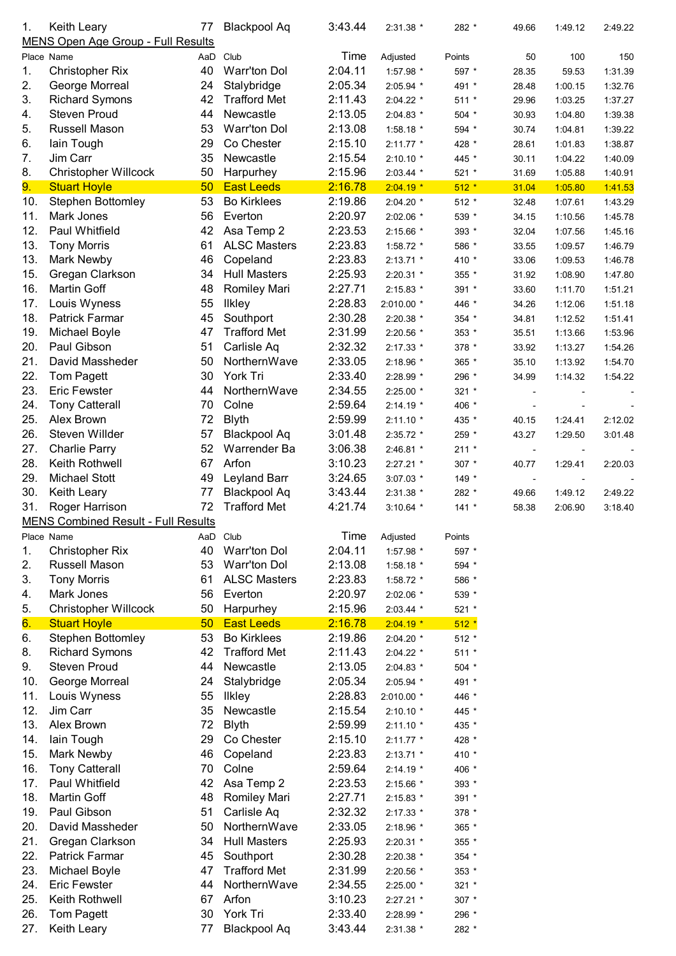| 1.  | Keith Leary                                | 77  | <b>Blackpool Aq</b> | 3:43.44 | 2:31.38 *   | 282 *   | 49.66                    | 1:49.12 | 2:49.22 |
|-----|--------------------------------------------|-----|---------------------|---------|-------------|---------|--------------------------|---------|---------|
|     | MENS Open Age Group - Full Results         |     |                     |         |             |         |                          |         |         |
|     | Place Name                                 | AaD | Club                | Time    | Adjusted    | Points  | 50                       | 100     | 150     |
| 1.  | <b>Christopher Rix</b>                     | 40  | <b>Warr'ton Dol</b> | 2:04.11 | 1:57.98 *   | 597 *   | 28.35                    | 59.53   | 1:31.39 |
| 2.  | George Morreal                             | 24  | Stalybridge         | 2:05.34 | 2:05.94 *   | 491 *   | 28.48                    | 1:00.15 | 1:32.76 |
| 3.  | <b>Richard Symons</b>                      | 42  | <b>Trafford Met</b> | 2:11.43 | 2:04.22 *   | $511 *$ | 29.96                    | 1:03.25 | 1:37.27 |
| 4.  | <b>Steven Proud</b>                        | 44  | Newcastle           | 2:13.05 | 2:04.83 *   | 504 *   | 30.93                    | 1:04.80 | 1:39.38 |
| 5.  | Russell Mason                              | 53  | <b>Warr'ton Dol</b> | 2:13.08 | 1:58.18 *   | 594 *   | 30.74                    | 1:04.81 | 1:39.22 |
| 6.  | lain Tough                                 | 29  | Co Chester          | 2:15.10 | $2:11.77$ * | 428 *   | 28.61                    | 1:01.83 | 1:38.87 |
| 7.  | Jim Carr                                   | 35  | Newcastle           | 2:15.54 | 2:10.10 *   | 445 *   | 30.11                    | 1:04.22 | 1:40.09 |
| 8.  | <b>Christopher Willcock</b>                | 50  | Harpurhey           | 2:15.96 | 2:03.44 *   | $521 *$ | 31.69                    | 1:05.88 | 1:40.91 |
| 9.  | <b>Stuart Hoyle</b>                        | 50  | <b>East Leeds</b>   | 2:16.78 |             | $512 *$ |                          | 1:05.80 |         |
|     |                                            |     |                     |         | $2:04.19*$  |         | 31.04                    |         | 1:41.53 |
| 10. | <b>Stephen Bottomley</b>                   | 53  | <b>Bo Kirklees</b>  | 2:19.86 | 2:04.20 *   | $512 *$ | 32.48                    | 1:07.61 | 1:43.29 |
| 11. | Mark Jones                                 | 56  | Everton             | 2:20.97 | 2:02.06 *   | 539 *   | 34.15                    | 1:10.56 | 1:45.78 |
| 12. | Paul Whitfield                             | 42  | Asa Temp 2          | 2:23.53 | 2:15.66 *   | 393 *   | 32.04                    | 1:07.56 | 1:45.16 |
| 13. | <b>Tony Morris</b>                         | 61  | <b>ALSC Masters</b> | 2:23.83 | 1:58.72 *   | 586 *   | 33.55                    | 1:09.57 | 1:46.79 |
| 13. | Mark Newby                                 | 46  | Copeland            | 2:23.83 | $2:13.71$ * | 410 *   | 33.06                    | 1:09.53 | 1:46.78 |
| 15. | Gregan Clarkson                            | 34  | <b>Hull Masters</b> | 2:25.93 | 2:20.31 *   | 355 *   | 31.92                    | 1:08.90 | 1:47.80 |
| 16. | Martin Goff                                | 48  | Romiley Mari        | 2:27.71 | 2:15.83 *   | 391 *   | 33.60                    | 1:11.70 | 1:51.21 |
| 17. | Louis Wyness                               | 55  | <b>Ilkley</b>       | 2:28.83 | 2:010.00 *  | 446 *   | 34.26                    | 1:12.06 | 1:51.18 |
| 18. | Patrick Farmar                             | 45  | Southport           | 2:30.28 | 2:20.38 *   | 354 *   | 34.81                    | 1:12.52 | 1:51.41 |
| 19. | Michael Boyle                              | 47  | <b>Trafford Met</b> | 2:31.99 | 2:20.56 *   | 353 *   | 35.51                    | 1:13.66 | 1:53.96 |
| 20. | Paul Gibson                                | 51  | Carlisle Aq         | 2:32.32 | 2:17.33 *   | 378 *   | 33.92                    | 1:13.27 | 1:54.26 |
| 21. | David Massheder                            | 50  | NorthernWave        | 2:33.05 | 2:18.96 *   | 365 *   | 35.10                    | 1:13.92 | 1:54.70 |
| 22. | Tom Pagett                                 | 30  | York Tri            | 2:33.40 | 2:28.99 *   | 296 *   | 34.99                    | 1:14.32 | 1:54.22 |
| 23. | <b>Eric Fewster</b>                        | 44  | NorthernWave        | 2:34.55 |             |         |                          |         |         |
|     |                                            |     |                     |         | 2:25.00 *   | 321 *   |                          |         |         |
| 24. | <b>Tony Catterall</b>                      | 70  | Colne               | 2:59.64 | $2:14.19*$  | 406 *   |                          |         |         |
| 25. | Alex Brown                                 | 72  | <b>Blyth</b>        | 2:59.99 | $2:11.10*$  | 435 *   | 40.15                    | 1:24.41 | 2:12.02 |
| 26. | Steven Willder                             | 57  | <b>Blackpool Aq</b> | 3:01.48 | 2:35.72 *   | 259 *   | 43.27                    | 1:29.50 | 3:01.48 |
| 27. | <b>Charlie Parry</b>                       | 52  | Warrender Ba        | 3:06.38 | 2:46.81 *   | $211 *$ | $\overline{\phantom{a}}$ |         |         |
| 28. | Keith Rothwell                             | 67  | Arfon               | 3:10.23 | 2:27.21 *   | 307 *   | 40.77                    | 1:29.41 | 2:20.03 |
| 29. | <b>Michael Stott</b>                       | 49  | Leyland Barr        | 3:24.65 | 3:07.03 *   | 149 *   | $\overline{\phantom{a}}$ |         |         |
| 30. | Keith Leary                                | 77  | Blackpool Aq        | 3:43.44 | 2:31.38 *   | 282 *   | 49.66                    | 1:49.12 | 2:49.22 |
| 31. | Roger Harrison                             | 72  | <b>Trafford Met</b> | 4:21.74 | $3:10.64$ * | $141 *$ | 58.38                    | 2:06.90 | 3:18.40 |
|     | <b>MENS Combined Result - Full Results</b> |     |                     |         |             |         |                          |         |         |
|     | Place Name                                 |     | AaD Club            | Time    | Adjusted    | Points  |                          |         |         |
| 1.  | <b>Christopher Rix</b>                     | 40  | <b>Warr'ton Dol</b> | 2:04.11 | 1:57.98 *   | 597 *   |                          |         |         |
| 2.  | Russell Mason                              | 53  | <b>Warr'ton Dol</b> | 2:13.08 | 1:58.18 *   | 594 *   |                          |         |         |
| 3.  | <b>Tony Morris</b>                         | 61  | <b>ALSC Masters</b> | 2:23.83 | 1:58.72 *   | 586 *   |                          |         |         |
| 4.  | Mark Jones                                 | 56  | Everton             | 2:20.97 | 2:02.06 *   | 539 *   |                          |         |         |
| 5.  | <b>Christopher Willcock</b>                | 50  | Harpurhey           | 2:15.96 | 2:03.44 *   | 521 *   |                          |         |         |
| 6.  | <b>Stuart Hoyle</b>                        | 50  | <b>East Leeds</b>   | 2:16.78 | $2:04.19*$  | $512 *$ |                          |         |         |
|     |                                            |     |                     |         |             |         |                          |         |         |
| 6.  | <b>Stephen Bottomley</b>                   | 53  | <b>Bo Kirklees</b>  | 2:19.86 | 2:04.20 *   | 512 *   |                          |         |         |
| 8.  | <b>Richard Symons</b>                      | 42  | <b>Trafford Met</b> | 2:11.43 | 2:04.22 *   | $511 *$ |                          |         |         |
| 9.  | <b>Steven Proud</b>                        | 44  | Newcastle           | 2:13.05 | $2:04.83$ * | 504 *   |                          |         |         |
| 10. | George Morreal                             | 24  | Stalybridge         | 2:05.34 | 2:05.94 *   | 491 *   |                          |         |         |
| 11. | Louis Wyness                               | 55  | <b>Ilkley</b>       | 2:28.83 | 2:010.00 *  | 446 *   |                          |         |         |
| 12. | Jim Carr                                   | 35  | Newcastle           | 2:15.54 | $2:10.10*$  | 445 *   |                          |         |         |
| 13. | Alex Brown                                 | 72  | <b>Blyth</b>        | 2:59.99 | $2:11.10*$  | 435 *   |                          |         |         |
| 14. | lain Tough                                 | 29  | Co Chester          | 2:15.10 | $2:11.77$ * | 428 *   |                          |         |         |
| 15. | Mark Newby                                 | 46  | Copeland            | 2:23.83 | $2:13.71$ * | 410 *   |                          |         |         |
| 16. | <b>Tony Catterall</b>                      | 70  | Colne               | 2:59.64 | $2:14.19*$  | 406 *   |                          |         |         |
| 17. | Paul Whitfield                             | 42  | Asa Temp 2          | 2:23.53 | 2:15.66 *   | 393 *   |                          |         |         |
| 18. | Martin Goff                                | 48  | <b>Romiley Mari</b> | 2:27.71 | 2:15.83 *   | 391 *   |                          |         |         |
| 19. | Paul Gibson                                | 51  | Carlisle Aq         | 2:32.32 | 2:17.33 *   | 378 *   |                          |         |         |
| 20. | David Massheder                            | 50  | NorthernWave        | 2:33.05 | 2:18.96 *   | 365 *   |                          |         |         |
| 21. | Gregan Clarkson                            | 34  | <b>Hull Masters</b> | 2:25.93 | 2:20.31 *   | 355 *   |                          |         |         |
| 22. | <b>Patrick Farmar</b>                      | 45  | Southport           | 2:30.28 |             |         |                          |         |         |
|     |                                            |     |                     |         | 2:20.38 *   | 354 *   |                          |         |         |
| 23. | Michael Boyle                              | 47  | <b>Trafford Met</b> | 2:31.99 | 2:20.56 *   | 353 *   |                          |         |         |
| 24. | <b>Eric Fewster</b>                        | 44  | NorthernWave        | 2:34.55 | $2:25.00*$  | $321 *$ |                          |         |         |
| 25. | Keith Rothwell                             | 67  | Arfon               | 3:10.23 | $2:27.21$ * | 307 *   |                          |         |         |
| 26. | Tom Pagett                                 | 30  | York Tri            | 2:33.40 | 2:28.99 *   | 296 *   |                          |         |         |
| 27. | Keith Leary                                | 77  | <b>Blackpool Aq</b> | 3:43.44 | 2:31.38 *   | 282 *   |                          |         |         |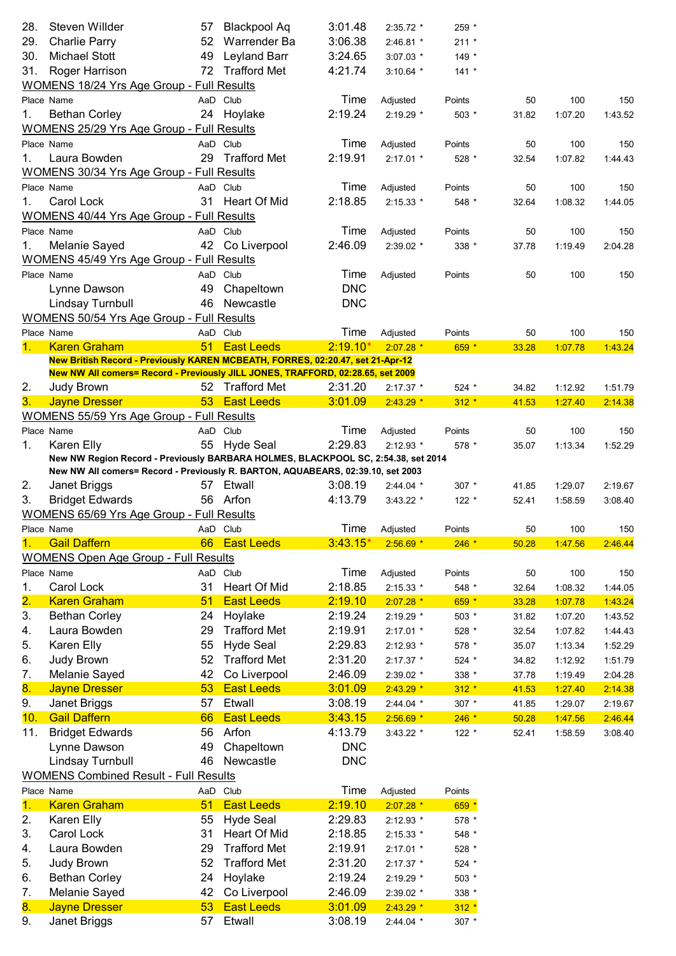| 28.                       | Steven Willder                                                                                  |    | 57 Blackpool Aq               | 3:01.48    | 2:35.72 *              | 259 *             |             |                |                |
|---------------------------|-------------------------------------------------------------------------------------------------|----|-------------------------------|------------|------------------------|-------------------|-------------|----------------|----------------|
| 29.                       | <b>Charlie Parry</b>                                                                            |    | 52 Warrender Ba               | 3:06.38    | 2:46.81 *              | $211 *$           |             |                |                |
| 30.                       | <b>Michael Stott</b>                                                                            | 49 | <b>Leyland Barr</b>           | 3:24.65    | $3:07.03$ *            | $149 *$           |             |                |                |
| 31.                       | Roger Harrison<br><b>WOMENS 18/24 Yrs Age Group - Full Results</b>                              |    | 72 Trafford Met               | 4:21.74    | $3:10.64$ *            | $141 *$           |             |                |                |
|                           | Place Name                                                                                      |    | AaD Club                      | Time       |                        | Points            | 50          | 100            | 150            |
| 1.                        | <b>Bethan Corley</b>                                                                            |    | 24 Hoylake                    | 2:19.24    | Adjusted<br>2:19.29 *  | $503*$            | 31.82       | 1:07.20        | 1:43.52        |
|                           | <b>WOMENS 25/29 Yrs Age Group - Full Results</b>                                                |    |                               |            |                        |                   |             |                |                |
|                           | Place Name                                                                                      |    | AaD Club                      | Time       | Adjusted               | Points            | 50          | 100            | 150            |
| 1.                        | Laura Bowden                                                                                    |    | 29 Trafford Met               | 2:19.91    | $2:17.01$ *            | 528 *             | 32.54       | 1:07.82        | 1:44.43        |
|                           | WOMENS 30/34 Yrs Age Group - Full Results                                                       |    |                               |            |                        |                   |             |                |                |
|                           | Place Name                                                                                      |    | AaD Club                      | Time       | Adjusted               | Points            | 50          | 100            | 150            |
| 1.                        | Carol Lock                                                                                      |    | 31 Heart Of Mid               | 2:18.85    | 2:15.33 *              | 548 *             | 32.64       | 1:08.32        | 1:44.05        |
|                           | <b>WOMENS 40/44 Yrs Age Group - Full Results</b>                                                |    |                               |            |                        |                   |             |                |                |
|                           | Place Name                                                                                      |    | AaD Club                      | Time       | Adjusted               | Points            | 50          | 100            | 150            |
| 1.                        | Melanie Sayed                                                                                   |    | 42 Co Liverpool               | 2:46.09    | 2:39.02 *              | 338 *             | 37.78       | 1:19.49        | 2:04.28        |
|                           | WOMENS 45/49 Yrs Age Group - Full Results                                                       |    |                               |            |                        |                   |             |                |                |
|                           | Place Name                                                                                      |    | AaD Club                      | Time       | Adjusted               | Points            | 50          | 100            | 150            |
|                           | Lynne Dawson                                                                                    | 49 | Chapeltown                    | <b>DNC</b> |                        |                   |             |                |                |
|                           | Lindsay Turnbull                                                                                |    | 46 Newcastle                  | <b>DNC</b> |                        |                   |             |                |                |
|                           | <b>WOMENS 50/54 Yrs Age Group - Full Results</b>                                                |    |                               |            |                        |                   |             |                |                |
|                           | Place Name                                                                                      |    | AaD Club                      | Time       | Adjusted               | Points            | 50          | 100            | 150            |
| 1.                        | <b>Karen Graham</b>                                                                             | 51 | <b>East Leeds</b>             | $2:19.10*$ | $2:07.28$ *            | 659 *             | 33.28       | 1:07.78        | 1:43.24        |
|                           | New British Record - Previously KAREN MCBEATH, FORRES, 02:20.47, set 21-Apr-12                  |    |                               |            |                        |                   |             |                |                |
|                           | New NW All comers= Record - Previously JILL JONES, TRAFFORD, 02:28.65, set 2009                 |    |                               |            |                        |                   |             |                |                |
| 2.                        | Judy Brown                                                                                      |    | 52 Trafford Met               | 2:31.20    | $2:17.37$ *            | $524$ *           | 34.82       | 1:12.92        | 1:51.79        |
| 3.                        | <b>Jayne Dresser</b>                                                                            |    | 53 East Leeds                 | 3:01.09    | $2:43.29*$             | $312 *$           | 41.53       | 1:27.40        | 2:14.38        |
|                           | <b>WOMENS 55/59 Yrs Age Group - Full Results</b>                                                |    |                               |            |                        |                   |             |                |                |
|                           | Place Name                                                                                      |    | AaD Club                      | Time       | Adjusted               | Points            | 50          | 100            | 150            |
| 1.                        | Karen Elly                                                                                      |    | 55 Hyde Seal                  | 2:29.83    | $2:12.93$ *            | $578*$            | 35.07       | 1:13.34        | 1:52.29        |
|                           | New NW Region Record - Previously BARBARA HOLMES, BLACKPOOL SC, 2:54.38, set 2014               |    |                               |            |                        |                   |             |                |                |
| 2.                        | New NW All comers= Record - Previously R. BARTON, AQUABEARS, 02:39.10, set 2003<br>Janet Briggs |    | 57 Etwall                     | 3:08.19    | $2:44.04*$             | $307 *$           | 41.85       | 1:29.07        | 2:19.67        |
| 3.                        | <b>Bridget Edwards</b>                                                                          |    | 56 Arfon                      | 4:13.79    | $3:43.22$ *            |                   |             |                |                |
|                           | <b>WOMENS 65/69 Yrs Age Group - Full Results</b>                                                |    |                               |            |                        | $122 *$           | 52.41       | 1:58.59        | 3:08.40        |
|                           |                                                                                                 |    |                               | Time       |                        |                   |             |                |                |
| 1.                        | Place Name<br><b>Gail Daffern</b>                                                               | 66 | AaD Club<br><b>East Leeds</b> | $3:43.15*$ | Adjusted<br>$2:56.69*$ | Points<br>$246 *$ | 50<br>50.28 | 100<br>1:47.56 | 150<br>2:46.44 |
|                           | <b>WOMENS Open Age Group - Full Results</b>                                                     |    |                               |            |                        |                   |             |                |                |
|                           | Place Name                                                                                      |    | AaD Club                      | Time       | Adjusted               | Points            | 50          | 100            | 150            |
| 1.                        | Carol Lock                                                                                      | 31 | Heart Of Mid                  | 2:18.85    | 2:15.33 *              | 548 *             | 32.64       | 1:08.32        | 1:44.05        |
| $\overline{\mathbf{2}}$ . | <b>Karen Graham</b>                                                                             | 51 | <b>East Leeds</b>             | 2:19.10    | $2:07.28$ *            | 659 *             | 33.28       | 1:07.78        | 1:43.24        |
| 3.                        | <b>Bethan Corley</b>                                                                            | 24 | Hoylake                       | 2:19.24    | 2:19.29 *              | 503 *             | 31.82       | 1:07.20        | 1:43.52        |
| 4.                        | Laura Bowden                                                                                    | 29 | <b>Trafford Met</b>           | 2:19.91    | 2:17.01 *              | 528 *             | 32.54       | 1:07.82        | 1:44.43        |
| 5.                        | Karen Elly                                                                                      | 55 | <b>Hyde Seal</b>              | 2:29.83    | 2:12.93 *              | 578 *             | 35.07       | 1:13.34        | 1:52.29        |
| 6.                        | Judy Brown                                                                                      | 52 | <b>Trafford Met</b>           | 2:31.20    | 2:17.37 *              | 524 *             | 34.82       | 1:12.92        | 1:51.79        |
| 7.                        | Melanie Sayed                                                                                   | 42 | Co Liverpool                  | 2:46.09    | 2:39.02 *              | 338 *             | 37.78       | 1:19.49        | 2:04.28        |
| 8.                        | <b>Jayne Dresser</b>                                                                            | 53 | <b>East Leeds</b>             | 3:01.09    | $2:43.29$ *            | $312 *$           | 41.53       | 1:27.40        | 2:14.38        |
| 9.                        | Janet Briggs                                                                                    | 57 | Etwall                        | 3:08.19    | 2:44.04 *              | 307 *             | 41.85       | 1:29.07        | 2:19.67        |
| 10.                       | <b>Gail Daffern</b>                                                                             | 66 | <b>East Leeds</b>             | 3:43.15    | $2:56.69*$             | $246 *$           | 50.28       | 1:47.56        | 2:46.44        |
| 11.                       | <b>Bridget Edwards</b>                                                                          | 56 | Arfon                         | 4:13.79    | 3:43.22 *              | $122 *$           | 52.41       | 1:58.59        | 3:08.40        |
|                           | Lynne Dawson                                                                                    | 49 | Chapeltown                    | <b>DNC</b> |                        |                   |             |                |                |
|                           | Lindsay Turnbull                                                                                | 46 | Newcastle                     | <b>DNC</b> |                        |                   |             |                |                |
|                           | <b>WOMENS Combined Result - Full Results</b>                                                    |    |                               |            |                        |                   |             |                |                |
|                           | Place Name                                                                                      |    | AaD Club                      | Time       | Adjusted               | Points            |             |                |                |
| $\overline{1}$ .          | <b>Karen Graham</b>                                                                             | 51 | <b>East Leeds</b>             | 2:19.10    | $2:07.28$ *            | 659 *             |             |                |                |
| 2.                        | Karen Elly                                                                                      | 55 | <b>Hyde Seal</b>              | 2:29.83    | 2:12.93 *              | 578 *             |             |                |                |
| 3.                        | Carol Lock                                                                                      | 31 | Heart Of Mid                  | 2:18.85    | 2:15.33 *              | 548 *             |             |                |                |
| 4.                        | Laura Bowden                                                                                    | 29 | <b>Trafford Met</b>           | 2:19.91    | 2:17.01 *              | 528 *             |             |                |                |
| 5.                        | Judy Brown                                                                                      | 52 | <b>Trafford Met</b>           | 2:31.20    | 2:17.37 *              | 524 *             |             |                |                |
| 6.                        | <b>Bethan Corley</b>                                                                            | 24 | Hoylake                       | 2:19.24    | 2:19.29 *              | 503 *             |             |                |                |
| 7.                        | Melanie Sayed                                                                                   | 42 | Co Liverpool                  | 2:46.09    | 2:39.02 *              | 338 *             |             |                |                |
| 8.                        | <b>Jayne Dresser</b>                                                                            | 53 | <b>East Leeds</b>             | 3:01.09    | $2:43.29$ *            | $312 *$           |             |                |                |
| 9.                        | Janet Briggs                                                                                    | 57 | Etwall                        | 3:08.19    | 2:44.04 *              | 307 *             |             |                |                |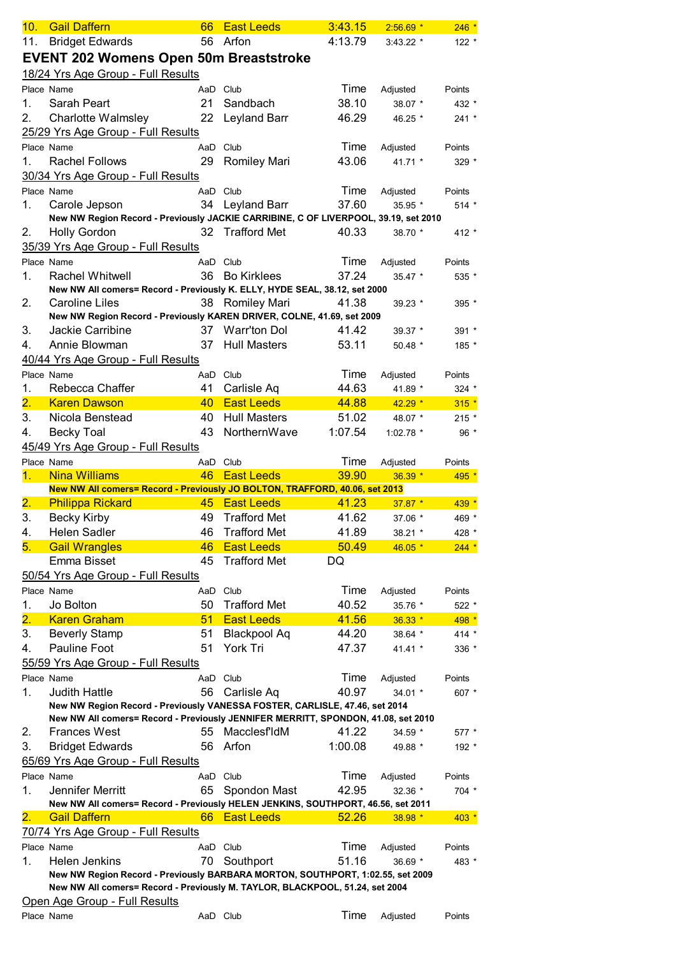| 10.                       | <b>Gail Daffern</b>                                                                                                                                            | 66       | <b>East Leeds</b>   | 3:43.15 | $2:56.69*$  | $246 *$ |
|---------------------------|----------------------------------------------------------------------------------------------------------------------------------------------------------------|----------|---------------------|---------|-------------|---------|
| 11.                       | <b>Bridget Edwards</b>                                                                                                                                         |          | 56 Arfon            | 4:13.79 | $3:43.22$ * | $122 *$ |
|                           | <b>EVENT 202 Womens Open 50m Breaststroke</b>                                                                                                                  |          |                     |         |             |         |
|                           | 18/24 Yrs Age Group - Full Results                                                                                                                             |          |                     |         |             |         |
|                           | Place Name                                                                                                                                                     |          | AaD Club            | Time    | Adjusted    | Points  |
| 1.                        | Sarah Peart                                                                                                                                                    | 21       | Sandbach            | 38.10   | 38.07 *     | 432 *   |
| 2.                        | Charlotte Walmsley                                                                                                                                             | 22       | Leyland Barr        | 46.29   | 46.25 *     | $241 *$ |
|                           | 25/29 Yrs Age Group - Full Results                                                                                                                             |          |                     |         |             |         |
|                           | Place Name                                                                                                                                                     | AaD      | Club                | Time    | Adjusted    | Points  |
| 1.                        | <b>Rachel Follows</b>                                                                                                                                          | 29       | <b>Romiley Mari</b> | 43.06   | 41.71 *     | 329 *   |
|                           | 30/34 Yrs Age Group - Full Results                                                                                                                             |          |                     |         |             |         |
|                           | Place Name                                                                                                                                                     | AaD Club |                     | Time    | Adjusted    | Points  |
| 1.                        | Carole Jepson                                                                                                                                                  | 34       | Leyland Barr        | 37.60   | 35.95 *     | $514 *$ |
|                           | New NW Region Record - Previously JACKIE CARRIBINE, C OF LIVERPOOL, 39.19, set 2010                                                                            |          |                     |         |             |         |
| 2.                        | <b>Holly Gordon</b>                                                                                                                                            | 32       | <b>Trafford Met</b> | 40.33   | 38.70 *     | $412 *$ |
|                           | 35/39 Yrs Age Group - Full Results                                                                                                                             |          |                     |         |             |         |
|                           | Place Name                                                                                                                                                     | AaD Club |                     | Time    | Adjusted    | Points  |
| 1.                        | <b>Rachel Whitwell</b>                                                                                                                                         | 36       | <b>Bo Kirklees</b>  | 37.24   | 35.47 *     | 535 *   |
|                           | New NW All comers= Record - Previously K. ELLY, HYDE SEAL, 38.12, set 2000                                                                                     |          |                     |         |             |         |
| 2.                        | Caroline Liles                                                                                                                                                 |          | 38 Romiley Mari     | 41.38   | 39.23 *     | $395 *$ |
|                           | New NW Region Record - Previously KAREN DRIVER, COLNE, 41.69, set 2009                                                                                         |          |                     |         |             |         |
| 3.                        | Jackie Carribine                                                                                                                                               | 37       | Warr'ton Dol        | 41.42   | 39.37 *     | $391 *$ |
| 4.                        | Annie Blowman                                                                                                                                                  | 37       | <b>Hull Masters</b> | 53.11   | $50.48$ *   | 185 *   |
|                           | 40/44 Yrs Age Group - Full Results                                                                                                                             |          |                     |         |             |         |
|                           | Place Name                                                                                                                                                     | AaD Club |                     | Time    | Adjusted    | Points  |
| 1.                        | Rebecca Chaffer                                                                                                                                                | 41       | Carlisle Aq         | 44.63   | 41.89 *     | $324$ * |
| $\overline{2}$ .          | <b>Karen Dawson</b>                                                                                                                                            | 40       | <b>East Leeds</b>   | 44.88   | $42.29*$    | $315 *$ |
| 3.                        | Nicola Benstead                                                                                                                                                | 40       | <b>Hull Masters</b> | 51.02   | 48.07 *     | $215 *$ |
| 4.                        | <b>Becky Toal</b>                                                                                                                                              | 43       | NorthernWave        | 1:07.54 | 1:02.78 *   | 96 $*$  |
|                           | 45/49 Yrs Age Group - Full Results                                                                                                                             |          |                     |         |             |         |
|                           | Place Name                                                                                                                                                     |          | AaD Club            | Time    | Adjusted    | Points  |
| 1.                        | <b>Nina Williams</b><br>New NW All comers= Record - Previously JO BOLTON, TRAFFORD, 40.06, set 2013                                                            | 46       | <b>East Leeds</b>   | 39.90   | 36.39 *     | 495 *   |
| 2.                        | <b>Philippa Rickard</b>                                                                                                                                        | 45       | <b>East Leeds</b>   | 41.23   | $37.87*$    | $439 *$ |
| 3.                        | <b>Becky Kirby</b>                                                                                                                                             | 49       | <b>Trafford Met</b> | 41.62   | 37.06 *     | 469 *   |
| 4.                        | <b>Helen Sadler</b>                                                                                                                                            | 46       | <b>Trafford Met</b> | 41.89   | 38.21 *     | 428 *   |
| 5.                        | <b>Gail Wrangles</b>                                                                                                                                           | 46       | <b>East Leeds</b>   | 50.49   | 46.05 *     | $244 *$ |
|                           | Emma Bisset                                                                                                                                                    | 45       | <b>Trafford Met</b> | DQ      |             |         |
|                           | 50/54 Yrs Age Group - Full Results                                                                                                                             |          |                     |         |             |         |
|                           | Place Name                                                                                                                                                     | AaD      | Club                | Time    | Adjusted    | Points  |
| 1.                        | Jo Bolton                                                                                                                                                      | 50       | <b>Trafford Met</b> | 40.52   | 35.76 *     | 522 *   |
| $\overline{\mathbf{2}}$ . | <b>Karen Graham</b>                                                                                                                                            | 51       | <b>East Leeds</b>   | 41.56   | $36.33*$    | 498 *   |
| 3.                        | <b>Beverly Stamp</b>                                                                                                                                           | 51       | <b>Blackpool Aq</b> | 44.20   | 38.64 *     | $414 *$ |
| 4.                        | Pauline Foot                                                                                                                                                   | 51       | York Tri            | 47.37   | 41.41 *     | 336 *   |
|                           | 55/59 Yrs Age Group - Full Results                                                                                                                             |          |                     |         |             |         |
|                           | Place Name                                                                                                                                                     | AaD Club |                     | Time    | Adjusted    | Points  |
| 1.                        | <b>Judith Hattle</b>                                                                                                                                           | 56       | Carlisle Aq         | 40.97   | 34.01 $*$   | 607 *   |
|                           | New NW Region Record - Previously VANESSA FOSTER, CARLISLE, 47.46, set 2014                                                                                    |          |                     |         |             |         |
|                           | New NW All comers= Record - Previously JENNIFER MERRITT, SPONDON, 41.08, set 2010                                                                              |          |                     |         |             |         |
| 2.                        | <b>Frances West</b>                                                                                                                                            | 55       | <b>MacclesfldM</b>  | 41.22   | 34.59 *     | 577 *   |
| 3.                        | <b>Bridget Edwards</b>                                                                                                                                         | 56       | Arfon               | 1:00.08 | 49.88 *     | 192 *   |
|                           | 65/69 Yrs Age Group - Full Results                                                                                                                             |          |                     |         |             |         |
|                           | Place Name                                                                                                                                                     |          | AaD Club            | Time    | Adjusted    | Points  |
| 1.                        | Jennifer Merritt                                                                                                                                               | 65       | Spondon Mast        | 42.95   | 32.36 *     | 704 *   |
|                           | New NW All comers= Record - Previously HELEN JENKINS, SOUTHPORT, 46.56, set 2011                                                                               |          |                     |         |             |         |
| $\overline{\mathbf{2}}$ . | <b>Gail Daffern</b>                                                                                                                                            | 66       | <b>East Leeds</b>   | 52.26   | 38.98 *     | $403 *$ |
|                           | 70/74 Yrs Age Group - Full Results                                                                                                                             |          |                     |         |             |         |
|                           | Place Name                                                                                                                                                     | AaD Club |                     | Time    | Adjusted    | Points  |
| 1.                        | Helen Jenkins                                                                                                                                                  | 70       | Southport           | 51.16   | 36.69 *     | 483 *   |
|                           | New NW Region Record - Previously BARBARA MORTON, SOUTHPORT, 1:02.55, set 2009<br>New NW All comers= Record - Previously M. TAYLOR, BLACKPOOL, 51.24, set 2004 |          |                     |         |             |         |
|                           | Open Age Group - Full Results                                                                                                                                  |          |                     |         |             |         |
|                           | Place Name                                                                                                                                                     | AaD Club |                     | Time    | Adjusted    | Points  |
|                           |                                                                                                                                                                |          |                     |         |             |         |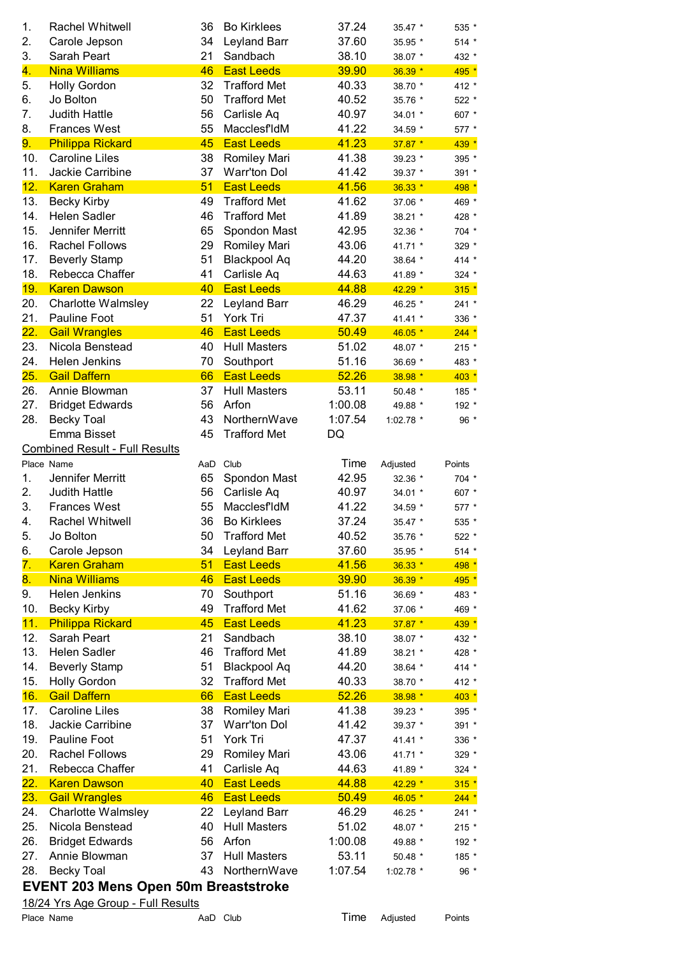| 1.               | <b>Rachel Whitwell</b>                      | 36       | <b>Bo Kirklees</b>             | 37.24          | 35.47 *     | 535 *   |
|------------------|---------------------------------------------|----------|--------------------------------|----------------|-------------|---------|
| 2.               | Carole Jepson                               | 34       | Leyland Barr                   | 37.60          | 35.95 *     | 514 *   |
| 3.               | Sarah Peart                                 | 21       | Sandbach                       | 38.10          | 38.07 *     | 432 *   |
| 4.               | <b>Nina Williams</b>                        | 46       | <b>East Leeds</b>              | 39.90          | 36.39 *     | 495 *   |
| 5.               | <b>Holly Gordon</b>                         | 32       | <b>Trafford Met</b>            | 40.33          | 38.70 *     | 412 *   |
| 6.               | Jo Bolton                                   | 50       | <b>Trafford Met</b>            | 40.52          | 35.76 *     | 522 *   |
| 7.               | <b>Judith Hattle</b>                        | 56       | Carlisle Aq                    | 40.97          | 34.01 *     | 607 *   |
| 8.               | <b>Frances West</b>                         | 55       | MacclesfIdM                    | 41.22          | 34.59 *     | 577 *   |
| 9.               | <b>Philippa Rickard</b>                     | 45       | <b>East Leeds</b>              | 41.23          | $37.87 *$   | 439 *   |
| 10.              | <b>Caroline Liles</b>                       | 38       | Romiley Mari                   | 41.38          | 39.23 *     | 395 *   |
| 11.              | Jackie Carribine                            | 37       | <b>Warr'ton Dol</b>            | 41.42          | 39.37 *     | 391 *   |
| 12.              | <b>Karen Graham</b>                         | 51       | <b>East Leeds</b>              | 41.56          | $36.33*$    | 498 *   |
| 13.              | <b>Becky Kirby</b>                          | 49       | <b>Trafford Met</b>            | 41.62          | 37.06 *     | 469 *   |
| 14.              | <b>Helen Sadler</b>                         | 46       | <b>Trafford Met</b>            | 41.89          | 38.21 *     | 428 *   |
| 15.              | Jennifer Merritt                            | 65       | Spondon Mast                   | 42.95          | 32.36 *     | 704 *   |
| 16.              | <b>Rachel Follows</b>                       | 29       | Romiley Mari                   | 43.06          | 41.71 *     | 329 *   |
| 17.              | <b>Beverly Stamp</b>                        | 51       | <b>Blackpool Aq</b>            | 44.20          | 38.64 *     | 414 *   |
| 18.              | Rebecca Chaffer                             | 41       | Carlisle Aq                    | 44.63          | 41.89 *     | 324 *   |
| 19.              | <b>Karen Dawson</b>                         | 40       | <b>East Leeds</b>              | 44.88          | 42.29 *     | $315 *$ |
| 20.              | <b>Charlotte Walmsley</b>                   | 22       | Leyland Barr                   | 46.29          | 46.25 *     | 241 *   |
| 21.              | Pauline Foot                                | 51       | York Tri                       | 47.37          | 41.41 *     | 336 *   |
| 22.              | <b>Gail Wrangles</b>                        | 46       | <b>East Leeds</b>              | 50.49          | 46.05 *     | $244 *$ |
| 23.              | Nicola Benstead                             | 40       | <b>Hull Masters</b>            | 51.02          | 48.07 *     | $215 *$ |
| 24.<br>25.       | Helen Jenkins<br><b>Gail Daffern</b>        | 70<br>66 | Southport<br><b>East Leeds</b> | 51.16<br>52.26 | 36.69 *     | 483 *   |
| 26.              | Annie Blowman                               | 37       | <b>Hull Masters</b>            | 53.11          | 38.98 *     | $403 *$ |
| 27.              | <b>Bridget Edwards</b>                      | 56       | Arfon                          | 1:00.08        | 50.48 *     | 185 *   |
| 28.              |                                             | 43       | NorthernWave                   | 1:07.54        | 49.88 *     | 192 *   |
|                  | <b>Becky Toal</b>                           |          |                                |                | 1:02.78 $*$ | 96 *    |
|                  | Emma Bisset                                 | 45       | <b>Trafford Met</b>            | DQ             |             |         |
|                  | <b>Combined Result - Full Results</b>       |          |                                |                |             |         |
| 1.               | Place Name<br>Jennifer Merritt              | 65       | AaD Club                       | Time<br>42.95  | Adjusted    | Points  |
|                  |                                             |          | Spondon Mast                   |                | 32.36 *     | 704 *   |
| 2.               | <b>Judith Hattle</b><br><b>Frances West</b> | 56       | Carlisle Aq                    | 40.97          | 34.01 *     | 607 *   |
| 3.               |                                             | 55       | MacclesfIdM                    | 41.22          | 34.59 *     | 577 *   |
| 4.               | <b>Rachel Whitwell</b>                      | 36       | <b>Bo Kirklees</b>             | 37.24          | 35.47 *     | 535 *   |
| 5.               | Jo Bolton                                   | 50       | <b>Trafford Met</b>            | 40.52          | 35.76 *     | 522 *   |
| 6.               | Carole Jepson                               | 34       | Leyland Barr                   | 37.60          | 35.95 *     | $514 *$ |
| 7.               | <b>Karen Graham</b>                         | 51       | <b>East Leeds</b>              | 41.56          | $36.33*$    | 498 *   |
| 8.               | <b>Nina Williams</b>                        | 46       | <b>East Leeds</b>              | 39.90          | 36.39 *     | 495 *   |
| 9.               | Helen Jenkins                               | 70       | Southport                      | 51.16          | 36.69 *     | 483 *   |
| 10.              | <b>Becky Kirby</b>                          | 49       | <b>Trafford Met</b>            | 41.62          | 37.06 *     | 469 *   |
| 11.              | <b>Philippa Rickard</b>                     | 45       | <b>East Leeds</b>              | 41.23          | $37.87*$    | 439 *   |
| 12.              | Sarah Peart                                 | 21       | Sandbach                       | 38.10          | 38.07 *     | 432 *   |
| 13.              | <b>Helen Sadler</b>                         | 46       | <b>Trafford Met</b>            | 41.89          | 38.21 *     | 428 *   |
| 14.              | <b>Beverly Stamp</b>                        | 51       | <b>Blackpool Aq</b>            | 44.20          | 38.64 *     | 414 *   |
| 15.              | <b>Holly Gordon</b>                         | 32       | <b>Trafford Met</b>            | 40.33          | 38.70 *     | 412 *   |
| 16.              | <b>Gail Daffern</b>                         | 66       | <b>East Leeds</b>              | 52.26          | 38.98 *     | $403 *$ |
| 17.              | <b>Caroline Liles</b>                       | 38       | Romiley Mari                   | 41.38          | 39.23 *     | 395 *   |
| 18.              | Jackie Carribine                            | 37       | <b>Warr'ton Dol</b>            | 41.42          | 39.37 *     | 391 *   |
| 19.              | Pauline Foot                                | 51       | York Tri                       | 47.37          | 41.41 *     | 336 *   |
| 20.              | <b>Rachel Follows</b>                       | 29       | Romiley Mari                   | 43.06          | 41.71 *     | 329 *   |
| 21.              | Rebecca Chaffer                             | 41       | Carlisle Aq                    | 44.63          | 41.89 *     | $324$ * |
| <mark>22.</mark> | <b>Karen Dawson</b>                         | 40       | <b>East Leeds</b>              | 44.88          | $42.29*$    | $315 *$ |
| 23.              | <b>Gail Wrangles</b>                        | 46       | <b>East Leeds</b>              | 50.49          | $46.05*$    | $244 *$ |
| 24.              | <b>Charlotte Walmsley</b>                   | 22       | Leyland Barr                   | 46.29          | 46.25 *     | 241 *   |
| 25.              | Nicola Benstead                             | 40       | <b>Hull Masters</b>            | 51.02          | 48.07 *     | $215 *$ |
| 26.              | <b>Bridget Edwards</b>                      | 56       | Arfon                          | 1:00.08        | 49.88 *     | 192 *   |
| 27.              | Annie Blowman                               | 37       | <b>Hull Masters</b>            | 53.11          | 50.48 *     | 185 *   |
| 28.              | <b>Becky Toal</b>                           | 43       | NorthernWave                   | 1:07.54        | 1:02.78 *   | 96 *    |
|                  | <b>EVENT 203 Mens Open 50m Breaststroke</b> |          |                                |                |             |         |
|                  | 18/24 Yrs Age Group - Full Results          |          |                                |                |             |         |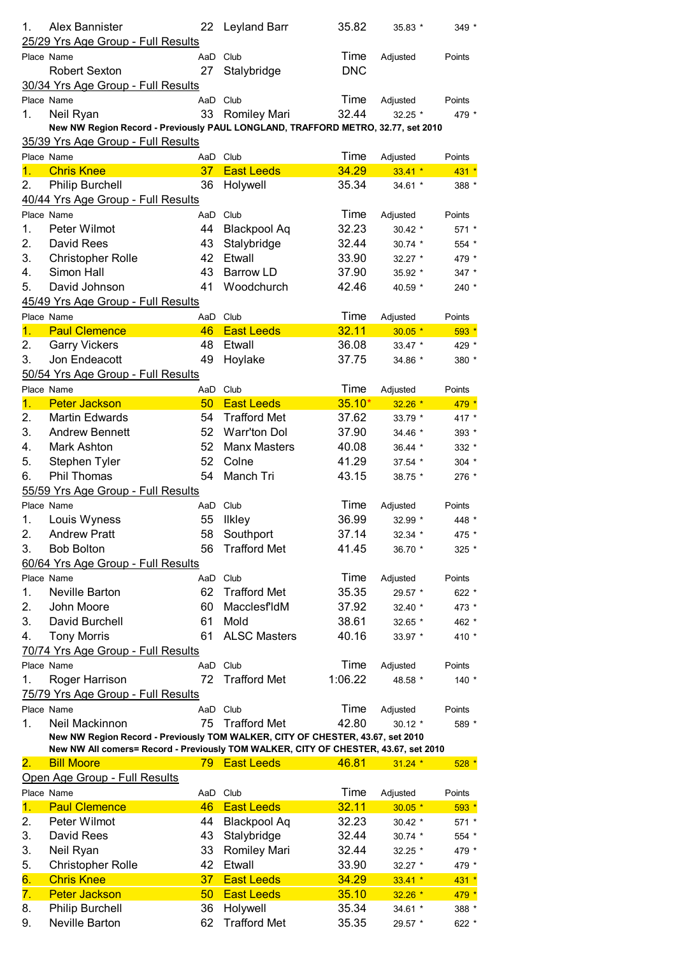| 1.               | Alex Bannister<br>25/29 Yrs Age Group - Full Results                                | 22              | <b>Leyland Barr</b> | 35.82      | 35.83 *   | 349 *   |
|------------------|-------------------------------------------------------------------------------------|-----------------|---------------------|------------|-----------|---------|
|                  | Place Name                                                                          | AaD             | Club                | Time       | Adjusted  | Points  |
|                  | <b>Robert Sexton</b>                                                                | 27              | Stalybridge         | <b>DNC</b> |           |         |
|                  | 30/34 Yrs Age Group - Full Results                                                  |                 |                     |            |           |         |
|                  | Place Name                                                                          | AaD             | Club                | Time       | Adjusted  | Points  |
| 1.               | Neil Ryan                                                                           | 33              | <b>Romiley Mari</b> | 32.44      | 32.25 *   | 479 *   |
|                  | New NW Region Record - Previously PAUL LONGLAND, TRAFFORD METRO, 32.77, set 2010    |                 |                     |            |           |         |
|                  | 35/39 Yrs Age Group - Full Results                                                  |                 |                     |            |           |         |
|                  | Place Name                                                                          | AaD             | Club                | Time       | Adjusted  | Points  |
| $\mathbf{1}$ .   | <b>Chris Knee</b>                                                                   | 37              | <b>East Leeds</b>   | 34.29      | $33.41*$  | $431 *$ |
| 2.               | <b>Philip Burchell</b>                                                              | 36              | Holywell            | 35.34      | 34.61 *   | 388 *   |
|                  | 40/44 Yrs Age Group - Full Results                                                  |                 |                     |            |           |         |
| Place Name       |                                                                                     | AaD             | Club                | Time       | Adjusted  | Points  |
| 1.               | Peter Wilmot                                                                        | 44              | <b>Blackpool Aq</b> | 32.23      | 30.42 *   | 571 *   |
| 2.               | David Rees                                                                          | 43              | Stalybridge         | 32.44      | 30.74 *   | 554 *   |
| 3.               | <b>Christopher Rolle</b>                                                            | 42              | Etwall              | 33.90      | 32.27 *   | 479 *   |
| 4.               | Simon Hall                                                                          | 43              | Barrow LD           | 37.90      | 35.92 *   | 347 *   |
| 5.               | David Johnson                                                                       | 41              | Woodchurch          | 42.46      | 40.59 *   | 240 *   |
|                  | 45/49 Yrs Age Group - Full Results                                                  |                 |                     |            |           |         |
|                  | Place Name                                                                          | AaD Club        |                     | Time       | Adjusted  | Points  |
| $\mathbf{1}$ .   | <b>Paul Clemence</b>                                                                | 46              | <b>East Leeds</b>   | 32.11      | $30.05*$  | $593*$  |
| 2.               | <b>Garry Vickers</b>                                                                | 48              | Etwall              | 36.08      | 33.47 *   | 429 *   |
| 3.               | Jon Endeacott                                                                       | 49              | Hoylake             | 37.75      | 34.86 *   | 380 *   |
|                  | 50/54 Yrs Age Group - Full Results                                                  |                 |                     |            |           |         |
|                  | Place Name                                                                          | AaD             | Club                | Time       | Adjusted  | Points  |
| $\overline{1}$ . | <b>Peter Jackson</b>                                                                | 50              | <b>East Leeds</b>   | $35.10*$   | $32.26*$  | 479 *   |
| 2.               | <b>Martin Edwards</b>                                                               | 54              | <b>Trafford Met</b> | 37.62      | 33.79 *   | 417 *   |
| 3.               | <b>Andrew Bennett</b>                                                               | 52              | <b>Warr'ton Dol</b> | 37.90      | 34.46 *   | 393 *   |
| 4.               | Mark Ashton                                                                         | 52              | <b>Manx Masters</b> | 40.08      |           |         |
|                  |                                                                                     |                 |                     |            | 36.44 *   | 332 *   |
| 5.               | Stephen Tyler                                                                       | 52              | Colne               | 41.29      | $37.54$ * | $304$ * |
| 6.               | Phil Thomas                                                                         | 54              | Manch Tri           | 43.15      | 38.75 *   | 276 *   |
|                  | 55/59 Yrs Age Group - Full Results                                                  |                 |                     |            |           |         |
|                  | Place Name                                                                          | AaD             | Club                | Time       | Adjusted  | Points  |
| 1.               | Louis Wyness                                                                        | 55              | <b>Ilkley</b>       | 36.99      | 32.99 *   | 448 *   |
| 2.               | <b>Andrew Pratt</b>                                                                 | 58              | Southport           | 37.14      | 32.34 *   | 475 *   |
| 3.               | <b>Bob Bolton</b>                                                                   | 56              | <b>Trafford Met</b> | 41.45      | 36.70 *   | 325 *   |
|                  | 60/64 Yrs Age Group - Full Results                                                  |                 |                     |            |           |         |
|                  | Place Name                                                                          | AaD             | Club                | Time       | Adjusted  | Points  |
| 1.               | Neville Barton                                                                      | 62              | <b>Trafford Met</b> | 35.35      | 29.57 *   | 622 *   |
| 2.               | John Moore                                                                          | 60              | Macclesf'ldM        | 37.92      | 32.40 *   | 473 *   |
| 3.               | David Burchell                                                                      | 61              | Mold                | 38.61      | 32.65 *   | 462 *   |
| 4.               | <b>Tony Morris</b>                                                                  | 61              | <b>ALSC Masters</b> | 40.16      | 33.97 *   | 410 *   |
|                  | 70/74 Yrs Age Group - Full Results                                                  |                 |                     |            |           |         |
|                  | Place Name                                                                          | AaD             | Club                | Time       | Adjusted  | Points  |
| 1.               | Roger Harrison                                                                      | 72              | <b>Trafford Met</b> | 1:06.22    | 48.58 *   | $140 *$ |
|                  | 75/79 Yrs Age Group - Full Results                                                  |                 |                     |            |           |         |
|                  | Place Name                                                                          | AaD             | Club                | Time       | Adjusted  | Points  |
| 1.               | Neil Mackinnon                                                                      | 75              | <b>Trafford Met</b> | 42.80      | $30.12*$  | 589 *   |
|                  | New NW Region Record - Previously TOM WALKER, CITY OF CHESTER, 43.67, set 2010      |                 |                     |            |           |         |
|                  | New NW All comers= Record - Previously TOM WALKER, CITY OF CHESTER, 43.67, set 2010 |                 |                     |            |           |         |
| 2.               | <b>Bill Moore</b>                                                                   |                 | 79 East Leeds       | 46.81      | $31.24$ * | $528 *$ |
|                  | Open Age Group - Full Results                                                       |                 |                     |            |           |         |
| Place Name       |                                                                                     | AaD Club        |                     | Time       | Adjusted  | Points  |
| 1.               | <b>Paul Clemence</b>                                                                | 46              | <b>East Leeds</b>   | 32.11      | $30.05*$  | $593*$  |
| 2.               | Peter Wilmot                                                                        | 44              | <b>Blackpool Aq</b> | 32.23      | 30.42 *   | 571 *   |
| 3.               | David Rees                                                                          | 43              | Stalybridge         | 32.44      | 30.74 *   | $554 *$ |
| 3.               | Neil Ryan                                                                           | 33              | <b>Romiley Mari</b> | 32.44      | 32.25 *   | 479 *   |
| 5.               | <b>Christopher Rolle</b>                                                            | 42              | Etwall              | 33.90      | $32.27$ * | 479 *   |
| 6.               | <b>Chris Knee</b>                                                                   | 37 <sup>2</sup> | <b>East Leeds</b>   | 34.29      | $33.41 *$ | $431 *$ |
| 7.               | <b>Peter Jackson</b>                                                                | 50              | <b>East Leeds</b>   | 35.10      | $32.26*$  | 479 *   |
| 8.               | <b>Philip Burchell</b>                                                              | 36              | Holywell            | 35.34      | 34.61 *   | 388 *   |
| 9.               | Neville Barton                                                                      | 62              | <b>Trafford Met</b> | 35.35      | 29.57 *   | 622 *   |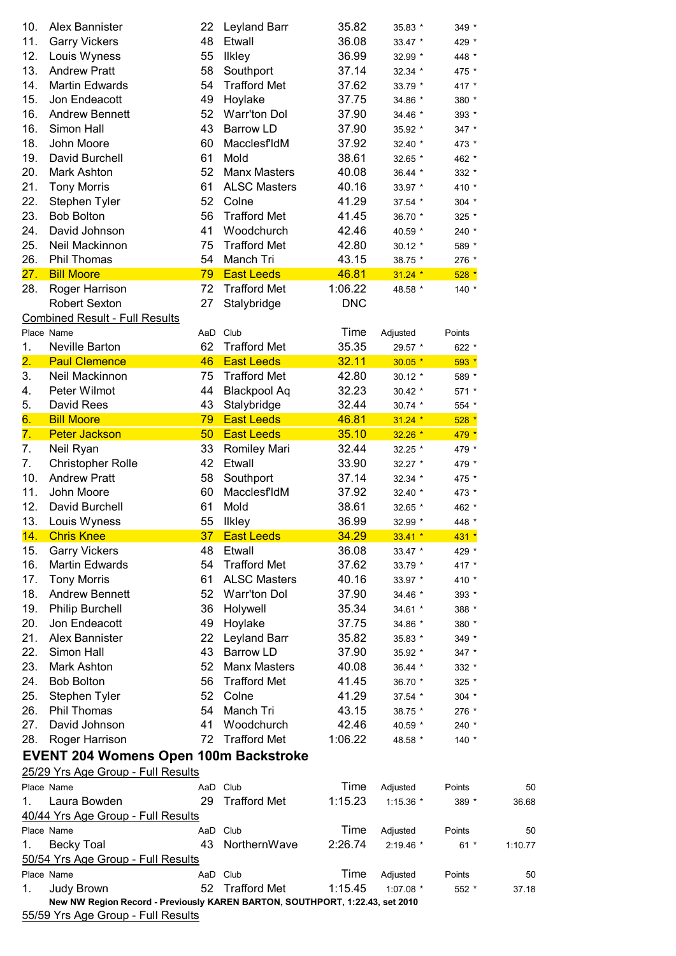| 10. | Alex Bannister                                                               | 22 | <b>Leyland Barr</b> | 35.82      | 35.83 *     | 349 *   |         |
|-----|------------------------------------------------------------------------------|----|---------------------|------------|-------------|---------|---------|
| 11. | <b>Garry Vickers</b>                                                         | 48 | Etwall              | 36.08      | 33.47 *     | 429 *   |         |
| 12. | Louis Wyness                                                                 | 55 | <b>Ilkley</b>       | 36.99      | 32.99 *     | 448 *   |         |
| 13. | <b>Andrew Pratt</b>                                                          | 58 | Southport           | 37.14      | 32.34 *     | 475 *   |         |
| 14. | <b>Martin Edwards</b>                                                        | 54 | <b>Trafford Met</b> | 37.62      | 33.79 *     | 417 *   |         |
| 15. | Jon Endeacott                                                                | 49 | Hoylake             | 37.75      | 34.86 *     | 380 *   |         |
| 16. | <b>Andrew Bennett</b>                                                        | 52 | <b>Warr'ton Dol</b> | 37.90      | 34.46 *     | 393 *   |         |
| 16. | Simon Hall                                                                   | 43 | <b>Barrow LD</b>    | 37.90      | 35.92 *     | 347 *   |         |
| 18. | John Moore                                                                   | 60 | Macclesf'ldM        | 37.92      | 32.40 *     | 473 *   |         |
| 19. | David Burchell                                                               | 61 | Mold                | 38.61      | 32.65 *     | 462 *   |         |
| 20. | Mark Ashton                                                                  | 52 | <b>Manx Masters</b> | 40.08      | 36.44 *     | 332 *   |         |
| 21. | <b>Tony Morris</b>                                                           | 61 | <b>ALSC Masters</b> | 40.16      | 33.97 *     | 410 *   |         |
| 22. | Stephen Tyler                                                                | 52 | Colne               | 41.29      | 37.54 *     | 304 *   |         |
| 23. | <b>Bob Bolton</b>                                                            | 56 | <b>Trafford Met</b> | 41.45      |             |         |         |
| 24. | David Johnson                                                                | 41 | Woodchurch          | 42.46      | 36.70 *     | 325 *   |         |
|     |                                                                              |    | <b>Trafford Met</b> |            | 40.59 *     | 240 *   |         |
| 25. | Neil Mackinnon                                                               | 75 |                     | 42.80      | $30.12$ *   | 589 *   |         |
| 26. | Phil Thomas                                                                  | 54 | Manch Tri           | 43.15      | 38.75 *     | 276 *   |         |
| 27. | <b>Bill Moore</b>                                                            | 79 | <b>East Leeds</b>   | 46.81      | $31.24$ *   | $528 *$ |         |
| 28. | Roger Harrison                                                               | 72 | <b>Trafford Met</b> | 1:06.22    | 48.58 *     | 140 *   |         |
|     | <b>Robert Sexton</b>                                                         | 27 | Stalybridge         | <b>DNC</b> |             |         |         |
|     | <b>Combined Result - Full Results</b>                                        |    |                     |            |             |         |         |
|     | Place Name                                                                   |    | AaD Club            | Time       | Adjusted    | Points  |         |
| 1.  | <b>Neville Barton</b>                                                        | 62 | <b>Trafford Met</b> | 35.35      | 29.57 *     | 622 *   |         |
| 2.  | <b>Paul Clemence</b>                                                         | 46 | <b>East Leeds</b>   | 32.11      | $30.05*$    | $593*$  |         |
| 3.  | Neil Mackinnon                                                               | 75 | <b>Trafford Met</b> | 42.80      | 30.12 *     | 589 *   |         |
| 4.  | Peter Wilmot                                                                 | 44 | <b>Blackpool Aq</b> | 32.23      | 30.42 *     | 571 *   |         |
| 5.  | David Rees                                                                   | 43 | Stalybridge         | 32.44      | 30.74 *     | 554 *   |         |
| 6.  | <b>Bill Moore</b>                                                            | 79 | <b>East Leeds</b>   | 46.81      | $31.24$ *   | $528*$  |         |
| 7.  | <b>Peter Jackson</b>                                                         | 50 | <b>East Leeds</b>   | 35.10      | $32.26*$    | 479 *   |         |
| 7.  | Neil Ryan                                                                    | 33 | <b>Romiley Mari</b> | 32.44      | 32.25 *     | 479 *   |         |
| 7.  | <b>Christopher Rolle</b>                                                     | 42 | Etwall              | 33.90      | 32.27 *     | 479 *   |         |
| 10. | <b>Andrew Pratt</b>                                                          | 58 | Southport           | 37.14      | 32.34 *     | 475 *   |         |
| 11. | John Moore                                                                   | 60 | <b>MacclesfldM</b>  | 37.92      | 32.40 *     | 473 *   |         |
| 12. | David Burchell                                                               | 61 | Mold                | 38.61      | 32.65 *     | 462 *   |         |
| 13. | Louis Wyness                                                                 | 55 | <b>Ilkley</b>       | 36.99      | 32.99 *     | 448 *   |         |
| 14. | <b>Chris Knee</b>                                                            | 37 | <b>East Leeds</b>   | 34.29      | $33.41*$    | $431 *$ |         |
| 15. | <b>Garry Vickers</b>                                                         | 48 | Etwall              | 36.08      | 33.47 *     | 429 *   |         |
| 16. | <b>Martin Edwards</b>                                                        | 54 | <b>Trafford Met</b> | 37.62      | 33.79 *     | 417 *   |         |
| 17. | <b>Tony Morris</b>                                                           | 61 | <b>ALSC Masters</b> | 40.16      | 33.97 *     | 410 *   |         |
| 18. | <b>Andrew Bennett</b>                                                        | 52 | <b>Warr'ton Dol</b> | 37.90      | 34.46 *     | 393 *   |         |
| 19. | <b>Philip Burchell</b>                                                       | 36 | Holywell            | 35.34      | 34.61 *     | 388 *   |         |
| 20. | Jon Endeacott                                                                | 49 | Hoylake             | 37.75      | 34.86 *     | 380 *   |         |
| 21. | Alex Bannister                                                               | 22 | Leyland Barr        | 35.82      | 35.83 *     | 349 *   |         |
| 22. | Simon Hall                                                                   | 43 | <b>Barrow LD</b>    | 37.90      | 35.92 *     | 347 *   |         |
| 23. | <b>Mark Ashton</b>                                                           | 52 | <b>Manx Masters</b> | 40.08      | 36.44 *     | 332 *   |         |
| 24. | <b>Bob Bolton</b>                                                            | 56 | <b>Trafford Met</b> | 41.45      | 36.70 *     | 325 *   |         |
| 25. | Stephen Tyler                                                                | 52 | Colne               | 41.29      | 37.54 *     | 304 *   |         |
| 26. | Phil Thomas                                                                  | 54 | Manch Tri           | 43.15      | 38.75 *     | 276 *   |         |
| 27. | David Johnson                                                                | 41 | Woodchurch          | 42.46      | 40.59 *     | 240 *   |         |
| 28. | Roger Harrison                                                               | 72 | <b>Trafford Met</b> | 1:06.22    |             |         |         |
|     |                                                                              |    |                     |            | 48.58 *     | 140 *   |         |
|     | <b>EVENT 204 Womens Open 100m Backstroke</b>                                 |    |                     |            |             |         |         |
|     | 25/29 Yrs Age Group - Full Results                                           |    |                     |            |             |         |         |
|     | Place Name                                                                   |    | AaD Club            | Time       | Adjusted    | Points  | 50      |
| 1.  | Laura Bowden                                                                 | 29 | <b>Trafford Met</b> | 1:15.23    | 1:15.36 *   | 389 *   | 36.68   |
|     | 40/44 Yrs Age Group - Full Results                                           |    |                     |            |             |         |         |
|     | Place Name                                                                   |    | AaD Club            | Time       | Adjusted    | Points  | 50      |
| 1.  | <b>Becky Toal</b>                                                            | 43 | NorthernWave        | 2:26.74    | $2:19.46$ * | $61 *$  | 1:10.77 |
|     | 50/54 Yrs Age Group - Full Results                                           |    |                     |            |             |         |         |
|     | Place Name                                                                   |    | AaD Club            | Time       | Adjusted    | Points  | 50      |
| 1.  | Judy Brown                                                                   | 52 | <b>Trafford Met</b> | 1:15.45    | $1:07.08$ * | $552*$  | 37.18   |
|     | New NW Region Record - Previously KAREN BARTON, SOUTHPORT, 1:22.43, set 2010 |    |                     |            |             |         |         |
|     | 55/59 Yrs Age Group - Full Results                                           |    |                     |            |             |         |         |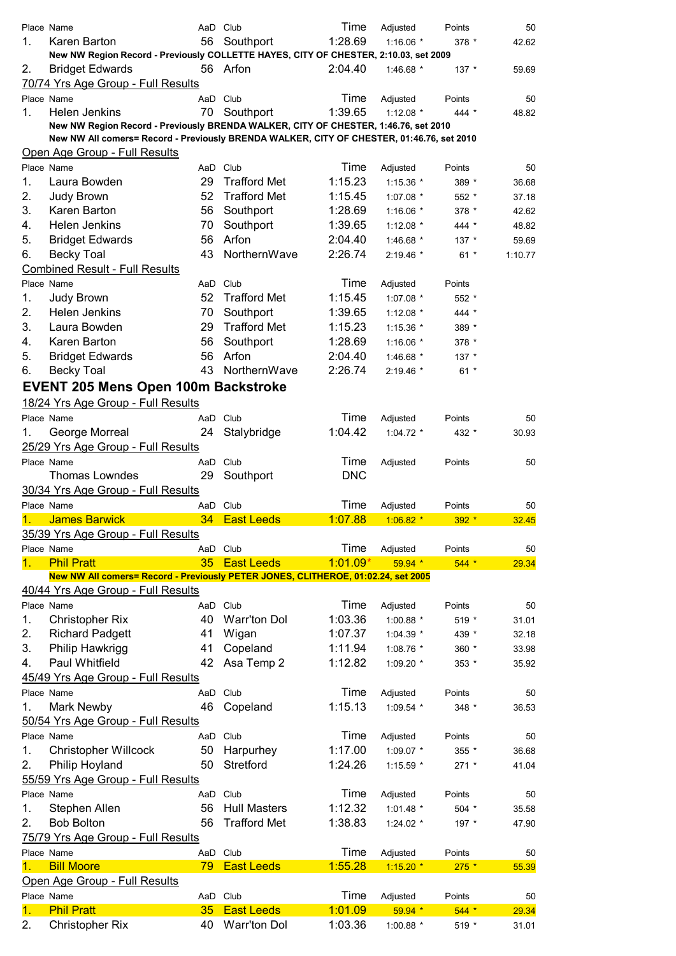| 1. | Place Name<br>Karen Barton<br>New NW Region Record - Previously COLLETTE HAYES, CITY OF CHESTER, 2:10.03, set 2009                                                               | AaD Club<br>56 | Southport           | Time<br>1:28.69 | Adjusted<br>1:16.06 $*$ | Points<br>378 * | 50<br>42.62 |
|----|----------------------------------------------------------------------------------------------------------------------------------------------------------------------------------|----------------|---------------------|-----------------|-------------------------|-----------------|-------------|
| 2. | <b>Bridget Edwards</b>                                                                                                                                                           |                | 56 Arfon            | 2:04.40         | 1:46.68 $*$             | $137 *$         | 59.69       |
|    | 70/74 Yrs Age Group - Full Results                                                                                                                                               |                |                     |                 |                         |                 |             |
|    | Place Name                                                                                                                                                                       | AaD Club       |                     | Time            | Adjusted                | Points          | 50          |
| 1. | Helen Jenkins                                                                                                                                                                    | 70             | Southport           | 1:39.65         | 1:12.08 $*$             | 444 *           | 48.82       |
|    | New NW Region Record - Previously BRENDA WALKER, CITY OF CHESTER, 1:46.76, set 2010<br>New NW All comers= Record - Previously BRENDA WALKER, CITY OF CHESTER, 01:46.76, set 2010 |                |                     |                 |                         |                 |             |
|    | Open Age Group - Full Results                                                                                                                                                    |                |                     |                 |                         |                 |             |
|    | Place Name                                                                                                                                                                       | AaD Club       |                     | Time            | Adjusted                | Points          | 50          |
| 1. | Laura Bowden                                                                                                                                                                     | 29             | <b>Trafford Met</b> | 1:15.23         | $1:15.36$ *             | 389 *           | 36.68       |
| 2. |                                                                                                                                                                                  | 52             | <b>Trafford Met</b> | 1:15.45         | 1:07.08 *               | 552 *           | 37.18       |
|    | Judy Brown                                                                                                                                                                       |                |                     |                 |                         |                 |             |
| 3. | Karen Barton                                                                                                                                                                     | 56             | Southport           | 1:28.69         | 1:16.06 $*$             | 378 *           | 42.62       |
| 4. | <b>Helen Jenkins</b>                                                                                                                                                             | 70             | Southport           | 1:39.65         | 1:12.08 $*$             | 444 *           | 48.82       |
| 5. | <b>Bridget Edwards</b>                                                                                                                                                           | 56             | Arfon               | 2:04.40         | 1:46.68 *               | $137 *$         | 59.69       |
| 6. | <b>Becky Toal</b>                                                                                                                                                                | 43             | NorthernWave        | 2:26.74         | 2:19.46 *               | $61 *$          | 1:10.77     |
|    | <b>Combined Result - Full Results</b>                                                                                                                                            |                |                     |                 |                         |                 |             |
|    | Place Name                                                                                                                                                                       | AaD Club       |                     | Time            | Adjusted                | Points          |             |
| 1. | Judy Brown                                                                                                                                                                       | 52             | <b>Trafford Met</b> | 1:15.45         | 1:07.08 *               | 552 *           |             |
| 2. | Helen Jenkins                                                                                                                                                                    | 70             | Southport           | 1:39.65         | 1:12.08 $*$             | 444 *           |             |
| 3. | Laura Bowden                                                                                                                                                                     | 29             | <b>Trafford Met</b> | 1:15.23         | $1:15.36$ *             | 389 *           |             |
| 4. | Karen Barton                                                                                                                                                                     | 56             | Southport           | 1:28.69         | 1:16.06 $*$             | $378 *$         |             |
| 5. | <b>Bridget Edwards</b>                                                                                                                                                           | 56             | Arfon               | 2:04.40         | 1:46.68 *               | $137 *$         |             |
| 6. | <b>Becky Toal</b>                                                                                                                                                                | 43             | NorthernWave        | 2:26.74         | 2:19.46 *               | $61 *$          |             |
|    | <b>EVENT 205 Mens Open 100m Backstroke</b>                                                                                                                                       |                |                     |                 |                         |                 |             |
|    | 18/24 Yrs Age Group - Full Results                                                                                                                                               |                |                     |                 |                         |                 |             |
|    | Place Name                                                                                                                                                                       | AaD            | Club                | Time            | Adjusted                | Points          | 50          |
| 1. | George Morreal                                                                                                                                                                   | 24             | Stalybridge         | 1:04.42         | $1:04.72$ *             | 432 *           | 30.93       |
|    | 25/29 Yrs Age Group - Full Results                                                                                                                                               |                |                     |                 |                         |                 |             |
|    | Place Name                                                                                                                                                                       |                | Club                | Time            |                         | Points          |             |
|    | <b>Thomas Lowndes</b>                                                                                                                                                            | AaD<br>29      |                     | <b>DNC</b>      | Adjusted                |                 | 50          |
|    |                                                                                                                                                                                  |                | Southport           |                 |                         |                 |             |
|    | 30/34 Yrs Age Group - Full Results                                                                                                                                               |                |                     |                 |                         |                 |             |
|    | Place Name                                                                                                                                                                       | AaD Club       |                     | Time            | Adjusted                | Points          | 50          |
| 1. | <b>James Barwick</b>                                                                                                                                                             | 34             | <b>East Leeds</b>   | 1:07.88         | $1:06.82*$              | $392 *$         | 32.45       |
|    | 35/39 Yrs Age Group - Full Results                                                                                                                                               |                |                     |                 |                         |                 |             |
|    | Place Name                                                                                                                                                                       | AaD            | Club                | Time            | Adjusted                | Points          | 50          |
| 1. | <b>Phil Pratt</b>                                                                                                                                                                | 35             | <b>East Leeds</b>   | $1:01.09*$      | 59.94 *                 | $544 *$         | 29.34       |
|    | New NW All comers= Record - Previously PETER JONES, CLITHEROE, 01:02.24, set 2005                                                                                                |                |                     |                 |                         |                 |             |
|    | 40/44 Yrs Age Group - Full Results                                                                                                                                               |                |                     |                 |                         |                 |             |
|    | Place Name                                                                                                                                                                       | AaD Club       |                     | Time            | Adjusted                | Points          | 50          |
| 1. | Christopher Rix                                                                                                                                                                  | 40             | <b>Warr'ton Dol</b> | 1:03.36         | 1:00.88 *               | 519 *           | 31.01       |
| 2. | <b>Richard Padgett</b>                                                                                                                                                           | 41             | Wigan               | 1:07.37         | 1:04.39 *               | 439 *           | 32.18       |
| 3. | Philip Hawkrigg                                                                                                                                                                  | 41             | Copeland            | 1:11.94         | 1:08.76 *               | 360 *           | 33.98       |
| 4. | Paul Whitfield                                                                                                                                                                   | 42             | Asa Temp 2          | 1:12.82         | 1:09.20 *               | 353 *           | 35.92       |
|    | 45/49 Yrs Age Group - Full Results                                                                                                                                               |                |                     |                 |                         |                 |             |
|    | Place Name                                                                                                                                                                       | AaD            | Club                | Time            | Adjusted                | Points          | 50          |
| 1. | Mark Newby                                                                                                                                                                       | 46             | Copeland            | 1:15.13         | 1:09.54 *               | 348 *           | 36.53       |
|    | 50/54 Yrs Age Group - Full Results                                                                                                                                               |                |                     |                 |                         |                 |             |
|    | Place Name                                                                                                                                                                       | AaD            | Club                | Time            | Adjusted                | Points          | 50          |
| 1. | <b>Christopher Willcock</b>                                                                                                                                                      | 50             | Harpurhey           | 1:17.00         | 1:09.07 *               | 355 *           | 36.68       |
| 2. | Philip Hoyland                                                                                                                                                                   | 50             | Stretford           | 1:24.26         | 1:15.59 *               | $271 *$         | 41.04       |
|    | 55/59 Yrs Age Group - Full Results                                                                                                                                               |                |                     |                 |                         |                 |             |
|    | Place Name                                                                                                                                                                       | AaD            | Club                | Time            | Adjusted                | Points          | 50          |
| 1. | Stephen Allen                                                                                                                                                                    | 56             | <b>Hull Masters</b> | 1:12.32         | 1:01.48 *               | 504 *           | 35.58       |
| 2. | <b>Bob Bolton</b>                                                                                                                                                                | 56             | <b>Trafford Met</b> | 1:38.83         | 1:24.02 *               | 197 *           | 47.90       |
|    | 75/79 Yrs Age Group - Full Results                                                                                                                                               |                |                     |                 |                         |                 |             |
|    | Place Name                                                                                                                                                                       | AaD Club       |                     | Time            | Adjusted                | Points          | 50          |
| 1. | <b>Bill Moore</b>                                                                                                                                                                | 79             | <b>East Leeds</b>   | 1:55.28         | $1:15.20*$              | $275 *$         | 55.39       |
|    | Open Age Group - Full Results                                                                                                                                                    |                |                     |                 |                         |                 |             |
|    | Place Name                                                                                                                                                                       | AaD            | Club                | Time            | Adjusted                | Points          | 50          |
| 1. | <b>Phil Pratt</b>                                                                                                                                                                | 35             | <b>East Leeds</b>   | 1:01.09         | 59.94 *                 | $544 *$         | 29.34       |
| 2. | <b>Christopher Rix</b>                                                                                                                                                           | 40             | Warr'ton Dol        | 1:03.36         | 1:00.88 *               | 519 *           | 31.01       |
|    |                                                                                                                                                                                  |                |                     |                 |                         |                 |             |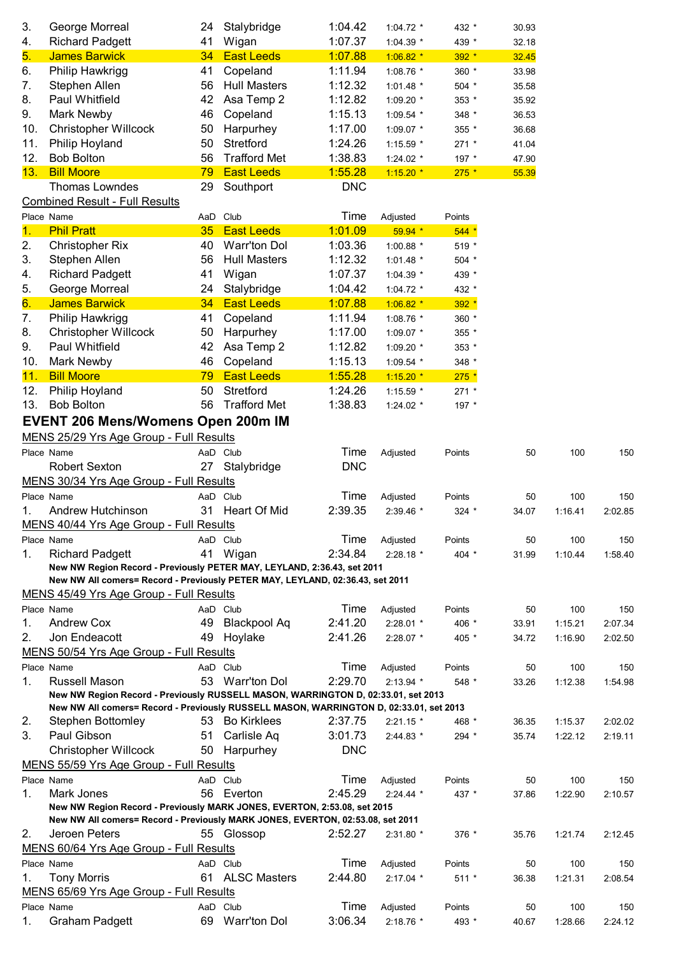| 3.             | George Morreal                                                                         | 24 | Stalybridge         | 1:04.42    | 1:04.72 *   | 432 *   | 30.93 |         |         |
|----------------|----------------------------------------------------------------------------------------|----|---------------------|------------|-------------|---------|-------|---------|---------|
| 4.             | <b>Richard Padgett</b>                                                                 | 41 | Wigan               | 1:07.37    | 1:04.39 *   | 439 *   | 32.18 |         |         |
| 5.             | <b>James Barwick</b>                                                                   | 34 | <b>East Leeds</b>   | 1:07.88    | $1:06.82$ * | $392 *$ | 32.45 |         |         |
| 6.             | Philip Hawkrigg                                                                        | 41 | Copeland            | 1:11.94    | 1:08.76 *   | 360 *   | 33.98 |         |         |
| 7.             | Stephen Allen                                                                          | 56 | <b>Hull Masters</b> | 1:12.32    | $1:01.48$ * | 504 *   | 35.58 |         |         |
| 8.             | Paul Whitfield                                                                         | 42 | Asa Temp 2          | 1:12.82    | 1:09.20 *   | 353 *   | 35.92 |         |         |
| 9.             | Mark Newby                                                                             | 46 | Copeland            | 1:15.13    | 1:09.54 *   | 348 *   | 36.53 |         |         |
| 10.            | <b>Christopher Willcock</b>                                                            | 50 | Harpurhey           | 1:17.00    | 1:09.07 *   | 355 *   | 36.68 |         |         |
| 11.            | Philip Hoyland                                                                         | 50 | Stretford           | 1:24.26    | 1:15.59 *   | $271 *$ | 41.04 |         |         |
| 12.            | <b>Bob Bolton</b>                                                                      | 56 | <b>Trafford Met</b> | 1:38.83    | 1:24.02 $*$ | 197 *   | 47.90 |         |         |
| 13.            | <b>Bill Moore</b>                                                                      | 79 | <b>East Leeds</b>   | 1:55.28    | $1:15.20*$  | $275 *$ | 55.39 |         |         |
|                | Thomas Lowndes<br><b>Combined Result - Full Results</b>                                | 29 | Southport           | <b>DNC</b> |             |         |       |         |         |
|                | Place Name                                                                             |    | AaD Club            | Time       | Adjusted    | Points  |       |         |         |
| $\mathbf{1}$ . | <b>Phil Pratt</b>                                                                      | 35 | <b>East Leeds</b>   | 1:01.09    | 59.94 *     | $544*$  |       |         |         |
| 2.             | <b>Christopher Rix</b>                                                                 | 40 | <b>Warr'ton Dol</b> | 1:03.36    | 1:00.88 *   | 519 *   |       |         |         |
| 3.             | Stephen Allen                                                                          | 56 | <b>Hull Masters</b> | 1:12.32    | 1:01.48 *   | 504 *   |       |         |         |
| 4.             | <b>Richard Padgett</b>                                                                 | 41 | Wigan               | 1:07.37    | 1:04.39 *   | 439 *   |       |         |         |
| 5.             | George Morreal                                                                         | 24 | Stalybridge         | 1:04.42    | 1:04.72 *   | 432 *   |       |         |         |
| 6.             | <b>James Barwick</b>                                                                   | 34 | <b>East Leeds</b>   | 1:07.88    | $1:06.82$ * | $392 *$ |       |         |         |
| 7.             | Philip Hawkrigg                                                                        | 41 | Copeland            | 1:11.94    | 1:08.76 *   | 360 *   |       |         |         |
| 8.             | <b>Christopher Willcock</b>                                                            | 50 | Harpurhey           | 1:17.00    | $1:09.07$ * | 355 *   |       |         |         |
| 9.             | Paul Whitfield                                                                         | 42 | Asa Temp 2          | 1:12.82    | 1:09.20 *   | 353 *   |       |         |         |
| 10.            | Mark Newby                                                                             | 46 | Copeland            | 1:15.13    | 1:09.54 *   | 348 *   |       |         |         |
| 11.            | <b>Bill Moore</b>                                                                      | 79 | <b>East Leeds</b>   | 1:55.28    | $1:15.20*$  | $275 *$ |       |         |         |
| 12.            | Philip Hoyland                                                                         | 50 | Stretford           | 1:24.26    | 1:15.59 *   | 271 *   |       |         |         |
| 13.            | <b>Bob Bolton</b>                                                                      | 56 | <b>Trafford Met</b> | 1:38.83    | 1:24.02 *   | 197 *   |       |         |         |
|                | <b>EVENT 206 Mens/Womens Open 200m IM</b>                                              |    |                     |            |             |         |       |         |         |
|                |                                                                                        |    |                     |            |             |         |       |         |         |
|                | MENS 25/29 Yrs Age Group - Full Results                                                |    |                     |            |             |         |       |         |         |
|                | Place Name                                                                             |    | AaD Club            | Time       | Adjusted    | Points  | 50    | 100     | 150     |
|                | <b>Robert Sexton</b>                                                                   | 27 | Stalybridge         | <b>DNC</b> |             |         |       |         |         |
|                | MENS 30/34 Yrs Age Group - Full Results                                                |    |                     |            |             |         |       |         |         |
|                | Place Name                                                                             |    | AaD Club            | Time       | Adjusted    | Points  | 50    | 100     | 150     |
| 1.             | Andrew Hutchinson                                                                      | 31 | Heart Of Mid        | 2:39.35    | 2:39.46 *   | 324 *   | 34.07 | 1:16.41 | 2:02.85 |
|                | MENS 40/44 Yrs Age Group - Full Results                                                |    |                     |            |             |         |       |         |         |
|                | Place Name                                                                             |    | AaD Club            | Time       | Adjusted    | Points  | 50    | 100     | 150     |
| 1.             | <b>Richard Padgett</b>                                                                 | 41 | Wigan               | 2:34.84    | $2:28.18*$  | 404 *   | 31.99 | 1:10.44 | 1:58.40 |
|                | New NW Region Record - Previously PETER MAY, LEYLAND, 2:36.43, set 2011                |    |                     |            |             |         |       |         |         |
|                | New NW All comers= Record - Previously PETER MAY, LEYLAND, 02:36.43, set 2011          |    |                     |            |             |         |       |         |         |
|                | MENS 45/49 Yrs Age Group - Full Results                                                |    |                     |            |             |         |       |         |         |
|                | Place Name                                                                             |    | AaD Club            | Time       | Adjusted    | Points  | 50    | 100     | 150     |
| 1.             | <b>Andrew Cox</b>                                                                      | 49 | <b>Blackpool Aq</b> | 2:41.20    | 2:28.01 *   | 406 *   | 33.91 | 1:15.21 | 2:07.34 |
| 2.             | Jon Endeacott                                                                          | 49 | Hoylake             | 2:41.26    | $2:28.07$ * | 405 *   | 34.72 | 1:16.90 | 2:02.50 |
|                | MENS 50/54 Yrs Age Group - Full Results                                                |    |                     |            |             |         |       |         |         |
|                | Place Name                                                                             |    | AaD Club            | Time       | Adjusted    | Points  | 50    | 100     | 150     |
| 1.             | Russell Mason                                                                          |    | 53 Warr'ton Dol     | 2:29.70    | $2:13.94$ * | 548 *   | 33.26 | 1:12.38 | 1:54.98 |
|                | New NW Region Record - Previously RUSSELL MASON, WARRINGTON D, 02:33.01, set 2013      |    |                     |            |             |         |       |         |         |
|                | New NW All comers= Record - Previously RUSSELL MASON, WARRINGTON D, 02:33.01, set 2013 |    |                     |            |             |         |       |         |         |
| 2.             | Stephen Bottomley                                                                      |    | 53 Bo Kirklees      | 2:37.75    | $2:21.15$ * | 468 *   | 36.35 | 1:15.37 | 2:02.02 |
| 3.             | Paul Gibson                                                                            | 51 | Carlisle Aq         | 3:01.73    | 2:44.83 *   | 294 *   | 35.74 | 1:22.12 | 2:19.11 |
|                | <b>Christopher Willcock</b>                                                            | 50 | Harpurhey           | <b>DNC</b> |             |         |       |         |         |
|                | MENS 55/59 Yrs Age Group - Full Results                                                |    |                     |            |             |         |       |         |         |
|                | Place Name                                                                             |    | AaD Club            | Time       | Adjusted    | Points  | 50    | 100     | 150     |
| 1.             | Mark Jones                                                                             |    | 56 Everton          | 2:45.29    | $2:24.44$ * | 437 *   | 37.86 | 1:22.90 | 2:10.57 |
|                | New NW Region Record - Previously MARK JONES, EVERTON, 2:53.08, set 2015               |    |                     |            |             |         |       |         |         |
|                | New NW All comers= Record - Previously MARK JONES, EVERTON, 02:53.08, set 2011         |    |                     |            |             |         |       |         |         |
| 2.             | Jeroen Peters                                                                          |    | 55 Glossop          | 2:52.27    | 2:31.80 *   | 376 *   | 35.76 | 1:21.74 | 2:12.45 |
|                | MENS 60/64 Yrs Age Group - Full Results                                                |    |                     |            |             |         |       |         |         |
|                | Place Name                                                                             |    | AaD Club            | Time       | Adjusted    | Points  | 50    | 100     | 150     |
| 1.             | <b>Tony Morris</b>                                                                     |    | 61 ALSC Masters     | 2:44.80    | $2:17.04$ * | 511 *   | 36.38 | 1:21.31 | 2:08.54 |
|                | MENS 65/69 Yrs Age Group - Full Results                                                |    |                     |            |             |         |       |         |         |
|                | Place Name                                                                             |    | AaD Club            | Time       | Adjusted    | Points  | 50    | 100     | 150     |
| 1.             | <b>Graham Padgett</b>                                                                  | 69 | Warr'ton Dol        | 3:06.34    | 2:18.76 *   | 493 *   | 40.67 | 1:28.66 | 2:24.12 |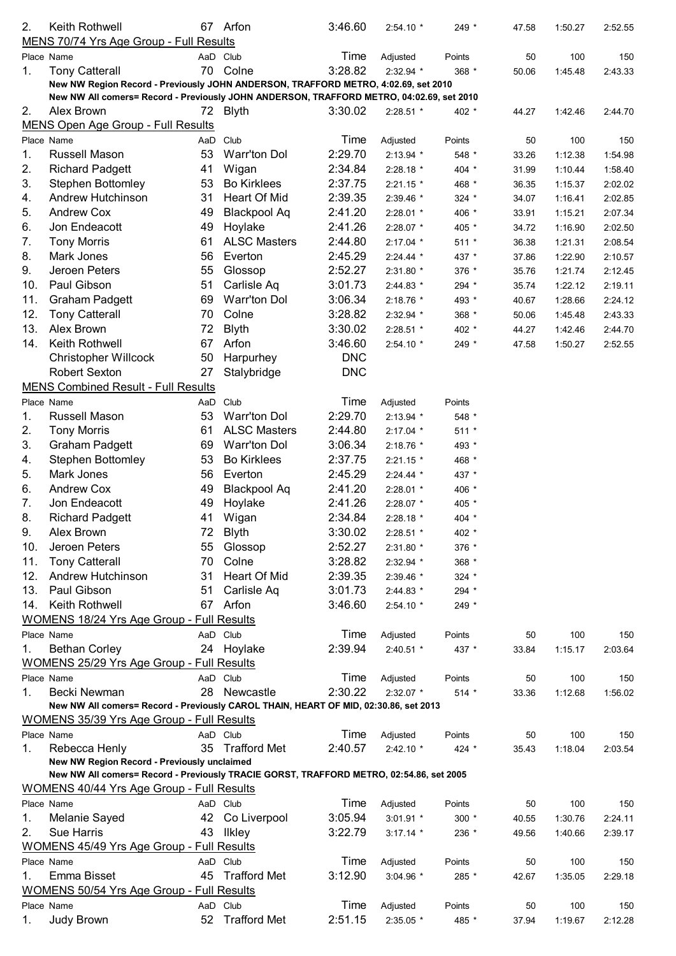| 2.  | Keith Rothwell                                                                           |    | 67 Arfon            | 3:46.60    | $2:54.10*$  | 249 *   | 47.58 | 1:50.27 | 2:52.55 |
|-----|------------------------------------------------------------------------------------------|----|---------------------|------------|-------------|---------|-------|---------|---------|
|     | MENS 70/74 Yrs Age Group - Full Results                                                  |    |                     |            |             |         |       |         |         |
|     | Place Name                                                                               |    | AaD Club            | Time       | Adjusted    | Points  | 50    | 100     | 150     |
| 1.  | <b>Tony Catterall</b>                                                                    |    | 70 Colne            | 3:28.82    | 2:32.94 *   | 368 *   | 50.06 | 1:45.48 | 2:43.33 |
|     | New NW Region Record - Previously JOHN ANDERSON, TRAFFORD METRO, 4:02.69, set 2010       |    |                     |            |             |         |       |         |         |
|     | New NW All comers= Record - Previously JOHN ANDERSON, TRAFFORD METRO, 04:02.69, set 2010 |    |                     |            |             |         |       |         |         |
| 2.  | Alex Brown                                                                               |    | 72 Blyth            | 3:30.02    | $2:28.51$ * | 402 *   | 44.27 | 1:42.46 | 2:44.70 |
|     | <b>MENS Open Age Group - Full Results</b>                                                |    |                     |            |             |         |       |         |         |
|     | Place Name                                                                               |    | AaD Club            | Time       | Adjusted    | Points  | 50    | 100     | 150     |
| 1.  | Russell Mason                                                                            | 53 | <b>Warr'ton Dol</b> | 2:29.70    | $2:13.94$ * | 548 *   | 33.26 | 1:12.38 | 1:54.98 |
| 2.  | <b>Richard Padgett</b>                                                                   | 41 | Wigan               | 2:34.84    | 2:28.18 *   | 404 *   | 31.99 | 1:10.44 | 1:58.40 |
| 3.  | <b>Stephen Bottomley</b>                                                                 | 53 | <b>Bo Kirklees</b>  | 2:37.75    | $2:21.15$ * | 468 *   | 36.35 | 1:15.37 | 2:02.02 |
| 4.  | Andrew Hutchinson                                                                        | 31 | Heart Of Mid        | 2:39.35    | 2:39.46 *   | $324$ * | 34.07 | 1:16.41 | 2:02.85 |
| 5.  | Andrew Cox                                                                               | 49 | <b>Blackpool Aq</b> | 2:41.20    | 2:28.01 *   | 406 *   | 33.91 | 1:15.21 | 2:07.34 |
| 6.  | Jon Endeacott                                                                            | 49 | Hoylake             | 2:41.26    | 2:28.07 *   | 405 *   | 34.72 | 1:16.90 | 2:02.50 |
| 7.  | <b>Tony Morris</b>                                                                       | 61 | <b>ALSC Masters</b> | 2:44.80    | 2:17.04 *   | $511 *$ | 36.38 | 1:21.31 | 2:08.54 |
| 8.  | Mark Jones                                                                               | 56 | Everton             | 2:45.29    | $2:24.44$ * | 437 *   | 37.86 | 1:22.90 | 2:10.57 |
| 9.  | Jeroen Peters                                                                            | 55 | Glossop             | 2:52.27    | 2:31.80 *   | 376 *   | 35.76 | 1:21.74 | 2:12.45 |
| 10. | Paul Gibson                                                                              | 51 | Carlisle Aq         | 3:01.73    | 2:44.83 *   | 294 *   | 35.74 | 1:22.12 | 2:19.11 |
| 11. | <b>Graham Padgett</b>                                                                    | 69 | <b>Warr'ton Dol</b> | 3:06.34    | 2:18.76 *   | 493 *   | 40.67 | 1:28.66 | 2:24.12 |
| 12. | <b>Tony Catterall</b>                                                                    | 70 | Colne               | 3:28.82    | 2:32.94 *   | 368 *   | 50.06 | 1:45.48 | 2:43.33 |
| 13. | Alex Brown                                                                               | 72 | <b>Blyth</b>        | 3:30.02    | 2:28.51 *   | 402 *   | 44.27 | 1:42.46 | 2:44.70 |
| 14. | Keith Rothwell                                                                           | 67 | Arfon               | 3:46.60    | $2:54.10*$  | 249 *   | 47.58 | 1:50.27 | 2:52.55 |
|     | <b>Christopher Willcock</b>                                                              | 50 | Harpurhey           | <b>DNC</b> |             |         |       |         |         |
|     | <b>Robert Sexton</b>                                                                     | 27 | Stalybridge         | <b>DNC</b> |             |         |       |         |         |
|     | <b>MENS Combined Result - Full Results</b>                                               |    |                     |            |             |         |       |         |         |
|     | Place Name                                                                               |    | AaD Club            | Time       | Adjusted    | Points  |       |         |         |
| 1.  | Russell Mason                                                                            | 53 | <b>Warr'ton Dol</b> | 2:29.70    | $2:13.94$ * | 548 *   |       |         |         |
| 2.  | <b>Tony Morris</b>                                                                       | 61 | <b>ALSC Masters</b> | 2:44.80    | 2:17.04 *   | $511 *$ |       |         |         |
| 3.  | <b>Graham Padgett</b>                                                                    | 69 | <b>Warr'ton Dol</b> | 3:06.34    | $2:18.76$ * | 493 *   |       |         |         |
| 4.  | <b>Stephen Bottomley</b>                                                                 | 53 | <b>Bo Kirklees</b>  | 2:37.75    | $2:21.15$ * | 468 *   |       |         |         |
| 5.  | Mark Jones                                                                               | 56 | Everton             | 2:45.29    | $2:24.44$ * | 437 *   |       |         |         |
| 6.  | <b>Andrew Cox</b>                                                                        | 49 | <b>Blackpool Aq</b> | 2:41.20    | 2:28.01 *   | 406 *   |       |         |         |
| 7.  | Jon Endeacott                                                                            | 49 | Hoylake             | 2:41.26    | 2:28.07 *   | 405 *   |       |         |         |
| 8.  | <b>Richard Padgett</b>                                                                   | 41 | Wigan               | 2:34.84    | 2:28.18 *   | 404 *   |       |         |         |
| 9.  | Alex Brown                                                                               | 72 | <b>Blyth</b>        | 3:30.02    | 2:28.51 *   | 402 *   |       |         |         |
| 10. | Jeroen Peters                                                                            | 55 | Glossop             | 2:52.27    | 2:31.80 *   | 376 *   |       |         |         |
| 11. | <b>Tony Catterall</b>                                                                    | 70 | Colne               | 3:28.82    | 2:32.94 *   | 368 *   |       |         |         |
| 12. | Andrew Hutchinson                                                                        | 31 | Heart Of Mid        | 2:39.35    | 2:39.46 *   | $324$ * |       |         |         |
| 13. | Paul Gibson                                                                              | 51 | Carlisle Aq         | 3:01.73    | $2:44.83*$  | 294 *   |       |         |         |
| 14. | Keith Rothwell                                                                           |    | 67 Arfon            | 3:46.60    | $2:54.10*$  | 249 *   |       |         |         |
|     | <b>WOMENS 18/24 Yrs Age Group - Full Results</b>                                         |    |                     |            |             |         |       |         |         |
|     | Place Name                                                                               |    | AaD Club            | Time       | Adjusted    | Points  | 50    | 100     | 150     |
| 1.  | <b>Bethan Corley</b>                                                                     |    | 24 Hoylake          | 2:39.94    | 2:40.51 *   | 437 *   | 33.84 | 1:15.17 | 2:03.64 |
|     | <b>WOMENS 25/29 Yrs Age Group - Full Results</b>                                         |    |                     |            |             |         |       |         |         |
|     | Place Name                                                                               |    | AaD Club            | Time       | Adjusted    | Points  | 50    | 100     | 150     |
| 1.  | Becki Newman                                                                             |    | 28 Newcastle        | 2:30.22    | $2:32.07$ * | $514 *$ | 33.36 | 1:12.68 | 1:56.02 |
|     | New NW All comers= Record - Previously CAROL THAIN, HEART OF MID, 02:30.86, set 2013     |    |                     |            |             |         |       |         |         |
|     | <b>WOMENS 35/39 Yrs Age Group - Full Results</b>                                         |    |                     |            |             |         |       |         |         |
|     | Place Name                                                                               |    | AaD Club            | Time       | Adjusted    | Points  | 50    | 100     | 150     |
| 1.  | Rebecca Henly                                                                            | 35 | <b>Trafford Met</b> | 2:40.57    | $2:42.10*$  | 424 *   | 35.43 | 1:18.04 | 2:03.54 |
|     | New NW Region Record - Previously unclaimed                                              |    |                     |            |             |         |       |         |         |
|     | New NW All comers= Record - Previously TRACIE GORST, TRAFFORD METRO, 02:54.86, set 2005  |    |                     |            |             |         |       |         |         |
|     | <b>WOMENS 40/44 Yrs Age Group - Full Results</b>                                         |    |                     |            |             |         |       |         |         |
|     | Place Name                                                                               |    | AaD Club            | Time       | Adjusted    | Points  | 50    | 100     | 150     |
| 1.  | Melanie Sayed                                                                            | 42 | Co Liverpool        | 3:05.94    | $3:01.91$ * | 300 *   | 40.55 | 1:30.76 | 2:24.11 |
| 2.  | <b>Sue Harris</b>                                                                        | 43 | <b>Ilkley</b>       | 3:22.79    | $3:17.14$ * | 236 *   | 49.56 | 1:40.66 | 2:39.17 |
|     | <b>WOMENS 45/49 Yrs Age Group - Full Results</b>                                         |    |                     |            |             |         |       |         |         |
|     | Place Name                                                                               |    | AaD Club            | Time       | Adjusted    | Points  | 50    | 100     | 150     |
| 1.  | Emma Bisset                                                                              |    | 45 Trafford Met     | 3:12.90    | 3:04.96 *   | 285 *   | 42.67 | 1:35.05 | 2:29.18 |
|     | <b>WOMENS 50/54 Yrs Age Group - Full Results</b>                                         |    |                     |            |             |         |       |         |         |
|     | Place Name                                                                               |    | AaD Club            | Time       | Adjusted    | Points  | 50    | 100     | 150     |
| 1.  | Judy Brown                                                                               | 52 | <b>Trafford Met</b> | 2:51.15    | 2:35.05 *   | 485 *   | 37.94 | 1:19.67 | 2:12.28 |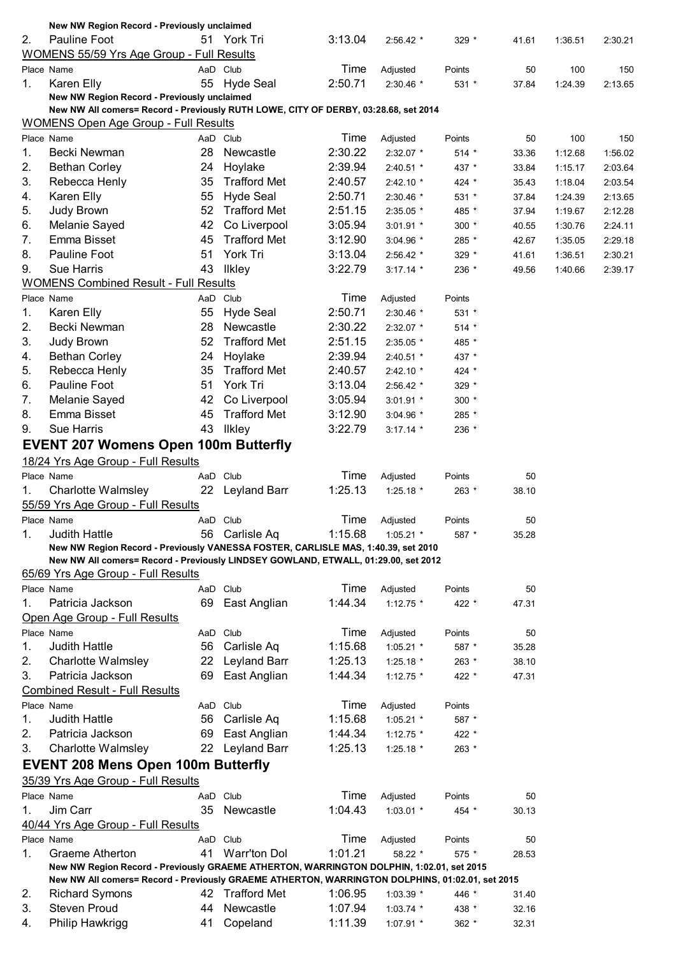|    | New NW Region Record - Previously unclaimed                                                                                                                             |    |                     |         |             |         |       |         |         |
|----|-------------------------------------------------------------------------------------------------------------------------------------------------------------------------|----|---------------------|---------|-------------|---------|-------|---------|---------|
| 2. | Pauline Foot                                                                                                                                                            |    | 51 York Tri         | 3:13.04 | $2:56.42$ * | $329 *$ | 41.61 | 1:36.51 | 2:30.21 |
|    | <b>WOMENS 55/59 Yrs Age Group - Full Results</b>                                                                                                                        |    |                     |         |             |         |       |         |         |
|    | Place Name                                                                                                                                                              |    | AaD Club            | Time    | Adjusted    | Points  | 50    | 100     | 150     |
| 1. | Karen Elly                                                                                                                                                              | 55 | <b>Hyde Seal</b>    | 2:50.71 | $2:30.46$ * | $531 *$ | 37.84 | 1:24.39 | 2:13.65 |
|    | New NW Region Record - Previously unclaimed                                                                                                                             |    |                     |         |             |         |       |         |         |
|    | New NW All comers= Record - Previously RUTH LOWE, CITY OF DERBY, 03:28.68, set 2014                                                                                     |    |                     |         |             |         |       |         |         |
|    | <b>WOMENS Open Age Group - Full Results</b>                                                                                                                             |    |                     |         |             |         |       |         |         |
|    | Place Name                                                                                                                                                              |    | AaD Club            | Time    | Adjusted    | Points  | 50    | 100     | 150     |
| 1. | Becki Newman                                                                                                                                                            | 28 | Newcastle           | 2:30.22 | 2:32.07 *   | $514 *$ | 33.36 | 1:12.68 | 1:56.02 |
| 2. | <b>Bethan Corley</b>                                                                                                                                                    | 24 | Hoylake             | 2:39.94 | 2:40.51 *   | 437 *   | 33.84 | 1:15.17 | 2:03.64 |
| 3. | Rebecca Henly                                                                                                                                                           | 35 | <b>Trafford Met</b> | 2:40.57 | $2:42.10*$  | 424 *   | 35.43 | 1:18.04 | 2:03.54 |
| 4. | Karen Elly                                                                                                                                                              | 55 | <b>Hyde Seal</b>    | 2:50.71 |             |         |       |         |         |
|    |                                                                                                                                                                         |    |                     |         | 2:30.46 *   | $531 *$ | 37.84 | 1:24.39 | 2:13.65 |
| 5. | Judy Brown                                                                                                                                                              | 52 | <b>Trafford Met</b> | 2:51.15 | $2:35.05$ * | 485 *   | 37.94 | 1:19.67 | 2:12.28 |
| 6. | Melanie Sayed                                                                                                                                                           | 42 | Co Liverpool        | 3:05.94 | $3:01.91$ * | 300 *   | 40.55 | 1:30.76 | 2:24.11 |
| 7. | Emma Bisset                                                                                                                                                             | 45 | <b>Trafford Met</b> | 3:12.90 | 3:04.96 *   | 285 *   | 42.67 | 1:35.05 | 2:29.18 |
| 8. | Pauline Foot                                                                                                                                                            | 51 | York Tri            | 3:13.04 | 2:56.42 *   | 329 *   | 41.61 | 1:36.51 | 2:30.21 |
| 9. | <b>Sue Harris</b>                                                                                                                                                       | 43 | <b>Ilkley</b>       | 3:22.79 | $3:17.14$ * | 236 *   | 49.56 | 1:40.66 | 2:39.17 |
|    | <b>WOMENS Combined Result - Full Results</b>                                                                                                                            |    |                     |         |             |         |       |         |         |
|    | Place Name                                                                                                                                                              |    | AaD Club            | Time    | Adjusted    | Points  |       |         |         |
| 1. | Karen Elly                                                                                                                                                              | 55 | <b>Hyde Seal</b>    | 2:50.71 | $2:30.46$ * | 531 *   |       |         |         |
| 2. | Becki Newman                                                                                                                                                            | 28 | Newcastle           | 2:30.22 | 2:32.07 *   | 514 *   |       |         |         |
| 3. | Judy Brown                                                                                                                                                              | 52 | <b>Trafford Met</b> | 2:51.15 | $2:35.05$ * | 485 *   |       |         |         |
| 4. | <b>Bethan Corley</b>                                                                                                                                                    | 24 | Hoylake             | 2:39.94 | 2:40.51 *   | 437 *   |       |         |         |
| 5. | Rebecca Henly                                                                                                                                                           | 35 | <b>Trafford Met</b> | 2:40.57 | $2:42.10*$  | 424 *   |       |         |         |
| 6. | Pauline Foot                                                                                                                                                            | 51 | York Tri            |         |             |         |       |         |         |
|    |                                                                                                                                                                         |    |                     | 3:13.04 | 2:56.42 *   | 329 *   |       |         |         |
| 7. | Melanie Sayed                                                                                                                                                           | 42 | Co Liverpool        | 3:05.94 | $3:01.91$ * | $300 *$ |       |         |         |
| 8. | Emma Bisset                                                                                                                                                             | 45 | <b>Trafford Met</b> | 3:12.90 | $3:04.96$ * | 285 *   |       |         |         |
| 9. | <b>Sue Harris</b>                                                                                                                                                       | 43 | <b>Ilkley</b>       | 3:22.79 | $3:17.14$ * | 236 *   |       |         |         |
|    | <b>EVENT 207 Womens Open 100m Butterfly</b>                                                                                                                             |    |                     |         |             |         |       |         |         |
|    | 18/24 Yrs Age Group - Full Results                                                                                                                                      |    |                     |         |             |         |       |         |         |
|    | Place Name                                                                                                                                                              |    | AaD Club            | Time    | Adjusted    | Points  | 50    |         |         |
| 1. | <b>Charlotte Walmsley</b>                                                                                                                                               |    | 22 Leyland Barr     | 1:25.13 | 1:25.18 *   | 263 *   | 38.10 |         |         |
|    | 55/59 Yrs Age Group - Full Results                                                                                                                                      |    |                     |         |             |         |       |         |         |
|    |                                                                                                                                                                         |    | AaD Club            | Time    |             |         | 50    |         |         |
|    | Place Name                                                                                                                                                              |    |                     |         | Adjusted    | Points  |       |         |         |
| 1. | <b>Judith Hattle</b>                                                                                                                                                    |    | 56 Carlisle Aq      | 1:15.68 | $1:05.21$ * | 587 *   | 35.28 |         |         |
|    | New NW Region Record - Previously VANESSA FOSTER, CARLISLE MAS, 1:40.39, set 2010<br>New NW All comers= Record - Previously LINDSEY GOWLAND, ETWALL, 01:29.00, set 2012 |    |                     |         |             |         |       |         |         |
|    |                                                                                                                                                                         |    |                     |         |             |         |       |         |         |
|    | 65/69 Yrs Age Group - Full Results                                                                                                                                      |    |                     |         |             |         |       |         |         |
|    | Place Name                                                                                                                                                              |    | AaD Club            | Time    | Adjusted    | Points  | 50    |         |         |
| 1. | Patricia Jackson                                                                                                                                                        | 69 | East Anglian        | 1:44.34 | $1:12.75$ * | 422 *   | 47.31 |         |         |
|    | Open Age Group - Full Results                                                                                                                                           |    |                     |         |             |         |       |         |         |
|    | Place Name                                                                                                                                                              |    | AaD Club            | Time    | Adjusted    | Points  | 50    |         |         |
| 1. | <b>Judith Hattle</b>                                                                                                                                                    | 56 | Carlisle Aq         | 1:15.68 | $1:05.21$ * | 587 *   | 35.28 |         |         |
| 2. | <b>Charlotte Walmsley</b>                                                                                                                                               | 22 | Leyland Barr        | 1:25.13 | 1:25.18 $*$ | 263 *   | 38.10 |         |         |
| 3. | Patricia Jackson                                                                                                                                                        | 69 | East Anglian        | 1:44.34 | $1:12.75$ * | 422 *   | 47.31 |         |         |
|    | <b>Combined Result - Full Results</b>                                                                                                                                   |    |                     |         |             |         |       |         |         |
|    | Place Name                                                                                                                                                              |    | AaD Club            | Time    | Adjusted    | Points  |       |         |         |
| 1. | <b>Judith Hattle</b>                                                                                                                                                    |    | 56 Carlisle Aq      | 1:15.68 | $1:05.21$ * | 587 *   |       |         |         |
| 2. | Patricia Jackson                                                                                                                                                        |    | 69 East Anglian     | 1:44.34 |             |         |       |         |         |
|    |                                                                                                                                                                         |    |                     |         | 1:12.75 *   | 422 *   |       |         |         |
| 3. | <b>Charlotte Walmsley</b>                                                                                                                                               |    | 22 Leyland Barr     | 1:25.13 | 1:25.18 $*$ | 263 *   |       |         |         |
|    | <b>EVENT 208 Mens Open 100m Butterfly</b>                                                                                                                               |    |                     |         |             |         |       |         |         |
|    | 35/39 Yrs Age Group - Full Results                                                                                                                                      |    |                     |         |             |         |       |         |         |
|    | Place Name                                                                                                                                                              |    | AaD Club            | Time    | Adjusted    | Points  | 50    |         |         |
| 1. | Jim Carr                                                                                                                                                                | 35 | Newcastle           | 1:04.43 | $1:03.01$ * | 454 *   | 30.13 |         |         |
|    | 40/44 Yrs Age Group - Full Results                                                                                                                                      |    |                     |         |             |         |       |         |         |
|    | Place Name                                                                                                                                                              |    | AaD Club            | Time    | Adjusted    | Points  | 50    |         |         |
| 1. | Graeme Atherton                                                                                                                                                         | 41 | <b>Warr'ton Dol</b> | 1:01.21 | 58.22 *     | 575 *   | 28.53 |         |         |
|    | New NW Region Record - Previously GRAEME ATHERTON, WARRINGTON DOLPHIN, 1:02.01, set 2015                                                                                |    |                     |         |             |         |       |         |         |
|    | New NW All comers= Record - Previously GRAEME ATHERTON, WARRINGTON DOLPHINS, 01:02.01, set 2015                                                                         |    |                     |         |             |         |       |         |         |
| 2. | <b>Richard Symons</b>                                                                                                                                                   |    | 42 Trafford Met     | 1:06.95 | $1:03.39$ * | 446 *   | 31.40 |         |         |
| 3. | <b>Steven Proud</b>                                                                                                                                                     | 44 | Newcastle           | 1:07.94 |             |         |       |         |         |
|    |                                                                                                                                                                         |    |                     |         | $1:03.74$ * | 438 *   | 32.16 |         |         |
| 4. | Philip Hawkrigg                                                                                                                                                         | 41 | Copeland            | 1:11.39 | 1:07.91 *   | 362 *   | 32.31 |         |         |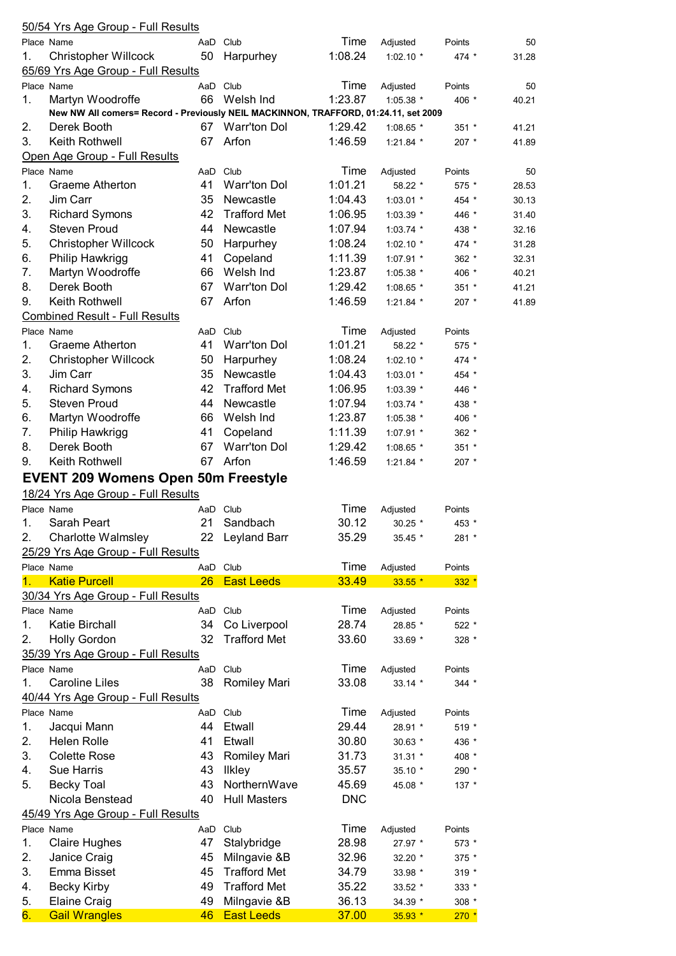|    | 50/54 Yrs Age Group - Full Results                                                  |     |                     |            |             |         |       |
|----|-------------------------------------------------------------------------------------|-----|---------------------|------------|-------------|---------|-------|
|    | Place Name                                                                          |     | AaD Club            | Time       | Adjusted    | Points  | 50    |
| 1. | <b>Christopher Willcock</b>                                                         | 50  | Harpurhey           | 1:08.24    | 1:02.10 *   | 474 *   | 31.28 |
|    | 65/69 Yrs Age Group - Full Results                                                  |     |                     |            |             |         |       |
|    | Place Name                                                                          |     | AaD Club            | Time       | Adjusted    | Points  | 50    |
| 1. | Martyn Woodroffe                                                                    | 66  | Welsh Ind           | 1:23.87    | 1:05.38 *   | 406 *   | 40.21 |
|    | New NW All comers= Record - Previously NEIL MACKINNON, TRAFFORD, 01:24.11, set 2009 |     |                     |            |             |         |       |
| 2. | Derek Booth                                                                         |     | 67 Warr'ton Dol     | 1:29.42    | 1:08.65 *   | $351 *$ | 41.21 |
| 3. | Keith Rothwell                                                                      | 67  | Arfon               | 1:46.59    | 1:21.84 *   | 207 *   | 41.89 |
|    | Open Age Group - Full Results                                                       |     |                     |            |             |         |       |
|    | Place Name                                                                          |     | AaD Club            | Time       | Adjusted    | Points  | 50    |
| 1. | Graeme Atherton                                                                     | 41  | <b>Warr'ton Dol</b> | 1:01.21    | 58.22 *     | 575 *   | 28.53 |
| 2. | Jim Carr                                                                            | 35  | Newcastle           | 1:04.43    | 1:03.01 *   | 454 *   | 30.13 |
| 3. | <b>Richard Symons</b>                                                               | 42  | <b>Trafford Met</b> | 1:06.95    | 1:03.39 *   | 446 *   | 31.40 |
| 4. | <b>Steven Proud</b>                                                                 | 44  | Newcastle           | 1:07.94    | $1:03.74$ * | 438 *   | 32.16 |
| 5. | <b>Christopher Willcock</b>                                                         | 50  | Harpurhey           | 1:08.24    | 1:02.10 *   | 474 *   | 31.28 |
| 6. | Philip Hawkrigg                                                                     | 41  | Copeland            | 1:11.39    | $1:07.91$ * | $362 *$ | 32.31 |
| 7. | Martyn Woodroffe                                                                    | 66  | Welsh Ind           | 1:23.87    | $1:05.38$ * | 406 *   | 40.21 |
| 8. | Derek Booth                                                                         | 67  | Warr'ton Dol        | 1:29.42    | 1:08.65 *   | $351 *$ | 41.21 |
| 9. | Keith Rothwell                                                                      | 67  | Arfon               | 1:46.59    | 1:21.84 *   | 207 *   | 41.89 |
|    | <b>Combined Result - Full Results</b>                                               |     |                     |            |             |         |       |
|    | Place Name                                                                          |     | AaD Club            | Time       | Adjusted    | Points  |       |
| 1. | Graeme Atherton                                                                     | 41  | <b>Warr'ton Dol</b> | 1:01.21    | 58.22 *     | 575 *   |       |
| 2. |                                                                                     | 50  |                     | 1:08.24    |             |         |       |
|    | <b>Christopher Willcock</b>                                                         |     | Harpurhey           |            | 1:02.10 $*$ | 474 *   |       |
| 3. | Jim Carr                                                                            | 35  | Newcastle           | 1:04.43    | 1:03.01 *   | 454 *   |       |
| 4. | <b>Richard Symons</b>                                                               | 42  | <b>Trafford Met</b> | 1:06.95    | 1:03.39 *   | 446 *   |       |
| 5. | <b>Steven Proud</b>                                                                 | 44  | Newcastle           | 1:07.94    | 1:03.74 *   | 438 *   |       |
| 6. | Martyn Woodroffe                                                                    | 66  | Welsh Ind           | 1:23.87    | 1:05.38 *   | 406 *   |       |
| 7. | Philip Hawkrigg                                                                     | 41  | Copeland            | 1:11.39    | 1:07.91 *   | 362 *   |       |
| 8. | Derek Booth                                                                         | 67  | Warr'ton Dol        | 1:29.42    | 1:08.65 *   | 351 *   |       |
| 9. | Keith Rothwell                                                                      | 67  | Arfon               | 1:46.59    | 1:21.84 *   | 207 *   |       |
|    | <b>EVENT 209 Womens Open 50m Freestyle</b>                                          |     |                     |            |             |         |       |
|    | 18/24 Yrs Age Group - Full Results                                                  |     |                     |            |             |         |       |
|    | Place Name                                                                          |     | AaD Club            | Time       | Adjusted    | Points  |       |
| 1. | Sarah Peart                                                                         | 21  | Sandbach            | 30.12      | $30.25$ *   | 453 *   |       |
| 2. | Charlotte Walmsley                                                                  |     | 22 Leyland Barr     | 35.29      | $35.45*$    | 281 *   |       |
|    | 25/29 Yrs Age Group - Full Results                                                  |     |                     |            |             |         |       |
|    | Place Name                                                                          |     | AaD Club            | Time       | Adjusted    | Points  |       |
|    | <b>Katie Purcell</b>                                                                | 26  | <b>East Leeds</b>   | 33.49      | $33.55*$    | $332 *$ |       |
|    | 30/34 Yrs Age Group - Full Results                                                  |     |                     |            |             |         |       |
|    | Place Name                                                                          |     | AaD Club            | Time       | Adjusted    | Points  |       |
| 1. | <b>Katie Birchall</b>                                                               | 34  | Co Liverpool        | 28.74      | 28.85 *     | 522 *   |       |
| 2. | <b>Holly Gordon</b>                                                                 | 32  | <b>Trafford Met</b> | 33.60      | 33.69 *     | 328 *   |       |
|    | 35/39 Yrs Age Group - Full Results                                                  |     |                     |            |             |         |       |
|    | Place Name                                                                          |     | AaD Club            | Time       |             |         |       |
|    |                                                                                     |     |                     |            | Adjusted    | Points  |       |
| 1. | <b>Caroline Liles</b>                                                               | 38  | <b>Romiley Mari</b> | 33.08      | 33.14 *     | $344 *$ |       |
|    | 40/44 Yrs Age Group - Full Results                                                  |     |                     |            |             |         |       |
|    | Place Name                                                                          |     | AaD Club            | Time       | Adjusted    | Points  |       |
| 1. | Jacqui Mann                                                                         | 44  | Etwall              | 29.44      | 28.91 *     | 519 *   |       |
| 2. | <b>Helen Rolle</b>                                                                  | 41  | Etwall              | 30.80      | 30.63 *     | 436 *   |       |
| 3. | <b>Colette Rose</b>                                                                 | 43  | <b>Romiley Mari</b> | 31.73      | $31.31$ *   | 408 *   |       |
| 4. | Sue Harris                                                                          | 43  | <b>Ilkley</b>       | 35.57      | 35.10 *     | 290 *   |       |
| 5. | <b>Becky Toal</b>                                                                   | 43  | NorthernWave        | 45.69      | 45.08 *     | 137 *   |       |
|    | Nicola Benstead                                                                     | 40  | <b>Hull Masters</b> | <b>DNC</b> |             |         |       |
|    | 45/49 Yrs Age Group - Full Results                                                  |     |                     |            |             |         |       |
|    | Place Name                                                                          | AaD | Club                | Time       | Adjusted    | Points  |       |
| 1. | <b>Claire Hughes</b>                                                                | 47  | Stalybridge         | 28.98      | 27.97 *     | 573 *   |       |
| 2. | Janice Craig                                                                        | 45  | Milngavie &B        | 32.96      | 32.20 *     | $375$ * |       |
| 3. | Emma Bisset                                                                         | 45  | <b>Trafford Met</b> | 34.79      | 33.98 *     | $319 *$ |       |
| 4. | <b>Becky Kirby</b>                                                                  | 49  | <b>Trafford Met</b> | 35.22      | 33.52 *     | 333 *   |       |
| 5. | <b>Elaine Craig</b>                                                                 | 49  | Milngavie &B        | 36.13      | 34.39 *     | 308 *   |       |
| 6. | <b>Gail Wrangles</b>                                                                | 46  | <b>East Leeds</b>   | 37.00      | 35.93 *     | $270*$  |       |
|    |                                                                                     |     |                     |            |             |         |       |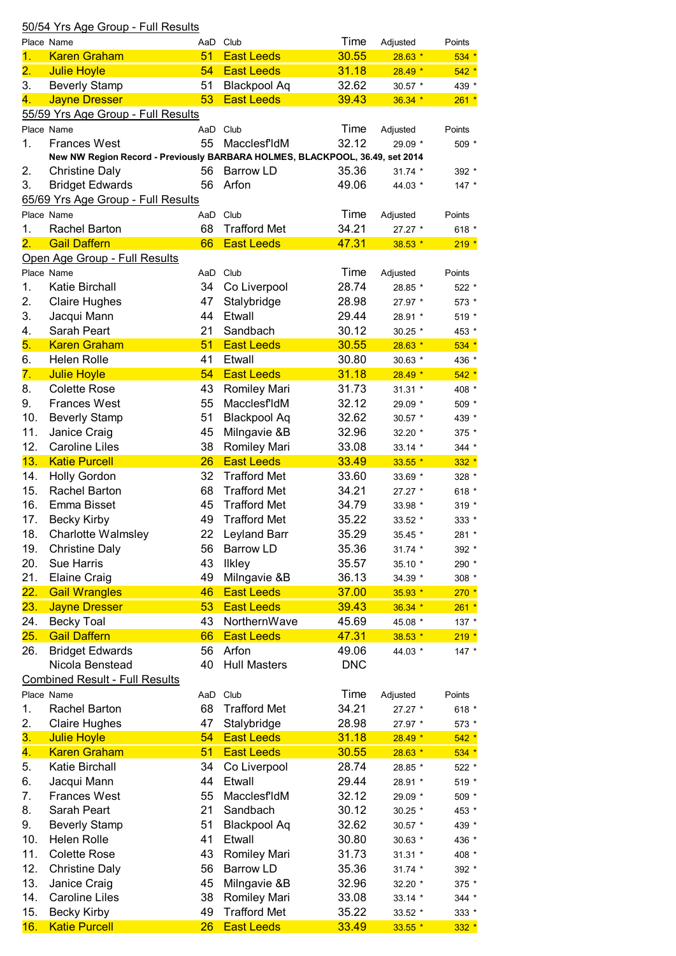|                           | 50/54 Yrs Age Group - Full Results                                           |     |                     |            |                     |         |
|---------------------------|------------------------------------------------------------------------------|-----|---------------------|------------|---------------------|---------|
|                           | Place Name                                                                   | AaD | Club                | Time       | Adjusted            | Points  |
| 1.                        | <b>Karen Graham</b>                                                          | 51  | <b>East Leeds</b>   | 30.55      | $28.63*$            | $534 *$ |
| 2.                        | <b>Julie Hoyle</b>                                                           | 54  | <b>East Leeds</b>   | 31.18      | $28.49*$            | $542 *$ |
| 3.                        | <b>Beverly Stamp</b>                                                         | 51  | <b>Blackpool Aq</b> | 32.62      | 30.57 *             | 439 *   |
| 4.                        | <b>Jayne Dresser</b>                                                         | 53  | <b>East Leeds</b>   | 39.43      | 36.34 *             | $261 *$ |
|                           | 55/59 Yrs Age Group - Full Results                                           |     |                     |            |                     |         |
|                           | Place Name                                                                   |     | AaD Club            | Time       | Adjusted            | Points  |
| 1.                        | <b>Frances West</b>                                                          | 55  | MacclesfldM         | 32.12      | 29.09 *             | 509 *   |
|                           | New NW Region Record - Previously BARBARA HOLMES, BLACKPOOL, 36.49, set 2014 |     |                     |            |                     |         |
| 2.                        | <b>Christine Daly</b>                                                        | 56  | <b>Barrow LD</b>    | 35.36      | 31.74 *             | 392 *   |
| 3.                        | <b>Bridget Edwards</b>                                                       | 56  | Arfon               | 49.06      | 44.03 *             | 147 *   |
|                           | 65/69 Yrs Age Group - Full Results                                           |     |                     |            |                     |         |
|                           | Place Name                                                                   | AaD | Club                | Time       | Adjusted            | Points  |
| 1.                        | <b>Rachel Barton</b>                                                         | 68  | <b>Trafford Met</b> | 34.21      | 27.27 *             | 618 $*$ |
| $\overline{\mathbf{2}}$ . | <b>Gail Daffern</b>                                                          | 66  | <b>East Leeds</b>   | 47.31      | $38.53*$            | $219 *$ |
|                           | Open Age Group - Full Results                                                |     |                     |            |                     |         |
|                           | Place Name                                                                   | AaD | Club                | Time       | Adjusted            | Points  |
| 1.                        | Katie Birchall                                                               | 34  | Co Liverpool        | 28.74      | 28.85 *             | 522 *   |
| 2.                        | <b>Claire Hughes</b>                                                         | 47  | Stalybridge         | 28.98      | 27.97 *             | 573 *   |
| 3.                        | Jacqui Mann                                                                  | 44  | Etwall              | 29.44      | 28.91 *             | 519 *   |
| 4.                        | Sarah Peart                                                                  | 21  | Sandbach            | 30.12      | 30.25 *             | 453 *   |
| 5.                        | <b>Karen Graham</b>                                                          | 51  | <b>East Leeds</b>   | 30.55      | $28.63*$            | $534 *$ |
| 6.                        | <b>Helen Rolle</b>                                                           | 41  | Etwall              | 30.80      | 30.63 *             | 436 *   |
| 7.                        | <b>Julie Hoyle</b>                                                           | 54  | <b>East Leeds</b>   | 31.18      | $28.49*$            | $542 *$ |
| 8.                        | <b>Colette Rose</b>                                                          | 43  | <b>Romiley Mari</b> | 31.73      | $31.31$ *           | 408 *   |
| 9.                        | <b>Frances West</b>                                                          | 55  | MacclesfIdM         | 32.12      |                     |         |
|                           |                                                                              |     |                     |            | 29.09 *             | 509 *   |
| 10.                       | <b>Beverly Stamp</b>                                                         | 51  | <b>Blackpool Aq</b> | 32.62      | 30.57 *             | 439 *   |
| 11.                       | Janice Craig                                                                 | 45  | Milngavie &B        | 32.96      | 32.20 *             | 375 *   |
| 12.                       | <b>Caroline Liles</b>                                                        | 38  | Romiley Mari        | 33.08      | 33.14 *             | 344 *   |
| 13.                       | <b>Katie Purcell</b>                                                         | 26  | <b>East Leeds</b>   | 33.49      | $33.55$ *           | $332 *$ |
| 14.                       | <b>Holly Gordon</b>                                                          | 32  | <b>Trafford Met</b> | 33.60      | 33.69 *             | 328 *   |
| 15.                       | <b>Rachel Barton</b>                                                         | 68  | <b>Trafford Met</b> | 34.21      | 27.27 *             | 618 *   |
| 16.                       | Emma Bisset                                                                  | 45  | <b>Trafford Met</b> | 34.79      | 33.98 *             | 319 *   |
| 17.                       | <b>Becky Kirby</b>                                                           | 49  | <b>Trafford Met</b> | 35.22      | 33.52 *             | 333 *   |
| 18.                       | <b>Charlotte Walmsley</b>                                                    | 22  | Leyland Barr        | 35.29      | 35.45 *             | 281 *   |
| 19.                       | <b>Christine Daly</b>                                                        | 56  | Barrow LD           | 35.36      | 31.74 *             | 392 *   |
| 20.                       | <b>Sue Harris</b>                                                            | 43  | <b>Ilkley</b>       | 35.57      | 35.10 *             | 290 *   |
| 21.                       | <b>Elaine Craig</b>                                                          | 49  | Milngavie &B        | 36.13      | 34.39 *             | 308 *   |
| <mark>22.</mark>          | <b>Gail Wrangles</b>                                                         | 46  | <b>East Leeds</b>   | 37.00      | 35.93 *             | $270*$  |
| 23.                       | <b>Jayne Dresser</b>                                                         | 53  | <b>East Leeds</b>   | 39.43      | $36.34*$            | $261 *$ |
| 24.                       | <b>Becky Toal</b>                                                            | 43  | NorthernWave        | 45.69      | 45.08 *             | 137 *   |
| 25.                       | <b>Gail Daffern</b>                                                          | 66  | <b>East Leeds</b>   | 47.31      | $38.53*$            | $219 *$ |
| 26.                       | <b>Bridget Edwards</b>                                                       | 56  | Arfon               | 49.06      | 44.03 *             | $147 *$ |
|                           | Nicola Benstead                                                              | 40  | <b>Hull Masters</b> | <b>DNC</b> |                     |         |
|                           | <b>Combined Result - Full Results</b>                                        |     |                     |            |                     |         |
|                           | Place Name                                                                   |     | AaD Club            | Time       | Adjusted            | Points  |
| 1.                        | Rachel Barton                                                                | 68  | <b>Trafford Met</b> | 34.21      | 27.27 *             | 618 *   |
| 2.                        | <b>Claire Hughes</b>                                                         | 47  | Stalybridge         | 28.98      | 27.97 *             | 573 *   |
| 3.                        | <b>Julie Hoyle</b>                                                           | 54  | <b>East Leeds</b>   | 31.18      | $28.49*$            | $542 *$ |
| 4.                        | <b>Karen Graham</b>                                                          | 51  | <b>East Leeds</b>   | 30.55      | $28.63*$            | $534 *$ |
| 5.                        | Katie Birchall                                                               | 34  | Co Liverpool        | 28.74      | 28.85 *             | 522 *   |
| 6.                        | Jacqui Mann                                                                  | 44  | Etwall              | 29.44      | 28.91 *             | 519 *   |
| 7.                        | <b>Frances West</b>                                                          | 55  | MacclesfIdM         | 32.12      | 29.09 *             | 509 *   |
| 8.                        | Sarah Peart                                                                  | 21  | Sandbach            | 30.12      | 30.25 *             | 453 *   |
| 9.                        | <b>Beverly Stamp</b>                                                         | 51  | Blackpool Aq        | 32.62      | 30.57 *             | 439 *   |
| 10.                       | <b>Helen Rolle</b>                                                           | 41  | Etwall              | 30.80      | 30.63 *             | 436 *   |
| 11.                       | <b>Colette Rose</b>                                                          | 43  | Romiley Mari        | 31.73      | $31.31$ *           | 408 *   |
| 12.                       | <b>Christine Daly</b>                                                        | 56  | <b>Barrow LD</b>    | 35.36      | 31.74 *             | 392 *   |
| 13.                       | Janice Craig                                                                 | 45  | Milngavie &B        | 32.96      | 32.20 *             | 375 *   |
| 14.                       | <b>Caroline Liles</b>                                                        | 38  | <b>Romiley Mari</b> | 33.08      |                     | 344 *   |
| 15.                       | <b>Becky Kirby</b>                                                           | 49  | <b>Trafford Met</b> | 35.22      | $33.14$ *           | 333 *   |
| 16.                       | <b>Katie Purcell</b>                                                         | 26  | <b>East Leeds</b>   | 33.49      | 33.52 *<br>$33.55*$ | $332 *$ |
|                           |                                                                              |     |                     |            |                     |         |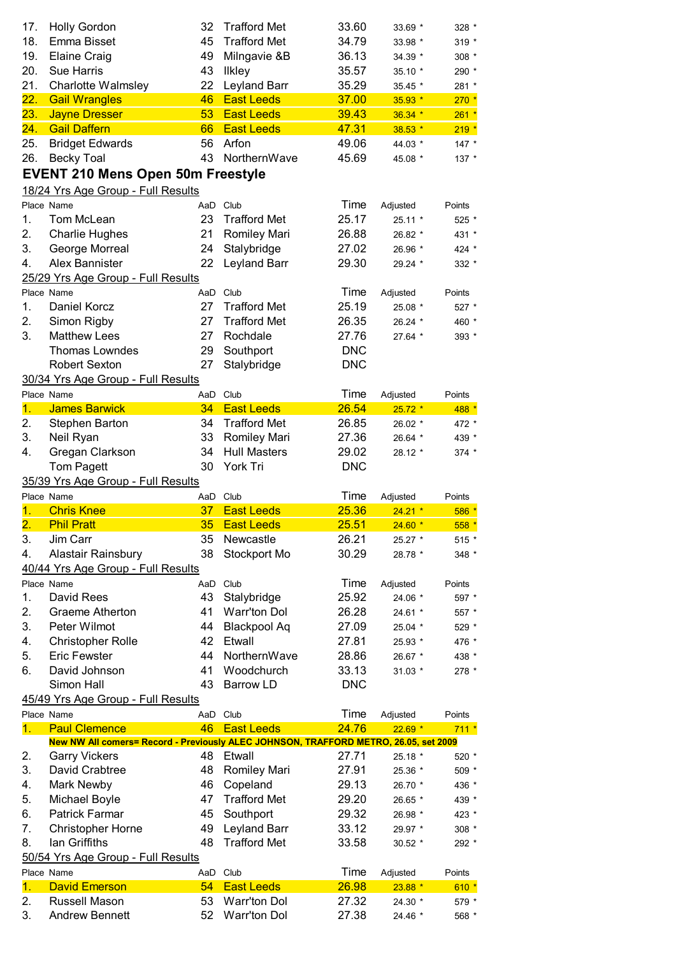| 17.              | <b>Holly Gordon</b>                                                                  | 32  | <b>Trafford Met</b> | 33.60      | 33.69 *   | 328 *                                                        |
|------------------|--------------------------------------------------------------------------------------|-----|---------------------|------------|-----------|--------------------------------------------------------------|
| 18.              | Emma Bisset                                                                          | 45  | <b>Trafford Met</b> | 34.79      | 33.98 *   | $319 *$                                                      |
| 19.              | <b>Elaine Craig</b>                                                                  | 49  | Milngavie &B        | 36.13      | 34.39 *   | 308 *                                                        |
| 20.              | <b>Sue Harris</b>                                                                    | 43  | <b>Ilkley</b>       | 35.57      | 35.10 *   | 290 *                                                        |
| 21.              | <b>Charlotte Walmsley</b>                                                            | 22  | Leyland Barr        | 35.29      | 35.45 *   | 281 *                                                        |
| 22.              | <b>Gail Wrangles</b>                                                                 | 46  | <b>East Leeds</b>   | 37.00      | 35.93 *   | $270*$                                                       |
| 23.              | <b>Jayne Dresser</b>                                                                 | 53  | <b>East Leeds</b>   | 39.43      | $36.34*$  | $261 *$                                                      |
| 24.              | <b>Gail Daffern</b>                                                                  | 66  | <b>East Leeds</b>   | 47.31      | $38.53*$  | $219 *$                                                      |
| 25.              | <b>Bridget Edwards</b>                                                               | 56  | Arfon               | 49.06      | 44.03 *   | $147 *$                                                      |
| 26.              | <b>Becky Toal</b>                                                                    | 43  | NorthernWave        | 45.69      | 45.08 *   | 137 *                                                        |
|                  | <b>EVENT 210 Mens Open 50m Freestyle</b>                                             |     |                     |            |           |                                                              |
|                  | 18/24 Yrs Age Group - Full Results                                                   |     |                     |            |           |                                                              |
|                  | Place Name                                                                           |     | AaD Club            | Time       | Adjusted  | Points                                                       |
| 1.               | Tom McLean                                                                           | 23  | <b>Trafford Met</b> | 25.17      | 25.11 *   | 525 *                                                        |
| 2.               | <b>Charlie Hughes</b>                                                                | 21  | <b>Romiley Mari</b> | 26.88      |           | 431 *                                                        |
| 3.               |                                                                                      | 24  | Stalybridge         | 27.02      | 26.82 *   |                                                              |
|                  | George Morreal                                                                       |     |                     | 29.30      | 26.96 *   | 424 *                                                        |
| 4.               | Alex Bannister                                                                       | 22  | Leyland Barr        |            | 29.24 *   | 332 *                                                        |
|                  | 25/29 Yrs Age Group - Full Results                                                   |     |                     |            |           |                                                              |
|                  | Place Name                                                                           |     | AaD Club            | Time       | Adjusted  | Points                                                       |
| 1.               | Daniel Korcz                                                                         | 27  | <b>Trafford Met</b> | 25.19      | 25.08 *   | 527 *                                                        |
| 2.               | Simon Rigby                                                                          | 27  | <b>Trafford Met</b> | 26.35      | 26.24 *   | 460 *                                                        |
| 3.               | <b>Matthew Lees</b>                                                                  | 27  | Rochdale            | 27.76      | $27.64*$  | 393 *                                                        |
|                  | <b>Thomas Lowndes</b>                                                                | 29  | Southport           | <b>DNC</b> |           |                                                              |
|                  | <b>Robert Sexton</b>                                                                 | 27  | Stalybridge         | <b>DNC</b> |           |                                                              |
|                  | 30/34 Yrs Age Group - Full Results                                                   |     |                     |            |           |                                                              |
|                  | Place Name                                                                           |     | AaD Club            | Time       | Adjusted  | Points                                                       |
| 1.               | <b>James Barwick</b>                                                                 | 34  | <b>East Leeds</b>   | 26.54      | $25.72*$  | 488 *                                                        |
| 2.               | Stephen Barton                                                                       | 34  | <b>Trafford Met</b> | 26.85      | 26.02 *   | 472 *                                                        |
| 3.               | Neil Ryan                                                                            | 33  | Romiley Mari        | 27.36      | 26.64 *   | 439 *                                                        |
| 4.               | Gregan Clarkson                                                                      | 34  | <b>Hull Masters</b> | 29.02      | 28.12 *   | 374 *                                                        |
|                  | Tom Pagett                                                                           | 30  | York Tri            | <b>DNC</b> |           |                                                              |
|                  |                                                                                      |     |                     |            |           |                                                              |
|                  | 35/39 Yrs Age Group - Full Results                                                   |     |                     |            |           |                                                              |
|                  | Place Name                                                                           |     | AaD Club            | Time       | Adjusted  | Points                                                       |
| 1.               | <b>Chris Knee</b>                                                                    | 37  | <b>East Leeds</b>   | 25.36      | $24.21$ * | 586 *                                                        |
| $\overline{2}$ . | <b>Phil Pratt</b>                                                                    |     | 35 East Leeds       | 25.51      | $24.60*$  | $558*$                                                       |
| 3.               | Jim Carr                                                                             | 35  | Newcastle           | 26.21      | 25.27 *   | $515 *$                                                      |
| 4.               | Alastair Rainsbury                                                                   | 38  | Stockport Mo        | 30.29      | 28.78 *   | 348 *                                                        |
|                  | 40/44 Yrs Age Group - Full Results                                                   |     |                     |            |           |                                                              |
|                  | Place Name                                                                           | AaD | Club                | Time       | Adjusted  | Points                                                       |
| 1.               | David Rees                                                                           | 43  | Stalybridge         | 25.92      | 24.06 *   |                                                              |
| 2.               | Graeme Atherton                                                                      | 41  | <b>Warr'ton Dol</b> | 26.28      | 24.61 *   |                                                              |
| 3.               | Peter Wilmot                                                                         | 44  | <b>Blackpool Aq</b> | 27.09      | 25.04 *   | 597 *<br>557 *<br>529 *                                      |
| 4.               | <b>Christopher Rolle</b>                                                             | 42  | Etwall              | 27.81      | 25.93 *   | 476 *                                                        |
| 5.               | <b>Eric Fewster</b>                                                                  | 44  | NorthernWave        | 28.86      | 26.67 *   |                                                              |
| 6.               | David Johnson                                                                        | 41  | Woodchurch          | 33.13      | $31.03*$  | 438 *<br>278 *                                               |
|                  | Simon Hall                                                                           | 43  | <b>Barrow LD</b>    | <b>DNC</b> |           |                                                              |
|                  | 45/49 Yrs Age Group - Full Results                                                   |     |                     |            |           |                                                              |
|                  | Place Name                                                                           |     | AaD Club            | Time       | Adjusted  | Points                                                       |
| 1.               | <b>Paul Clemence</b>                                                                 | 46  | <b>East Leeds</b>   | 24.76      | $22.69*$  | $711 *$                                                      |
|                  | New NW All comers= Record - Previously ALEC JOHNSON, TRAFFORD METRO, 26.05, set 2009 |     |                     |            |           |                                                              |
| 2.               | <b>Garry Vickers</b>                                                                 | 48  | Etwall              | 27.71      | 25.18 *   | 520 *                                                        |
| 3.               | David Crabtree                                                                       | 48  | <b>Romiley Mari</b> | 27.91      | 25.36 *   | 509 *                                                        |
| 4.               | Mark Newby                                                                           | 46  | Copeland            | 29.13      | 26.70 *   |                                                              |
| 5.               | Michael Boyle                                                                        | 47  | <b>Trafford Met</b> | 29.20      | 26.65 *   |                                                              |
| 6.               | Patrick Farmar                                                                       | 45  | Southport           | 29.32      | 26.98 *   |                                                              |
| 7.               | <b>Christopher Horne</b>                                                             | 49  | Leyland Barr        | 33.12      | 29.97 *   |                                                              |
| 8.               | lan Griffiths                                                                        | 48  | <b>Trafford Met</b> | 33.58      | 30.52 *   |                                                              |
|                  | 50/54 Yrs Age Group - Full Results                                                   |     |                     |            |           |                                                              |
|                  | Place Name                                                                           |     | AaD Club            | Time       | Adjusted  | Points                                                       |
| 1.               | <b>David Emerson</b>                                                                 | 54  | <b>East Leeds</b>   | 26.98      | $23.88*$  |                                                              |
| 2.               | Russell Mason                                                                        | 53  | <b>Warr'ton Dol</b> | 27.32      | 24.30 *   | 436 *<br>439 *<br>423 *<br>308 *<br>292 *<br>$610*$<br>579 * |
| 3.               | <b>Andrew Bennett</b>                                                                | 52  | <b>Warr'ton Dol</b> | 27.38      | 24.46 *   | 568 *                                                        |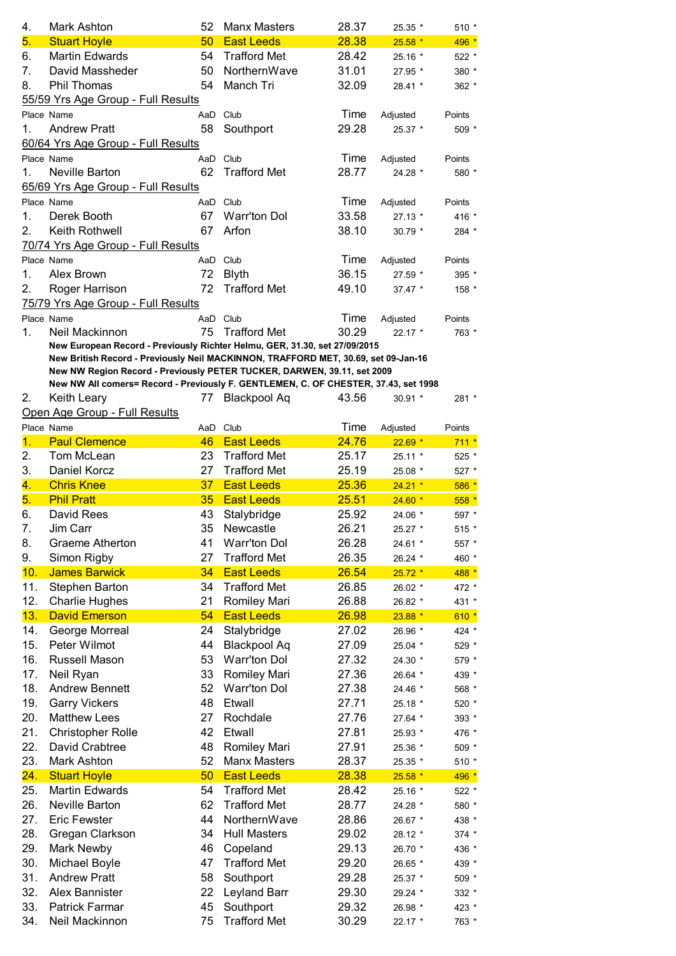| 4.<br>5.         | Mark Ashton<br><b>Stuart Hoyle</b>                                                                                                                               | 52<br>50        | <b>Manx Masters</b><br><b>East Leeds</b> | 28.37<br>28.38 | 25.35 *<br>$25.58*$ | $510*$<br>496 * |
|------------------|------------------------------------------------------------------------------------------------------------------------------------------------------------------|-----------------|------------------------------------------|----------------|---------------------|-----------------|
| 6.               | <b>Martin Edwards</b>                                                                                                                                            | 54              | <b>Trafford Met</b>                      | 28.42          | 25.16 *             | 522 *           |
| 7.               | David Massheder                                                                                                                                                  | 50              | NorthernWave                             | 31.01          | 27.95 *             | 380 *           |
| 8.               | Phil Thomas                                                                                                                                                      | 54              | Manch Tri                                | 32.09          | 28.41 *             | 362 *           |
|                  | 55/59 Yrs Age Group - Full Results                                                                                                                               |                 |                                          |                |                     |                 |
|                  | Place Name                                                                                                                                                       | AaD             | Club                                     | Time           | Adjusted            | Points          |
| 1.               | <b>Andrew Pratt</b>                                                                                                                                              | 58              | Southport                                | 29.28          | 25.37 *             | $509*$          |
|                  | 60/64 Yrs Age Group - Full Results                                                                                                                               |                 |                                          |                |                     |                 |
|                  | Place Name                                                                                                                                                       |                 | AaD Club                                 | Time           | Adjusted            | Points          |
| 1.               | Neville Barton                                                                                                                                                   | 62              | <b>Trafford Met</b>                      | 28.77          | 24.28 *             | 580 *           |
|                  | 65/69 Yrs Age Group - Full Results                                                                                                                               |                 |                                          |                |                     |                 |
|                  | Place Name                                                                                                                                                       | AaD             | Club                                     | Time           | Adjusted            | Points          |
| 1.               | Derek Booth                                                                                                                                                      | 67              | <b>Warr'ton Dol</b>                      | 33.58          | 27.13 *             | 416 *           |
| 2.               | Keith Rothwell                                                                                                                                                   | 67              | Arfon                                    | 38.10          | 30.79 *             | 284 *           |
|                  | 70/74 Yrs Age Group - Full Results                                                                                                                               |                 |                                          |                |                     |                 |
|                  | Place Name                                                                                                                                                       |                 | AaD Club                                 | Time           | Adjusted            | Points          |
| 1.               | Alex Brown                                                                                                                                                       | 72              | <b>Blyth</b>                             | 36.15          | 27.59 *             | 395 *           |
| 2.               | Roger Harrison                                                                                                                                                   | 72              | <b>Trafford Met</b>                      | 49.10          | 37.47 *             | 158 *           |
|                  | 75/79 Yrs Age Group - Full Results                                                                                                                               |                 |                                          |                |                     |                 |
|                  | Place Name                                                                                                                                                       |                 | AaD Club                                 | Time           | Adjusted            | Points          |
| 1.               | Neil Mackinnon                                                                                                                                                   | 75              | <b>Trafford Met</b>                      | 30.29          | $22.17*$            | 763 *           |
|                  | New European Record - Previously Richter Helmu, GER, 31.30, set 27/09/2015<br>New British Record - Previously Neil MACKINNON, TRAFFORD MET, 30.69, set 09-Jan-16 |                 |                                          |                |                     |                 |
|                  | New NW Region Record - Previously PETER TUCKER, DARWEN, 39.11, set 2009                                                                                          |                 |                                          |                |                     |                 |
|                  | New NW All comers= Record - Previously F. GENTLEMEN, C. OF CHESTER, 37.43, set 1998                                                                              |                 |                                          |                |                     |                 |
| 2.               | Keith Leary                                                                                                                                                      | 77              | <b>Blackpool Aq</b>                      | 43.56          | $30.91$ *           | 281 *           |
|                  | Open Age Group - Full Results                                                                                                                                    |                 |                                          |                |                     |                 |
|                  | Place Name                                                                                                                                                       |                 | AaD Club                                 | Time           | Adjusted            | Points          |
| $\mathbf 1$ .    | <b>Paul Clemence</b>                                                                                                                                             | 46              | <b>East Leeds</b>                        | 24.76          | $22.69*$            | $711 *$         |
| 2.               | <b>Tom McLean</b>                                                                                                                                                | 23              | <b>Trafford Met</b>                      | 25.17          | 25.11 *             | 525 *           |
| 3.               | Daniel Korcz                                                                                                                                                     | 27              | <b>Trafford Met</b>                      | 25.19          | 25.08 *             | $527$ $*$       |
| 4.               | <b>Chris Knee</b>                                                                                                                                                | 37 <sub>2</sub> | <b>East Leeds</b>                        | 25.36          | $24.21$ *           | 586 *           |
| 5.               | <b>Phil Pratt</b>                                                                                                                                                | 35              | <b>East Leeds</b>                        | 25.51          | $24.60*$            | 558 *           |
| 6.               | David Rees                                                                                                                                                       | 43              | Stalybridge                              | 25.92          | 24.06 *             | 597 *           |
| 7.               | Jim Carr                                                                                                                                                         | 35              | Newcastle                                | 26.21          | 25.27 *             | 515 *           |
| 8.               | Graeme Atherton                                                                                                                                                  | 41              | Warr'ton Dol                             | 26.28          | 24.61 *             | 557 *           |
| 9.               | Simon Rigby                                                                                                                                                      | 27              | <b>Trafford Met</b>                      | 26.35          | 26.24 *             | 460 *           |
| 10.              | <b>James Barwick</b>                                                                                                                                             | 34              | <b>East Leeds</b>                        | 26.54          | $25.72*$            | 488 *           |
| 11.              | Stephen Barton                                                                                                                                                   | 34              | <b>Trafford Met</b>                      | 26.85          | 26.02 *             | 472 *           |
| 12.              | <b>Charlie Hughes</b>                                                                                                                                            | 21              | Romiley Mari                             | 26.88          | 26.82 *             | 431 *           |
| 13.              | <b>David Emerson</b>                                                                                                                                             | 54              | <b>East Leeds</b>                        | 26.98          | $23.88*$            | $610*$          |
| 14.              | George Morreal                                                                                                                                                   | 24              | Stalybridge                              | 27.02          | 26.96 *             | 424 *           |
| 15.              | Peter Wilmot                                                                                                                                                     | 44              | Blackpool Aq                             | 27.09          | 25.04 *             | 529 *           |
| 16.              | Russell Mason                                                                                                                                                    | 53              | Warr'ton Dol                             | 27.32          | 24.30 *             | 579 *           |
| 17.              | Neil Ryan                                                                                                                                                        | 33              | Romiley Mari                             | 27.36          | 26.64 *             | 439 *           |
| 18.              | <b>Andrew Bennett</b>                                                                                                                                            | 52              | <b>Warr'ton Dol</b>                      | 27.38          | 24.46 *             | 568 *           |
| 19.              | <b>Garry Vickers</b>                                                                                                                                             | 48              | Etwall                                   | 27.71          | 25.18 *             | 520 *           |
| 20.              | <b>Matthew Lees</b>                                                                                                                                              | 27              | Rochdale                                 | 27.76          | 27.64 *             | 393 *           |
| 21.              | <b>Christopher Rolle</b>                                                                                                                                         | 42              | Etwall                                   | 27.81          | 25.93 *             | 476 *           |
| 22.              | David Crabtree                                                                                                                                                   | 48              | <b>Romiley Mari</b>                      | 27.91          | 25.36 *             | 509 *           |
| 23.              | Mark Ashton                                                                                                                                                      | 52              | <b>Manx Masters</b>                      | 28.37          | 25.35 *             | 510 *           |
| <mark>24.</mark> | <b>Stuart Hoyle</b>                                                                                                                                              | 50              | <b>East Leeds</b>                        | 28.38          | $25.58*$            | 496 *           |
| 25.              | <b>Martin Edwards</b>                                                                                                                                            | 54              | <b>Trafford Met</b>                      | 28.42          | 25.16 *             | 522 *           |
| 26.              | Neville Barton                                                                                                                                                   | 62              | <b>Trafford Met</b>                      | 28.77          | 24.28 *             | 580 *           |
| 27.              | <b>Eric Fewster</b>                                                                                                                                              | 44              | NorthernWave                             | 28.86          | 26.67 *             | 438 *           |
| 28.              | Gregan Clarkson                                                                                                                                                  | 34<br>46        | <b>Hull Masters</b>                      | 29.02          | 28.12 *             | 374 *           |
| 29.<br>30.       | Mark Newby                                                                                                                                                       | 47              | Copeland<br><b>Trafford Met</b>          | 29.13<br>29.20 | 26.70 *             | 436 *           |
| 31.              | Michael Boyle<br><b>Andrew Pratt</b>                                                                                                                             | 58              |                                          |                | 26.65 *             | 439 *           |
| 32.              | Alex Bannister                                                                                                                                                   | 22              | Southport<br>Leyland Barr                | 29.28<br>29.30 | 25.37 *             | 509 *<br>332 *  |
| 33.              | <b>Patrick Farmar</b>                                                                                                                                            | 45              | Southport                                | 29.32          | 29.24 *<br>26.98 *  | 423 *           |
| 34.              | Neil Mackinnon                                                                                                                                                   | 75              | <b>Trafford Met</b>                      | 30.29          | 22.17 *             | 763 *           |
|                  |                                                                                                                                                                  |                 |                                          |                |                     |                 |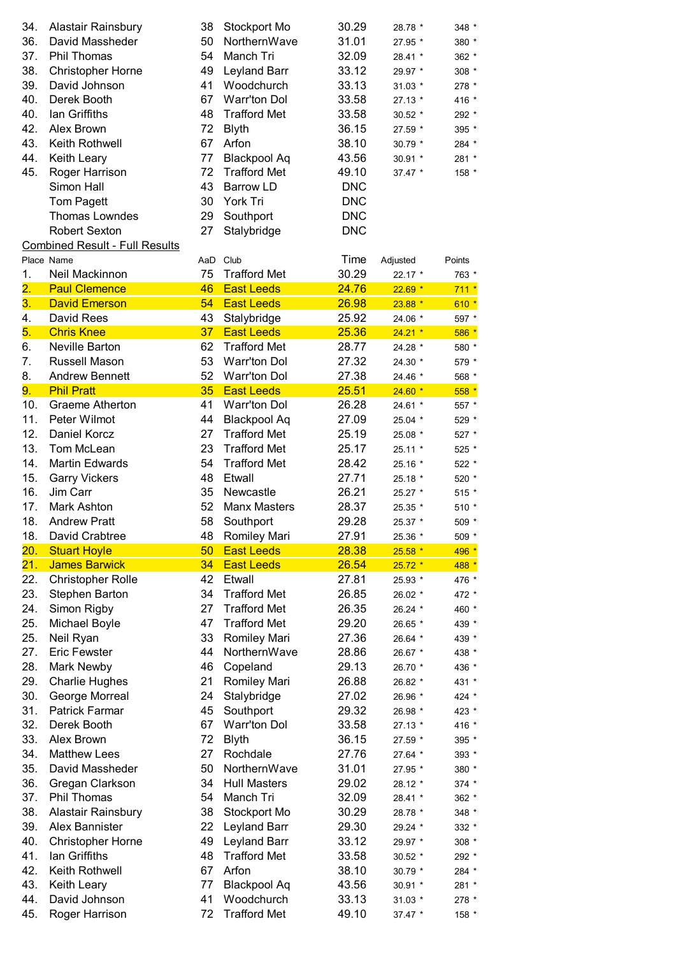| 34.               | Alastair Rainsbury                    | 38 | Stockport Mo          | 30.29      | 28.78 *  | 348 *   |
|-------------------|---------------------------------------|----|-----------------------|------------|----------|---------|
| 36.               | David Massheder                       | 50 | NorthernWave          | 31.01      | 27.95 *  | 380 *   |
| 37.               | Phil Thomas                           | 54 | Manch Tri             | 32.09      | 28.41 *  | 362 *   |
| 38.               | <b>Christopher Horne</b>              | 49 | Leyland Barr          | 33.12      | 29.97 *  | 308 *   |
| 39.               | David Johnson                         | 41 | Woodchurch            | 33.13      | $31.03*$ | 278 *   |
| 40.               | Derek Booth                           | 67 | Warr'ton Dol          | 33.58      | 27.13 *  | 416 *   |
| 40.               | lan Griffiths                         | 48 | <b>Trafford Met</b>   | 33.58      |          |         |
| 42.               | Alex Brown                            | 72 |                       | 36.15      | 30.52 *  | 292 *   |
| 43.               | Keith Rothwell                        | 67 | <b>Blyth</b><br>Arfon |            | 27.59 *  | 395 *   |
|                   |                                       |    |                       | 38.10      | 30.79 *  | 284 *   |
| 44.               | Keith Leary                           | 77 | <b>Blackpool Aq</b>   | 43.56      | 30.91 *  | 281 *   |
| 45.               | Roger Harrison                        | 72 | <b>Trafford Met</b>   | 49.10      | $37.47*$ | 158 *   |
|                   | Simon Hall                            | 43 | <b>Barrow LD</b>      | <b>DNC</b> |          |         |
|                   | <b>Tom Pagett</b>                     | 30 | York Tri              | <b>DNC</b> |          |         |
|                   | <b>Thomas Lowndes</b>                 | 29 | Southport             | <b>DNC</b> |          |         |
|                   | <b>Robert Sexton</b>                  | 27 | Stalybridge           | <b>DNC</b> |          |         |
|                   | <b>Combined Result - Full Results</b> |    |                       |            |          |         |
|                   | Place Name                            |    | AaD Club              | Time       | Adjusted | Points  |
| 1.                | Neil Mackinnon                        | 75 | <b>Trafford Met</b>   | 30.29      | 22.17 *  | 763 *   |
| $\overline{2}$ .  | <b>Paul Clemence</b>                  | 46 | <b>East Leeds</b>     | 24.76      | $22.69*$ | $711 *$ |
| 3.                | <b>David Emerson</b>                  | 54 | <b>East Leeds</b>     | 26.98      | $23.88*$ | $610*$  |
| 4.                | David Rees                            | 43 | Stalybridge           | 25.92      | 24.06 *  | 597 *   |
| 5.                | <b>Chris Knee</b>                     | 37 | <b>East Leeds</b>     | 25.36      | $24.21*$ | $586*$  |
| 6.                | Neville Barton                        | 62 | <b>Trafford Met</b>   | 28.77      | 24.28 *  | 580 *   |
| 7.                | Russell Mason                         | 53 | Warr'ton Dol          | 27.32      | 24.30 *  | 579 *   |
| 8.                | <b>Andrew Bennett</b>                 | 52 | Warr'ton Dol          | 27.38      | 24.46 *  | 568 *   |
| 9.                | <b>Phil Pratt</b>                     | 35 | <b>East Leeds</b>     | 25.51      | $24.60*$ | $558*$  |
| 10.               | <b>Graeme Atherton</b>                | 41 | Warr'ton Dol          | 26.28      | 24.61 *  | 557 *   |
| 11.               | Peter Wilmot                          | 44 | <b>Blackpool Aq</b>   | 27.09      | 25.04 *  | 529 *   |
| 12.               | Daniel Korcz                          | 27 | <b>Trafford Met</b>   | 25.19      | 25.08 *  | 527 *   |
| 13.               | Tom McLean                            | 23 | <b>Trafford Met</b>   | 25.17      | 25.11 *  | 525 *   |
| 14.               | <b>Martin Edwards</b>                 | 54 | <b>Trafford Met</b>   | 28.42      | 25.16 *  | 522 *   |
| 15.               | <b>Garry Vickers</b>                  | 48 | Etwall                | 27.71      | 25.18 *  | 520 *   |
| 16.               | Jim Carr                              | 35 | Newcastle             | 26.21      | 25.27 *  | 515 *   |
| 17.               | <b>Mark Ashton</b>                    | 52 | <b>Manx Masters</b>   | 28.37      | 25.35 *  | 510 *   |
| 18.               | <b>Andrew Pratt</b>                   | 58 | Southport             | 29.28      | 25.37 *  | 509 *   |
| 18.               | David Crabtree                        | 48 | <b>Romiley Mari</b>   | 27.91      | 25.36 *  | 509 *   |
| 20.               | <b>Stuart Hoyle</b>                   | 50 | <b>East Leeds</b>     | 28.38      | $25.58*$ | 496 *   |
| $\overline{21}$ . | <b>James Barwick</b>                  | 34 | <b>East Leeds</b>     | 26.54      | $25.72*$ | 488 *   |
| 22.               | <b>Christopher Rolle</b>              | 42 | Etwall                | 27.81      | 25.93 *  | 476 *   |
| 23.               | Stephen Barton                        | 34 | <b>Trafford Met</b>   | 26.85      | 26.02 *  | 472 *   |
| 24.               | Simon Rigby                           | 27 | <b>Trafford Met</b>   | 26.35      | 26.24 *  | 460 *   |
| 25.               | Michael Boyle                         | 47 | <b>Trafford Met</b>   | 29.20      | 26.65 *  | 439 *   |
| 25.               | Neil Ryan                             | 33 | Romiley Mari          | 27.36      | 26.64 *  | 439 *   |
| 27.               | <b>Eric Fewster</b>                   | 44 | NorthernWave          | 28.86      | 26.67 *  | 438 *   |
| 28.               |                                       |    |                       |            |          |         |
| 29.               | Mark Newby                            | 46 | Copeland              | 29.13      | 26.70 *  | 436 *   |
|                   | <b>Charlie Hughes</b>                 | 21 | Romiley Mari          | 26.88      | 26.82 *  | 431 *   |
| 30.               | George Morreal                        | 24 | Stalybridge           | 27.02      | 26.96 *  | 424 *   |
| 31.               | <b>Patrick Farmar</b>                 | 45 | Southport             | 29.32      | 26.98 *  | 423 *   |
| 32.               | Derek Booth                           | 67 | Warr'ton Dol          | 33.58      | 27.13 *  | 416 *   |
| 33.               | Alex Brown                            | 72 | <b>Blyth</b>          | 36.15      | 27.59 *  | 395 *   |
| 34.               | <b>Matthew Lees</b>                   | 27 | Rochdale              | 27.76      | 27.64 *  | 393 *   |
| 35.               | David Massheder                       | 50 | NorthernWave          | 31.01      | 27.95 *  | 380 *   |
| 36.               | Gregan Clarkson                       | 34 | <b>Hull Masters</b>   | 29.02      | 28.12 *  | 374 *   |
| 37.               | Phil Thomas                           | 54 | Manch Tri             | 32.09      | 28.41 *  | 362 *   |
| 38.               | Alastair Rainsbury                    | 38 | Stockport Mo          | 30.29      | 28.78 *  | 348 *   |
| 39.               | Alex Bannister                        | 22 | Leyland Barr          | 29.30      | 29.24 *  | 332 *   |
| 40.               | <b>Christopher Horne</b>              | 49 | Leyland Barr          | 33.12      | 29.97 *  | 308 *   |
| 41.               | lan Griffiths                         | 48 | <b>Trafford Met</b>   | 33.58      | 30.52 *  | 292 *   |
| 42.               | Keith Rothwell                        | 67 | Arfon                 | 38.10      | 30.79 *  | 284 *   |
| 43.               | Keith Leary                           | 77 | <b>Blackpool Aq</b>   | 43.56      | 30.91 *  | 281 *   |
| 44.               | David Johnson                         | 41 | Woodchurch            | 33.13      | $31.03*$ | 278 *   |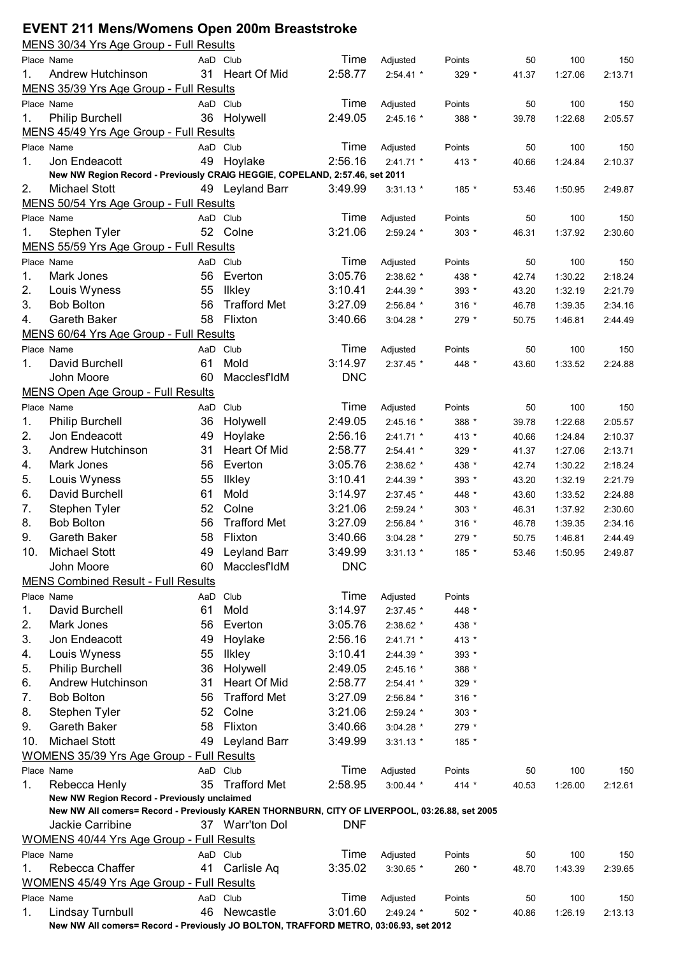## **EVENT 211 Mens/Womens Open 200m Breaststroke**

|     | <u>MENS 30/34 Yrs Age Group - Full Results</u>                                                |     |                     |            |             |         |       |         |         |
|-----|-----------------------------------------------------------------------------------------------|-----|---------------------|------------|-------------|---------|-------|---------|---------|
|     | Place Name                                                                                    |     | AaD Club            | Time       | Adjusted    | Points  | 50    | 100     | 150     |
| 1.  | Andrew Hutchinson                                                                             |     | 31 Heart Of Mid     | 2:58.77    | $2:54.41$ * | 329 *   | 41.37 | 1:27.06 | 2:13.71 |
|     | MENS 35/39 Yrs Age Group - Full Results                                                       |     |                     |            |             |         |       |         |         |
|     | Place Name                                                                                    |     | AaD Club            | Time       | Adjusted    | Points  | 50    | 100     | 150     |
| 1.  | Philip Burchell                                                                               | 36  | Holywell            | 2:49.05    | 2:45.16 *   | 388 *   | 39.78 | 1:22.68 | 2:05.57 |
|     | MENS 45/49 Yrs Age Group - Full Results                                                       |     |                     |            |             |         |       |         |         |
|     | Place Name                                                                                    |     | AaD Club            | Time       | Adjusted    | Points  | 50    | 100     | 150     |
| 1.  | Jon Endeacott                                                                                 |     | 49 Hoylake          | 2:56.16    | 2:41.71 *   | 413 *   | 40.66 | 1:24.84 | 2:10.37 |
|     | New NW Region Record - Previously CRAIG HEGGIE, COPELAND, 2:57.46, set 2011                   |     |                     |            |             |         |       |         |         |
| 2.  | Michael Stott                                                                                 |     | 49 Leyland Barr     | 3:49.99    | $3:31.13$ * | 185 *   | 53.46 | 1:50.95 | 2:49.87 |
|     | MENS 50/54 Yrs Age Group - Full Results                                                       |     |                     |            |             |         |       |         |         |
|     | Place Name                                                                                    |     | AaD Club            | Time       | Adjusted    | Points  | 50    | 100     | 150     |
| 1.  | Stephen Tyler                                                                                 |     | 52 Colne            | 3:21.06    | $2:59.24$ * | 303 *   | 46.31 | 1:37.92 | 2:30.60 |
|     | MENS 55/59 Yrs Age Group - Full Results                                                       |     |                     |            |             |         |       |         |         |
|     | Place Name                                                                                    |     | AaD Club            | Time       | Adjusted    | Points  | 50    | 100     | 150     |
| 1.  | Mark Jones                                                                                    | 56  | Everton             | 3:05.76    | 2:38.62 *   | 438 *   | 42.74 | 1:30.22 | 2:18.24 |
| 2.  | Louis Wyness                                                                                  | 55  | <b>Ilkley</b>       | 3:10.41    | 2:44.39 *   | 393 *   | 43.20 | 1:32.19 | 2:21.79 |
| 3.  | <b>Bob Bolton</b>                                                                             | 56  | <b>Trafford Met</b> | 3:27.09    | 2:56.84 *   | $316 *$ | 46.78 | 1:39.35 | 2:34.16 |
| 4.  | <b>Gareth Baker</b>                                                                           | 58  | Flixton             | 3:40.66    | $3:04.28$ * | 279 *   | 50.75 | 1:46.81 | 2:44.49 |
|     | MENS 60/64 Yrs Age Group - Full Results                                                       |     |                     |            |             |         |       |         |         |
|     | Place Name                                                                                    |     | AaD Club            | Time       | Adjusted    | Points  | 50    | 100     | 150     |
| 1.  | David Burchell                                                                                | 61  | Mold                | 3:14.97    | 2:37.45 *   | 448 *   | 43.60 | 1:33.52 | 2:24.88 |
|     | John Moore                                                                                    | 60  | MacclesfIdM         | <b>DNC</b> |             |         |       |         |         |
|     | <b>MENS Open Age Group - Full Results</b>                                                     |     |                     |            |             |         |       |         |         |
|     | Place Name                                                                                    |     | AaD Club            | Time       | Adjusted    | Points  | 50    | 100     | 150     |
| 1.  | <b>Philip Burchell</b>                                                                        | 36  | Holywell            | 2:49.05    | 2:45.16 *   | 388 *   | 39.78 | 1:22.68 | 2:05.57 |
| 2.  | Jon Endeacott                                                                                 | 49  | Hoylake             | 2:56.16    | 2:41.71 *   | 413 *   | 40.66 | 1:24.84 | 2:10.37 |
| 3.  | Andrew Hutchinson                                                                             | 31  | Heart Of Mid        | 2:58.77    | 2:54.41 *   | 329 *   | 41.37 | 1:27.06 | 2:13.71 |
| 4.  | Mark Jones                                                                                    | 56  | Everton             | 3:05.76    | 2:38.62 *   | 438 *   | 42.74 | 1:30.22 | 2:18.24 |
| 5.  | Louis Wyness                                                                                  | 55  | <b>Ilkley</b>       | 3:10.41    | 2:44.39 *   | 393 *   | 43.20 | 1:32.19 | 2:21.79 |
| 6.  | David Burchell                                                                                | 61  | Mold                | 3:14.97    | 2:37.45 *   | 448 *   | 43.60 | 1:33.52 | 2:24.88 |
| 7.  | Stephen Tyler                                                                                 | 52  | Colne               | 3:21.06    | 2:59.24 *   | $303 *$ | 46.31 | 1:37.92 | 2:30.60 |
| 8.  | <b>Bob Bolton</b>                                                                             | 56  | <b>Trafford Met</b> | 3:27.09    | 2:56.84 *   | $316 *$ | 46.78 | 1:39.35 | 2:34.16 |
| 9.  | <b>Gareth Baker</b>                                                                           | 58  | Flixton             | 3:40.66    | $3:04.28$ * | 279 *   | 50.75 | 1:46.81 | 2:44.49 |
| 10. | <b>Michael Stott</b>                                                                          |     | 49 Leyland Barr     | 3:49.99    | $3:31.13$ * | 185     | 53.46 | 1:50.95 | 2:49.87 |
|     | John Moore                                                                                    | 60  | MacclesfIdM         | <b>DNC</b> |             |         |       |         |         |
|     | <b>MENS Combined Result - Full Results</b>                                                    |     |                     |            |             |         |       |         |         |
|     | Place Name                                                                                    | AaD | Club                | Time       | Adjusted    | Points  |       |         |         |
| 1.  | David Burchell                                                                                | 61  | Mold                | 3:14.97    | 2:37.45 *   | 448 *   |       |         |         |
| 2.  | Mark Jones                                                                                    | 56  | Everton             | 3:05.76    | 2:38.62 *   | 438 *   |       |         |         |
| 3.  | Jon Endeacott                                                                                 | 49  | Hoylake             | 2:56.16    | 2:41.71 *   | 413 *   |       |         |         |
| 4.  | Louis Wyness                                                                                  | 55  | <b>Ilkley</b>       | 3:10.41    | 2:44.39 *   | 393 *   |       |         |         |
| 5.  | Philip Burchell                                                                               | 36  | Holywell            | 2:49.05    | 2:45.16 *   | 388 *   |       |         |         |
| 6.  | Andrew Hutchinson                                                                             | 31  | Heart Of Mid        | 2:58.77    | 2:54.41 *   | 329 *   |       |         |         |
| 7.  | <b>Bob Bolton</b>                                                                             | 56  | <b>Trafford Met</b> | 3:27.09    | 2:56.84 *   | $316 *$ |       |         |         |
| 8.  | Stephen Tyler                                                                                 | 52  | Colne               | 3:21.06    |             |         |       |         |         |
| 9.  | Gareth Baker                                                                                  | 58  | Flixton             | 3:40.66    | 2:59.24 *   | $303 *$ |       |         |         |
|     |                                                                                               |     |                     |            | 3:04.28 *   | 279 *   |       |         |         |
| 10. | <b>Michael Stott</b>                                                                          | 49  | <b>Leyland Barr</b> | 3:49.99    | $3:31.13$ * | 185 *   |       |         |         |
|     | <b>WOMENS 35/39 Yrs Age Group - Full Results</b>                                              |     |                     |            |             |         |       |         |         |
|     | Place Name                                                                                    |     | AaD Club            | Time       | Adjusted    | Points  | 50    | 100     | 150     |
| 1.  | Rebecca Henly<br>New NW Region Record - Previously unclaimed                                  | 35  | <b>Trafford Met</b> | 2:58.95    | $3:00.44$ * | $414 *$ | 40.53 | 1:26.00 | 2:12.61 |
|     | New NW All comers= Record - Previously KAREN THORNBURN, CITY OF LIVERPOOL, 03:26.88, set 2005 |     |                     |            |             |         |       |         |         |
|     | Jackie Carribine                                                                              |     | 37 Warr'ton Dol     | <b>DNF</b> |             |         |       |         |         |
|     | WOMENS 40/44 Yrs Age Group - Full Results                                                     |     |                     |            |             |         |       |         |         |
|     | Place Name                                                                                    |     | AaD Club            | Time       | Adjusted    | Points  | 50    | 100     | 150     |
| 1.  | Rebecca Chaffer                                                                               | 41  | Carlisle Aq         | 3:35.02    | $3:30.65$ * | 260 *   | 48.70 | 1:43.39 | 2:39.65 |
|     | <b>WOMENS 45/49 Yrs Age Group - Full Results</b>                                              |     |                     |            |             |         |       |         |         |
|     | Place Name                                                                                    |     | AaD Club            | Time       | Adjusted    | Points  | 50    | 100     | 150     |
| 1.  | Lindsay Turnbull                                                                              |     | 46 Newcastle        | 3:01.60    | 2:49.24 *   | 502 *   | 40.86 | 1:26.19 | 2:13.13 |
|     | New NW All comers= Record - Previously JO BOLTON, TRAFFORD METRO, 03:06.93, set 2012          |     |                     |            |             |         |       |         |         |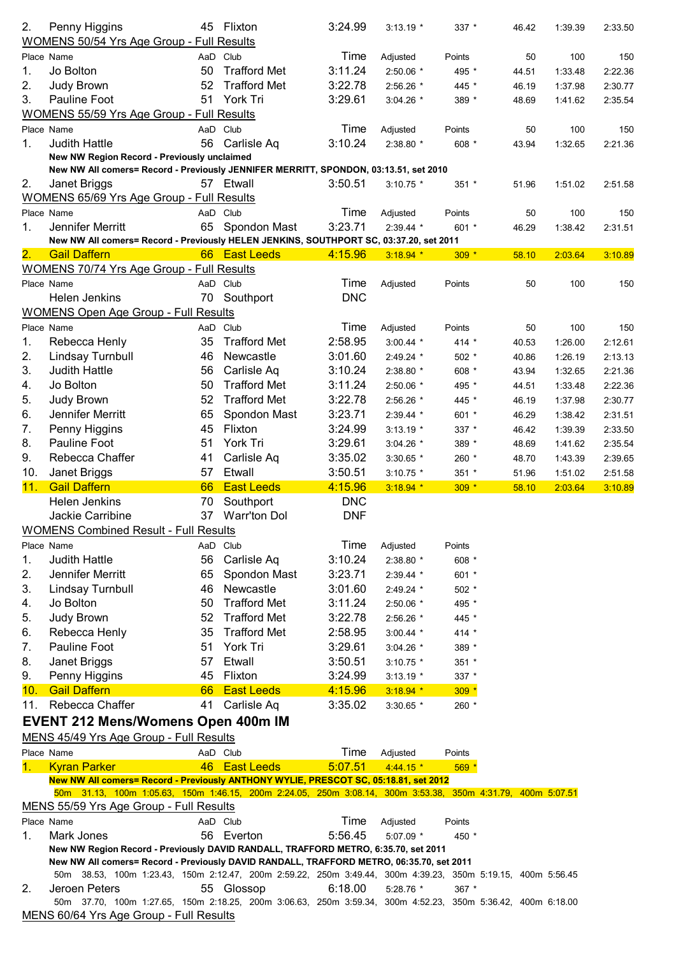| 2.             | Penny Higgins                                                                                                                                          | 45 | Flixton             | 3:24.99    | $3:13.19$ * | 337 *   | 46.42 | 1:39.39 | 2:33.50 |
|----------------|--------------------------------------------------------------------------------------------------------------------------------------------------------|----|---------------------|------------|-------------|---------|-------|---------|---------|
|                | <b>WOMENS 50/54 Yrs Age Group - Full Results</b>                                                                                                       |    |                     |            |             |         |       |         |         |
|                | Place Name                                                                                                                                             |    | AaD Club            | Time       | Adjusted    | Points  | 50    | 100     | 150     |
| 1.             | Jo Bolton                                                                                                                                              | 50 | <b>Trafford Met</b> | 3:11.24    | 2:50.06 *   | 495 *   | 44.51 | 1:33.48 | 2:22.36 |
| 2.             | Judy Brown                                                                                                                                             | 52 | <b>Trafford Met</b> | 3:22.78    | 2:56.26 *   | 445 *   | 46.19 | 1:37.98 | 2:30.77 |
| 3.             | Pauline Foot                                                                                                                                           | 51 | York Tri            | 3:29.61    | $3:04.26$ * | 389 *   | 48.69 | 1:41.62 | 2:35.54 |
|                | <b>WOMENS 55/59 Yrs Age Group - Full Results</b>                                                                                                       |    |                     |            |             |         |       |         |         |
|                |                                                                                                                                                        |    |                     |            |             |         |       |         |         |
|                | Place Name                                                                                                                                             |    | AaD Club            | Time       | Adjusted    | Points  | 50    | 100     | 150     |
| 1.             | <b>Judith Hattle</b>                                                                                                                                   | 56 | Carlisle Aq         | 3:10.24    | 2:38.80 *   | 608 *   | 43.94 | 1:32.65 | 2:21.36 |
|                | New NW Region Record - Previously unclaimed                                                                                                            |    |                     |            |             |         |       |         |         |
|                | New NW All comers= Record - Previously JENNIFER MERRITT, SPONDON, 03:13.51, set 2010                                                                   |    |                     |            |             |         |       |         |         |
| 2.             | Janet Briggs                                                                                                                                           |    | 57 Etwall           | 3:50.51    | $3:10.75$ * | $351 *$ | 51.96 | 1:51.02 | 2:51.58 |
|                | WOMENS 65/69 Yrs Age Group - Full Results                                                                                                              |    |                     |            |             |         |       |         |         |
|                | Place Name                                                                                                                                             |    | AaD Club            | Time       | Adjusted    | Points  | 50    | 100     | 150     |
| 1.             | Jennifer Merritt                                                                                                                                       |    | 65 Spondon Mast     | 3:23.71    | 2:39.44 *   | 601 *   | 46.29 | 1:38.42 | 2:31.51 |
|                | New NW All comers= Record - Previously HELEN JENKINS, SOUTHPORT SC, 03:37.20, set 2011                                                                 |    |                     |            |             |         |       |         |         |
| 2.             | <b>Gail Daffern</b>                                                                                                                                    |    | 66 East Leeds       | 4:15.96    | $3:18.94$ * | $309 *$ | 58.10 | 2:03.64 | 3:10.89 |
|                | <b>WOMENS 70/74 Yrs Age Group - Full Results</b>                                                                                                       |    |                     |            |             |         |       |         |         |
|                | Place Name                                                                                                                                             |    | AaD Club            | Time       | Adjusted    | Points  | 50    | 100     | 150     |
|                | <b>Helen Jenkins</b>                                                                                                                                   | 70 | Southport           | <b>DNC</b> |             |         |       |         |         |
|                | <b>WOMENS Open Age Group - Full Results</b>                                                                                                            |    |                     |            |             |         |       |         |         |
|                | Place Name                                                                                                                                             |    | AaD Club            | Time       |             | Points  | 50    | 100     | 150     |
|                |                                                                                                                                                        |    |                     | 2:58.95    | Adjusted    |         |       |         |         |
| 1.             | Rebecca Henly                                                                                                                                          | 35 | <b>Trafford Met</b> |            | $3:00.44$ * | 414 $*$ | 40.53 | 1:26.00 | 2:12.61 |
| 2.             | Lindsay Turnbull                                                                                                                                       | 46 | Newcastle           | 3:01.60    | 2:49.24 *   | $502 *$ | 40.86 | 1:26.19 | 2:13.13 |
| 3.             | <b>Judith Hattle</b>                                                                                                                                   | 56 | Carlisle Aq         | 3:10.24    | 2:38.80 *   | 608 *   | 43.94 | 1:32.65 | 2:21.36 |
| 4.             | Jo Bolton                                                                                                                                              | 50 | <b>Trafford Met</b> | 3:11.24    | 2:50.06 *   | 495 *   | 44.51 | 1:33.48 | 2:22.36 |
| 5.             | Judy Brown                                                                                                                                             | 52 | <b>Trafford Met</b> | 3:22.78    | 2:56.26 *   | 445 *   | 46.19 | 1:37.98 | 2:30.77 |
| 6.             | Jennifer Merritt                                                                                                                                       | 65 | Spondon Mast        | 3:23.71    | 2:39.44 *   | 601 *   | 46.29 | 1:38.42 | 2:31.51 |
| 7.             | Penny Higgins                                                                                                                                          | 45 | Flixton             | 3:24.99    | $3:13.19$ * | $337 *$ | 46.42 | 1:39.39 | 2:33.50 |
| 8.             | Pauline Foot                                                                                                                                           | 51 | York Tri            | 3:29.61    | 3:04.26 *   | 389 *   | 48.69 | 1:41.62 | 2:35.54 |
| 9.             | Rebecca Chaffer                                                                                                                                        | 41 | Carlisle Aq         | 3:35.02    | 3:30.65 *   | 260 *   | 48.70 | 1:43.39 | 2:39.65 |
| 10.            | Janet Briggs                                                                                                                                           | 57 | Etwall              | 3:50.51    | $3:10.75$ * | $351 *$ | 51.96 | 1:51.02 | 2:51.58 |
|                |                                                                                                                                                        |    |                     |            |             |         |       |         |         |
|                |                                                                                                                                                        |    |                     |            |             |         |       |         |         |
| 11.            | <b>Gail Daffern</b>                                                                                                                                    | 66 | <b>East Leeds</b>   | 4:15.96    | $3:18.94$ * | $309 *$ | 58.10 | 2:03.64 | 3:10.89 |
|                | Helen Jenkins                                                                                                                                          | 70 | Southport           | <b>DNC</b> |             |         |       |         |         |
|                | Jackie Carribine                                                                                                                                       | 37 | <b>Warr'ton Dol</b> | <b>DNF</b> |             |         |       |         |         |
|                | <b>WOMENS Combined Result - Full Results</b>                                                                                                           |    |                     |            |             |         |       |         |         |
|                | Place Name                                                                                                                                             |    | AaD Club            | Time       | Adjusted    | Points  |       |         |         |
| 1.             | <b>Judith Hattle</b>                                                                                                                                   | 56 | Carlisle Aq         | 3:10.24    | 2:38.80 *   | 608 *   |       |         |         |
| 2.             | Jennifer Merritt                                                                                                                                       | 65 | Spondon Mast        | 3:23.71    | 2:39.44 *   | 601 *   |       |         |         |
| 3.             | Lindsay Turnbull                                                                                                                                       | 46 | Newcastle           | 3:01.60    | 2:49.24 *   | $502 *$ |       |         |         |
|                |                                                                                                                                                        |    |                     |            |             | 495 *   |       |         |         |
| 4.             | Jo Bolton                                                                                                                                              | 50 | <b>Trafford Met</b> | 3:11.24    | 2:50.06 *   |         |       |         |         |
| 5.             | Judy Brown                                                                                                                                             | 52 | <b>Trafford Met</b> | 3:22.78    | 2:56.26 *   | 445 *   |       |         |         |
| 6.             | Rebecca Henly                                                                                                                                          | 35 | <b>Trafford Met</b> | 2:58.95    | $3:00.44$ * | $414 *$ |       |         |         |
| 7.             | Pauline Foot                                                                                                                                           | 51 | York Tri            | 3:29.61    | 3:04.26 *   | 389 *   |       |         |         |
| 8.             | Janet Briggs                                                                                                                                           | 57 | Etwall              | 3:50.51    | $3:10.75$ * | 351 *   |       |         |         |
| 9.             | Penny Higgins                                                                                                                                          | 45 | Flixton             | 3:24.99    | $3:13.19$ * | 337 *   |       |         |         |
| 10.            | <b>Gail Daffern</b>                                                                                                                                    | 66 | <b>East Leeds</b>   | 4:15.96    | $3:18.94$ * | $309 *$ |       |         |         |
| 11.            | Rebecca Chaffer                                                                                                                                        | 41 | Carlisle Aq         | 3:35.02    | $3:30.65$ * | 260 *   |       |         |         |
|                |                                                                                                                                                        |    |                     |            |             |         |       |         |         |
|                | <b>EVENT 212 Mens/Womens Open 400m IM</b>                                                                                                              |    |                     |            |             |         |       |         |         |
|                | MENS 45/49 Yrs Age Group - Full Results                                                                                                                |    |                     |            |             |         |       |         |         |
|                | Place Name                                                                                                                                             |    | AaD Club            | Time       | Adjusted    | Points  |       |         |         |
| 1 <sub>1</sub> | <b>Kyran Parker</b>                                                                                                                                    | 46 | <b>East Leeds</b>   | 5:07.51    | $4:44.15*$  | 569 *   |       |         |         |
|                | New NW All comers= Record - Previously ANTHONY WYLIE, PRESCOT SC, 05:18.81, set 2012                                                                   |    |                     |            |             |         |       |         |         |
|                | 50m 31.13, 100m 1:05.63, 150m 1:46.15, 200m 2:24.05, 250m 3:08.14, 300m 3:53.38, 350m 4:31.79, 400m 5:07.51                                            |    |                     |            |             |         |       |         |         |
|                | MENS 55/59 Yrs Age Group - Full Results                                                                                                                |    |                     |            |             |         |       |         |         |
|                | Place Name                                                                                                                                             |    | AaD Club            | Time       | Adjusted    | Points  |       |         |         |
| 1.             | Mark Jones                                                                                                                                             | 56 | Everton             | 5:56.45    | 5:07.09 *   | 450 *   |       |         |         |
|                | New NW Region Record - Previously DAVID RANDALL, TRAFFORD METRO, 6:35.70, set 2011                                                                     |    |                     |            |             |         |       |         |         |
|                | New NW All comers= Record - Previously DAVID RANDALL, TRAFFORD METRO, 06:35.70, set 2011                                                               |    |                     |            |             |         |       |         |         |
|                | 50m 38.53, 100m 1:23.43, 150m 2:12.47, 200m 2:59.22, 250m 3:49.44, 300m 4:39.23, 350m 5:19.15, 400m 5:56.45                                            |    |                     |            |             |         |       |         |         |
| 2.             | Jeroen Peters                                                                                                                                          |    | 55 Glossop          | 6:18.00    | 5:28.76 *   | 367 *   |       |         |         |
|                | 50m 37.70, 100m 1:27.65, 150m 2:18.25, 200m 3:06.63, 250m 3:59.34, 300m 4:52.23, 350m 5:36.42, 400m 6:18.00<br>MENS 60/64 Yrs Age Group - Full Results |    |                     |            |             |         |       |         |         |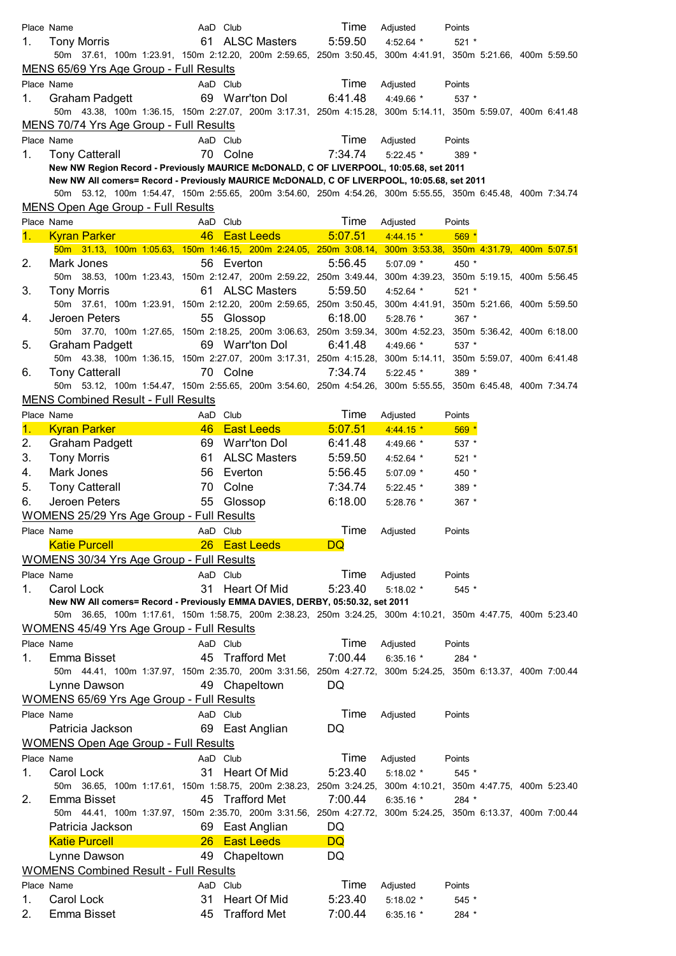|            | Place Name                                                                                                  |          | AaD Club                          | Time    | Adjusted      | Points  |  |  |
|------------|-------------------------------------------------------------------------------------------------------------|----------|-----------------------------------|---------|---------------|---------|--|--|
| 1.         | Tony Morris                                                                                                 |          | 61 ALSC Masters                   | 5:59.50 | 4:52.64 $*$   | $521 *$ |  |  |
|            | 50m 37.61, 100m 1:23.91, 150m 2:12.20, 200m 2:59.65, 250m 3:50.45, 300m 4:41.91, 350m 5:21.66, 400m 5:59.50 |          |                                   |         |               |         |  |  |
|            | MENS 65/69 Yrs Age Group - Full Results                                                                     |          |                                   |         |               |         |  |  |
|            | Place Name                                                                                                  |          | AaD Club                          | Time    | Adjusted      | Points  |  |  |
| 1.         | Graham Padgett                                                                                              |          | 69 Warr'ton Dol                   | 6:41.48 | 4:49.66 *     | 537 *   |  |  |
|            | 50m 43.38, 100m 1:36.15, 150m 2:27.07, 200m 3:17.31, 250m 4:15.28, 300m 5:14.11, 350m 5:59.07, 400m 6:41.48 |          |                                   |         |               |         |  |  |
|            | MENS 70/74 Yrs Age Group - Full Results                                                                     |          |                                   |         |               |         |  |  |
|            | Place Name                                                                                                  |          | AaD Club                          | Time    | Adjusted      | Points  |  |  |
| 1.         | <b>Tony Catterall</b>                                                                                       |          | 70 Colne                          | 7:34.74 | $5:22.45$ *   | 389 *   |  |  |
|            | New NW Region Record - Previously MAURICE McDONALD, C OF LIVERPOOL, 10:05.68, set 2011                      |          |                                   |         |               |         |  |  |
|            | New NW All comers= Record - Previously MAURICE McDONALD, C OF LIVERPOOL, 10:05.68, set 2011                 |          |                                   |         |               |         |  |  |
|            | 50m 53.12, 100m 1:54.47, 150m 2:55.65, 200m 3:54.60, 250m 4:54.26, 300m 5:55.55, 350m 6:45.48, 400m 7:34.74 |          |                                   |         |               |         |  |  |
|            | MENS Open Age Group - Full Results                                                                          |          |                                   |         |               |         |  |  |
|            |                                                                                                             |          |                                   | Time    |               |         |  |  |
|            | Place Name                                                                                                  |          | AaD Club                          |         | Adjusted      | Points  |  |  |
| $1 -$      | <b>Kyran Parker Markupulan Kyran Parker</b>                                                                 |          | 46 East Leeds <b>East Alleged</b> | 5:07.51 | $4:44.15$ *   | $569*$  |  |  |
|            | 50m 31.13, 100m 1:05.63, 150m 1:46.15, 200m 2:24.05, 250m 3:08.14, 300m 3:53.38, 350m 4:31.79, 400m 5:07.51 |          |                                   |         |               |         |  |  |
| 2.         | Mark Jones                                                                                                  |          | 56 Everton                        | 5:56.45 | $5:07.09$ *   | 450 *   |  |  |
|            | 50m 38.53, 100m 1:23.43, 150m 2:12.47, 200m 2:59.22, 250m 3:49.44, 300m 4:39.23, 350m 5:19.15, 400m 5:56.45 |          |                                   |         |               |         |  |  |
| 3.         | <b>Tony Morris</b>                                                                                          |          | 61 ALSC Masters                   | 5:59.50 | $4:52.64$ *   | $521 *$ |  |  |
|            | 50m 37.61, 100m 1:23.91, 150m 2:12.20, 200m 2:59.65, 250m 3:50.45, 300m 4:41.91, 350m 5:21.66, 400m 5:59.50 |          |                                   |         |               |         |  |  |
| 4.         | Jeroen Peters                                                                                               |          | 55 Glossop                        | 6:18.00 | $5:28.76$ *   | 367 *   |  |  |
|            | 50m 37.70, 100m 1:27.65, 150m 2:18.25, 200m 3:06.63, 250m 3:59.34, 300m 4:52.23, 350m 5:36.42, 400m 6:18.00 |          |                                   |         |               |         |  |  |
| 5.         | Graham Padgett                                                                                              |          | 69 Warr'ton Dol                   | 6:41.48 | 4:49.66 $*$   | 537 *   |  |  |
|            | 50m 43.38, 100m 1:36.15, 150m 2:27.07, 200m 3:17.31, 250m 4:15.28, 300m 5:14.11, 350m 5:59.07, 400m 6:41.48 |          |                                   |         |               |         |  |  |
| 6.         | <b>Tony Catterall</b>                                                                                       |          | 70 Colne                          | 7:34.74 | $5:22.45$ *   | 389 *   |  |  |
|            | 50m 53.12, 100m 1:54.47, 150m 2:55.65, 200m 3:54.60, 250m 4:54.26, 300m 5:55.55, 350m 6:45.48, 400m 7:34.74 |          |                                   |         |               |         |  |  |
|            | <b>MENS Combined Result - Full Results</b>                                                                  |          |                                   |         |               |         |  |  |
|            | Place Name                                                                                                  |          | AaD Club                          | Time    | Adjusted      | Points  |  |  |
| 1.         | <b>Kyran Parker</b>                                                                                         |          | 46 East Leeds                     | 5:07.51 | $4:44.15*$    | $569*$  |  |  |
| 2.         | Graham Padgett                                                                                              |          | 69 Warr'ton Dol                   | 6:41.48 | 4:49.66 *     | $537 *$ |  |  |
| 3.         | <b>Tony Morris</b>                                                                                          | 61       | <b>ALSC Masters</b>               | 5:59.50 | 4:52.64 *     | $521 *$ |  |  |
| 4.         | Mark Jones                                                                                                  |          | 56 Everton                        | 5:56.45 | 5:07.09 *     | 450 *   |  |  |
| 5.         | <b>Tony Catterall</b>                                                                                       | 70       | Colne                             | 7:34.74 | $5:22.45$ *   | 389 *   |  |  |
|            |                                                                                                             |          |                                   |         |               |         |  |  |
| 6.         | Jeroen Peters                                                                                               |          | 55 Glossop                        | 6:18.00 | $5:28.76$ *   | $367 *$ |  |  |
|            | <b>WOMENS 25/29 Yrs Age Group - Full Results</b>                                                            |          |                                   |         |               |         |  |  |
| Place Name |                                                                                                             | AaD Club |                                   |         | Time Adjusted | Points  |  |  |
|            | <b>Katie Purcell</b>                                                                                        |          | 26 East Leeds                     | DQ      |               |         |  |  |
|            | WOMENS 30/34 Yrs Age Group - Full Results                                                                   |          |                                   |         |               |         |  |  |
|            | Place Name                                                                                                  |          | AaD Club                          | Time    | Adjusted      | Points  |  |  |
| 1.         | Carol Lock                                                                                                  | 31       | Heart Of Mid                      | 5:23.40 | $5:18.02$ *   | $545*$  |  |  |
|            | New NW All comers= Record - Previously EMMA DAVIES, DERBY, 05:50.32, set 2011                               |          |                                   |         |               |         |  |  |
|            | 50m 36.65, 100m 1:17.61, 150m 1:58.75, 200m 2:38.23, 250m 3:24.25, 300m 4:10.21, 350m 4:47.75, 400m 5:23.40 |          |                                   |         |               |         |  |  |
|            | <b>WOMENS 45/49 Yrs Age Group - Full Results</b>                                                            |          |                                   |         |               |         |  |  |
|            | Place Name                                                                                                  |          | AaD Club                          | Time    | Adjusted      | Points  |  |  |
| 1.         | Emma Bisset                                                                                                 | 45       | <b>Trafford Met</b>               | 7:00.44 | 6:35.16 $*$   | 284 *   |  |  |
|            | 50m 44.41, 100m 1:37.97, 150m 2:35.70, 200m 3:31.56, 250m 4:27.72, 300m 5:24.25, 350m 6:13.37, 400m 7:00.44 |          |                                   |         |               |         |  |  |
|            | Lynne Dawson                                                                                                |          | 49 Chapeltown                     | DQ      |               |         |  |  |
|            |                                                                                                             |          |                                   |         |               |         |  |  |
|            | <b>WOMENS 65/69 Yrs Age Group - Full Results</b>                                                            |          |                                   |         |               |         |  |  |
|            | Place Name                                                                                                  |          | AaD Club                          | Time    | Adjusted      | Points  |  |  |
|            | Patricia Jackson                                                                                            |          | 69 East Anglian                   | DQ      |               |         |  |  |
|            | <b>WOMENS Open Age Group - Full Results</b>                                                                 |          |                                   |         |               |         |  |  |
|            | Place Name                                                                                                  |          | AaD Club                          | Time    | Adjusted      | Points  |  |  |
| 1.         | Carol Lock                                                                                                  | 31       | Heart Of Mid                      | 5:23.40 | $5:18.02$ *   | 545 *   |  |  |
|            | 50m 36.65, 100m 1:17.61, 150m 1:58.75, 200m 2:38.23, 250m 3:24.25, 300m 4:10.21, 350m 4:47.75, 400m 5:23.40 |          |                                   |         |               |         |  |  |
| 2.         | Emma Bisset                                                                                                 |          | 45 Trafford Met                   | 7:00.44 | $6:35.16*$    | 284 *   |  |  |
|            | 50m 44.41, 100m 1:37.97, 150m 2:35.70, 200m 3:31.56, 250m 4:27.72, 300m 5:24.25, 350m 6:13.37, 400m 7:00.44 |          |                                   |         |               |         |  |  |
|            | Patricia Jackson                                                                                            |          | 69 East Anglian                   | DQ      |               |         |  |  |
|            | <b>Katie Purcell</b>                                                                                        |          | 26 East Leeds                     | DQ      |               |         |  |  |
|            | Lynne Dawson                                                                                                |          | 49 Chapeltown                     | DQ      |               |         |  |  |
|            | <b>WOMENS Combined Result - Full Results</b>                                                                |          |                                   |         |               |         |  |  |
|            | Place Name                                                                                                  |          | AaD Club                          | Time    | Adjusted      | Points  |  |  |
| 1.         | Carol Lock                                                                                                  | 31       | Heart Of Mid                      | 5:23.40 | $5:18.02$ *   | $545 *$ |  |  |
| 2.         | Emma Bisset                                                                                                 | 45       | <b>Trafford Met</b>               |         |               |         |  |  |
|            |                                                                                                             |          |                                   | 7:00.44 | 6:35.16 $*$   | 284 *   |  |  |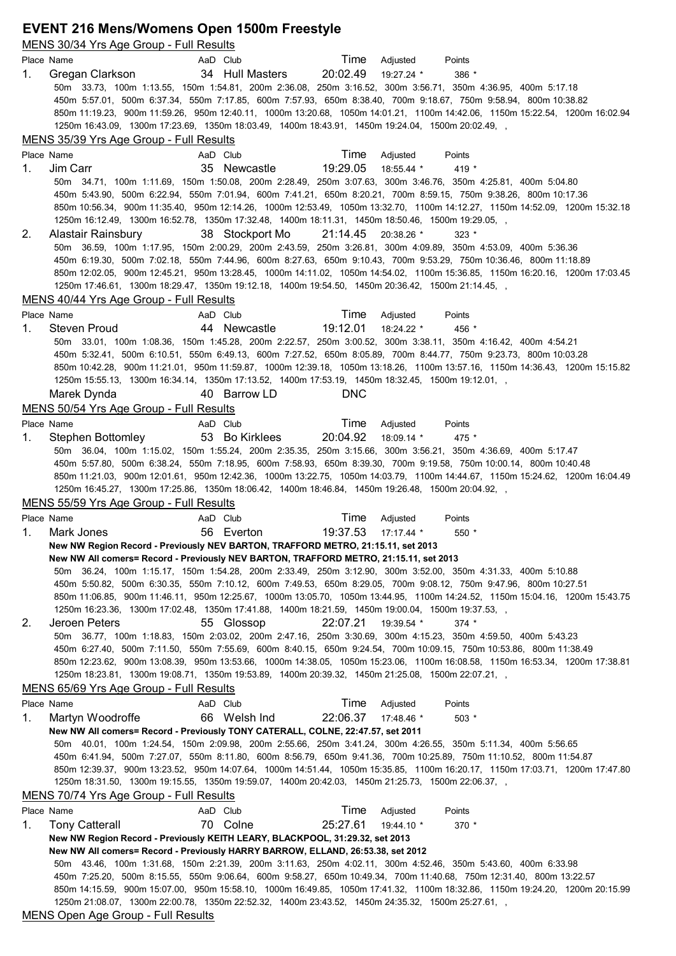# **EVENT 216 Mens/Womens Open 1500m Freestyle**

|    | MENS 30/34 Yrs Age Group - Full Results                                                                                     |                                                                                                   |                     |                                                                                                                                                                                                                                                 |  |
|----|-----------------------------------------------------------------------------------------------------------------------------|---------------------------------------------------------------------------------------------------|---------------------|-------------------------------------------------------------------------------------------------------------------------------------------------------------------------------------------------------------------------------------------------|--|
|    | Place Name                                                                                                                  | AaD Club                                                                                          | Time                | Adjusted<br>Points                                                                                                                                                                                                                              |  |
| 1. | Gregan Clarkson                                                                                                             | 34 Hull Masters                                                                                   | 20:02.49            | 19:27.24 *<br>386 *                                                                                                                                                                                                                             |  |
|    |                                                                                                                             |                                                                                                   |                     | 50m 33.73, 100m 1:13.55, 150m 1:54.81, 200m 2:36.08, 250m 3:16.52, 300m 3:56.71, 350m 4:36.95, 400m 5:17.18                                                                                                                                     |  |
|    |                                                                                                                             |                                                                                                   |                     | 450m 5:57.01, 500m 6:37.34, 550m 7:17.85, 600m 7:57.93, 650m 8:38.40, 700m 9:18.67, 750m 9:58.94, 800m 10:38.82<br>850m 11:19.23, 900m 11:59.26, 950m 12:40.11, 1000m 13:20.68, 1050m 14:01.21, 1100m 14:42.06, 1150m 15:22.54, 1200m 16:02.94  |  |
|    | 1250m 16:43.09, 1300m 17:23.69, 1350m 18:03.49, 1400m 18:43.91, 1450m 19:24.04, 1500m 20:02.49, ,                           |                                                                                                   |                     |                                                                                                                                                                                                                                                 |  |
|    | MENS 35/39 Yrs Age Group - Full Results                                                                                     |                                                                                                   |                     |                                                                                                                                                                                                                                                 |  |
|    | Place Name                                                                                                                  | AaD Club                                                                                          | Time                | Adjusted<br>Points                                                                                                                                                                                                                              |  |
| 1. | Jim Carr                                                                                                                    | 35 Newcastle                                                                                      | 19:29.05            | 18:55.44 *<br>419 *                                                                                                                                                                                                                             |  |
|    |                                                                                                                             |                                                                                                   |                     | 50m 34.71, 100m 1:11.69, 150m 1:50.08, 200m 2:28.49, 250m 3:07.63, 300m 3:46.76, 350m 4:25.81, 400m 5:04.80                                                                                                                                     |  |
|    |                                                                                                                             |                                                                                                   |                     | 450m 5:43.90, 500m 6:22.94, 550m 7:01.94, 600m 7:41.21, 650m 8:20.21, 700m 8:59.15, 750m 9:38.26, 800m 10:17.36                                                                                                                                 |  |
|    |                                                                                                                             |                                                                                                   |                     | 850m 10:56.34, 900m 11:35.40, 950m 12:14.26, 1000m 12:53.49, 1050m 13:32.70, 1100m 14:12.27, 1150m 14:52.09, 1200m 15:32.18                                                                                                                     |  |
| 2. | 1250m 16:12.49, 1300m 16:52.78, 1350m 17:32.48, 1400m 18:11.31, 1450m 18:50.46, 1500m 19:29.05, ,<br>Alastair Rainsbury     | 38 Stockport Mo                                                                                   | 21:14.45 20:38.26 * | $323 *$                                                                                                                                                                                                                                         |  |
|    |                                                                                                                             |                                                                                                   |                     | 50m 36.59, 100m 1:17.95, 150m 2:00.29, 200m 2:43.59, 250m 3:26.81, 300m 4:09.89, 350m 4:53.09, 400m 5:36.36                                                                                                                                     |  |
|    |                                                                                                                             |                                                                                                   |                     | 450m 6:19.30, 500m 7:02.18, 550m 7:44.96, 600m 8:27.63, 650m 9:10.43, 700m 9:53.29, 750m 10:36.46, 800m 11:18.89                                                                                                                                |  |
|    |                                                                                                                             |                                                                                                   |                     | 850m 12:02.05, 900m 12:45.21, 950m 13:28.45, 1000m 14:11.02, 1050m 14:54.02, 1100m 15:36.85, 1150m 16:20.16, 1200m 17:03.45                                                                                                                     |  |
|    | 1250m 17:46.61, 1300m 18:29.47, 1350m 19:12.18, 1400m 19:54.50, 1450m 20:36.42, 1500m 21:14.45,                             |                                                                                                   |                     |                                                                                                                                                                                                                                                 |  |
|    | MENS 40/44 Yrs Age Group - Full Results                                                                                     |                                                                                                   |                     |                                                                                                                                                                                                                                                 |  |
|    | Place Name                                                                                                                  | AaD Club                                                                                          | Time                | Adjusted<br>Points                                                                                                                                                                                                                              |  |
| 1. | <b>Steven Proud</b>                                                                                                         | 44 Newcastle                                                                                      | 19:12.01            | 18:24.22 *<br>456 *                                                                                                                                                                                                                             |  |
|    |                                                                                                                             |                                                                                                   |                     | 50m 33.01, 100m 1:08.36, 150m 1:45.28, 200m 2:22.57, 250m 3:00.52, 300m 3:38.11, 350m 4:16.42, 400m 4:54.21<br>450m 5:32.41, 500m 6:10.51, 550m 6:49.13, 600m 7:27.52, 650m 8:05.89, 700m 8:44.77, 750m 9:23.73, 800m10:03.28                   |  |
|    |                                                                                                                             |                                                                                                   |                     | 850m 10:42.28, 900m 11:21.01, 950m 11:59.87, 1000m 12:39.18, 1050m 13:18.26, 1100m 13:57.16, 1150m 14:36.43, 1200m 15:15.82                                                                                                                     |  |
|    | 1250m 15:55.13, 1300m 16:34.14, 1350m 17:13.52, 1400m 17:53.19, 1450m 18:32.45, 1500m 19:12.01, ,                           |                                                                                                   |                     |                                                                                                                                                                                                                                                 |  |
|    | Marek Dynda                                                                                                                 | 40 Barrow LD                                                                                      | <b>DNC</b>          |                                                                                                                                                                                                                                                 |  |
|    | MENS 50/54 Yrs Age Group - Full Results                                                                                     |                                                                                                   |                     |                                                                                                                                                                                                                                                 |  |
|    | Place Name                                                                                                                  | AaD Club                                                                                          | Time                | Adjusted<br>Points                                                                                                                                                                                                                              |  |
| 1. | Stephen Bottomley                                                                                                           | 53 Bo Kirklees                                                                                    | 20:04.92            | 18:09.14 *<br>$475 *$                                                                                                                                                                                                                           |  |
|    |                                                                                                                             |                                                                                                   |                     | 50m 36.04, 100m 1:15.02, 150m 1:55.24, 200m 2:35.35, 250m 3:15.66, 300m 3:56.21, 350m 4:36.69, 400m 5:17.47                                                                                                                                     |  |
|    |                                                                                                                             |                                                                                                   |                     | 450m 5:57.80, 500m 6:38.24, 550m 7:18.95, 600m 7:58.93, 650m 8:39.30, 700m 9:19.58, 750m 10:00.14, 800m 10:40.48<br>850m 11:21.03, 900m 12:01.61, 950m 12:42.36, 1000m 13:22.75, 1050m 14:03.79, 1100m 14:44.67, 1150m 15:24.62, 1200m 16:04.49 |  |
|    | 1250m 16:45.27, 1300m 17:25.86, 1350m 18:06.42, 1400m 18:46.84, 1450m 19:26.48, 1500m 20:04.92, ,                           |                                                                                                   |                     |                                                                                                                                                                                                                                                 |  |
|    | MENS 55/59 Yrs Age Group - Full Results                                                                                     |                                                                                                   |                     |                                                                                                                                                                                                                                                 |  |
|    | Place Name                                                                                                                  | AaD Club                                                                                          | Time                | Adjusted<br>Points                                                                                                                                                                                                                              |  |
| 1. | Mark Jones                                                                                                                  | 56 Everton                                                                                        | 19:37.53            | $17:17.44$ *<br>$550*$                                                                                                                                                                                                                          |  |
|    | New NW Region Record - Previously NEV BARTON, TRAFFORD METRO, 21:15.11, set 2013                                            |                                                                                                   |                     |                                                                                                                                                                                                                                                 |  |
|    | New NW All comers= Record - Previously NEV BARTON, TRAFFORD METRO, 21:15.11, set 2013                                       |                                                                                                   |                     |                                                                                                                                                                                                                                                 |  |
|    |                                                                                                                             |                                                                                                   |                     | 50m 36.24, 100m 1:15.17, 150m 1:54.28, 200m 2:33.49, 250m 3:12.90, 300m 3:52.00, 350m 4:31.33, 400m 5:10.88<br>450m 5:50.82, 500m 6:30.35, 550m 7:10.12, 600m 7:49.53, 650m 8:29.05, 700m 9:08.12, 750m 9:47.96, 800m10:27.51                   |  |
|    | 850m 11:06.85, 900m 11:46.11, 950m 12:25.67, 1000m 13:05.70, 1050m 13:44.95, 1100m 14:24.52, 1150m 15:04.16, 1200m 15:43.75 |                                                                                                   |                     |                                                                                                                                                                                                                                                 |  |
|    | 1250m 16:23.36, 1300m 17:02.48, 1350m 17:41.88, 1400m 18:21.59, 1450m 19:00.04, 1500m 19:37.53, ,                           |                                                                                                   |                     |                                                                                                                                                                                                                                                 |  |
| 2. |                                                                                                                             |                                                                                                   |                     |                                                                                                                                                                                                                                                 |  |
|    | Jeroen Peters                                                                                                               | 55 Glossop                                                                                        | 22:07.21            | 19:39.54 *<br>$374$ *                                                                                                                                                                                                                           |  |
|    |                                                                                                                             |                                                                                                   |                     | 50m 36.77, 100m 1:18.83, 150m 2:03.02, 200m 2:47.16, 250m 3:30.69, 300m 4:15.23, 350m 4:59.50, 400m 5:43.23                                                                                                                                     |  |
|    |                                                                                                                             |                                                                                                   |                     | 450m 6:27.40, 500m 7:11.50, 550m 7:55.69, 600m 8:40.15, 650m 9:24.54, 700m10:09.15, 750m10:53.86, 800m11:38.49                                                                                                                                  |  |
|    |                                                                                                                             |                                                                                                   |                     | 850m 12:23.62, 900m 13:08.39, 950m 13:53.66, 1000m 14:38.05, 1050m 15:23.06, 1100m 16:08.58, 1150m 16:53.34, 1200m 17:38.81                                                                                                                     |  |
|    | 1250m 18:23.81, 1300m 19:08.71, 1350m 19:53.89, 1400m 20:39.32, 1450m 21:25.08, 1500m 22:07.21,                             |                                                                                                   |                     |                                                                                                                                                                                                                                                 |  |
|    | MENS 65/69 Yrs Age Group - Full Results<br>Place Name                                                                       | AaD Club                                                                                          | Time                | Adjusted<br>Points                                                                                                                                                                                                                              |  |
| 1. | Martyn Woodroffe                                                                                                            | 66 Welsh Ind                                                                                      | 22:06.37            | 17:48.46 *<br>$503*$                                                                                                                                                                                                                            |  |
|    | New NW All comers= Record - Previously TONY CATERALL, COLNE, 22:47.57, set 2011                                             |                                                                                                   |                     |                                                                                                                                                                                                                                                 |  |
|    |                                                                                                                             |                                                                                                   |                     | 50m 40.01, 100m 1:24.54, 150m 2:09.98, 200m 2:55.66, 250m 3:41.24, 300m 4:26.55, 350m 5:11.34, 400m 5:56.65                                                                                                                                     |  |
|    |                                                                                                                             |                                                                                                   |                     | 450m 6:41.94, 500m 7:27.07, 550m 8:11.80, 600m 8:56.79, 650m 9:41.36, 700m 10:25.89, 750m 11:10.52, 800m 11:54.87                                                                                                                               |  |
|    |                                                                                                                             |                                                                                                   |                     | 850m 12:39.37, 900m 13:23.52, 950m 14:07.64, 1000m 14:51.44, 1050m 15:35.85, 1100m 16:20.17, 1150m 17:03.71, 1200m 17:47.80                                                                                                                     |  |
|    |                                                                                                                             | , 1250m 18:31.50, 1300m 19:15.55, 1350m 19:59.07, 1400m 20:42.03, 1450m 21:25.73, 1500m 22:06.37, |                     |                                                                                                                                                                                                                                                 |  |
|    | MENS 70/74 Yrs Age Group - Full Results<br>Place Name                                                                       | AaD Club                                                                                          | Time                | Adjusted<br>Points                                                                                                                                                                                                                              |  |
| 1. | <b>Tony Catterall</b>                                                                                                       | 70 Colne                                                                                          | 25:27.61            | 19:44.10 *<br>$370*$                                                                                                                                                                                                                            |  |
|    | New NW Region Record - Previously KEITH LEARY, BLACKPOOL, 31:29.32, set 2013                                                |                                                                                                   |                     |                                                                                                                                                                                                                                                 |  |
|    | New NW All comers= Record - Previously HARRY BARROW, ELLAND, 26:53.38, set 2012                                             |                                                                                                   |                     |                                                                                                                                                                                                                                                 |  |
|    |                                                                                                                             |                                                                                                   |                     | 50m 43.46, 100m 1:31.68, 150m 2:21.39, 200m 3:11.63, 250m 4:02.11, 300m 4:52.46, 350m 5:43.60, 400m 6:33.98                                                                                                                                     |  |
|    |                                                                                                                             |                                                                                                   |                     | 450m 7:25.20, 500m 8:15.55, 550m 9:06.64, 600m 9:58.27, 650m 10:49.34, 700m 11:40.68, 750m 12:31.40, 800m 13:22.57                                                                                                                              |  |
|    |                                                                                                                             | , 1250m 21:08.07, 1300m 22:00.78, 1350m 22:52.32, 1400m 23:43.52, 1450m 24:35.32, 1500m 25:27.61, |                     | 850m 14:15.59, 900m 15:07.00, 950m 15:58.10, 1000m 16:49.85, 1050m 17:41.32, 1100m 18:32.86, 1150m 19:24.20, 1200m 20:15.99                                                                                                                     |  |

MENS Open Age Group - Full Results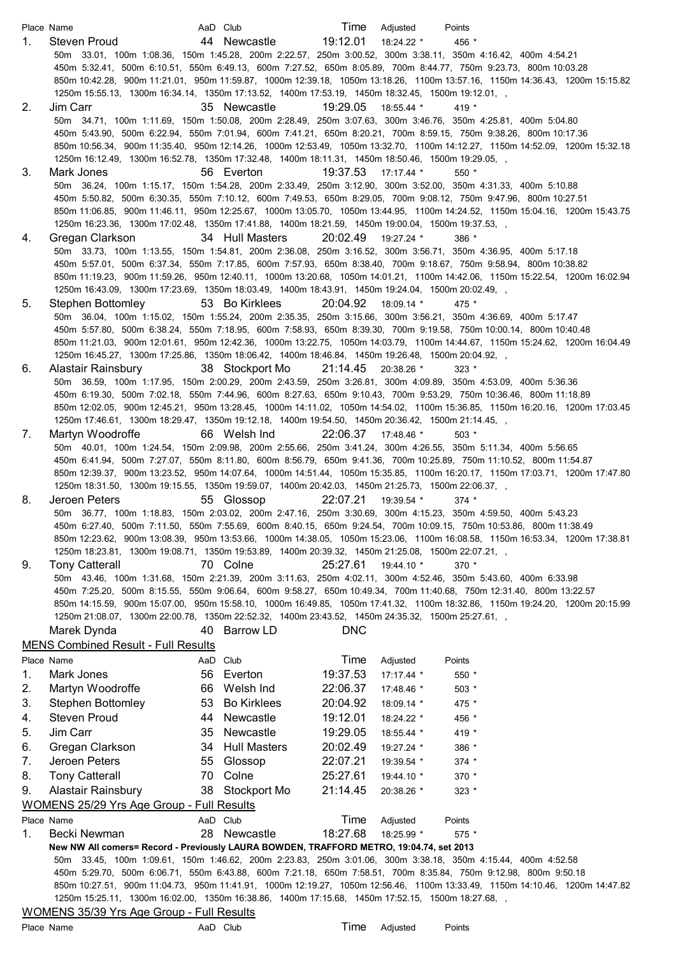|    | Place Name                                                                                                                                                                                             | AaD Club                  | Time                | Adjusted     | Points                                                                                                                      |
|----|--------------------------------------------------------------------------------------------------------------------------------------------------------------------------------------------------------|---------------------------|---------------------|--------------|-----------------------------------------------------------------------------------------------------------------------------|
| 1. | Steven Proud                                                                                                                                                                                           | 44 Newcastle              | 19:12.01            | 18:24.22 *   | 456 *                                                                                                                       |
|    | 50m 33.01, 100m 1:08.36, 150m 1:45.28, 200m 2:22.57, 250m 3:00.52, 300m 3:38.11, 350m 4:16.42, 400m 4:54.21                                                                                            |                           |                     |              |                                                                                                                             |
|    |                                                                                                                                                                                                        |                           |                     |              | 450m 5:32.41, 500m 6:10.51, 550m 6:49.13, 600m 7:27.52, 650m 8:05.89, 700m 8:44.77, 750m 9:23.73, 800m 10:03.28             |
|    |                                                                                                                                                                                                        |                           |                     |              | 850m 10:42.28, 900m 11:21.01, 950m 11:59.87, 1000m 12:39.18, 1050m 13:18.26, 1100m 13:57.16, 1150m 14:36.43, 1200m 15:15.82 |
|    | 1250m 15:55.13, 1300m 16:34.14, 1350m 17:13.52, 1400m 17:53.19, 1450m 18:32.45, 1500m 19:12.01, ,                                                                                                      |                           |                     |              |                                                                                                                             |
| 2. | Jim Carr<br>50m 34.71, 100m 1:11.69, 150m 1:50.08, 200m 2:28.49, 250m 3:07.63, 300m 3:46.76, 350m 4:25.81, 400m 5:04.80                                                                                | 35 Newcastle              | 19:29.05            | 18:55.44 *   | 419 *                                                                                                                       |
|    |                                                                                                                                                                                                        |                           |                     |              | 450m 5:43.90, 500m 6:22.94, 550m 7:01.94, 600m 7:41.21, 650m 8:20.21, 700m 8:59.15, 750m 9:38.26, 800m 10:17.36             |
|    |                                                                                                                                                                                                        |                           |                     |              | 850m 10:56.34, 900m 11:35.40, 950m 12:14.26, 1000m 12:53.49, 1050m 13:32.70, 1100m 14:12.27, 1150m 14:52.09, 1200m 15:32.18 |
|    | 1250m 16:12.49, 1300m 16:52.78, 1350m 17:32.48, 1400m 18:11.31, 1450m 18:50.46, 1500m 19:29.05,                                                                                                        |                           |                     |              |                                                                                                                             |
| 3. | Mark Jones                                                                                                                                                                                             | 56 Everton                | 19:37.53            | $17:17.44$ * | $550*$                                                                                                                      |
|    | 50m 36.24, 100m 1:15.17, 150m 1:54.28, 200m 2:33.49, 250m 3:12.90, 300m 3:52.00, 350m 4:31.33, 400m 5:10.88                                                                                            |                           |                     |              |                                                                                                                             |
|    |                                                                                                                                                                                                        |                           |                     |              | 450m 5:50.82, 500m 6:30.35, 550m 7:10.12, 600m 7:49.53, 650m 8:29.05, 700m 9:08.12, 750m 9:47.96, 800m 10:27.51             |
|    |                                                                                                                                                                                                        |                           |                     |              | 850m 11:06.85, 900m 11:46.11, 950m 12:25.67, 1000m 13:05.70, 1050m 13:44.95, 1100m 14:24.52, 1150m 15:04.16, 1200m 15:43.75 |
|    | 1250m 16:23.36, 1300m 17:02.48, 1350m 17:41.88, 1400m 18:21.59, 1450m 19:00.04, 1500m 19:37.53, ,                                                                                                      |                           |                     |              |                                                                                                                             |
| 4. | Gregan Clarkson                                                                                                                                                                                        | 34 Hull Masters           | 20:02.49            | 19:27.24 *   | $386*$                                                                                                                      |
|    | 50m 33.73, 100m 1:13.55, 150m 1:54.81, 200m 2:36.08, 250m 3:16.52, 300m 3:56.71, 350m 4:36.95, 400m 5:17.18                                                                                            |                           |                     |              |                                                                                                                             |
|    |                                                                                                                                                                                                        |                           |                     |              | 450m 5:57.01, 500m 6:37.34, 550m 7:17.85, 600m 7:57.93, 650m 8:38.40, 700m 9:18.67, 750m 9:58.94, 800m 10:38.82             |
|    | 1250m 16:43.09, 1300m 17:23.69, 1350m 18:03.49, 1400m 18:43.91, 1450m 19:24.04, 1500m 20:02.49, ,                                                                                                      |                           |                     |              | 850m 11:19.23, 900m 11:59.26, 950m 12:40.11, 1000m 13:20.68, 1050m 14:01.21, 1100m 14:42.06, 1150m 15:22.54, 1200m 16:02.94 |
| 5. | Stephen Bottomley                                                                                                                                                                                      | 53 Bo Kirklees            | 20:04.92            | 18:09.14 *   | $475 *$                                                                                                                     |
|    | 50m 36.04, 100m 1:15.02, 150m 1:55.24, 200m 2:35.35, 250m 3:15.66, 300m 3:56.21, 350m 4:36.69, 400m 5:17.47                                                                                            |                           |                     |              |                                                                                                                             |
|    |                                                                                                                                                                                                        |                           |                     |              | 450m 5:57.80, 500m 6:38.24, 550m 7:18.95, 600m 7:58.93, 650m 8:39.30, 700m 9:19.58, 750m 10:00.14, 800m 10:40.48            |
|    |                                                                                                                                                                                                        |                           |                     |              | 850m 11:21.03, 900m 12:01.61, 950m 12:42.36, 1000m 13:22.75, 1050m 14:03.79, 1100m 14:44.67, 1150m 15:24.62, 1200m 16:04.49 |
|    | 1250m 16:45.27, 1300m 17:25.86, 1350m 18:06.42, 1400m 18:46.84, 1450m 19:26.48, 1500m 20:04.92, ,                                                                                                      |                           |                     |              |                                                                                                                             |
| 6. | Alastair Rainsbury                                                                                                                                                                                     | 38 Stockport Mo           | 21:14.45 20:38.26 * |              | $323 *$                                                                                                                     |
|    | 50m 36.59, 100m 1:17.95, 150m 2:00.29, 200m 2:43.59, 250m 3:26.81, 300m 4:09.89, 350m 4:53.09, 400m 5:36.36                                                                                            |                           |                     |              |                                                                                                                             |
|    |                                                                                                                                                                                                        |                           |                     |              | 450m 6:19.30, 500m 7:02.18, 550m 7:44.96, 600m 8:27.63, 650m 9:10.43, 700m 9:53.29, 750m 10:36.46, 800m 11:18.89            |
|    |                                                                                                                                                                                                        |                           |                     |              | 850m 12:02.05, 900m 12:45.21, 950m 13:28.45, 1000m 14:11.02, 1050m 14:54.02, 1100m 15:36.85, 1150m 16:20.16, 1200m 17:03.45 |
|    | 1250m 17:46.61, 1300m 18:29.47, 1350m 19:12.18, 1400m 19:54.50, 1450m 20:36.42, 1500m 21:14.45, ,                                                                                                      |                           |                     |              |                                                                                                                             |
| 7. | Martyn Woodroffe                                                                                                                                                                                       | 66 Welsh Ind              | 22:06.37            | 17:48.46 *   | $503*$                                                                                                                      |
|    | 50m 40.01, 100m 1:24.54, 150m 2:09.98, 200m 2:55.66, 250m 3:41.24, 300m 4:26.55, 350m 5:11.34, 400m 5:56.65                                                                                            |                           |                     |              | 450m 6:41.94, 500m 7:27.07, 550m 8:11.80, 600m 8:56.79, 650m 9:41.36, 700m 10:25.89, 750m 11:10.52, 800m 11:54.87           |
|    |                                                                                                                                                                                                        |                           |                     |              | 850m 12:39.37, 900m 13:23.52, 950m 14:07.64, 1000m 14:51.44, 1050m 15:35.85, 1100m 16:20.17, 1150m 17:03.71, 1200m 17:47.80 |
|    | 1250m 18:31.50, 1300m 19:15.55, 1350m 19:59.07, 1400m 20:42.03, 1450m 21:25.73, 1500m 22:06.37, ,                                                                                                      |                           |                     |              |                                                                                                                             |
| 8. | Jeroen Peters                                                                                                                                                                                          | 55 Glossop                | 22:07.21            | 19:39.54 *   | $374$ *                                                                                                                     |
|    | 50m 36.77, 100m 1:18.83, 150m 2:03.02, 200m 2:47.16, 250m 3:30.69, 300m 4:15.23, 350m 4:59.50, 400m 5:43.23                                                                                            |                           |                     |              |                                                                                                                             |
|    |                                                                                                                                                                                                        |                           |                     |              | 450m 6:27.40, 500m 7:11.50, 550m 7:55.69, 600m 8:40.15, 650m 9:24.54, 700m 10:09.15, 750m 10:53.86, 800m 11:38.49           |
|    |                                                                                                                                                                                                        |                           |                     |              | 850m 12:23.62, 900m 13:08.39, 950m 13:53.66, 1000m 14:38.05, 1050m 15:23.06, 1100m 16:08.58, 1150m 16:53.34, 1200m 17:38.81 |
|    | 1250m 18:23.81, 1300m 19:08.71, 1350m 19:53.89, 1400m 20:39.32, 1450m 21:25.08, 1500m 22:07.21, ,                                                                                                      |                           |                     |              |                                                                                                                             |
| 9. | <b>Tony Catterall</b>                                                                                                                                                                                  | 70 Colne                  | 25:27.61            | 19:44.10 *   | $370 *$                                                                                                                     |
|    | 50m 43.46, 100m 1:31.68, 150m 2:21.39, 200m 3:11.63, 250m 4:02.11, 300m 4:52.46, 350m 5:43.60, 400m 6:33.98                                                                                            |                           |                     |              |                                                                                                                             |
|    |                                                                                                                                                                                                        |                           |                     |              | 450m 7:25.20, 500m 8:15.55, 550m 9:06.64, 600m 9:58.27, 650m 10:49.34, 700m 11:40.68, 750m 12:31.40, 800m 13:22.57          |
|    | 1250m 21:08.07, 1300m 22:00.78, 1350m 22:52.32, 1400m 23:43.52, 1450m 24:35.32, 1500m 25:27.61, ,                                                                                                      |                           |                     |              | 850m 14:15.59, 900m 15:07.00, 950m 15:58.10, 1000m 16:49.85, 1050m 17:41.32, 1100m 18:32.86, 1150m 19:24.20, 1200m 20:15.99 |
|    | Marek Dynda                                                                                                                                                                                            | 40 Barrow LD              | <b>DNC</b>          |              |                                                                                                                             |
|    | <b>MENS Combined Result - Full Results</b>                                                                                                                                                             |                           |                     |              |                                                                                                                             |
|    | Place Name                                                                                                                                                                                             | AaD Club                  | Time                | Adjusted     | Points                                                                                                                      |
| 1. | Mark Jones                                                                                                                                                                                             | 56 Everton                | 19:37.53            | 17:17.44 *   | 550 *                                                                                                                       |
| 2. | Martyn Woodroffe                                                                                                                                                                                       | 66<br>Welsh Ind           | 22:06.37            | 17:48.46 *   | $503 *$                                                                                                                     |
|    |                                                                                                                                                                                                        |                           |                     |              |                                                                                                                             |
| 3. | <b>Stephen Bottomley</b>                                                                                                                                                                               | <b>Bo Kirklees</b><br>53  | 20:04.92            | 18:09.14 *   | 475 *                                                                                                                       |
| 4. | <b>Steven Proud</b>                                                                                                                                                                                    | Newcastle<br>44           | 19:12.01            | 18:24.22 *   | 456 *                                                                                                                       |
| 5. | Jim Carr                                                                                                                                                                                               | Newcastle<br>35           | 19:29.05            | 18:55.44 *   | 419 *                                                                                                                       |
| 6. | Gregan Clarkson                                                                                                                                                                                        | <b>Hull Masters</b><br>34 | 20:02.49            | 19:27.24 *   | 386 *                                                                                                                       |
| 7. | Jeroen Peters                                                                                                                                                                                          | 55<br>Glossop             | 22:07.21            | 19:39.54 *   | $374 *$                                                                                                                     |
| 8. | <b>Tony Catterall</b>                                                                                                                                                                                  | 70 Colne                  | 25:27.61            | 19:44.10 *   | $370 *$                                                                                                                     |
| 9. | Alastair Rainsbury                                                                                                                                                                                     | 38 Stockport Mo           | 21:14.45            | 20:38.26 *   | $323 *$                                                                                                                     |
|    | <b>WOMENS 25/29 Yrs Age Group - Full Results</b>                                                                                                                                                       |                           |                     |              |                                                                                                                             |
|    | Place Name                                                                                                                                                                                             | AaD Club                  | Time                | Adjusted     | Points                                                                                                                      |
| 1. | Becki Newman                                                                                                                                                                                           | 28<br>Newcastle           | 18:27.68            | 18:25.99 *   | $575*$                                                                                                                      |
|    | New NW All comers= Record - Previously LAURA BOWDEN, TRAFFORD METRO, 19:04.74, set 2013<br>50m 33.45, 100m 1:09.61, 150m 1:46.62, 200m 2:23.83, 250m 3:01.06, 300m 3:38.18, 350m 4:15.44, 400m 4:52.58 |                           |                     |              |                                                                                                                             |
|    | 450m 5:29.70, 500m 6:06.71, 550m 6:43.88, 600m 7:21.18, 650m 7:58.51, 700m 8:35.84, 750m 9:12.98, 800m 9:50.18                                                                                         |                           |                     |              |                                                                                                                             |
|    |                                                                                                                                                                                                        |                           |                     |              | 850m 10:27.51, 900m 11:04.73, 950m 11:41.91, 1000m 12:19.27, 1050m 12:56.46, 1100m 13:33.49, 1150m 14:10.46, 1200m 14:47.82 |
|    | 1250m 15:25.11, 1300m 16:02.00, 1350m 16:38.86, 1400m 17:15.68, 1450m 17:52.15, 1500m 18:27.68, ,                                                                                                      |                           |                     |              |                                                                                                                             |

Place Name **AaD** Club Time Adjusted Points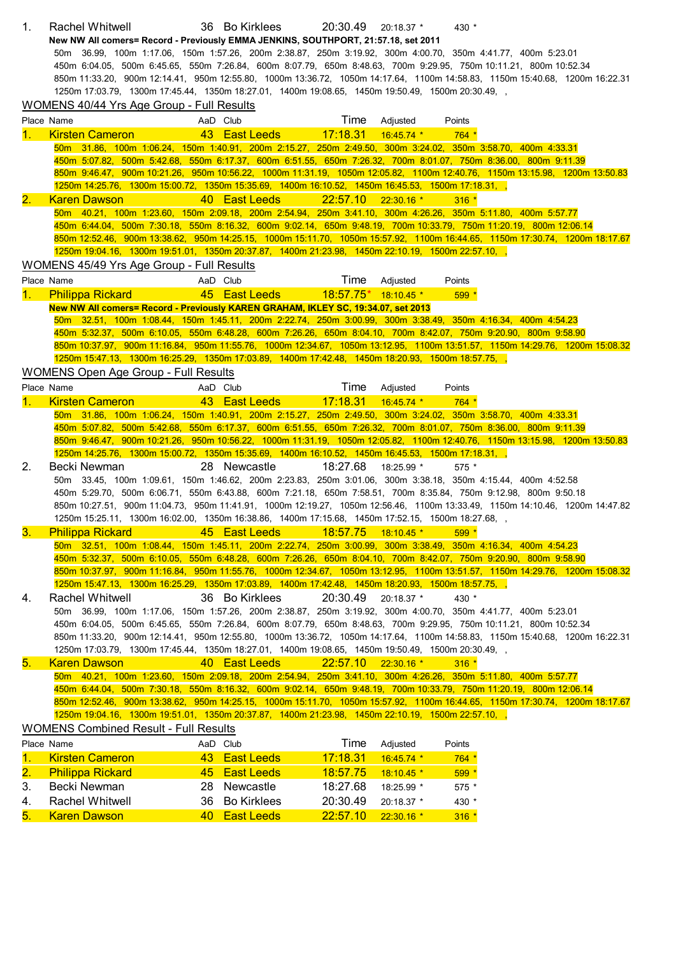| 1.        | Rachel Whitwell                                                                                                   |    | 36 Bo Kirklees                                 | 20:30.49              | $20:18.37$ * | 430 *   |                                                                                                                             |
|-----------|-------------------------------------------------------------------------------------------------------------------|----|------------------------------------------------|-----------------------|--------------|---------|-----------------------------------------------------------------------------------------------------------------------------|
|           | New NW All comers= Record - Previously EMMA JENKINS, SOUTHPORT, 21:57.18, set 2011                                |    |                                                |                       |              |         |                                                                                                                             |
|           | 50m 36.99, 100m 1:17.06, 150m 1:57.26, 200m 2:38.87, 250m 3:19.92, 300m 4:00.70, 350m 4:41.77, 400m 5:23.01       |    |                                                |                       |              |         |                                                                                                                             |
|           | 450m 6:04.05, 500m 6:45.65, 550m 7:26.84, 600m 8:07.79, 650m 8:48.63, 700m 9:29.95, 750m 10:11.21, 800m 10:52.34  |    |                                                |                       |              |         |                                                                                                                             |
|           |                                                                                                                   |    |                                                |                       |              |         | 850m 11:33.20, 900m 12:14.41, 950m 12:55.80, 1000m 13:36.72, 1050m 14:17.64, 1100m 14:58.83, 1150m 15:40.68, 1200m 16:22.31 |
|           | 1250m 17:03.79, 1300m 17:45.44, 1350m 18:27.01, 1400m 19:08.65, 1450m 19:50.49, 1500m 20:30.49, ,                 |    |                                                |                       |              |         |                                                                                                                             |
|           | WOMENS 40/44 Yrs Age Group - Full Results                                                                         |    |                                                |                       |              |         |                                                                                                                             |
|           | Place Name                                                                                                        |    | AaD Club                                       | Time                  | Adjusted     | Points  |                                                                                                                             |
| 1.        | <b>Kirsten Cameron</b>                                                                                            |    | 43 East Leeds                                  | 17:18.31              | $16:45.74$ * | $764*$  |                                                                                                                             |
|           | 50m 31.86, 100m 1:06.24, 150m 1:40.91, 200m 2:15.27, 250m 2:49.50, 300m 3:24.02, 350m 3:58.70, 400m 4:33.31       |    |                                                |                       |              |         |                                                                                                                             |
|           | 450m 5:07.82, 500m 5:42.68, 550m 6:17.37, 600m 6:51.55, 650m 7:26.32, 700m 8:01.07, 750m 8:36.00, 800m 9:11.39    |    |                                                |                       |              |         |                                                                                                                             |
|           |                                                                                                                   |    |                                                |                       |              |         | 850m 9:46.47, 900m 10:21.26, 950m 10:56.22, 1000m 11:31.19, 1050m 12:05.82, 1100m 12:40.76, 1150m 13:15.98, 1200m 13:50.83  |
|           | 1250m 14:25.76, 1300m 15:00.72, 1350m 15:35.69, 1400m 16:10.52, 1450m 16:45.53, 1500m 17:18.31, ,                 |    |                                                |                       |              |         |                                                                                                                             |
| 2.        | <b>Karen Dawson</b>                                                                                               |    | 40 East Leeds                                  | 22:57.10 22:30.16 *   |              | $316 *$ |                                                                                                                             |
|           | 50m 40.21, 100m 1:23.60, 150m 2:09.18, 200m 2:54.94, 250m 3:41.10, 300m 4:26.26, 350m 5:11.80, 400m 5:57.77       |    |                                                |                       |              |         |                                                                                                                             |
|           | 450m 6:44.04, 500m 7:30.18, 550m 8:16.32, 600m 9:02.14, 650m 9:48.19, 700m 10:33.79, 750m 11:20.19, 800m 12:06.14 |    |                                                |                       |              |         |                                                                                                                             |
|           |                                                                                                                   |    |                                                |                       |              |         | 850m 12:52.46, 900m 13:38.62, 950m 14:25.15, 1000m 15:11.70, 1050m 15:57.92, 1100m 16:44.65, 1150m 17:30.74, 1200m 18:17.67 |
|           | 1250m 19:04.16, 1300m 19:51.01, 1350m 20:37.87, 1400m 21:23.98, 1450m 22:10.19, 1500m 22:57.10, ,                 |    |                                                |                       |              |         |                                                                                                                             |
|           | WOMENS 45/49 Yrs Age Group - Full Results                                                                         |    |                                                |                       |              |         |                                                                                                                             |
|           | Place Name                                                                                                        |    | AaD Club                                       | Time                  | Adjusted     | Points  |                                                                                                                             |
| 1.        | <b>Philippa Rickard</b>                                                                                           |    | 45 East Leeds 18:57.75 <sup>*</sup> 18:10.45 * |                       |              | 599 *   |                                                                                                                             |
|           | New NW All comers= Record - Previously KAREN GRAHAM, IKLEY SC, 19:34.07, set 2013                                 |    |                                                |                       |              |         |                                                                                                                             |
|           | 50m 32.51, 100m 1:08.44, 150m 1:45.11, 200m 2:22.74, 250m 3:00.99, 300m 3:38.49, 350m 4:16.34, 400m 4:54.23       |    |                                                |                       |              |         |                                                                                                                             |
|           | 450m 5:32.37, 500m 6:10.05, 550m 6:48.28, 600m 7:26.26, 650m 8:04.10, 700m 8:42.07, 750m 9:20.90, 800m 9:58.90    |    |                                                |                       |              |         |                                                                                                                             |
|           |                                                                                                                   |    |                                                |                       |              |         | 850m 10:37.97, 900m 11:16.84, 950m 11:55.76, 1000m 12:34.67, 1050m 13:12.95, 1100m 13:51.57, 1150m 14:29.76, 1200m 15:08.32 |
|           | 1250m 15:47.13, 1300m 16:25.29, 1350m 17:03.89, 1400m 17:42.48, 1450m 18:20.93, 1500m 18:57.75, ,                 |    |                                                |                       |              |         |                                                                                                                             |
|           | <b>WOMENS Open Age Group - Full Results</b>                                                                       |    |                                                |                       |              |         |                                                                                                                             |
|           |                                                                                                                   |    |                                                |                       |              |         |                                                                                                                             |
|           | Place Name                                                                                                        |    | AaD Club                                       | Time                  | Adjusted     | Points  |                                                                                                                             |
| 1.        | <b>Kirsten Cameron</b>                                                                                            |    | 43 East Leeds                                  | 17:18.31              | $16:45.74$ * | $764 *$ |                                                                                                                             |
|           | 50m 31.86, 100m 1:06.24, 150m 1:40.91, 200m 2:15.27, 250m 2:49.50, 300m 3:24.02, 350m 3:58.70, 400m 4:33.31       |    |                                                |                       |              |         |                                                                                                                             |
|           |                                                                                                                   |    |                                                |                       |              |         |                                                                                                                             |
|           | 450m 5:07.82, 500m 5:42.68, 550m 6:17.37, 600m 6:51.55, 650m 7:26.32, 700m 8:01.07, 750m 8:36.00, 800m 9:11.39    |    |                                                |                       |              |         |                                                                                                                             |
|           |                                                                                                                   |    |                                                |                       |              |         | 850m 9:46.47, 900m 10:21.26, 950m 10:56.22, 1000m 11:31.19, 1050m 12:05.82, 1100m 12:40.76, 1150m 13:15.98, 1200m 13:50.83  |
|           | 1250m 14:25.76, 1300m 15:00.72, 1350m 15:35.69, 1400m 16:10.52, 1450m 16:45.53, 1500m 17:18.31, ,                 |    |                                                |                       |              |         |                                                                                                                             |
| 2.        | Becki Newman                                                                                                      |    | 28 Newcastle                                   | 18:27.68              | 18:25.99 *   | $575*$  |                                                                                                                             |
|           | 50m 33.45, 100m 1:09.61, 150m 1:46.62, 200m 2:23.83, 250m 3:01.06, 300m 3:38.18, 350m 4:15.44, 400m 4:52.58       |    |                                                |                       |              |         |                                                                                                                             |
|           | 450m 5:29.70, 500m 6:06.71, 550m 6:43.88, 600m 7:21.18, 650m 7:58.51, 700m 8:35.84, 750m 9:12.98, 800m 9:50.18    |    |                                                |                       |              |         |                                                                                                                             |
|           |                                                                                                                   |    |                                                |                       |              |         | 850m 10:27.51, 900m 11:04.73, 950m 11:41.91, 1000m 12:19.27, 1050m 12:56.46, 1100m 13:33.49, 1150m 14:10.46, 1200m 14:47.82 |
|           | 1250m 15:25.11, 1300m 16:02.00, 1350m 16:38.86, 1400m 17:15.68, 1450m 17:52.15, 1500m 18:27.68, ,                 |    |                                                |                       |              |         |                                                                                                                             |
|           | 3. Philippa Rickard 45 East Leeds 18:57.75 18:10.45 * 599 *                                                       |    |                                                |                       |              |         |                                                                                                                             |
|           | 50m 32.51, 100m 1:08.44, 150m 1:45.11, 200m 2:22.74, 250m 3:00.99, 300m 3:38.49, 350m 4:16.34, 400m 4:54.23       |    |                                                |                       |              |         |                                                                                                                             |
|           | 450m 5:32.37, 500m 6:10.05, 550m 6:48.28, 600m 7:26.26, 650m 8:04.10, 700m 8:42.07, 750m 9:20.90, 800m 9:58.90    |    |                                                |                       |              |         |                                                                                                                             |
|           |                                                                                                                   |    |                                                |                       |              |         | 850m 10:37.97, 900m 11:16.84, 950m 11:55.76, 1000m 12:34.67, 1050m 13:12.95, 1100m 13:51.57, 1150m 14:29.76, 1200m 15:08.32 |
|           | 1250m 15:47.13, 1300m 16:25.29, 1350m 17:03.89, 1400m 17:42.48, 1450m 18:20.93, 1500m 18:57.75, ,                 |    |                                                |                       |              |         |                                                                                                                             |
| 4.        | <b>Rachel Whitwell</b>                                                                                            |    | 36 Bo Kirklees                                 | 20:30.49              | 20:18.37 *   | 430 *   |                                                                                                                             |
|           | 50m 36.99, 100m 1:17.06, 150m 1:57.26, 200m 2:38.87, 250m 3:19.92, 300m 4:00.70, 350m 4:41.77, 400m 5:23.01       |    |                                                |                       |              |         |                                                                                                                             |
|           | 450m 6:04.05, 500m 6:45.65, 550m 7:26.84, 600m 8:07.79, 650m 8:48.63, 700m 9:29.95, 750m 10:11.21, 800m 10:52.34  |    |                                                |                       |              |         |                                                                                                                             |
|           |                                                                                                                   |    |                                                |                       |              |         | 850m 11:33.20, 900m 12:14.41, 950m 12:55.80, 1000m 13:36.72, 1050m 14:17.64, 1100m 14:58.83, 1150m 15:40.68, 1200m 16:22.31 |
|           | 1250m 17:03.79, 1300m 17:45.44, 1350m 18:27.01, 1400m 19:08.65, 1450m 19:50.49, 1500m 20:30.49, ,                 |    |                                                |                       |              |         |                                                                                                                             |
| 5.        | <b>Karen Dawson</b>                                                                                               |    | 40 East Leeds                                  | $22:57.10$ 22:30.16 * |              | $316*$  |                                                                                                                             |
|           | 50m 40.21, 100m 1:23.60, 150m 2:09.18, 200m 2:54.94, 250m 3:41.10, 300m 4:26.26, 350m 5:11.80, 400m 5:57.77       |    |                                                |                       |              |         |                                                                                                                             |
|           | 450m 6:44.04, 500m 7:30.18, 550m 8:16.32, 600m 9:02.14, 650m 9:48.19, 700m 10:33.79, 750m 11:20.19, 800m 12:06.14 |    |                                                |                       |              |         |                                                                                                                             |
|           |                                                                                                                   |    |                                                |                       |              |         | 850m 12:52.46, 900m 13:38.62, 950m 14:25.15, 1000m 15:11.70, 1050m 15:57.92, 1100m 16:44.65, 1150m 17:30.74, 1200m 18:17.67 |
|           | 1250m 19:04.16, 1300m 19:51.01, 1350m 20:37.87, 1400m 21:23.98, 1450m 22:10.19, 1500m 22:57.10, ,                 |    |                                                |                       |              |         |                                                                                                                             |
|           | <b>WOMENS Combined Result - Full Results</b>                                                                      |    |                                                |                       |              |         |                                                                                                                             |
|           | Place Name                                                                                                        |    | AaD Club                                       | Time                  | Adjusted     | Points  |                                                                                                                             |
| 1.        | <b>Kirsten Cameron</b>                                                                                            |    | 43 East Leeds                                  | 17:18.31              | 16:45.74 *   | $764*$  |                                                                                                                             |
| <u>2.</u> | <b>Philippa Rickard</b>                                                                                           |    | 45 East Leeds                                  | 18:57.75              | 18:10.45 *   | 599     |                                                                                                                             |
|           |                                                                                                                   |    |                                                |                       |              |         |                                                                                                                             |
| 3.        | Becki Newman                                                                                                      |    | 28 Newcastle                                   | 18:27.68              | 18:25.99 *   | 575 *   |                                                                                                                             |
| 4.        | <b>Rachel Whitwell</b>                                                                                            | 36 | <b>Bo Kirklees</b>                             | 20:30.49              | 20:18.37 *   | 430 *   |                                                                                                                             |
| 5.        | <b>Karen Dawson</b>                                                                                               | 40 | <b>East Leeds</b>                              | 22:57.10              | $22:30.16*$  | $316 *$ |                                                                                                                             |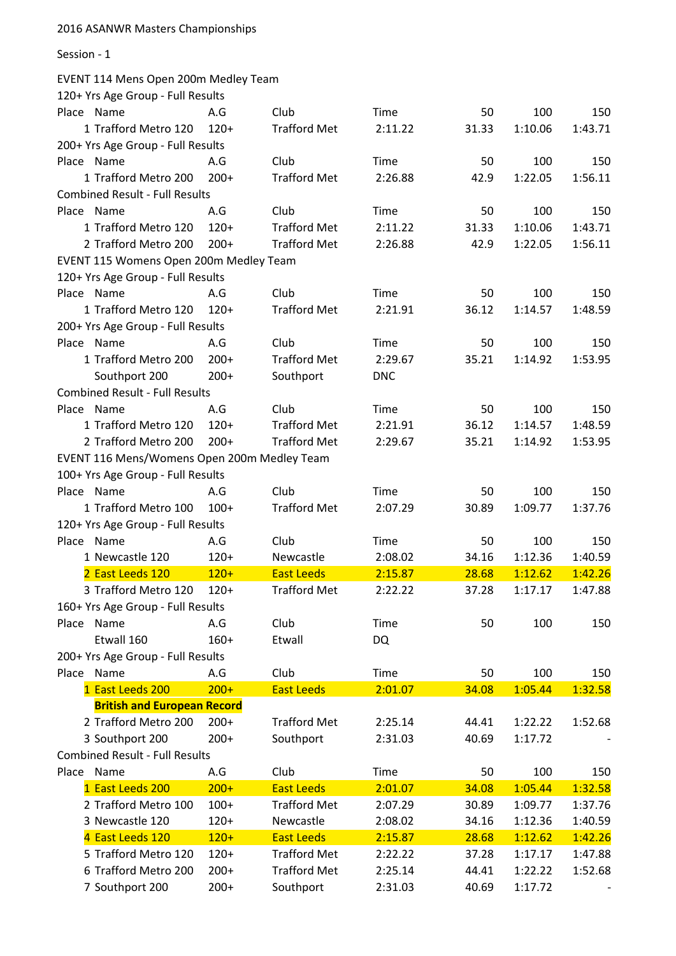Session - 1

#### EVENT 114 Mens Open 200m Medley Team

| 120+ Yrs Age Group - Full Results           |        |                     |             |       |         |         |
|---------------------------------------------|--------|---------------------|-------------|-------|---------|---------|
| Place Name                                  | A.G    | Club                | <b>Time</b> | 50    | 100     | 150     |
| 1 Trafford Metro 120                        | $120+$ | <b>Trafford Met</b> | 2:11.22     | 31.33 | 1:10.06 | 1:43.71 |
| 200+ Yrs Age Group - Full Results           |        |                     |             |       |         |         |
| Place Name                                  | A.G    | Club                | Time        | 50    | 100     | 150     |
| 1 Trafford Metro 200                        | $200+$ | <b>Trafford Met</b> | 2:26.88     | 42.9  | 1:22.05 | 1:56.11 |
| <b>Combined Result - Full Results</b>       |        |                     |             |       |         |         |
| Place Name                                  | A.G    | Club                | Time        | 50    | 100     | 150     |
| 1 Trafford Metro 120                        | $120+$ | <b>Trafford Met</b> | 2:11.22     | 31.33 | 1:10.06 | 1:43.71 |
| 2 Trafford Metro 200                        | $200+$ | <b>Trafford Met</b> | 2:26.88     | 42.9  | 1:22.05 | 1:56.11 |
| EVENT 115 Womens Open 200m Medley Team      |        |                     |             |       |         |         |
| 120+ Yrs Age Group - Full Results           |        |                     |             |       |         |         |
| Place Name                                  | A.G    | Club                | Time        | 50    | 100     | 150     |
| 1 Trafford Metro 120                        | $120+$ | <b>Trafford Met</b> | 2:21.91     | 36.12 | 1:14.57 | 1:48.59 |
| 200+ Yrs Age Group - Full Results           |        |                     |             |       |         |         |
| Place Name                                  | A.G    | Club                | Time        | 50    | 100     | 150     |
| 1 Trafford Metro 200                        | $200+$ | <b>Trafford Met</b> | 2:29.67     | 35.21 | 1:14.92 | 1:53.95 |
| Southport 200                               | $200+$ | Southport           | <b>DNC</b>  |       |         |         |
| <b>Combined Result - Full Results</b>       |        |                     |             |       |         |         |
| Place Name                                  | A.G    | Club                | Time        | 50    | 100     | 150     |
| 1 Trafford Metro 120                        | $120+$ | <b>Trafford Met</b> | 2:21.91     | 36.12 | 1:14.57 | 1:48.59 |
| 2 Trafford Metro 200                        | $200+$ | <b>Trafford Met</b> | 2:29.67     | 35.21 | 1:14.92 | 1:53.95 |
| EVENT 116 Mens/Womens Open 200m Medley Team |        |                     |             |       |         |         |
| 100+ Yrs Age Group - Full Results           |        |                     |             |       |         |         |
| Place Name                                  | A.G    | Club                | Time        | 50    | 100     | 150     |
| 1 Trafford Metro 100                        | $100+$ | <b>Trafford Met</b> | 2:07.29     | 30.89 | 1:09.77 | 1:37.76 |
| 120+ Yrs Age Group - Full Results           |        |                     |             |       |         |         |
| Place Name                                  | A.G    | Club                | Time        | 50    | 100     | 150     |
| 1 Newcastle 120                             | $120+$ | Newcastle           | 2:08.02     | 34.16 | 1:12.36 | 1:40.59 |
| 2 East Leeds 120                            | $120+$ | <b>East Leeds</b>   | 2:15.87     | 28.68 | 1:12.62 | 1:42.26 |
| 3 Trafford Metro 120                        | $120+$ | <b>Trafford Met</b> | 2:22.22     | 37.28 | 1:17.17 | 1:47.88 |
| 160+ Yrs Age Group - Full Results           |        |                     |             |       |         |         |
| Place<br>Name                               | A.G    | Club                | <b>Time</b> | 50    | 100     | 150     |
| Etwall 160                                  | $160+$ | Etwall              | <b>DQ</b>   |       |         |         |
| 200+ Yrs Age Group - Full Results           |        |                     |             |       |         |         |
| Name<br>Place                               | A.G    | Club                | Time        | 50    | 100     | 150     |
| 1 East Leeds 200                            | $200+$ | <b>East Leeds</b>   | 2:01.07     | 34.08 | 1:05.44 | 1:32.58 |
| <b>British and European Record</b>          |        |                     |             |       |         |         |
| 2 Trafford Metro 200                        | $200+$ | <b>Trafford Met</b> | 2:25.14     | 44.41 | 1:22.22 | 1:52.68 |
| 3 Southport 200                             | $200+$ | Southport           | 2:31.03     | 40.69 | 1:17.72 |         |
| <b>Combined Result - Full Results</b>       |        |                     |             |       |         |         |
| Place Name                                  | A.G    | Club                | <b>Time</b> | 50    | 100     | 150     |
| 1 East Leeds 200                            | $200+$ | <b>East Leeds</b>   | 2:01.07     | 34.08 | 1:05.44 | 1:32.58 |
| 2 Trafford Metro 100                        | $100+$ | <b>Trafford Met</b> | 2:07.29     | 30.89 | 1:09.77 | 1:37.76 |
| 3 Newcastle 120                             | $120+$ | Newcastle           | 2:08.02     | 34.16 | 1:12.36 | 1:40.59 |
| 4 East Leeds 120                            | $120+$ | <b>East Leeds</b>   | 2:15.87     | 28.68 | 1:12.62 | 1:42.26 |
| 5 Trafford Metro 120                        | $120+$ | <b>Trafford Met</b> | 2:22.22     | 37.28 | 1:17.17 | 1:47.88 |
| 6 Trafford Metro 200                        | $200+$ | <b>Trafford Met</b> | 2:25.14     | 44.41 | 1:22.22 | 1:52.68 |
| 7 Southport 200                             | $200+$ | Southport           | 2:31.03     | 40.69 | 1:17.72 |         |